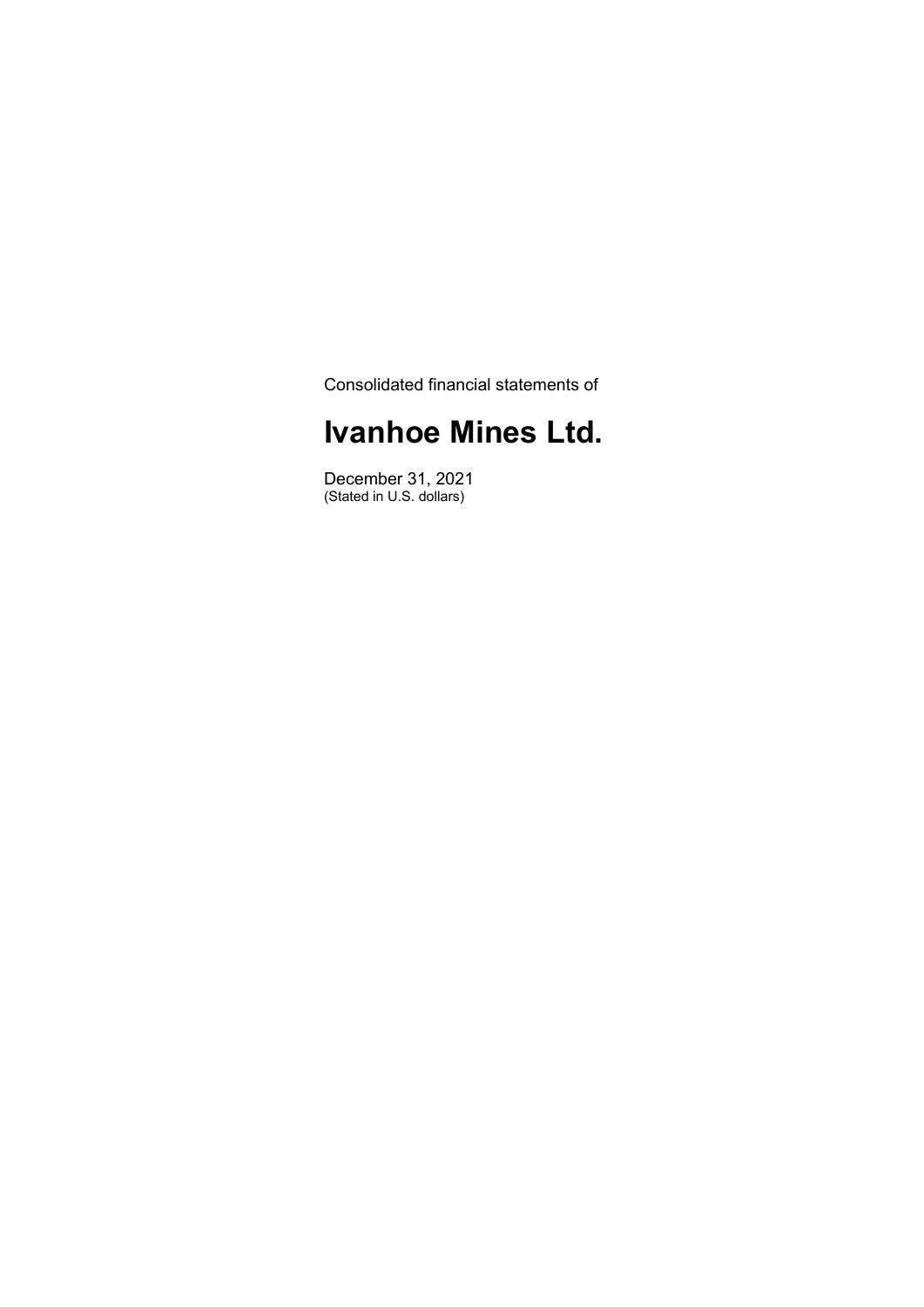Consolidated financial statements of

# **Ivanhoe Mines Ltd.**

December 31, 2021 (Stated in U.S. dollars)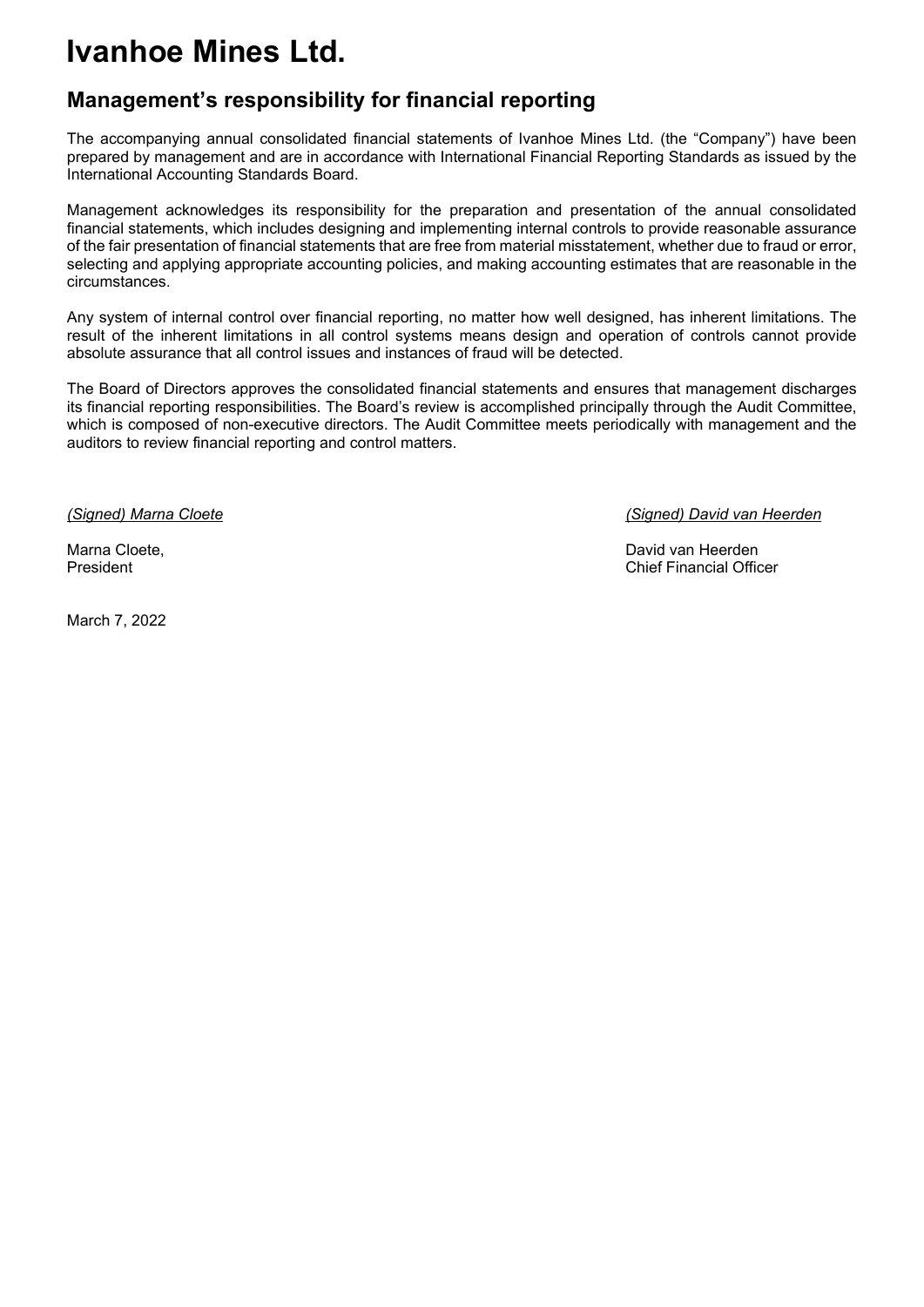### **Management's responsibility for financial reporting**

The accompanying annual consolidated financial statements of Ivanhoe Mines Ltd. (the "Company") have been prepared by management and are in accordance with International Financial Reporting Standards as issued by the International Accounting Standards Board.

Management acknowledges its responsibility for the preparation and presentation of the annual consolidated financial statements, which includes designing and implementing internal controls to provide reasonable assurance of the fair presentation of financial statements that are free from material misstatement, whether due to fraud or error, selecting and applying appropriate accounting policies, and making accounting estimates that are reasonable in the circumstances.

Any system of internal control over financial reporting, no matter how well designed, has inherent limitations. The result of the inherent limitations in all control systems means design and operation of controls cannot provide absolute assurance that all control issues and instances of fraud will be detected.

The Board of Directors approves the consolidated financial statements and ensures that management discharges its financial reporting responsibilities. The Board's review is accomplished principally through the Audit Committee, which is composed of non-executive directors. The Audit Committee meets periodically with management and the auditors to review financial reporting and control matters.

March 7, 2022

*(Signed) Marna Cloete (Signed) David van Heerden*

Marna Cloete, David van Heerden President Chief Financial Officer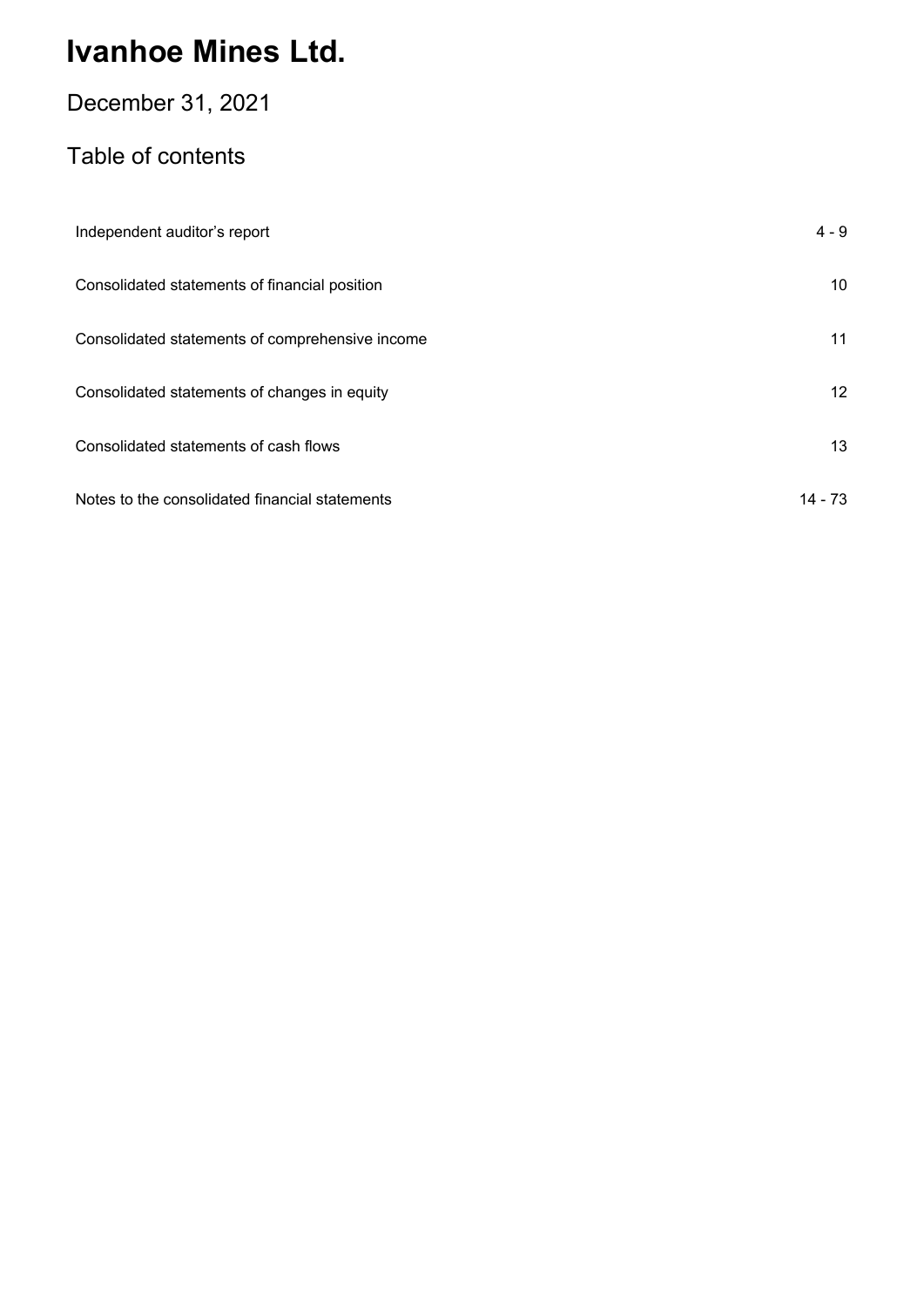### December 31, 2021

### Table of contents

| Independent auditor's report                    | $4 - 9$ |
|-------------------------------------------------|---------|
| Consolidated statements of financial position   | 10      |
| Consolidated statements of comprehensive income | 11      |
| Consolidated statements of changes in equity    | 12      |
| Consolidated statements of cash flows           | 13      |
| Notes to the consolidated financial statements  | 14 - 73 |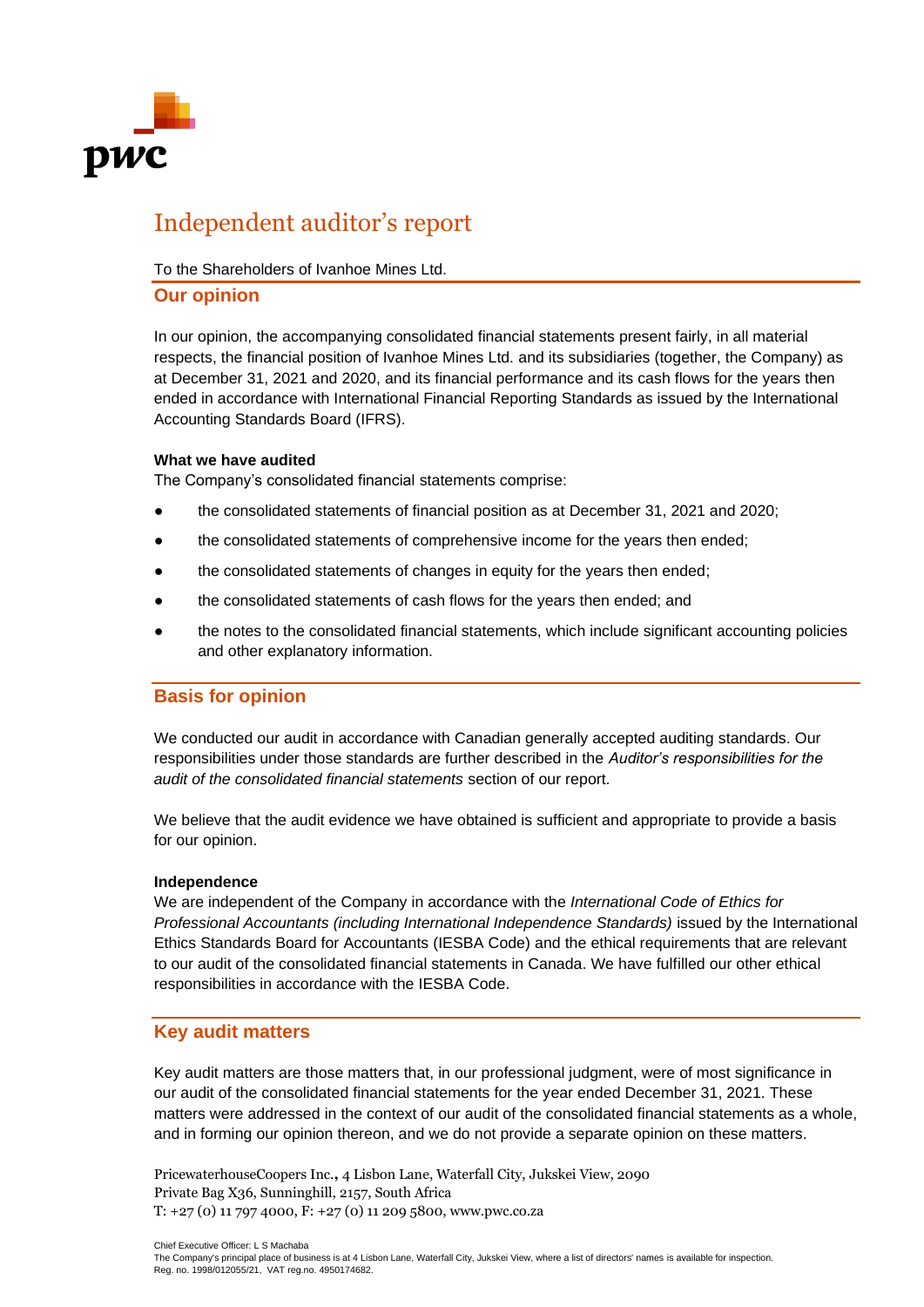

### Independent auditor's report

#### To the Shareholders of Ivanhoe Mines Ltd.

#### **Our opinion**

In our opinion, the accompanying consolidated financial statements present fairly, in all material respects, the financial position of Ivanhoe Mines Ltd. and its subsidiaries (together, the Company) as at December 31, 2021 and 2020, and its financial performance and its cash flows for the years then ended in accordance with International Financial Reporting Standards as issued by the International Accounting Standards Board (IFRS).

#### **What we have audited**

The Company's consolidated financial statements comprise:

- the consolidated statements of financial position as at December 31, 2021 and 2020;
- the consolidated statements of comprehensive income for the years then ended;
- the consolidated statements of changes in equity for the years then ended;
- the consolidated statements of cash flows for the years then ended; and
- the notes to the consolidated financial statements, which include significant accounting policies and other explanatory information.

#### **Basis for opinion**

We conducted our audit in accordance with Canadian generally accepted auditing standards. Our responsibilities under those standards are further described in the *Auditor's responsibilities for the audit of the consolidated financial statements* section of our report.

We believe that the audit evidence we have obtained is sufficient and appropriate to provide a basis for our opinion.

#### **Independence**

We are independent of the Company in accordance with the *International Code of Ethics for Professional Accountants (including International Independence Standards)* issued by the International Ethics Standards Board for Accountants (IESBA Code) and the ethical requirements that are relevant to our audit of the consolidated financial statements in Canada. We have fulfilled our other ethical responsibilities in accordance with the IESBA Code.

#### **Key audit matters**

Key audit matters are those matters that, in our professional judgment, were of most significance in our audit of the consolidated financial statements for the year ended December 31, 2021. These matters were addressed in the context of our audit of the consolidated financial statements as a whole, and in forming our opinion thereon, and we do not provide a separate opinion on these matters.

PricewaterhouseCoopers Inc.**,** 4 Lisbon Lane, Waterfall City, Jukskei View, 2090 Private Bag X36, Sunninghill, 2157, South Africa T: +27 (0) 11 797 4000, F: +27 (0) 11 209 5800, www.pwc.co.za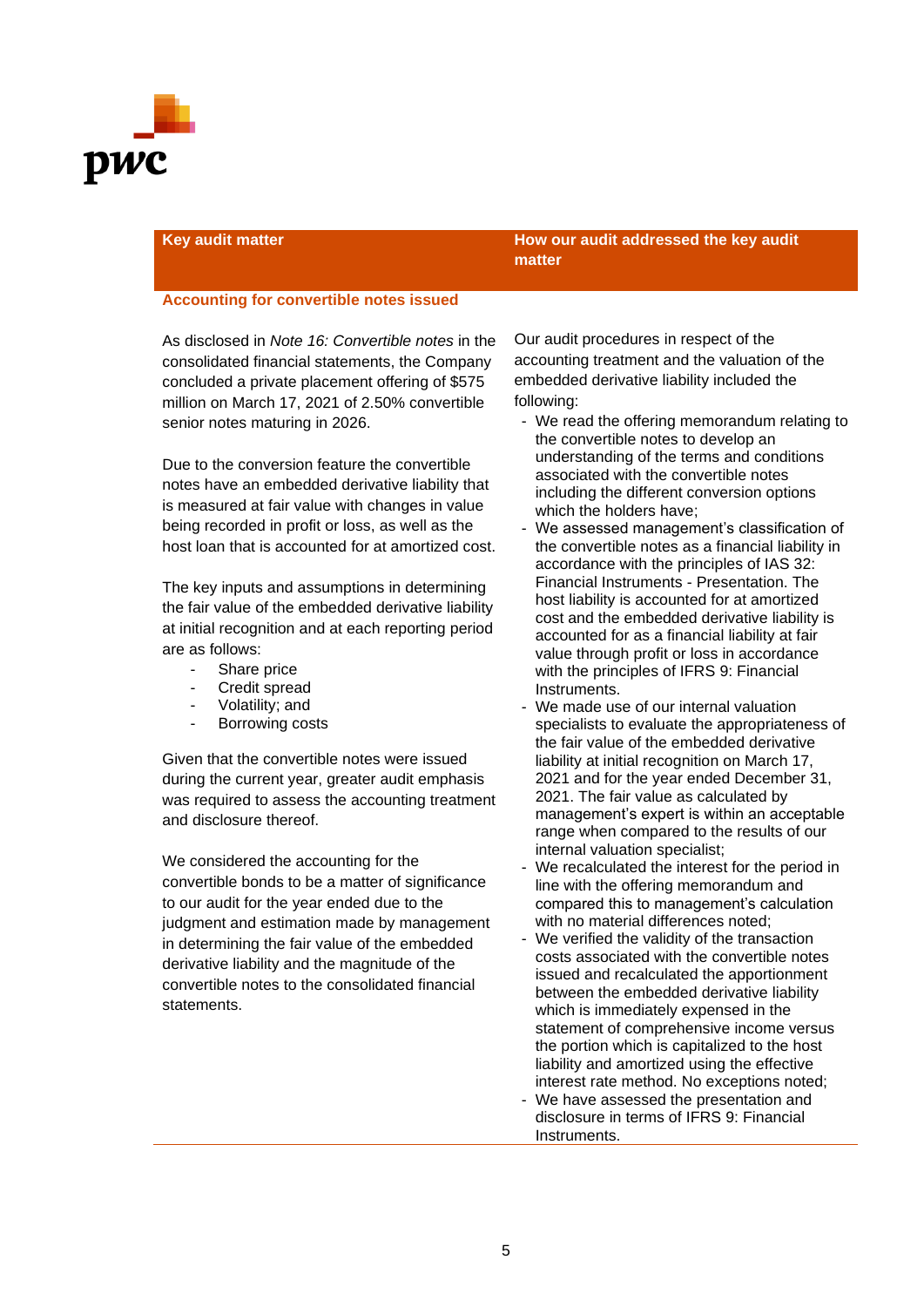

#### **Key audit matter How our audit addressed the key audit matter**

#### **Accounting for convertible notes issued**

As disclosed in *Note 16: Convertible notes* in the consolidated financial statements, the Company concluded a private placement offering of \$575 million on March 17, 2021 of 2.50% convertible senior notes maturing in 2026.

Due to the conversion feature the convertible notes have an embedded derivative liability that is measured at fair value with changes in value being recorded in profit or loss, as well as the host loan that is accounted for at amortized cost.

The key inputs and assumptions in determining the fair value of the embedded derivative liability at initial recognition and at each reporting period are as follows:

- Share price
- Credit spread
- Volatility; and
- Borrowing costs

Given that the convertible notes were issued during the current year, greater audit emphasis was required to assess the accounting treatment and disclosure thereof.

We considered the accounting for the convertible bonds to be a matter of significance to our audit for the year ended due to the judgment and estimation made by management in determining the fair value of the embedded derivative liability and the magnitude of the convertible notes to the consolidated financial statements.

Our audit procedures in respect of the accounting treatment and the valuation of the embedded derivative liability included the following:

- We read the offering memorandum relating to the convertible notes to develop an understanding of the terms and conditions associated with the convertible notes including the different conversion options which the holders have;
- We assessed management's classification of the convertible notes as a financial liability in accordance with the principles of IAS 32: Financial Instruments - Presentation. The host liability is accounted for at amortized cost and the embedded derivative liability is accounted for as a financial liability at fair value through profit or loss in accordance with the principles of IFRS 9: Financial Instruments.
- We made use of our internal valuation specialists to evaluate the appropriateness of the fair value of the embedded derivative liability at initial recognition on March 17, 2021 and for the year ended December 31, 2021. The fair value as calculated by management's expert is within an acceptable range when compared to the results of our internal valuation specialist;
- We recalculated the interest for the period in line with the offering memorandum and compared this to management's calculation with no material differences noted;
- We verified the validity of the transaction costs associated with the convertible notes issued and recalculated the apportionment between the embedded derivative liability which is immediately expensed in the statement of comprehensive income versus the portion which is capitalized to the host liability and amortized using the effective interest rate method. No exceptions noted;
- We have assessed the presentation and disclosure in terms of IFRS 9: Financial Instruments.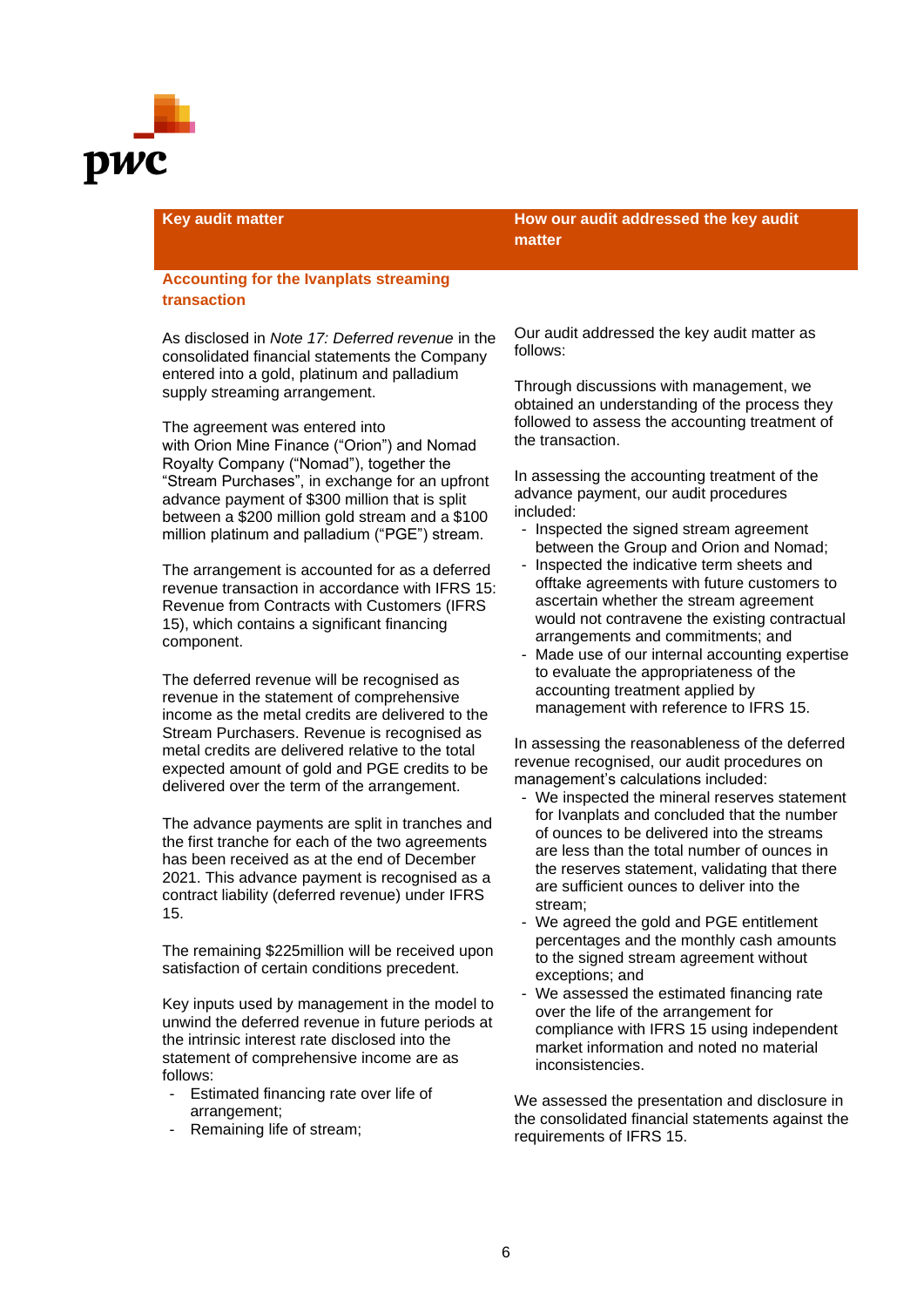

#### **Accounting for the Ivanplats streaming transaction**

As disclosed in *Note 17: Deferred revenue* in the consolidated financial statements the Company entered into a gold, platinum and palladium supply streaming arrangement.

The agreement was entered into with Orion Mine Finance ("Orion") and Nomad Royalty Company ("Nomad"), together the "Stream Purchases", in exchange for an upfront advance payment of \$300 million that is split between a \$200 million gold stream and a \$100 million platinum and palladium ("PGE") stream.

The arrangement is accounted for as a deferred revenue transaction in accordance with IFRS 15: Revenue from Contracts with Customers (IFRS 15), which contains a significant financing component.

The deferred revenue will be recognised as revenue in the statement of comprehensive income as the metal credits are delivered to the Stream Purchasers. Revenue is recognised as metal credits are delivered relative to the total expected amount of gold and PGE credits to be delivered over the term of the arrangement.

The advance payments are split in tranches and the first tranche for each of the two agreements has been received as at the end of December 2021. This advance payment is recognised as a contract liability (deferred revenue) under IFRS 15.

The remaining \$225million will be received upon satisfaction of certain conditions precedent.

Key inputs used by management in the model to unwind the deferred revenue in future periods at the intrinsic interest rate disclosed into the statement of comprehensive income are as follows:

- Estimated financing rate over life of arrangement;
- Remaining life of stream;

**Key audit matter How our audit addressed the key audit matter**

> Our audit addressed the key audit matter as follows:

Through discussions with management, we obtained an understanding of the process they followed to assess the accounting treatment of the transaction.

In assessing the accounting treatment of the advance payment, our audit procedures included:

- Inspected the signed stream agreement between the Group and Orion and Nomad;
- Inspected the indicative term sheets and offtake agreements with future customers to ascertain whether the stream agreement would not contravene the existing contractual arrangements and commitments; and
- Made use of our internal accounting expertise to evaluate the appropriateness of the accounting treatment applied by management with reference to IFRS 15.

In assessing the reasonableness of the deferred revenue recognised, our audit procedures on management's calculations included:

- We inspected the mineral reserves statement for Ivanplats and concluded that the number of ounces to be delivered into the streams are less than the total number of ounces in the reserves statement, validating that there are sufficient ounces to deliver into the stream;
- We agreed the gold and PGE entitlement percentages and the monthly cash amounts to the signed stream agreement without exceptions; and
- We assessed the estimated financing rate over the life of the arrangement for compliance with IFRS 15 using independent market information and noted no material inconsistencies.

We assessed the presentation and disclosure in the consolidated financial statements against the requirements of IFRS 15.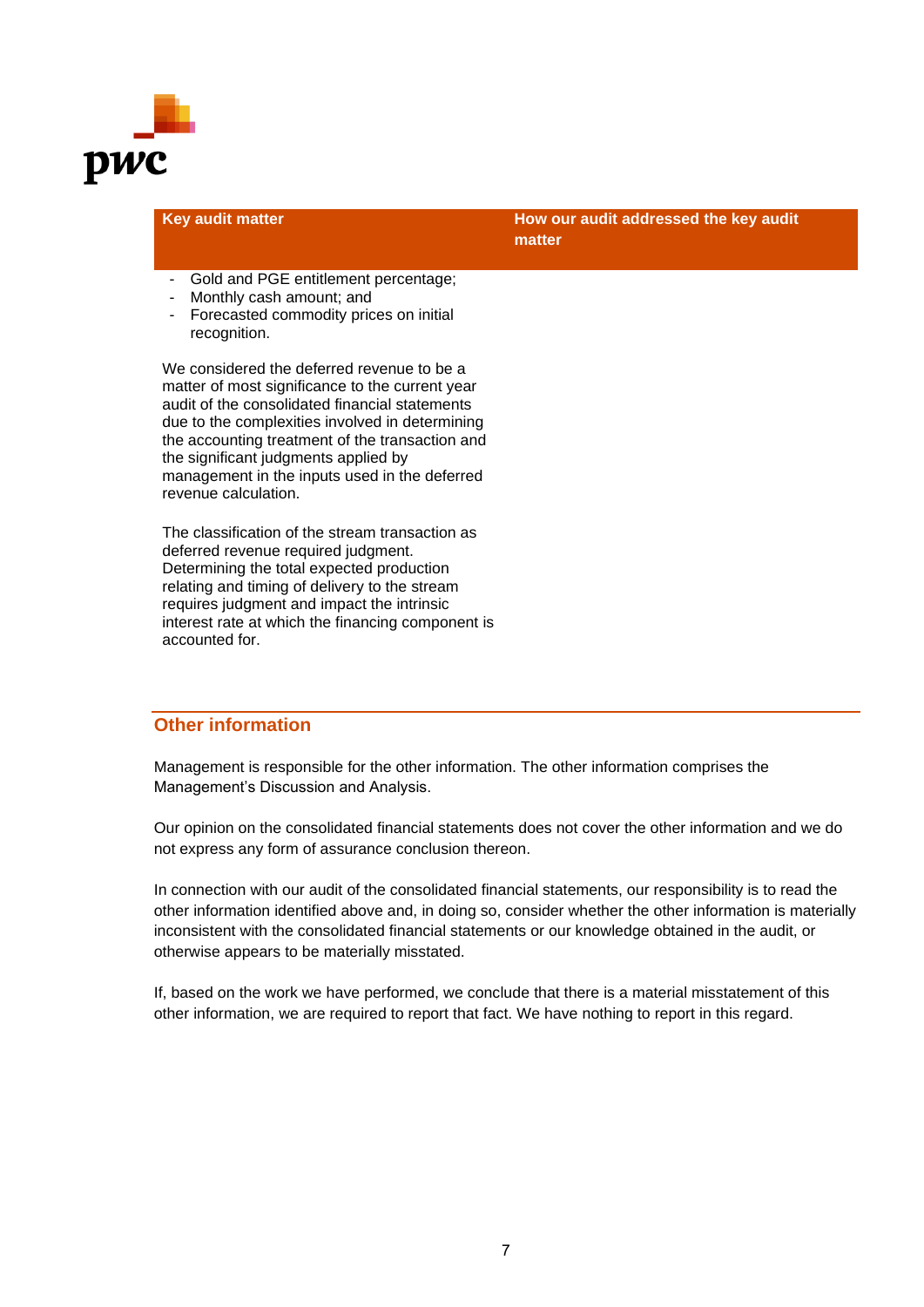

| <b>Key audit matter</b>                                                                            | How our audit addressed the key audit<br>matter |
|----------------------------------------------------------------------------------------------------|-------------------------------------------------|
| $\bigcap$ . If $I = I$ $\bigcap \bigcap \bigcap I$ is the set of second set of $I$ is a set of $I$ |                                                 |

- Gold and PGE entitlement percentage;
- Monthly cash amount; and
- Forecasted commodity prices on initial recognition.

We considered the deferred revenue to be a matter of most significance to the current year audit of the consolidated financial statements due to the complexities involved in determining the accounting treatment of the transaction and the significant judgments applied by management in the inputs used in the deferred revenue calculation.

The classification of the stream transaction as deferred revenue required judgment. Determining the total expected production relating and timing of delivery to the stream requires judgment and impact the intrinsic interest rate at which the financing component is accounted for.

#### **Other information**

Management is responsible for the other information. The other information comprises the Management's Discussion and Analysis.

Our opinion on the consolidated financial statements does not cover the other information and we do not express any form of assurance conclusion thereon.

In connection with our audit of the consolidated financial statements, our responsibility is to read the other information identified above and, in doing so, consider whether the other information is materially inconsistent with the consolidated financial statements or our knowledge obtained in the audit, or otherwise appears to be materially misstated.

If, based on the work we have performed, we conclude that there is a material misstatement of this other information, we are required to report that fact. We have nothing to report in this regard.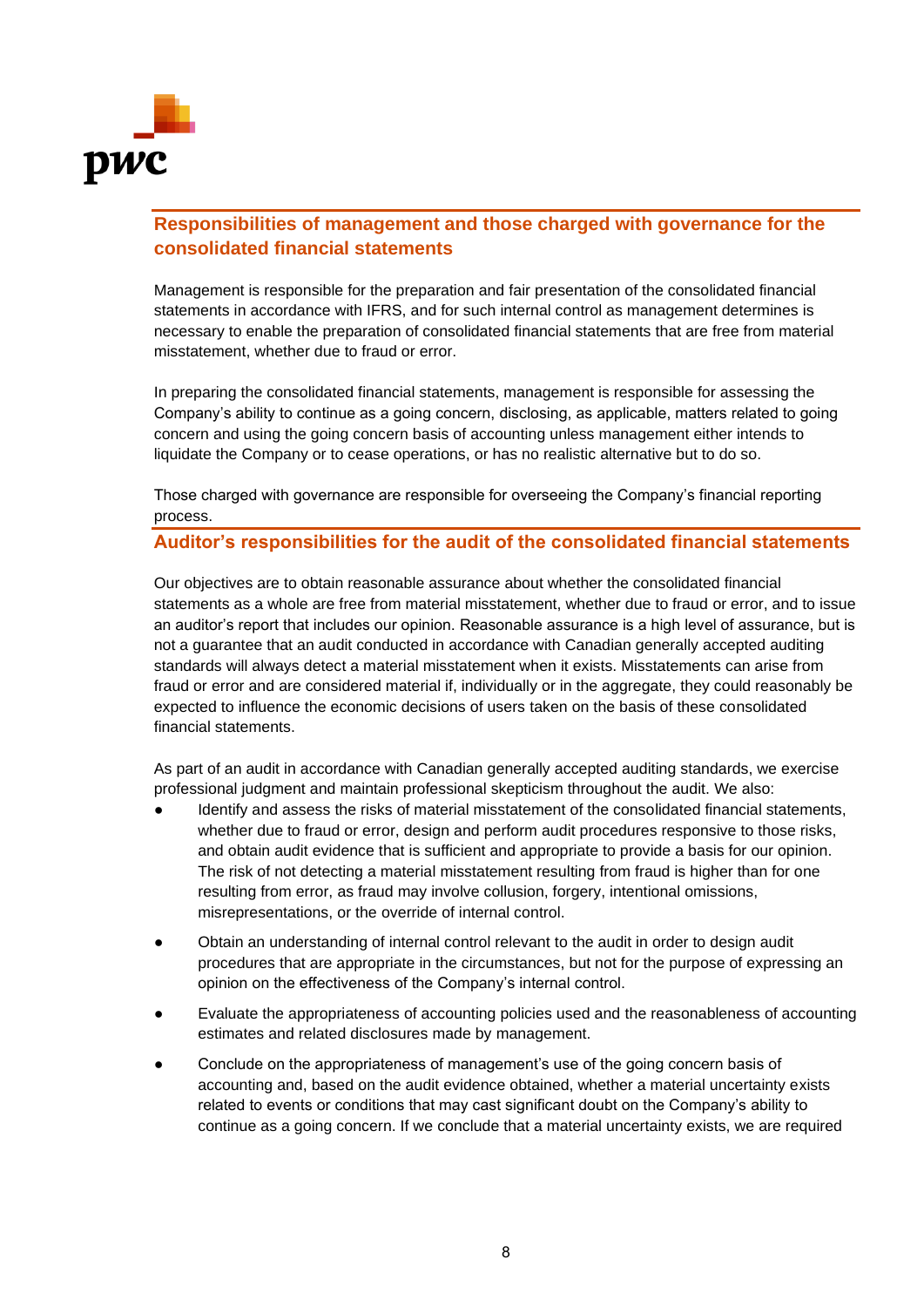

### **Responsibilities of management and those charged with governance for the consolidated financial statements**

Management is responsible for the preparation and fair presentation of the consolidated financial statements in accordance with IFRS, and for such internal control as management determines is necessary to enable the preparation of consolidated financial statements that are free from material misstatement, whether due to fraud or error.

In preparing the consolidated financial statements, management is responsible for assessing the Company's ability to continue as a going concern, disclosing, as applicable, matters related to going concern and using the going concern basis of accounting unless management either intends to liquidate the Company or to cease operations, or has no realistic alternative but to do so.

Those charged with governance are responsible for overseeing the Company's financial reporting process.

#### **Auditor's responsibilities for the audit of the consolidated financial statements**

Our objectives are to obtain reasonable assurance about whether the consolidated financial statements as a whole are free from material misstatement, whether due to fraud or error, and to issue an auditor's report that includes our opinion. Reasonable assurance is a high level of assurance, but is not a guarantee that an audit conducted in accordance with Canadian generally accepted auditing standards will always detect a material misstatement when it exists. Misstatements can arise from fraud or error and are considered material if, individually or in the aggregate, they could reasonably be expected to influence the economic decisions of users taken on the basis of these consolidated financial statements.

As part of an audit in accordance with Canadian generally accepted auditing standards, we exercise professional judgment and maintain professional skepticism throughout the audit. We also:

- Identify and assess the risks of material misstatement of the consolidated financial statements, whether due to fraud or error, design and perform audit procedures responsive to those risks, and obtain audit evidence that is sufficient and appropriate to provide a basis for our opinion. The risk of not detecting a material misstatement resulting from fraud is higher than for one resulting from error, as fraud may involve collusion, forgery, intentional omissions, misrepresentations, or the override of internal control.
- Obtain an understanding of internal control relevant to the audit in order to design audit procedures that are appropriate in the circumstances, but not for the purpose of expressing an opinion on the effectiveness of the Company's internal control.
- Evaluate the appropriateness of accounting policies used and the reasonableness of accounting estimates and related disclosures made by management.
- Conclude on the appropriateness of management's use of the going concern basis of accounting and, based on the audit evidence obtained, whether a material uncertainty exists related to events or conditions that may cast significant doubt on the Company's ability to continue as a going concern. If we conclude that a material uncertainty exists, we are required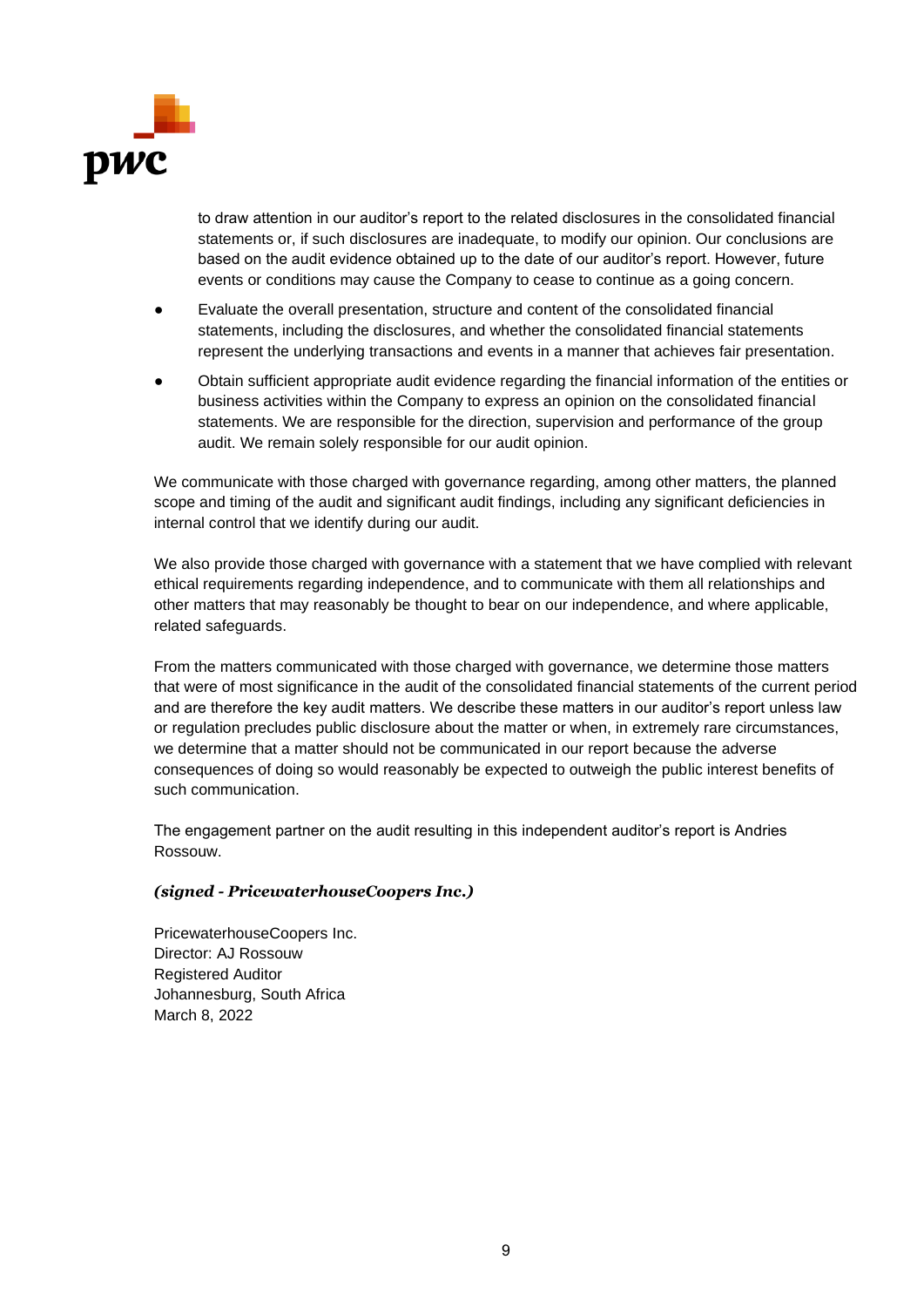

to draw attention in our auditor's report to the related disclosures in the consolidated financial statements or, if such disclosures are inadequate, to modify our opinion. Our conclusions are based on the audit evidence obtained up to the date of our auditor's report. However, future events or conditions may cause the Company to cease to continue as a going concern.

- Evaluate the overall presentation, structure and content of the consolidated financial statements, including the disclosures, and whether the consolidated financial statements represent the underlying transactions and events in a manner that achieves fair presentation.
- Obtain sufficient appropriate audit evidence regarding the financial information of the entities or business activities within the Company to express an opinion on the consolidated financial statements. We are responsible for the direction, supervision and performance of the group audit. We remain solely responsible for our audit opinion.

We communicate with those charged with governance regarding, among other matters, the planned scope and timing of the audit and significant audit findings, including any significant deficiencies in internal control that we identify during our audit.

We also provide those charged with governance with a statement that we have complied with relevant ethical requirements regarding independence, and to communicate with them all relationships and other matters that may reasonably be thought to bear on our independence, and where applicable, related safeguards.

From the matters communicated with those charged with governance, we determine those matters that were of most significance in the audit of the consolidated financial statements of the current period and are therefore the key audit matters. We describe these matters in our auditor's report unless law or regulation precludes public disclosure about the matter or when, in extremely rare circumstances, we determine that a matter should not be communicated in our report because the adverse consequences of doing so would reasonably be expected to outweigh the public interest benefits of such communication.

The engagement partner on the audit resulting in this independent auditor's report is Andries Rossouw.

#### *(signed - PricewaterhouseCoopers Inc.)*

PricewaterhouseCoopers Inc. Director: AJ Rossouw Registered Auditor Johannesburg, South Africa March 8, 2022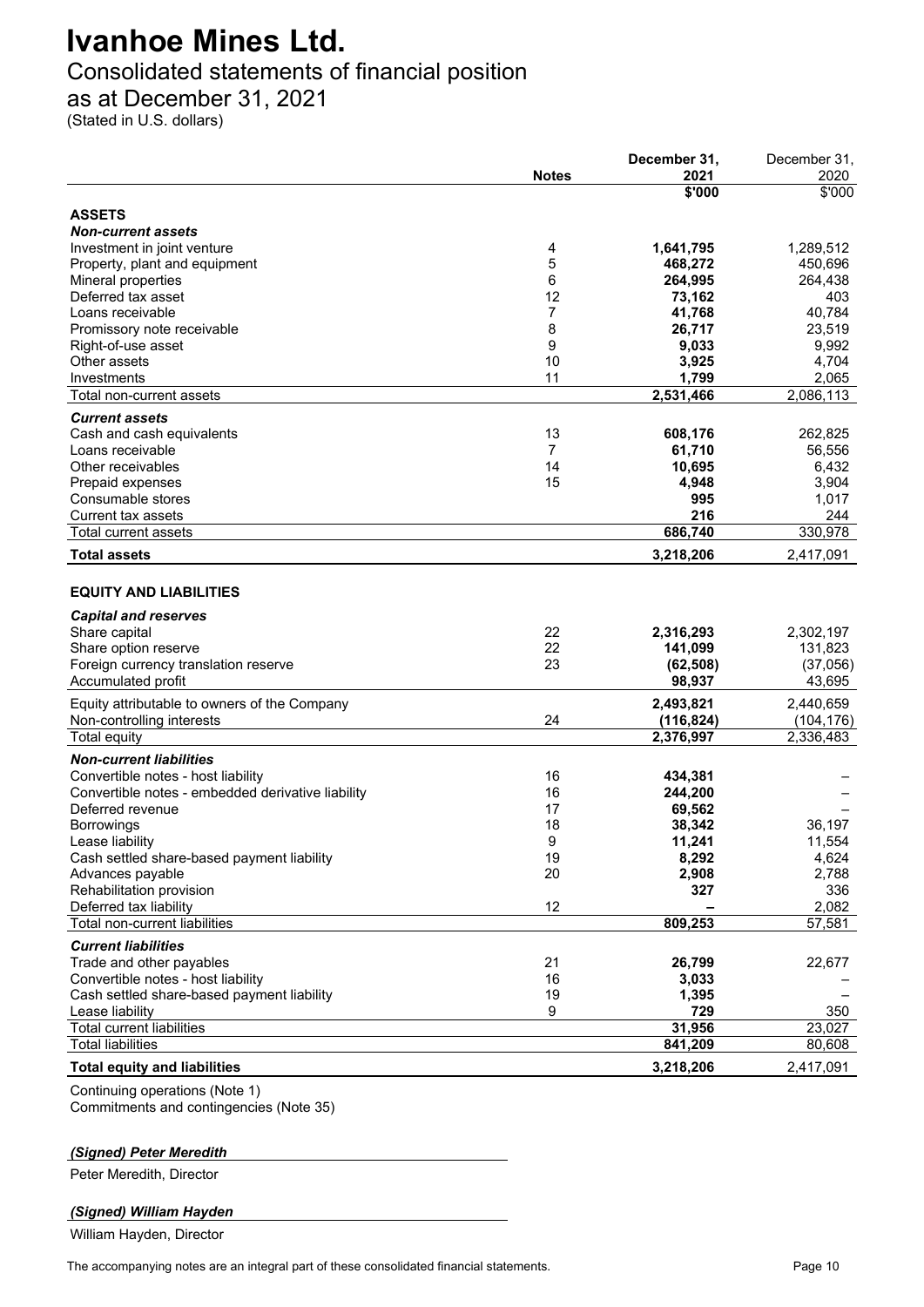### Consolidated statements of financial position

as at December 31, 2021

(Stated in U.S. dollars)

|                                                   |              | December 31,   | December 31,            |
|---------------------------------------------------|--------------|----------------|-------------------------|
|                                                   | <b>Notes</b> | 2021           | 2020                    |
|                                                   |              | \$'000         | \$'000                  |
| <b>ASSETS</b>                                     |              |                |                         |
| <b>Non-current assets</b>                         |              |                |                         |
| Investment in joint venture                       | 4            | 1,641,795      | 1,289,512               |
| Property, plant and equipment                     | 5            | 468,272        | 450,696                 |
| Mineral properties                                | 6            | 264,995        | 264,438                 |
| Deferred tax asset                                | 12           | 73,162         | 403                     |
| Loans receivable                                  | 7            | 41,768         | 40,784                  |
| Promissory note receivable                        | 8            | 26,717         | 23,519                  |
|                                                   | 9            |                | 9,992                   |
| Right-of-use asset<br>Other assets                | 10           | 9,033          |                         |
| Investments                                       | 11           | 3,925<br>1,799 | 4,704                   |
|                                                   |              |                | 2,065                   |
| Total non-current assets                          |              | 2,531,466      | 2,086,113               |
| <b>Current assets</b>                             |              |                |                         |
| Cash and cash equivalents                         | 13           | 608,176        | 262,825                 |
| Loans receivable                                  | 7            | 61,710         | 56,556                  |
| Other receivables                                 | 14           | 10,695         | 6,432                   |
| Prepaid expenses                                  | 15           | 4,948          | 3,904                   |
| Consumable stores                                 |              | 995            | 1,017                   |
| <b>Current tax assets</b>                         |              | 216            | 244                     |
| <b>Total current assets</b>                       |              | 686,740        | 330,978                 |
| <b>Total assets</b>                               |              | 3,218,206      | 2,417,091               |
|                                                   |              |                |                         |
| <b>EQUITY AND LIABILITIES</b>                     |              |                |                         |
| <b>Capital and reserves</b>                       |              |                |                         |
| Share capital                                     | 22           | 2,316,293      | 2,302,197               |
| Share option reserve                              | 22           | 141,099        | 131,823                 |
| Foreign currency translation reserve              | 23           | (62, 508)      | (37,056)                |
| Accumulated profit                                |              | 98,937         | 43,695                  |
|                                                   |              | 2,493,821      | 2,440,659               |
| Equity attributable to owners of the Company      | 24           |                |                         |
| Non-controlling interests                         |              | (116, 824)     | (104, 176)<br>2,336,483 |
| Total equity                                      |              | 2,376,997      |                         |
| <b>Non-current liabilities</b>                    |              |                |                         |
| Convertible notes - host liability                | 16           | 434,381        |                         |
| Convertible notes - embedded derivative liability | 16           | 244,200        |                         |
| Deferred revenue                                  | 17           | 69,562         |                         |
| Borrowings                                        | 18           | 38,342         | 36,197                  |
| Lease liability                                   | 9            | 11,241         | 11,554                  |
| Cash settled share-based payment liability        | 19           | 8,292          | 4,624                   |
| Advances payable                                  | 20           | 2,908          | 2,788                   |
| Rehabilitation provision                          |              | 327            | 336                     |
| Deferred tax liability                            | 12           |                | 2,082                   |
| Total non-current liabilities                     |              | 809,253        | 57,581                  |
| <b>Current liabilities</b>                        |              |                |                         |
| Trade and other payables                          | 21           | 26,799         | 22,677                  |
| Convertible notes - host liability                | 16           | 3,033          |                         |
| Cash settled share-based payment liability        | 19           | 1,395          |                         |
| Lease liability                                   | 9            | 729            | 350                     |
| <b>Total current liabilities</b>                  |              | 31,956         | 23,027                  |
| <b>Total liabilities</b>                          |              | 841,209        | 80,608                  |
|                                                   |              |                |                         |
| <b>Total equity and liabilities</b>               |              | 3,218,206      | 2,417,091               |
| Continuing operations (Note 1)                    |              |                |                         |

Continuing operations (Note 1) Commitments and contingencies (Note 35)

#### *(Signed) Peter Meredith*

Peter Meredith, Director

#### *(Signed) William Hayden*

William Hayden, Director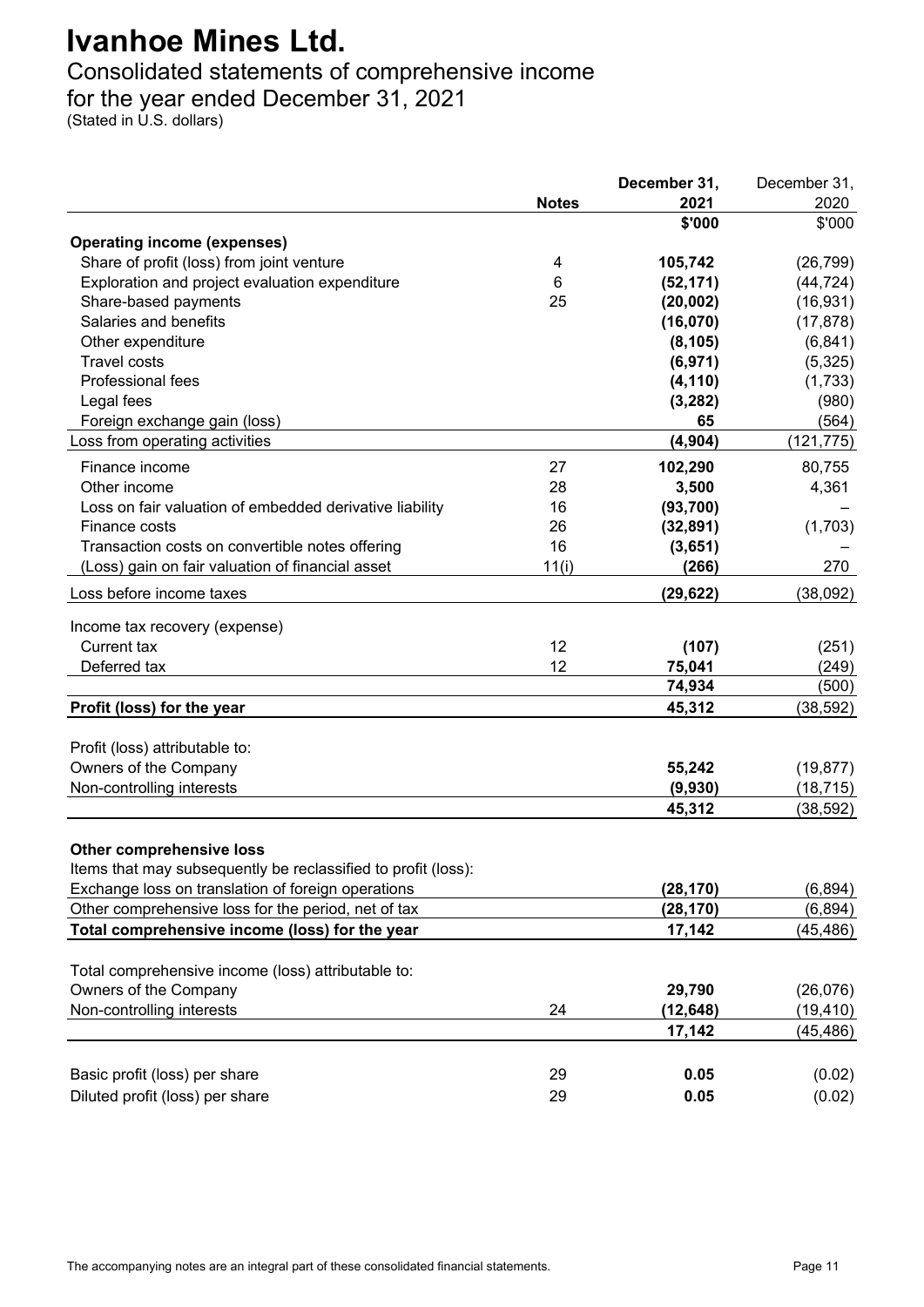### Consolidated statements of comprehensive income

for the year ended December 31, 2021

(Stated in U.S. dollars)

|                                                               |              | December 31, | December 31, |
|---------------------------------------------------------------|--------------|--------------|--------------|
|                                                               | <b>Notes</b> | 2021         | 2020         |
|                                                               |              | \$'000       | \$'000       |
| <b>Operating income (expenses)</b>                            |              |              |              |
| Share of profit (loss) from joint venture                     | 4            | 105,742      | (26, 799)    |
| Exploration and project evaluation expenditure                | 6            | (52, 171)    | (44, 724)    |
| Share-based payments                                          | 25           | (20, 002)    | (16, 931)    |
| Salaries and benefits                                         |              | (16,070)     | (17, 878)    |
| Other expenditure                                             |              | (8, 105)     | (6, 841)     |
| <b>Travel costs</b>                                           |              | (6, 971)     | (5, 325)     |
| Professional fees                                             |              | (4, 110)     | (1,733)      |
| Legal fees                                                    |              | (3, 282)     | (980)        |
| Foreign exchange gain (loss)                                  |              | 65           | (564)        |
| Loss from operating activities                                |              | (4, 904)     | (121, 775)   |
| Finance income                                                | 27           | 102,290      | 80,755       |
| Other income                                                  | 28           | 3,500        | 4,361        |
| Loss on fair valuation of embedded derivative liability       | 16           | (93, 700)    |              |
| Finance costs                                                 | 26           | (32, 891)    | (1,703)      |
| Transaction costs on convertible notes offering               | 16           | (3,651)      |              |
| (Loss) gain on fair valuation of financial asset              | 11(i)        | (266)        | 270          |
| Loss before income taxes                                      |              | (29, 622)    | (38,092)     |
|                                                               |              |              |              |
| Income tax recovery (expense)                                 |              |              |              |
| <b>Current tax</b>                                            | 12           | (107)        | (251)        |
| Deferred tax                                                  | 12           | 75,041       | (249)        |
|                                                               |              | 74,934       | (500)        |
| Profit (loss) for the year                                    |              | 45,312       | (38, 592)    |
|                                                               |              |              |              |
| Profit (loss) attributable to:                                |              |              |              |
| Owners of the Company                                         |              | 55,242       | (19, 877)    |
| Non-controlling interests                                     |              | (9,930)      | (18, 715)    |
|                                                               |              | 45,312       | (38, 592)    |
| <b>Other comprehensive loss</b>                               |              |              |              |
| Items that may subsequently be reclassified to profit (loss): |              |              |              |
| Exchange loss on translation of foreign operations            |              | (28, 170)    | (6, 894)     |
| Other comprehensive loss for the period, net of tax           |              | (28, 170)    | (6, 894)     |
|                                                               |              |              |              |
| Total comprehensive income (loss) for the year                |              | 17,142       | (45, 486)    |
| Total comprehensive income (loss) attributable to:            |              |              |              |
| Owners of the Company                                         |              | 29,790       | (26,076)     |
| Non-controlling interests                                     | 24           | (12, 648)    | (19, 410)    |
|                                                               |              | 17,142       | (45, 486)    |
|                                                               |              |              |              |
| Basic profit (loss) per share                                 | 29           | 0.05         | (0.02)       |
|                                                               | 29           |              |              |
| Diluted profit (loss) per share                               |              | 0.05         | (0.02)       |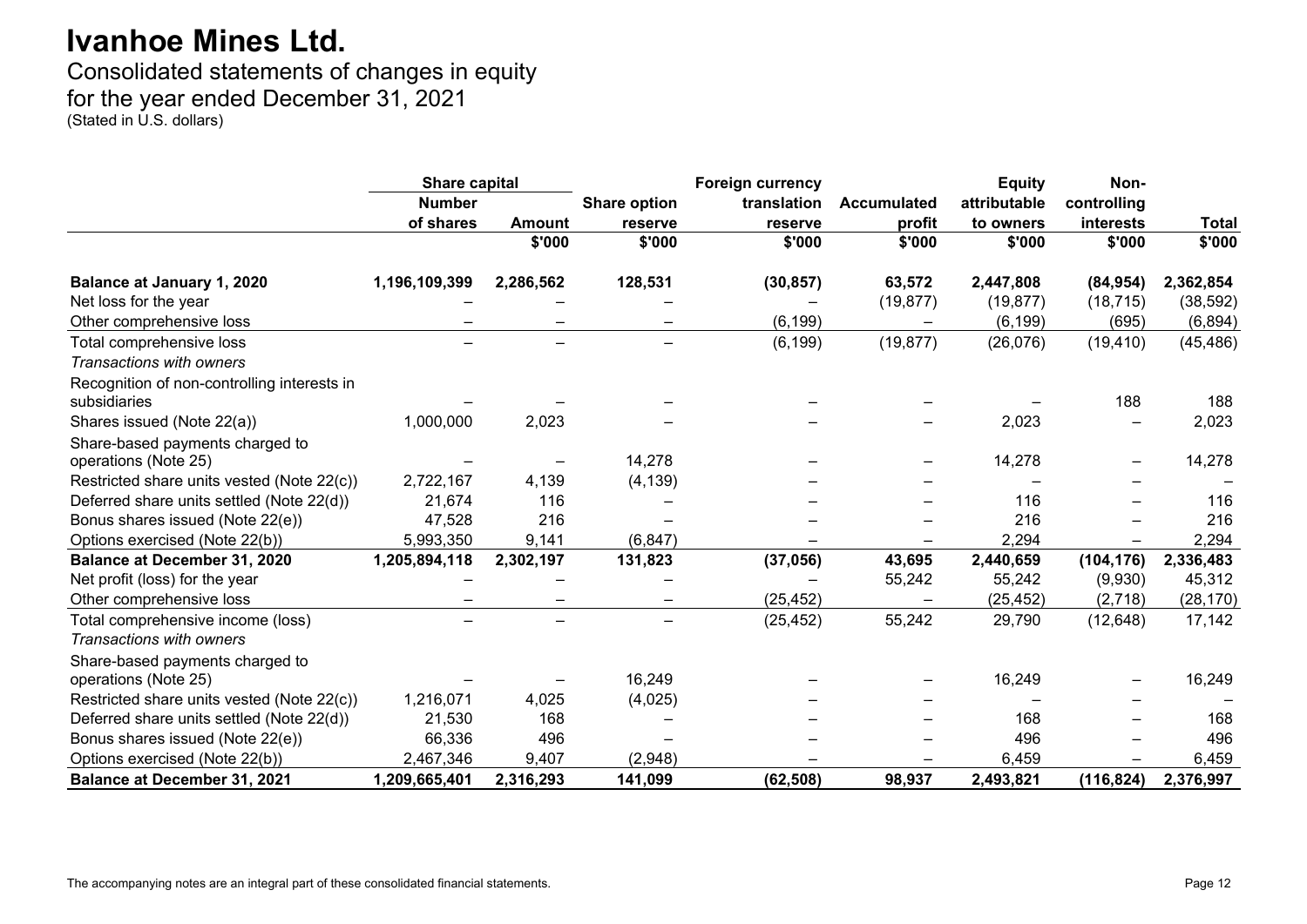Consolidated statements of changes in equity for the year ended December 31, 2021 (Stated in U.S. dollars)

|                                                             | <b>Share capital</b> |                          | <b>Foreign currency</b> |             |             | <b>Equity</b> | Non-        |              |
|-------------------------------------------------------------|----------------------|--------------------------|-------------------------|-------------|-------------|---------------|-------------|--------------|
|                                                             | <b>Number</b>        |                          | <b>Share option</b>     | translation | Accumulated | attributable  | controlling |              |
|                                                             | of shares            | <b>Amount</b>            | reserve                 | reserve     | profit      | to owners     | interests   | <b>Total</b> |
|                                                             |                      | \$'000                   | \$'000                  | \$'000      | \$'000      | \$'000        | \$'000      | \$'000       |
| <b>Balance at January 1, 2020</b>                           | 1,196,109,399        | 2,286,562                | 128,531                 | (30, 857)   | 63,572      | 2,447,808     | (84, 954)   | 2,362,854    |
| Net loss for the year                                       |                      |                          |                         |             | (19, 877)   | (19, 877)     | (18, 715)   | (38, 592)    |
| Other comprehensive loss                                    |                      |                          |                         | (6, 199)    |             | (6, 199)      | (695)       | (6, 894)     |
| Total comprehensive loss                                    |                      |                          |                         | (6, 199)    | (19, 877)   | (26, 076)     | (19, 410)   | (45, 486)    |
| Transactions with owners                                    |                      |                          |                         |             |             |               |             |              |
| Recognition of non-controlling interests in<br>subsidiaries |                      |                          |                         |             |             |               | 188         | 188          |
| Shares issued (Note 22(a))                                  | 1,000,000            | 2,023                    |                         |             |             | 2,023         |             | 2,023        |
| Share-based payments charged to<br>operations (Note 25)     |                      |                          | 14,278                  |             |             | 14,278        |             | 14,278       |
| Restricted share units vested (Note 22(c))                  | 2,722,167            | 4,139                    | (4, 139)                |             |             |               |             |              |
| Deferred share units settled (Note 22(d))                   | 21,674               | 116                      |                         |             |             | 116           |             | 116          |
| Bonus shares issued (Note 22(e))                            | 47,528               | 216                      |                         |             |             | 216           |             | 216          |
| Options exercised (Note 22(b))                              | 5,993,350            | 9,141                    | (6, 847)                |             |             | 2,294         |             | 2,294        |
| <b>Balance at December 31, 2020</b>                         | 1,205,894,118        | 2,302,197                | 131,823                 | (37,056)    | 43,695      | 2,440,659     | (104, 176)  | 2,336,483    |
| Net profit (loss) for the year                              |                      |                          |                         |             | 55,242      | 55,242        | (9,930)     | 45,312       |
| Other comprehensive loss                                    |                      |                          |                         | (25, 452)   |             | (25, 452)     | (2,718)     | (28, 170)    |
| Total comprehensive income (loss)                           |                      | $\overline{\phantom{0}}$ | -                       | (25, 452)   | 55,242      | 29,790        | (12, 648)   | 17,142       |
| Transactions with owners                                    |                      |                          |                         |             |             |               |             |              |
| Share-based payments charged to<br>operations (Note 25)     |                      |                          | 16,249                  |             |             | 16,249        |             | 16,249       |
| Restricted share units vested (Note 22(c))                  | 1,216,071            | 4,025                    | (4,025)                 |             |             |               |             |              |
| Deferred share units settled (Note 22(d))                   | 21,530               | 168                      |                         |             |             | 168           |             | 168          |
| Bonus shares issued (Note 22(e))                            | 66,336               | 496                      |                         |             |             | 496           |             | 496          |
| Options exercised (Note 22(b))                              | 2,467,346            | 9,407                    | (2,948)                 |             |             | 6,459         |             | 6,459        |
| <b>Balance at December 31, 2021</b>                         | 1,209,665,401        | 2,316,293                | 141,099                 | (62, 508)   | 98,937      | 2,493,821     | (116, 824)  | 2,376,997    |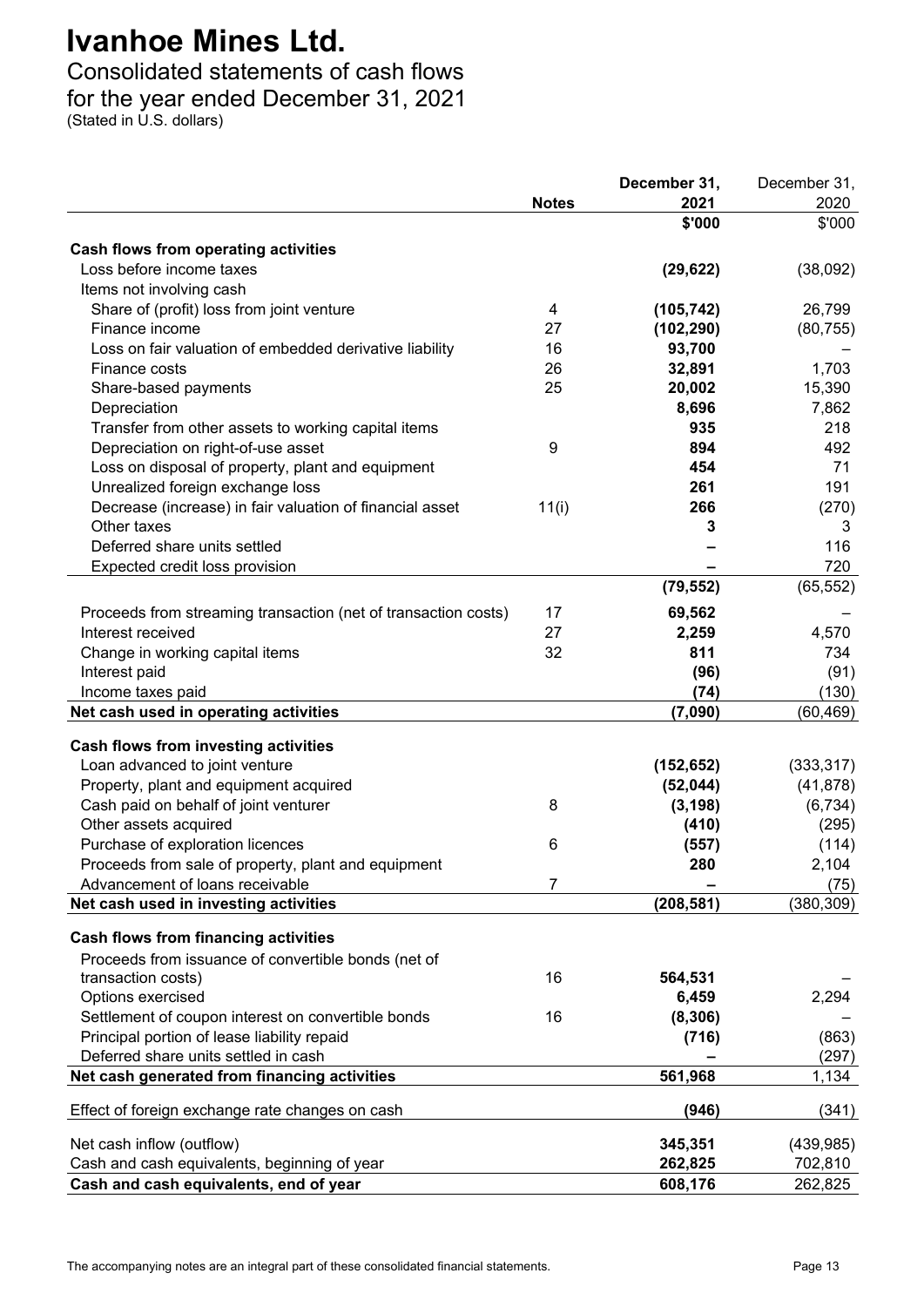### Consolidated statements of cash flows for the year ended December 31, 2021

(Stated in U.S. dollars)

|                                                                |              | December 31, | December 31,   |
|----------------------------------------------------------------|--------------|--------------|----------------|
|                                                                | <b>Notes</b> | 2021         | 2020           |
|                                                                |              | \$'000       | \$'000         |
| Cash flows from operating activities                           |              |              |                |
| Loss before income taxes                                       |              | (29, 622)    | (38,092)       |
| Items not involving cash                                       |              |              |                |
| Share of (profit) loss from joint venture                      | 4            | (105, 742)   | 26,799         |
| Finance income                                                 | 27           | (102, 290)   | (80, 755)      |
| Loss on fair valuation of embedded derivative liability        | 16           | 93,700       |                |
| Finance costs                                                  | 26           | 32,891       | 1,703          |
| Share-based payments                                           | 25           | 20,002       | 15,390         |
| Depreciation                                                   |              | 8,696        | 7,862          |
|                                                                |              | 935          | 218            |
| Transfer from other assets to working capital items            |              |              |                |
| Depreciation on right-of-use asset                             | 9            | 894          | 492<br>71      |
| Loss on disposal of property, plant and equipment              |              | 454          |                |
| Unrealized foreign exchange loss                               |              | 261          | 191            |
| Decrease (increase) in fair valuation of financial asset       | 11(i)        | 266          | (270)          |
| Other taxes                                                    |              | 3            | 3              |
| Deferred share units settled                                   |              |              | 116            |
| Expected credit loss provision                                 |              |              | 720            |
|                                                                |              | (79, 552)    | (65, 552)      |
| Proceeds from streaming transaction (net of transaction costs) | 17           | 69,562       |                |
| Interest received                                              | 27           | 2,259        | 4,570          |
| Change in working capital items                                | 32           | 811          | 734            |
| Interest paid                                                  |              | (96)         | (91)           |
| Income taxes paid                                              |              | (74)         | (130)          |
| Net cash used in operating activities                          |              | (7,090)      | (60, 469)      |
|                                                                |              |              |                |
| Cash flows from investing activities                           |              |              |                |
| Loan advanced to joint venture                                 |              | (152, 652)   | (333, 317)     |
| Property, plant and equipment acquired                         |              | (52, 044)    | (41, 878)      |
| Cash paid on behalf of joint venturer                          | 8            | (3, 198)     | (6, 734)       |
| Other assets acquired                                          |              | (410)        | (295)          |
| Purchase of exploration licences                               | 6            | (557)        | (114)          |
| Proceeds from sale of property, plant and equipment            |              | 280          | 2,104          |
| Advancement of loans receivable                                | 7            |              | (75)           |
| Net cash used in investing activities                          |              | (208, 581)   | (380, 309)     |
| <b>Cash flows from financing activities</b>                    |              |              |                |
| Proceeds from issuance of convertible bonds (net of            |              |              |                |
| transaction costs)                                             | 16           | 564,531      |                |
| Options exercised                                              |              | 6,459        | 2,294          |
| Settlement of coupon interest on convertible bonds             | 16           | (8, 306)     |                |
| Principal portion of lease liability repaid                    |              |              | (863)          |
| Deferred share units settled in cash                           |              | (716)        |                |
|                                                                |              | 561,968      | (297)<br>1,134 |
| Net cash generated from financing activities                   |              |              |                |
| Effect of foreign exchange rate changes on cash                |              | (946)        | (341)          |
|                                                                |              |              |                |
| Net cash inflow (outflow)                                      |              | 345,351      | (439, 985)     |
| Cash and cash equivalents, beginning of year                   |              | 262,825      | 702,810        |
| Cash and cash equivalents, end of year                         |              | 608,176      | 262,825        |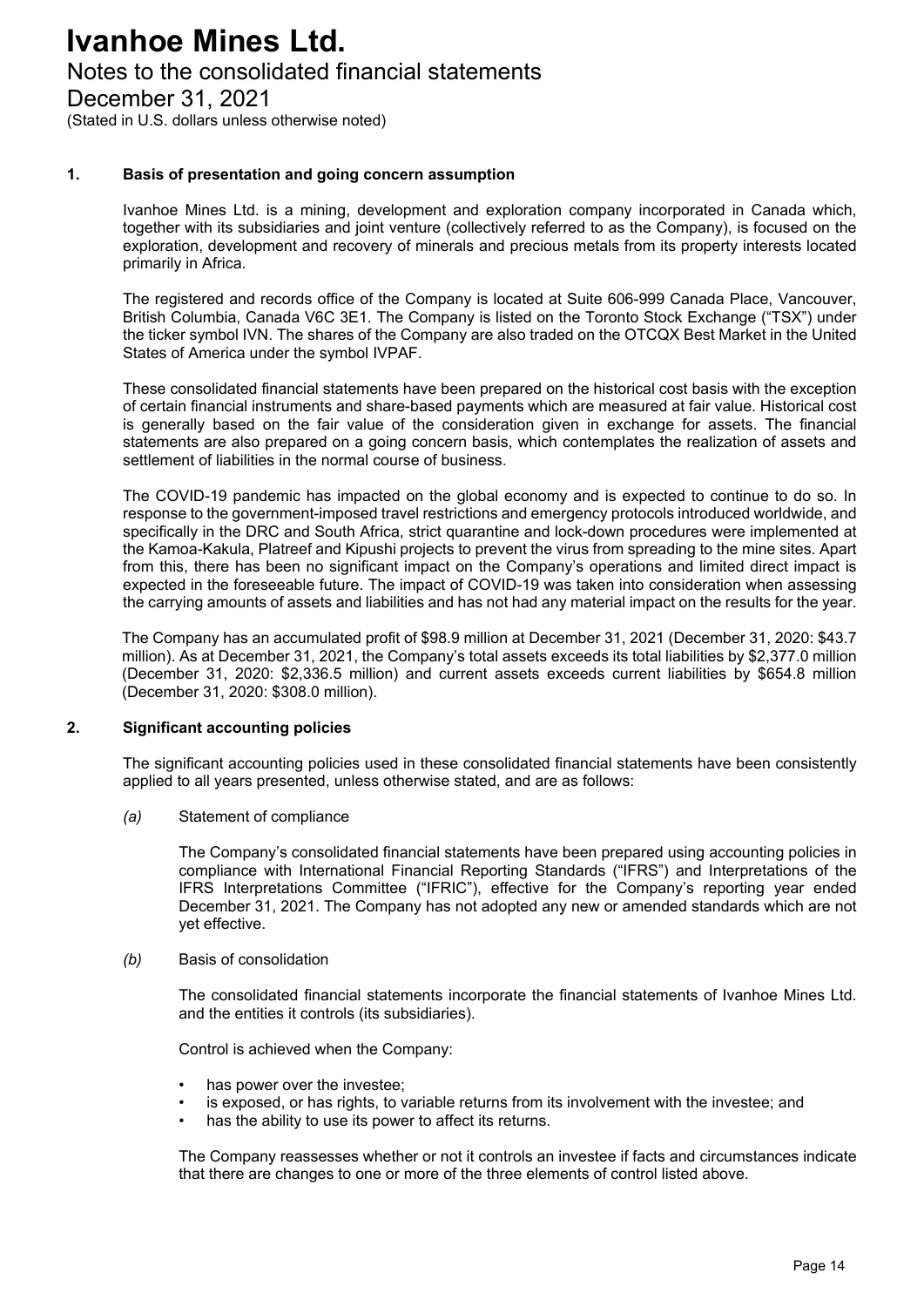### Notes to the consolidated financial statements

December 31, 2021

(Stated in U.S. dollars unless otherwise noted)

#### **1. Basis of presentation and going concern assumption**

Ivanhoe Mines Ltd. is a mining, development and exploration company incorporated in Canada which, together with its subsidiaries and joint venture (collectively referred to as the Company), is focused on the exploration, development and recovery of minerals and precious metals from its property interests located primarily in Africa.

The registered and records office of the Company is located at Suite 606-999 Canada Place, Vancouver, British Columbia, Canada V6C 3E1. The Company is listed on the Toronto Stock Exchange ("TSX") under the ticker symbol IVN. The shares of the Company are also traded on the OTCQX Best Market in the United States of America under the symbol IVPAF.

These consolidated financial statements have been prepared on the historical cost basis with the exception of certain financial instruments and share-based payments which are measured at fair value. Historical cost is generally based on the fair value of the consideration given in exchange for assets. The financial statements are also prepared on a going concern basis, which contemplates the realization of assets and settlement of liabilities in the normal course of business.

The COVID-19 pandemic has impacted on the global economy and is expected to continue to do so. In response to the government-imposed travel restrictions and emergency protocols introduced worldwide, and specifically in the DRC and South Africa, strict quarantine and lock-down procedures were implemented at the Kamoa-Kakula, Platreef and Kipushi projects to prevent the virus from spreading to the mine sites. Apart from this, there has been no significant impact on the Company's operations and limited direct impact is expected in the foreseeable future. The impact of COVID-19 was taken into consideration when assessing the carrying amounts of assets and liabilities and has not had any material impact on the results for the year.

The Company has an accumulated profit of \$98.9 million at December 31, 2021 (December 31, 2020: \$43.7 million). As at December 31, 2021, the Company's total assets exceeds its total liabilities by \$2,377.0 million (December 31, 2020: \$2,336.5 million) and current assets exceeds current liabilities by \$654.8 million (December 31, 2020: \$308.0 million).

#### **2. Significant accounting policies**

The significant accounting policies used in these consolidated financial statements have been consistently applied to all years presented, unless otherwise stated, and are as follows:

*(a)* Statement of compliance

The Company's consolidated financial statements have been prepared using accounting policies in compliance with International Financial Reporting Standards ("IFRS") and Interpretations of the IFRS Interpretations Committee ("IFRIC"), effective for the Company's reporting year ended December 31, 2021. The Company has not adopted any new or amended standards which are not yet effective.

#### *(b)* Basis of consolidation

The consolidated financial statements incorporate the financial statements of Ivanhoe Mines Ltd. and the entities it controls (its subsidiaries).

Control is achieved when the Company:

- has power over the investee:
- is exposed, or has rights, to variable returns from its involvement with the investee; and
- has the ability to use its power to affect its returns.

The Company reassesses whether or not it controls an investee if facts and circumstances indicate that there are changes to one or more of the three elements of control listed above.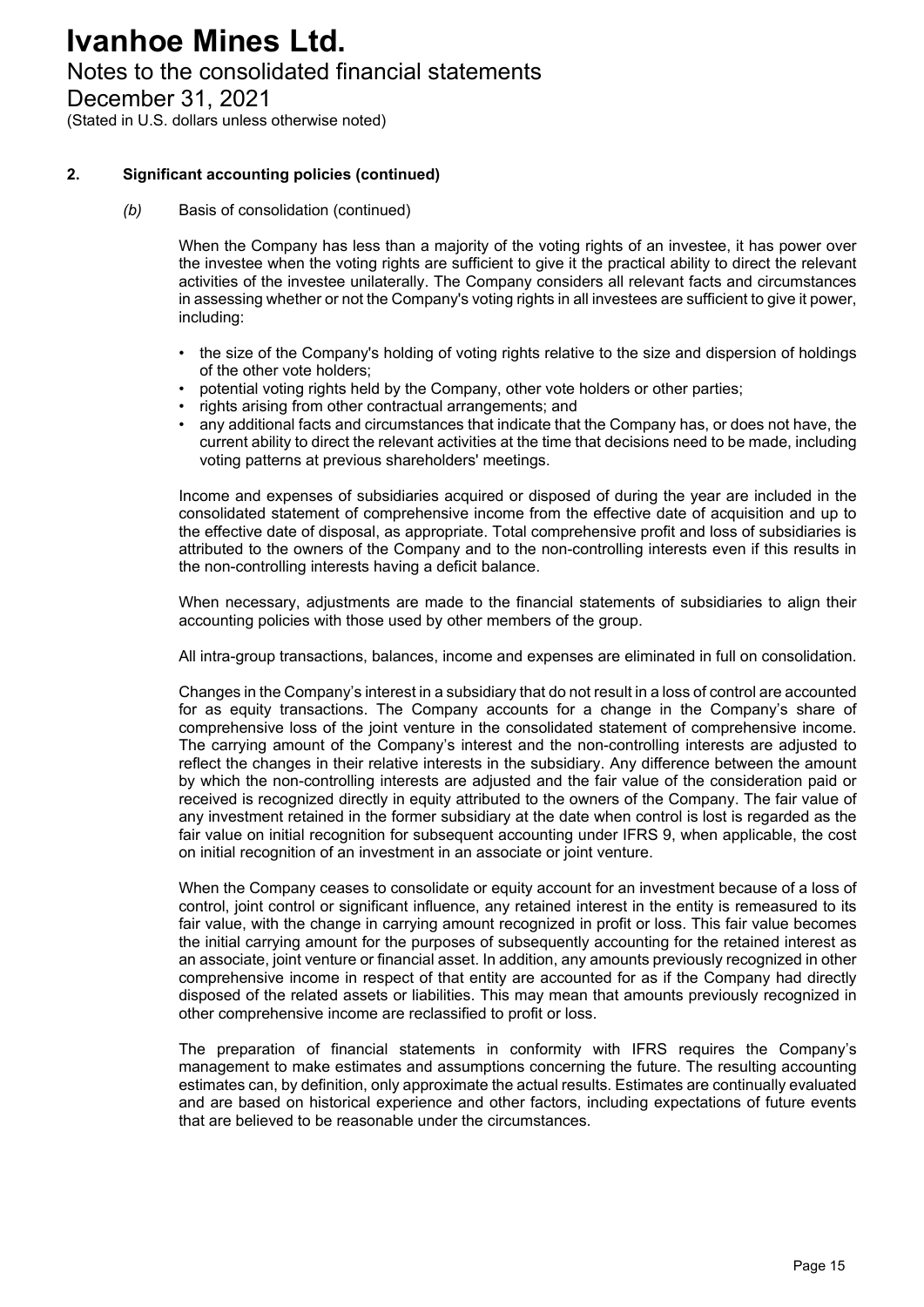### Notes to the consolidated financial statements

December 31, 2021

(Stated in U.S. dollars unless otherwise noted)

#### **2. Significant accounting policies (continued)**

*(b)* Basis of consolidation (continued)

When the Company has less than a majority of the voting rights of an investee, it has power over the investee when the voting rights are sufficient to give it the practical ability to direct the relevant activities of the investee unilaterally. The Company considers all relevant facts and circumstances in assessing whether or not the Company's voting rights in all investees are sufficient to give it power, including:

- the size of the Company's holding of voting rights relative to the size and dispersion of holdings of the other vote holders;
- potential voting rights held by the Company, other vote holders or other parties;
- rights arising from other contractual arrangements; and
- any additional facts and circumstances that indicate that the Company has, or does not have, the current ability to direct the relevant activities at the time that decisions need to be made, including voting patterns at previous shareholders' meetings.

Income and expenses of subsidiaries acquired or disposed of during the year are included in the consolidated statement of comprehensive income from the effective date of acquisition and up to the effective date of disposal, as appropriate. Total comprehensive profit and loss of subsidiaries is attributed to the owners of the Company and to the non-controlling interests even if this results in the non-controlling interests having a deficit balance.

When necessary, adjustments are made to the financial statements of subsidiaries to align their accounting policies with those used by other members of the group.

All intra-group transactions, balances, income and expenses are eliminated in full on consolidation.

Changes in the Company's interest in a subsidiary that do not result in a loss of control are accounted for as equity transactions. The Company accounts for a change in the Company's share of comprehensive loss of the joint venture in the consolidated statement of comprehensive income. The carrying amount of the Company's interest and the non-controlling interests are adjusted to reflect the changes in their relative interests in the subsidiary. Any difference between the amount by which the non-controlling interests are adjusted and the fair value of the consideration paid or received is recognized directly in equity attributed to the owners of the Company. The fair value of any investment retained in the former subsidiary at the date when control is lost is regarded as the fair value on initial recognition for subsequent accounting under IFRS 9, when applicable, the cost on initial recognition of an investment in an associate or joint venture.

When the Company ceases to consolidate or equity account for an investment because of a loss of control, joint control or significant influence, any retained interest in the entity is remeasured to its fair value, with the change in carrying amount recognized in profit or loss. This fair value becomes the initial carrying amount for the purposes of subsequently accounting for the retained interest as an associate, joint venture or financial asset. In addition, any amounts previously recognized in other comprehensive income in respect of that entity are accounted for as if the Company had directly disposed of the related assets or liabilities. This may mean that amounts previously recognized in other comprehensive income are reclassified to profit or loss.

The preparation of financial statements in conformity with IFRS requires the Company's management to make estimates and assumptions concerning the future. The resulting accounting estimates can, by definition, only approximate the actual results. Estimates are continually evaluated and are based on historical experience and other factors, including expectations of future events that are believed to be reasonable under the circumstances.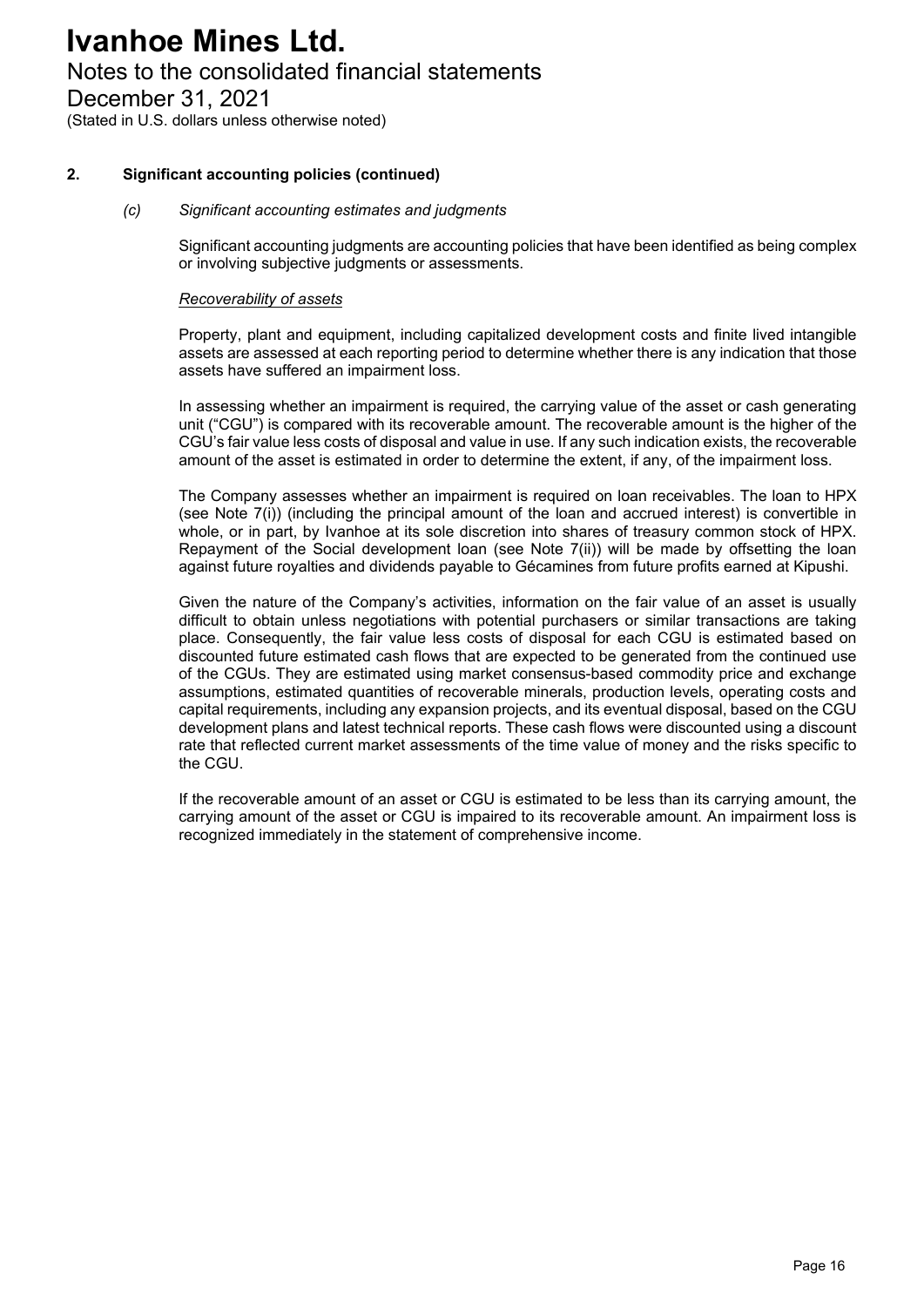### Notes to the consolidated financial statements

December 31, 2021

(Stated in U.S. dollars unless otherwise noted)

#### **2. Significant accounting policies (continued)**

#### *(c) Significant accounting estimates and judgments*

Significant accounting judgments are accounting policies that have been identified as being complex or involving subjective judgments or assessments.

#### *Recoverability of assets*

Property, plant and equipment, including capitalized development costs and finite lived intangible assets are assessed at each reporting period to determine whether there is any indication that those assets have suffered an impairment loss.

In assessing whether an impairment is required, the carrying value of the asset or cash generating unit ("CGU") is compared with its recoverable amount. The recoverable amount is the higher of the CGU's fair value less costs of disposal and value in use. If any such indication exists, the recoverable amount of the asset is estimated in order to determine the extent, if any, of the impairment loss.

The Company assesses whether an impairment is required on loan receivables. The loan to HPX (see Note 7(i)) (including the principal amount of the loan and accrued interest) is convertible in whole, or in part, by Ivanhoe at its sole discretion into shares of treasury common stock of HPX. Repayment of the Social development loan (see Note 7(ii)) will be made by offsetting the loan against future royalties and dividends payable to Gécamines from future profits earned at Kipushi.

Given the nature of the Company's activities, information on the fair value of an asset is usually difficult to obtain unless negotiations with potential purchasers or similar transactions are taking place. Consequently, the fair value less costs of disposal for each CGU is estimated based on discounted future estimated cash flows that are expected to be generated from the continued use of the CGUs. They are estimated using market consensus-based commodity price and exchange assumptions, estimated quantities of recoverable minerals, production levels, operating costs and capital requirements, including any expansion projects, and its eventual disposal, based on the CGU development plans and latest technical reports. These cash flows were discounted using a discount rate that reflected current market assessments of the time value of money and the risks specific to the CGU.

If the recoverable amount of an asset or CGU is estimated to be less than its carrying amount, the carrying amount of the asset or CGU is impaired to its recoverable amount. An impairment loss is recognized immediately in the statement of comprehensive income.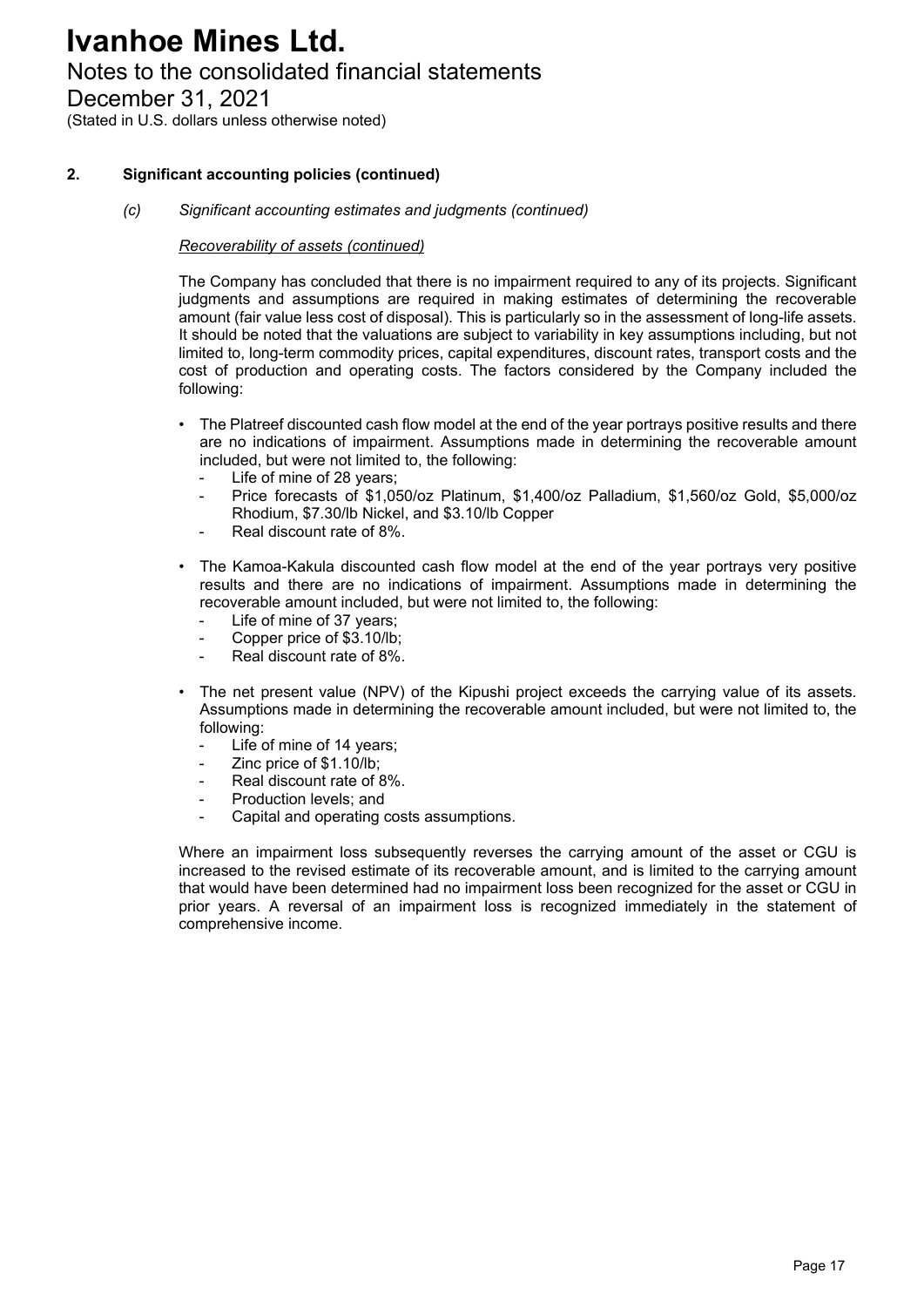### Notes to the consolidated financial statements

December 31, 2021

(Stated in U.S. dollars unless otherwise noted)

#### **2. Significant accounting policies (continued)**

*(c) Significant accounting estimates and judgments (continued)* 

#### *Recoverability of assets (continued)*

The Company has concluded that there is no impairment required to any of its projects. Significant judgments and assumptions are required in making estimates of determining the recoverable amount (fair value less cost of disposal). This is particularly so in the assessment of long-life assets. It should be noted that the valuations are subject to variability in key assumptions including, but not limited to, long-term commodity prices, capital expenditures, discount rates, transport costs and the cost of production and operating costs. The factors considered by the Company included the following:

- The Platreef discounted cash flow model at the end of the year portrays positive results and there are no indications of impairment. Assumptions made in determining the recoverable amount included, but were not limited to, the following:
	- Life of mine of 28 years;
	- Price forecasts of \$1,050/oz Platinum, \$1,400/oz Palladium, \$1,560/oz Gold, \$5,000/oz Rhodium, \$7.30/lb Nickel, and \$3.10/lb Copper
	- Real discount rate of 8%.
- The Kamoa-Kakula discounted cash flow model at the end of the year portrays very positive results and there are no indications of impairment. Assumptions made in determining the recoverable amount included, but were not limited to, the following:
	- Life of mine of 37 years;
	- Copper price of \$3.10/lb;
	- Real discount rate of 8%.
- The net present value (NPV) of the Kipushi project exceeds the carrying value of its assets. Assumptions made in determining the recoverable amount included, but were not limited to, the following:
	- Life of mine of 14 years:
	- Zinc price of \$1.10/lb;
	- Real discount rate of 8%.
	- Production levels; and
	- Capital and operating costs assumptions.

Where an impairment loss subsequently reverses the carrying amount of the asset or CGU is increased to the revised estimate of its recoverable amount, and is limited to the carrying amount that would have been determined had no impairment loss been recognized for the asset or CGU in prior years. A reversal of an impairment loss is recognized immediately in the statement of comprehensive income.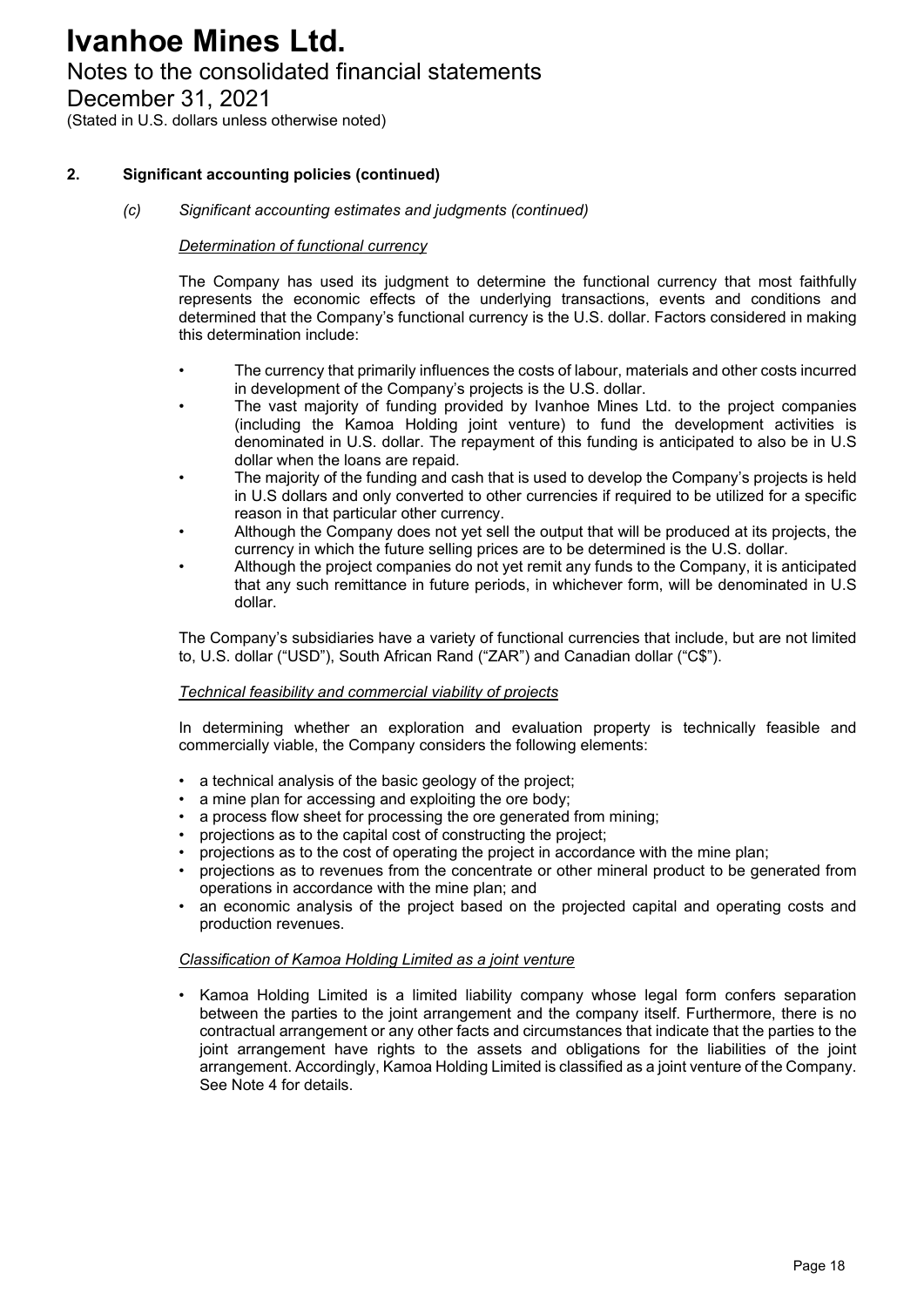### Notes to the consolidated financial statements

December 31, 2021

(Stated in U.S. dollars unless otherwise noted)

#### **2. Significant accounting policies (continued)**

#### *(c) Significant accounting estimates and judgments (continued)*

#### *Determination of functional currency*

The Company has used its judgment to determine the functional currency that most faithfully represents the economic effects of the underlying transactions, events and conditions and determined that the Company's functional currency is the U.S. dollar. Factors considered in making this determination include:

- The currency that primarily influences the costs of labour, materials and other costs incurred in development of the Company's projects is the U.S. dollar.
- The vast majority of funding provided by Ivanhoe Mines Ltd. to the project companies (including the Kamoa Holding joint venture) to fund the development activities is denominated in U.S. dollar. The repayment of this funding is anticipated to also be in U.S dollar when the loans are repaid.
- The majority of the funding and cash that is used to develop the Company's projects is held in U.S dollars and only converted to other currencies if required to be utilized for a specific reason in that particular other currency.
- Although the Company does not yet sell the output that will be produced at its projects, the currency in which the future selling prices are to be determined is the U.S. dollar.
- Although the project companies do not yet remit any funds to the Company, it is anticipated that any such remittance in future periods, in whichever form, will be denominated in U.S dollar.

The Company's subsidiaries have a variety of functional currencies that include, but are not limited to, U.S. dollar ("USD"), South African Rand ("ZAR") and Canadian dollar ("C\$").

#### *Technical feasibility and commercial viability of projects*

In determining whether an exploration and evaluation property is technically feasible and commercially viable, the Company considers the following elements:

- a technical analysis of the basic geology of the project;
- a mine plan for accessing and exploiting the ore body;
- a process flow sheet for processing the ore generated from mining;
- projections as to the capital cost of constructing the project;
- projections as to the cost of operating the project in accordance with the mine plan;
- projections as to revenues from the concentrate or other mineral product to be generated from operations in accordance with the mine plan; and
- an economic analysis of the project based on the projected capital and operating costs and production revenues.

#### *Classification of Kamoa Holding Limited as a joint venture*

• Kamoa Holding Limited is a limited liability company whose legal form confers separation between the parties to the joint arrangement and the company itself. Furthermore, there is no contractual arrangement or any other facts and circumstances that indicate that the parties to the joint arrangement have rights to the assets and obligations for the liabilities of the joint arrangement. Accordingly, Kamoa Holding Limited is classified as a joint venture of the Company. See Note 4 for details.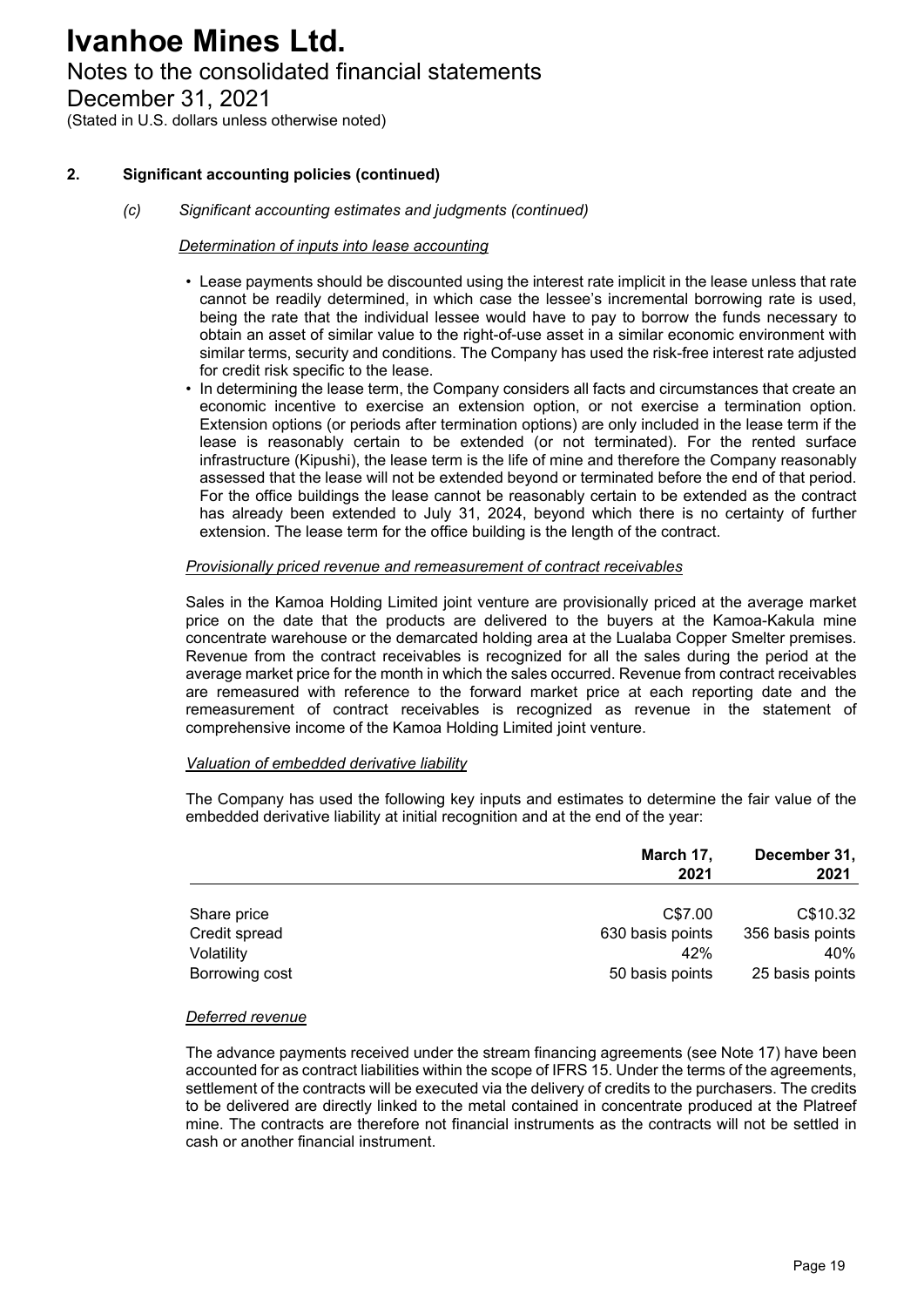### Notes to the consolidated financial statements

December 31, 2021

(Stated in U.S. dollars unless otherwise noted)

#### **2. Significant accounting policies (continued)**

#### *(c) Significant accounting estimates and judgments (continued)*

#### *Determination of inputs into lease accounting*

- Lease payments should be discounted using the interest rate implicit in the lease unless that rate cannot be readily determined, in which case the lessee's incremental borrowing rate is used, being the rate that the individual lessee would have to pay to borrow the funds necessary to obtain an asset of similar value to the right-of-use asset in a similar economic environment with similar terms, security and conditions. The Company has used the risk-free interest rate adjusted for credit risk specific to the lease.
- In determining the lease term, the Company considers all facts and circumstances that create an economic incentive to exercise an extension option, or not exercise a termination option. Extension options (or periods after termination options) are only included in the lease term if the lease is reasonably certain to be extended (or not terminated). For the rented surface infrastructure (Kipushi), the lease term is the life of mine and therefore the Company reasonably assessed that the lease will not be extended beyond or terminated before the end of that period. For the office buildings the lease cannot be reasonably certain to be extended as the contract has already been extended to July 31, 2024, beyond which there is no certainty of further extension. The lease term for the office building is the length of the contract.

#### *Provisionally priced revenue and remeasurement of contract receivables*

Sales in the Kamoa Holding Limited joint venture are provisionally priced at the average market price on the date that the products are delivered to the buyers at the Kamoa-Kakula mine concentrate warehouse or the demarcated holding area at the Lualaba Copper Smelter premises. Revenue from the contract receivables is recognized for all the sales during the period at the average market price for the month in which the sales occurred. Revenue from contract receivables are remeasured with reference to the forward market price at each reporting date and the remeasurement of contract receivables is recognized as revenue in the statement of comprehensive income of the Kamoa Holding Limited joint venture.

#### *Valuation of embedded derivative liability*

The Company has used the following key inputs and estimates to determine the fair value of the embedded derivative liability at initial recognition and at the end of the year:

|                | March 17,<br>2021 | December 31,<br>2021 |  |
|----------------|-------------------|----------------------|--|
|                |                   |                      |  |
| Share price    | C\$7.00           | C\$10.32             |  |
| Credit spread  | 630 basis points  | 356 basis points     |  |
| Volatility     | 42%               | 40%                  |  |
| Borrowing cost | 50 basis points   | 25 basis points      |  |

#### *Deferred revenue*

The advance payments received under the stream financing agreements (see Note 17) have been accounted for as contract liabilities within the scope of IFRS 15. Under the terms of the agreements, settlement of the contracts will be executed via the delivery of credits to the purchasers. The credits to be delivered are directly linked to the metal contained in concentrate produced at the Platreef mine. The contracts are therefore not financial instruments as the contracts will not be settled in cash or another financial instrument.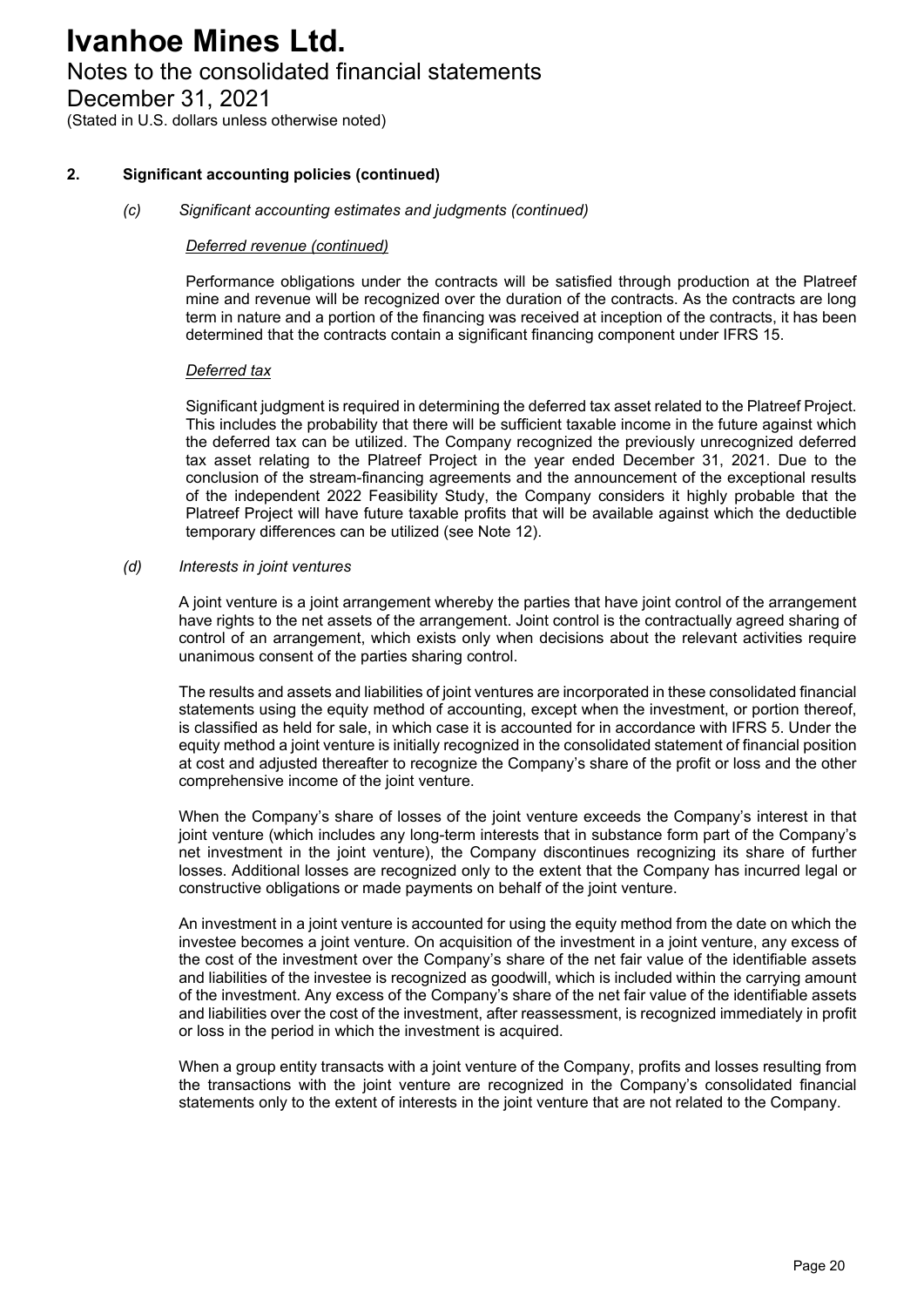### Notes to the consolidated financial statements

December 31, 2021

(Stated in U.S. dollars unless otherwise noted)

#### **2. Significant accounting policies (continued)**

#### *(c) Significant accounting estimates and judgments (continued)*

#### *Deferred revenue (continued)*

Performance obligations under the contracts will be satisfied through production at the Platreef mine and revenue will be recognized over the duration of the contracts. As the contracts are long term in nature and a portion of the financing was received at inception of the contracts, it has been determined that the contracts contain a significant financing component under IFRS 15.

#### *Deferred tax*

Significant judgment is required in determining the deferred tax asset related to the Platreef Project. This includes the probability that there will be sufficient taxable income in the future against which the deferred tax can be utilized. The Company recognized the previously unrecognized deferred tax asset relating to the Platreef Project in the year ended December 31, 2021. Due to the conclusion of the stream-financing agreements and the announcement of the exceptional results of the independent 2022 Feasibility Study, the Company considers it highly probable that the Platreef Project will have future taxable profits that will be available against which the deductible temporary differences can be utilized (see Note 12).

#### *(d) Interests in joint ventures*

A joint venture is a joint arrangement whereby the parties that have joint control of the arrangement have rights to the net assets of the arrangement. Joint control is the contractually agreed sharing of control of an arrangement, which exists only when decisions about the relevant activities require unanimous consent of the parties sharing control.

The results and assets and liabilities of joint ventures are incorporated in these consolidated financial statements using the equity method of accounting, except when the investment, or portion thereof, is classified as held for sale, in which case it is accounted for in accordance with IFRS 5. Under the equity method a joint venture is initially recognized in the consolidated statement of financial position at cost and adjusted thereafter to recognize the Company's share of the profit or loss and the other comprehensive income of the joint venture.

When the Company's share of losses of the joint venture exceeds the Company's interest in that joint venture (which includes any long-term interests that in substance form part of the Company's net investment in the joint venture), the Company discontinues recognizing its share of further losses. Additional losses are recognized only to the extent that the Company has incurred legal or constructive obligations or made payments on behalf of the joint venture.

An investment in a joint venture is accounted for using the equity method from the date on which the investee becomes a joint venture. On acquisition of the investment in a joint venture, any excess of the cost of the investment over the Company's share of the net fair value of the identifiable assets and liabilities of the investee is recognized as goodwill, which is included within the carrying amount of the investment. Any excess of the Company's share of the net fair value of the identifiable assets and liabilities over the cost of the investment, after reassessment, is recognized immediately in profit or loss in the period in which the investment is acquired.

When a group entity transacts with a joint venture of the Company, profits and losses resulting from the transactions with the joint venture are recognized in the Company's consolidated financial statements only to the extent of interests in the joint venture that are not related to the Company.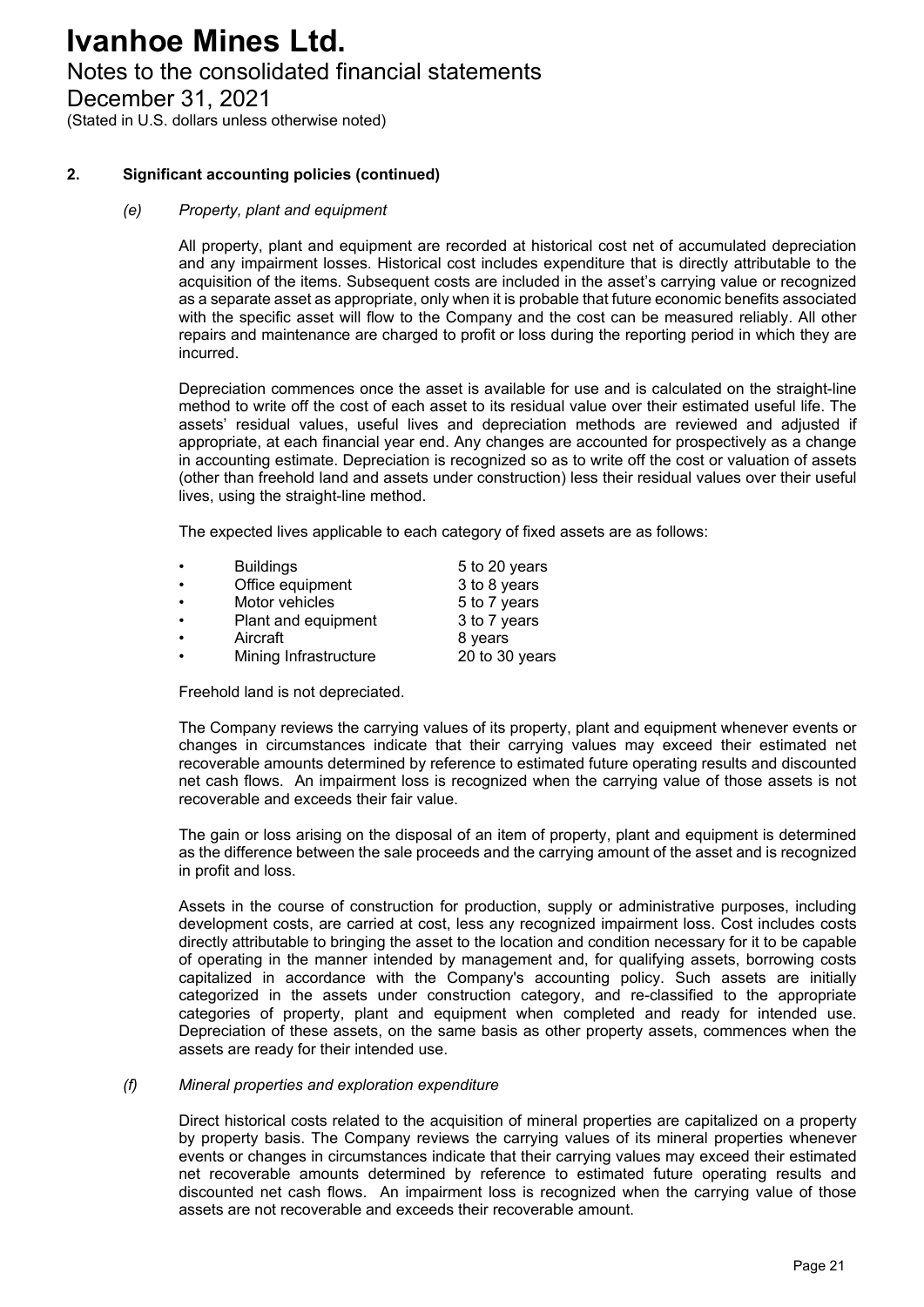### Notes to the consolidated financial statements

December 31, 2021

(Stated in U.S. dollars unless otherwise noted)

#### **2. Significant accounting policies (continued)**

#### *(e) Property, plant and equipment*

All property, plant and equipment are recorded at historical cost net of accumulated depreciation and any impairment losses. Historical cost includes expenditure that is directly attributable to the acquisition of the items. Subsequent costs are included in the asset's carrying value or recognized as a separate asset as appropriate, only when it is probable that future economic benefits associated with the specific asset will flow to the Company and the cost can be measured reliably. All other repairs and maintenance are charged to profit or loss during the reporting period in which they are incurred.

Depreciation commences once the asset is available for use and is calculated on the straight-line method to write off the cost of each asset to its residual value over their estimated useful life. The assets' residual values, useful lives and depreciation methods are reviewed and adjusted if appropriate, at each financial year end. Any changes are accounted for prospectively as a change in accounting estimate. Depreciation is recognized so as to write off the cost or valuation of assets (other than freehold land and assets under construction) less their residual values over their useful lives, using the straight-line method.

The expected lives applicable to each category of fixed assets are as follows:

| $\bullet$ | <b>Buildings</b>      | 5 to 20 years  |
|-----------|-----------------------|----------------|
| $\bullet$ | Office equipment      | 3 to 8 years   |
| $\bullet$ | Motor vehicles        | 5 to 7 years   |
| $\bullet$ | Plant and equipment   | 3 to 7 years   |
| $\bullet$ | Aircraft              | 8 years        |
| $\bullet$ | Mining Infrastructure | 20 to 30 years |

Freehold land is not depreciated.

The Company reviews the carrying values of its property, plant and equipment whenever events or changes in circumstances indicate that their carrying values may exceed their estimated net recoverable amounts determined by reference to estimated future operating results and discounted net cash flows. An impairment loss is recognized when the carrying value of those assets is not recoverable and exceeds their fair value.

The gain or loss arising on the disposal of an item of property, plant and equipment is determined as the difference between the sale proceeds and the carrying amount of the asset and is recognized in profit and loss.

Assets in the course of construction for production, supply or administrative purposes, including development costs, are carried at cost, less any recognized impairment loss. Cost includes costs directly attributable to bringing the asset to the location and condition necessary for it to be capable of operating in the manner intended by management and, for qualifying assets, borrowing costs capitalized in accordance with the Company's accounting policy. Such assets are initially categorized in the assets under construction category, and re-classified to the appropriate categories of property, plant and equipment when completed and ready for intended use. Depreciation of these assets, on the same basis as other property assets, commences when the assets are ready for their intended use.

#### *(f) Mineral properties and exploration expenditure*

Direct historical costs related to the acquisition of mineral properties are capitalized on a property by property basis. The Company reviews the carrying values of its mineral properties whenever events or changes in circumstances indicate that their carrying values may exceed their estimated net recoverable amounts determined by reference to estimated future operating results and discounted net cash flows. An impairment loss is recognized when the carrying value of those assets are not recoverable and exceeds their recoverable amount.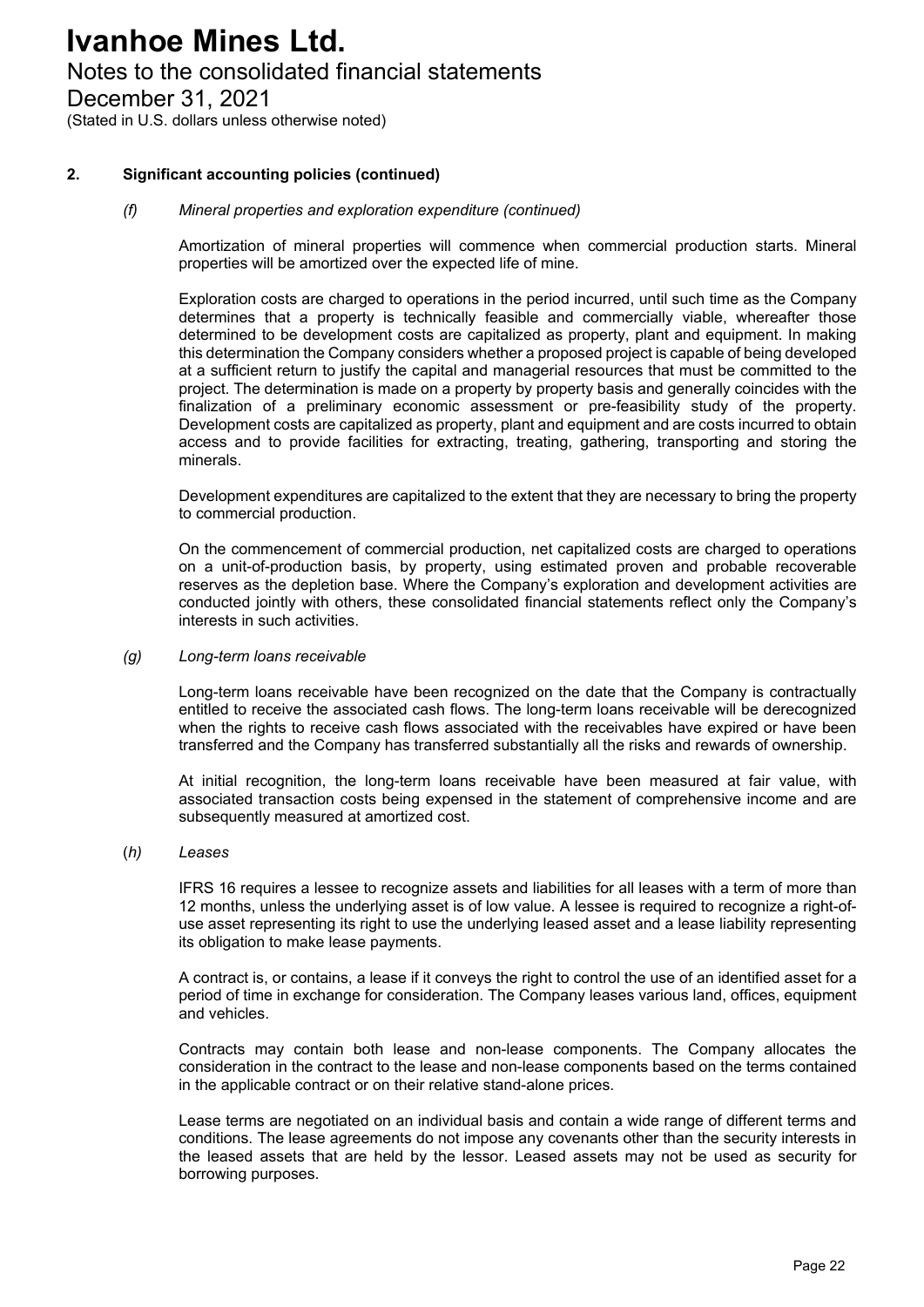### Notes to the consolidated financial statements

December 31, 2021

(Stated in U.S. dollars unless otherwise noted)

#### **2. Significant accounting policies (continued)**

#### *(f) Mineral properties and exploration expenditure (continued)*

Amortization of mineral properties will commence when commercial production starts. Mineral properties will be amortized over the expected life of mine.

Exploration costs are charged to operations in the period incurred, until such time as the Company determines that a property is technically feasible and commercially viable, whereafter those determined to be development costs are capitalized as property, plant and equipment. In making this determination the Company considers whether a proposed project is capable of being developed at a sufficient return to justify the capital and managerial resources that must be committed to the project. The determination is made on a property by property basis and generally coincides with the finalization of a preliminary economic assessment or pre-feasibility study of the property. Development costs are capitalized as property, plant and equipment and are costs incurred to obtain access and to provide facilities for extracting, treating, gathering, transporting and storing the minerals.

Development expenditures are capitalized to the extent that they are necessary to bring the property to commercial production.

On the commencement of commercial production, net capitalized costs are charged to operations on a unit-of-production basis, by property, using estimated proven and probable recoverable reserves as the depletion base. Where the Company's exploration and development activities are conducted jointly with others, these consolidated financial statements reflect only the Company's interests in such activities.

#### *(g) Long-term loans receivable*

Long-term loans receivable have been recognized on the date that the Company is contractually entitled to receive the associated cash flows. The long-term loans receivable will be derecognized when the rights to receive cash flows associated with the receivables have expired or have been transferred and the Company has transferred substantially all the risks and rewards of ownership.

At initial recognition, the long-term loans receivable have been measured at fair value, with associated transaction costs being expensed in the statement of comprehensive income and are subsequently measured at amortized cost.

#### (*h) Leases*

IFRS 16 requires a lessee to recognize assets and liabilities for all leases with a term of more than 12 months, unless the underlying asset is of low value. A lessee is required to recognize a right-ofuse asset representing its right to use the underlying leased asset and a lease liability representing its obligation to make lease payments.

A contract is, or contains, a lease if it conveys the right to control the use of an identified asset for a period of time in exchange for consideration. The Company leases various land, offices, equipment and vehicles.

Contracts may contain both lease and non-lease components. The Company allocates the consideration in the contract to the lease and non-lease components based on the terms contained in the applicable contract or on their relative stand-alone prices.

Lease terms are negotiated on an individual basis and contain a wide range of different terms and conditions. The lease agreements do not impose any covenants other than the security interests in the leased assets that are held by the lessor. Leased assets may not be used as security for borrowing purposes.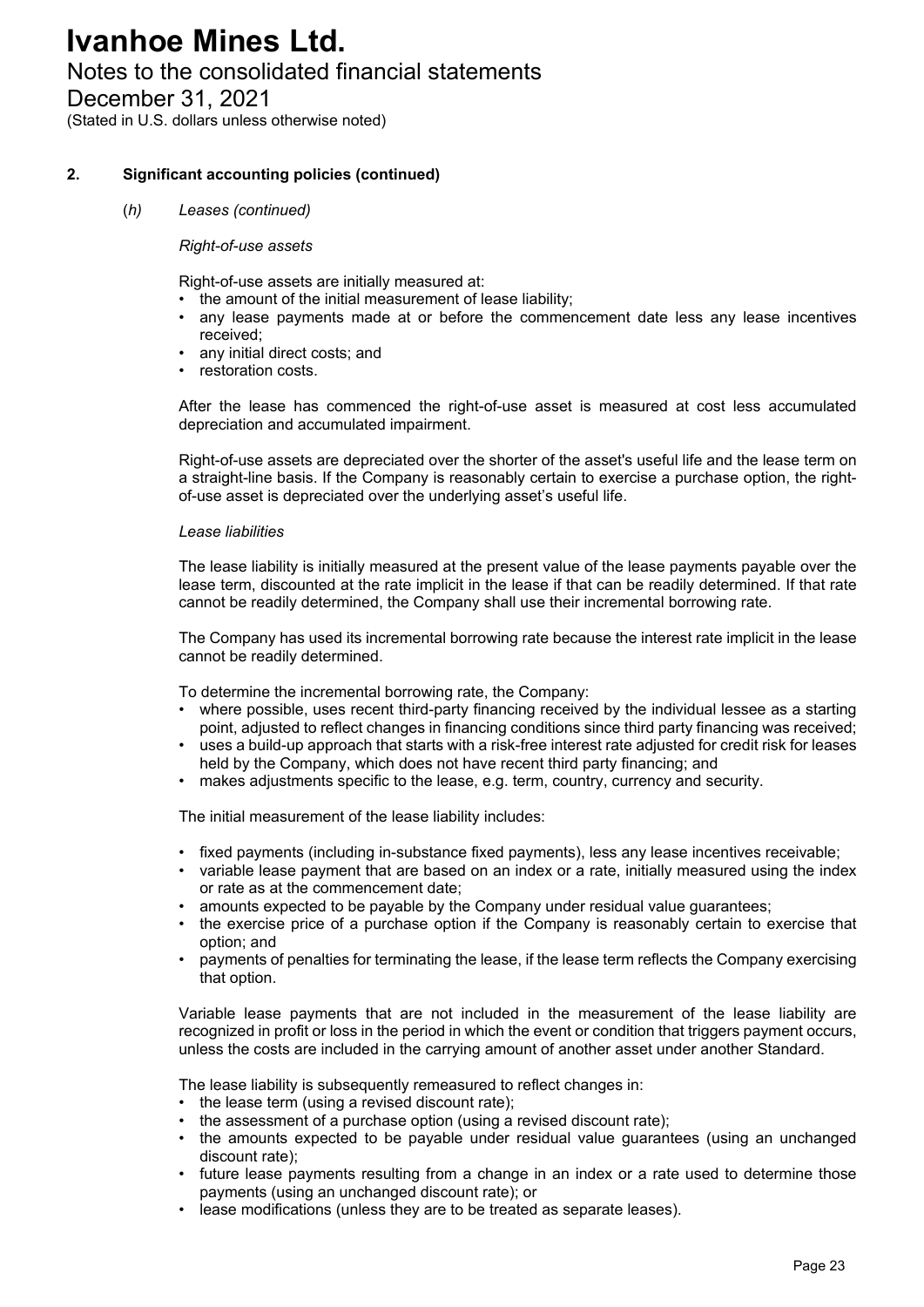### Notes to the consolidated financial statements

December 31, 2021

(Stated in U.S. dollars unless otherwise noted)

#### **2. Significant accounting policies (continued)**

#### (*h) Leases (continued)*

#### *Right-of-use assets*

Right-of-use assets are initially measured at:

- the amount of the initial measurement of lease liability;
- any lease payments made at or before the commencement date less any lease incentives received;
- any initial direct costs; and
- restoration costs.

After the lease has commenced the right-of-use asset is measured at cost less accumulated depreciation and accumulated impairment.

Right-of-use assets are depreciated over the shorter of the asset's useful life and the lease term on a straight-line basis. If the Company is reasonably certain to exercise a purchase option, the rightof-use asset is depreciated over the underlying asset's useful life.

#### *Lease liabilities*

The lease liability is initially measured at the present value of the lease payments payable over the lease term, discounted at the rate implicit in the lease if that can be readily determined. If that rate cannot be readily determined, the Company shall use their incremental borrowing rate.

The Company has used its incremental borrowing rate because the interest rate implicit in the lease cannot be readily determined.

To determine the incremental borrowing rate, the Company:

- where possible, uses recent third-party financing received by the individual lessee as a starting point, adjusted to reflect changes in financing conditions since third party financing was received;
- uses a build-up approach that starts with a risk-free interest rate adjusted for credit risk for leases held by the Company, which does not have recent third party financing; and
- makes adjustments specific to the lease, e.g. term, country, currency and security.

The initial measurement of the lease liability includes:

- fixed payments (including in-substance fixed payments), less any lease incentives receivable;
- variable lease payment that are based on an index or a rate, initially measured using the index or rate as at the commencement date;
- amounts expected to be payable by the Company under residual value guarantees;
- the exercise price of a purchase option if the Company is reasonably certain to exercise that option; and
- payments of penalties for terminating the lease, if the lease term reflects the Company exercising that option.

Variable lease payments that are not included in the measurement of the lease liability are recognized in profit or loss in the period in which the event or condition that triggers payment occurs, unless the costs are included in the carrying amount of another asset under another Standard.

The lease liability is subsequently remeasured to reflect changes in:

- the lease term (using a revised discount rate);
- the assessment of a purchase option (using a revised discount rate);
- the amounts expected to be payable under residual value guarantees (using an unchanged discount rate);
- future lease payments resulting from a change in an index or a rate used to determine those payments (using an unchanged discount rate); or
- lease modifications (unless they are to be treated as separate leases).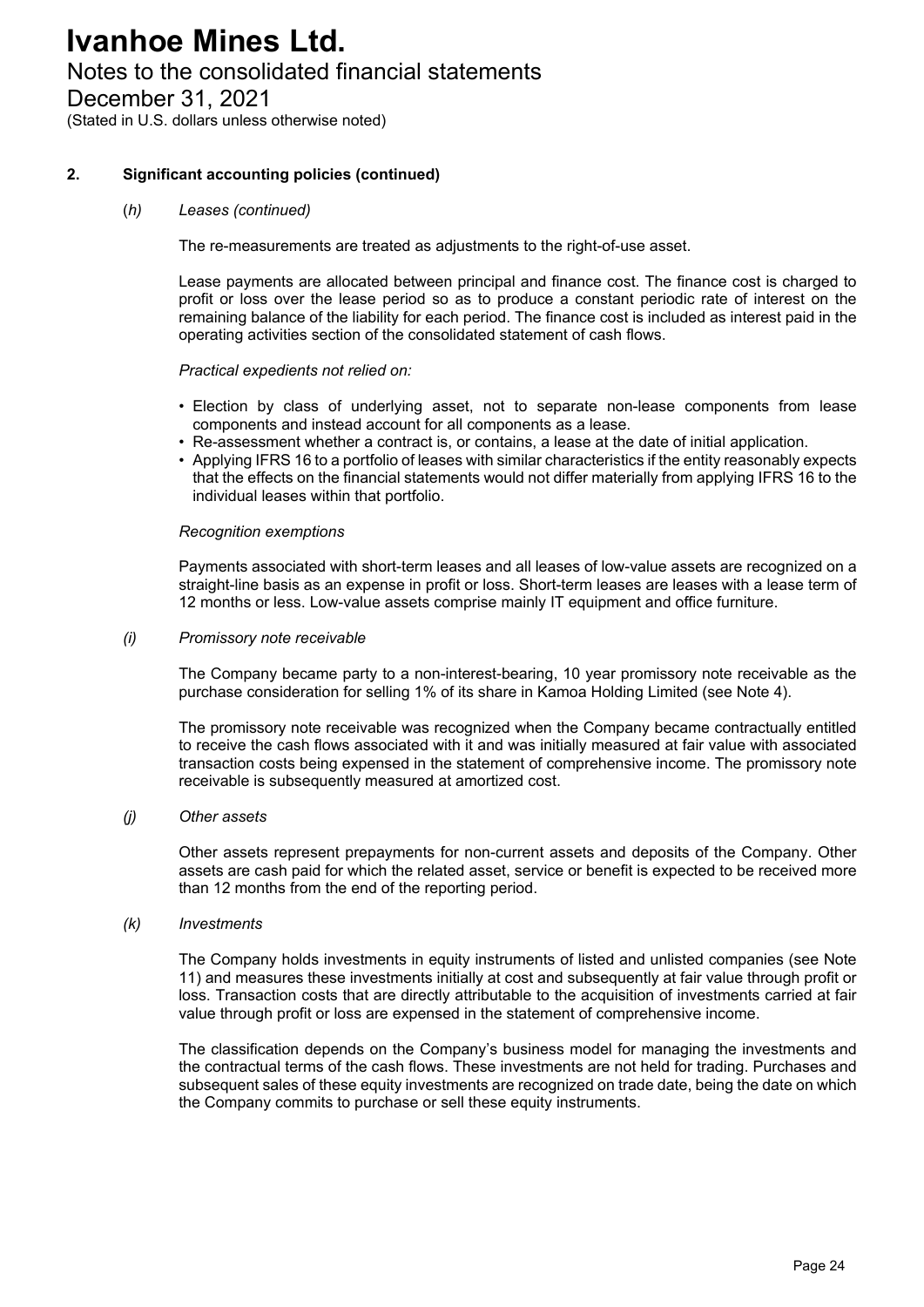### Notes to the consolidated financial statements

December 31, 2021

(Stated in U.S. dollars unless otherwise noted)

#### **2. Significant accounting policies (continued)**

#### (*h) Leases (continued)*

The re-measurements are treated as adjustments to the right-of-use asset.

Lease payments are allocated between principal and finance cost. The finance cost is charged to profit or loss over the lease period so as to produce a constant periodic rate of interest on the remaining balance of the liability for each period. The finance cost is included as interest paid in the operating activities section of the consolidated statement of cash flows.

#### *Practical expedients not relied on:*

- Election by class of underlying asset, not to separate non-lease components from lease components and instead account for all components as a lease.
- Re-assessment whether a contract is, or contains, a lease at the date of initial application.
- Applying IFRS 16 to a portfolio of leases with similar characteristics if the entity reasonably expects that the effects on the financial statements would not differ materially from applying IFRS 16 to the individual leases within that portfolio.

#### *Recognition exemptions*

Payments associated with short-term leases and all leases of low-value assets are recognized on a straight-line basis as an expense in profit or loss. Short-term leases are leases with a lease term of 12 months or less. Low-value assets comprise mainly IT equipment and office furniture.

#### *(i) Promissory note receivable*

The Company became party to a non-interest-bearing, 10 year promissory note receivable as the purchase consideration for selling 1% of its share in Kamoa Holding Limited (see Note 4).

The promissory note receivable was recognized when the Company became contractually entitled to receive the cash flows associated with it and was initially measured at fair value with associated transaction costs being expensed in the statement of comprehensive income. The promissory note receivable is subsequently measured at amortized cost.

#### *(j) Other assets*

Other assets represent prepayments for non-current assets and deposits of the Company. Other assets are cash paid for which the related asset, service or benefit is expected to be received more than 12 months from the end of the reporting period.

#### *(k) Investments*

The Company holds investments in equity instruments of listed and unlisted companies (see Note 11) and measures these investments initially at cost and subsequently at fair value through profit or loss. Transaction costs that are directly attributable to the acquisition of investments carried at fair value through profit or loss are expensed in the statement of comprehensive income.

The classification depends on the Company's business model for managing the investments and the contractual terms of the cash flows. These investments are not held for trading. Purchases and subsequent sales of these equity investments are recognized on trade date, being the date on which the Company commits to purchase or sell these equity instruments.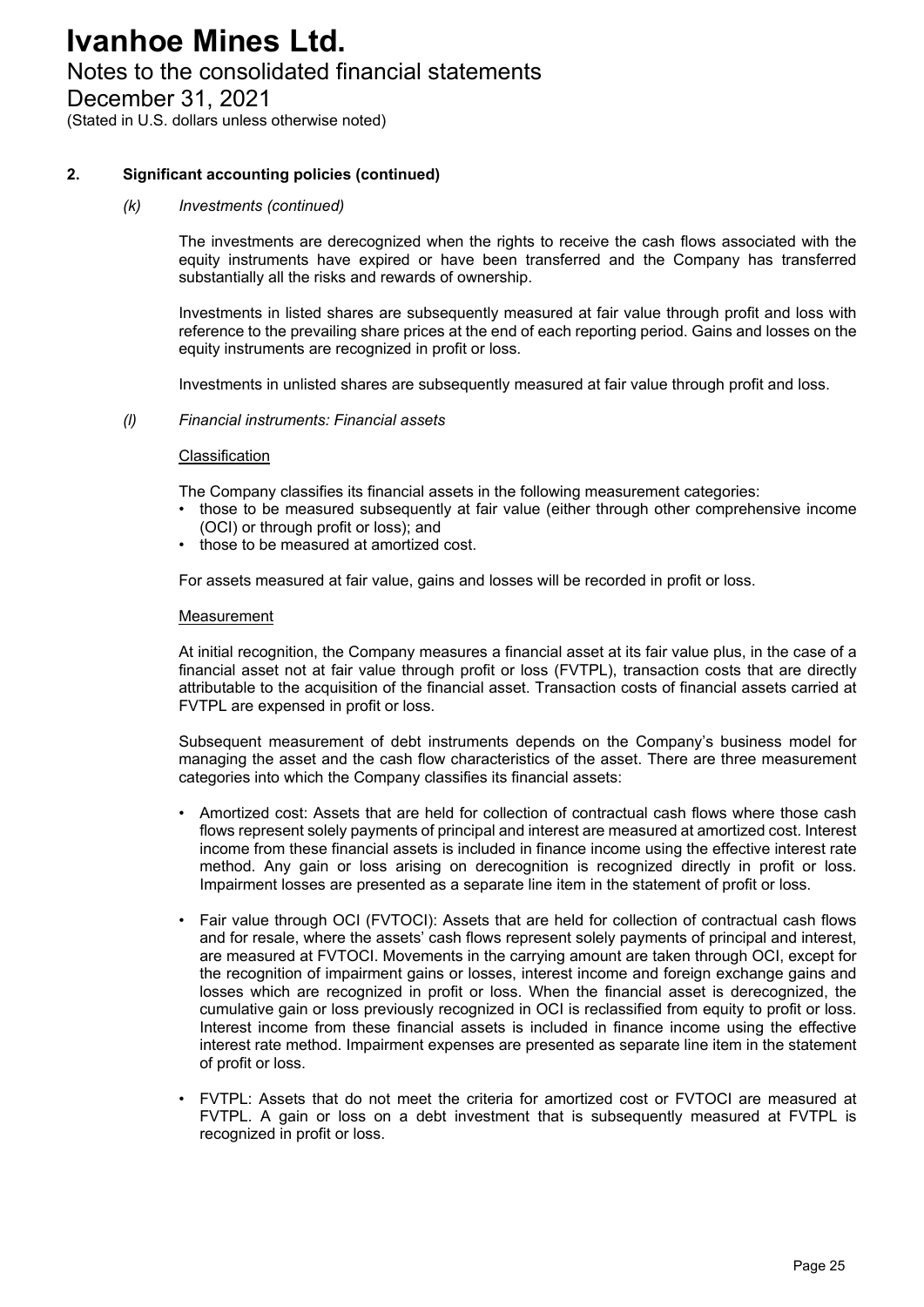### Notes to the consolidated financial statements

December 31, 2021

(Stated in U.S. dollars unless otherwise noted)

#### **2. Significant accounting policies (continued)**

#### *(k) Investments (continued)*

The investments are derecognized when the rights to receive the cash flows associated with the equity instruments have expired or have been transferred and the Company has transferred substantially all the risks and rewards of ownership.

Investments in listed shares are subsequently measured at fair value through profit and loss with reference to the prevailing share prices at the end of each reporting period. Gains and losses on the equity instruments are recognized in profit or loss.

Investments in unlisted shares are subsequently measured at fair value through profit and loss.

#### *(l) Financial instruments: Financial assets*

#### Classification

The Company classifies its financial assets in the following measurement categories:

- those to be measured subsequently at fair value (either through other comprehensive income (OCI) or through profit or loss); and
- those to be measured at amortized cost.

For assets measured at fair value, gains and losses will be recorded in profit or loss.

#### Measurement

At initial recognition, the Company measures a financial asset at its fair value plus, in the case of a financial asset not at fair value through profit or loss (FVTPL), transaction costs that are directly attributable to the acquisition of the financial asset. Transaction costs of financial assets carried at FVTPL are expensed in profit or loss.

Subsequent measurement of debt instruments depends on the Company's business model for managing the asset and the cash flow characteristics of the asset. There are three measurement categories into which the Company classifies its financial assets:

- Amortized cost: Assets that are held for collection of contractual cash flows where those cash flows represent solely payments of principal and interest are measured at amortized cost. Interest income from these financial assets is included in finance income using the effective interest rate method. Any gain or loss arising on derecognition is recognized directly in profit or loss. Impairment losses are presented as a separate line item in the statement of profit or loss.
- Fair value through OCI (FVTOCI): Assets that are held for collection of contractual cash flows and for resale, where the assets' cash flows represent solely payments of principal and interest, are measured at FVTOCI. Movements in the carrying amount are taken through OCI, except for the recognition of impairment gains or losses, interest income and foreign exchange gains and losses which are recognized in profit or loss. When the financial asset is derecognized, the cumulative gain or loss previously recognized in OCI is reclassified from equity to profit or loss. Interest income from these financial assets is included in finance income using the effective interest rate method. Impairment expenses are presented as separate line item in the statement of profit or loss.
- FVTPL: Assets that do not meet the criteria for amortized cost or FVTOCI are measured at FVTPL. A gain or loss on a debt investment that is subsequently measured at FVTPL is recognized in profit or loss.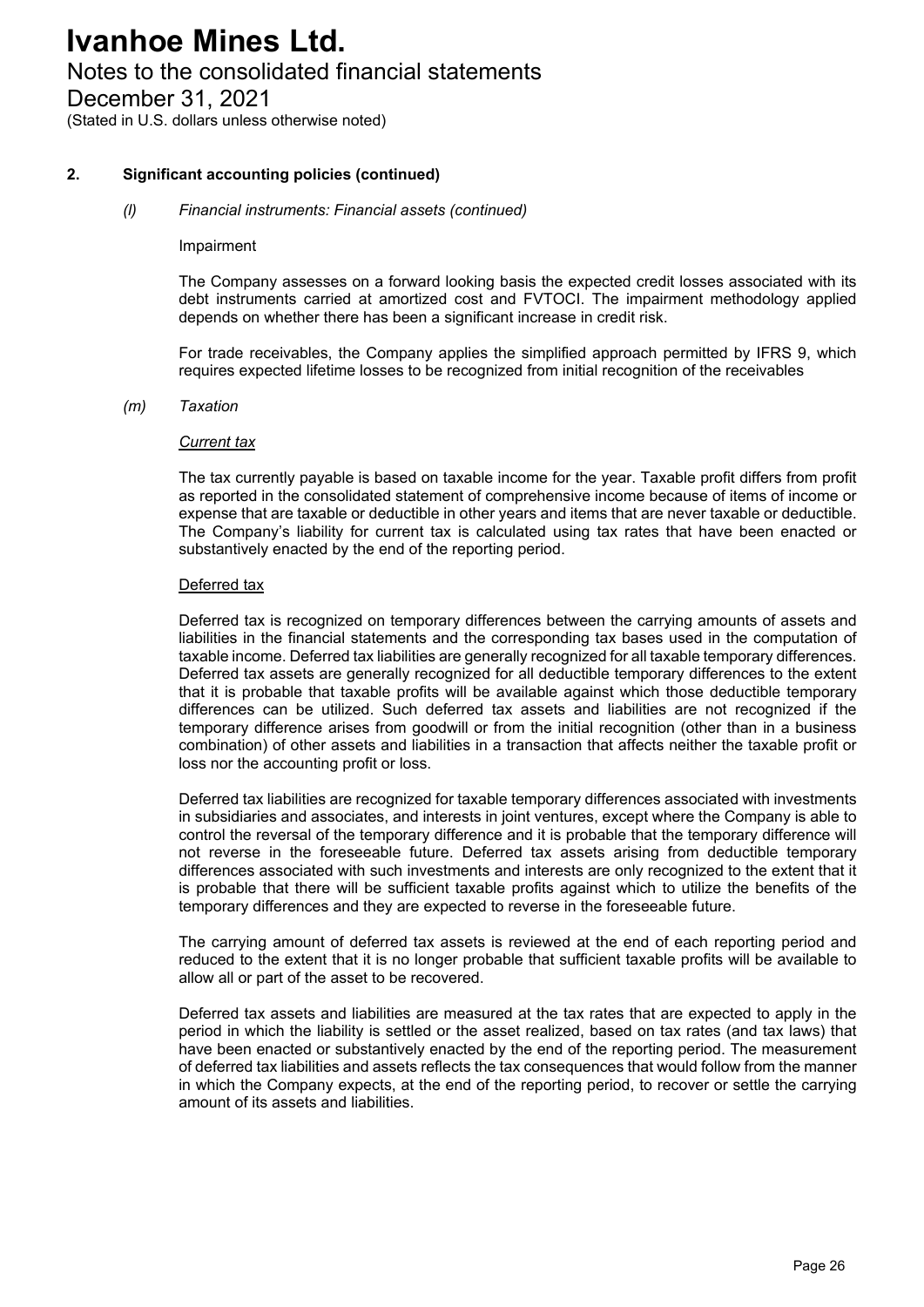### Notes to the consolidated financial statements

December 31, 2021

(Stated in U.S. dollars unless otherwise noted)

#### **2. Significant accounting policies (continued)**

#### *(l) Financial instruments: Financial assets (continued)*

#### Impairment

The Company assesses on a forward looking basis the expected credit losses associated with its debt instruments carried at amortized cost and FVTOCI. The impairment methodology applied depends on whether there has been a significant increase in credit risk.

For trade receivables, the Company applies the simplified approach permitted by IFRS 9, which requires expected lifetime losses to be recognized from initial recognition of the receivables

#### *(m) Taxation*

#### *Current tax*

The tax currently payable is based on taxable income for the year. Taxable profit differs from profit as reported in the consolidated statement of comprehensive income because of items of income or expense that are taxable or deductible in other years and items that are never taxable or deductible. The Company's liability for current tax is calculated using tax rates that have been enacted or substantively enacted by the end of the reporting period.

#### Deferred tax

Deferred tax is recognized on temporary differences between the carrying amounts of assets and liabilities in the financial statements and the corresponding tax bases used in the computation of taxable income. Deferred tax liabilities are generally recognized for all taxable temporary differences. Deferred tax assets are generally recognized for all deductible temporary differences to the extent that it is probable that taxable profits will be available against which those deductible temporary differences can be utilized. Such deferred tax assets and liabilities are not recognized if the temporary difference arises from goodwill or from the initial recognition (other than in a business combination) of other assets and liabilities in a transaction that affects neither the taxable profit or loss nor the accounting profit or loss.

Deferred tax liabilities are recognized for taxable temporary differences associated with investments in subsidiaries and associates, and interests in joint ventures, except where the Company is able to control the reversal of the temporary difference and it is probable that the temporary difference will not reverse in the foreseeable future. Deferred tax assets arising from deductible temporary differences associated with such investments and interests are only recognized to the extent that it is probable that there will be sufficient taxable profits against which to utilize the benefits of the temporary differences and they are expected to reverse in the foreseeable future.

The carrying amount of deferred tax assets is reviewed at the end of each reporting period and reduced to the extent that it is no longer probable that sufficient taxable profits will be available to allow all or part of the asset to be recovered.

Deferred tax assets and liabilities are measured at the tax rates that are expected to apply in the period in which the liability is settled or the asset realized, based on tax rates (and tax laws) that have been enacted or substantively enacted by the end of the reporting period. The measurement of deferred tax liabilities and assets reflects the tax consequences that would follow from the manner in which the Company expects, at the end of the reporting period, to recover or settle the carrying amount of its assets and liabilities.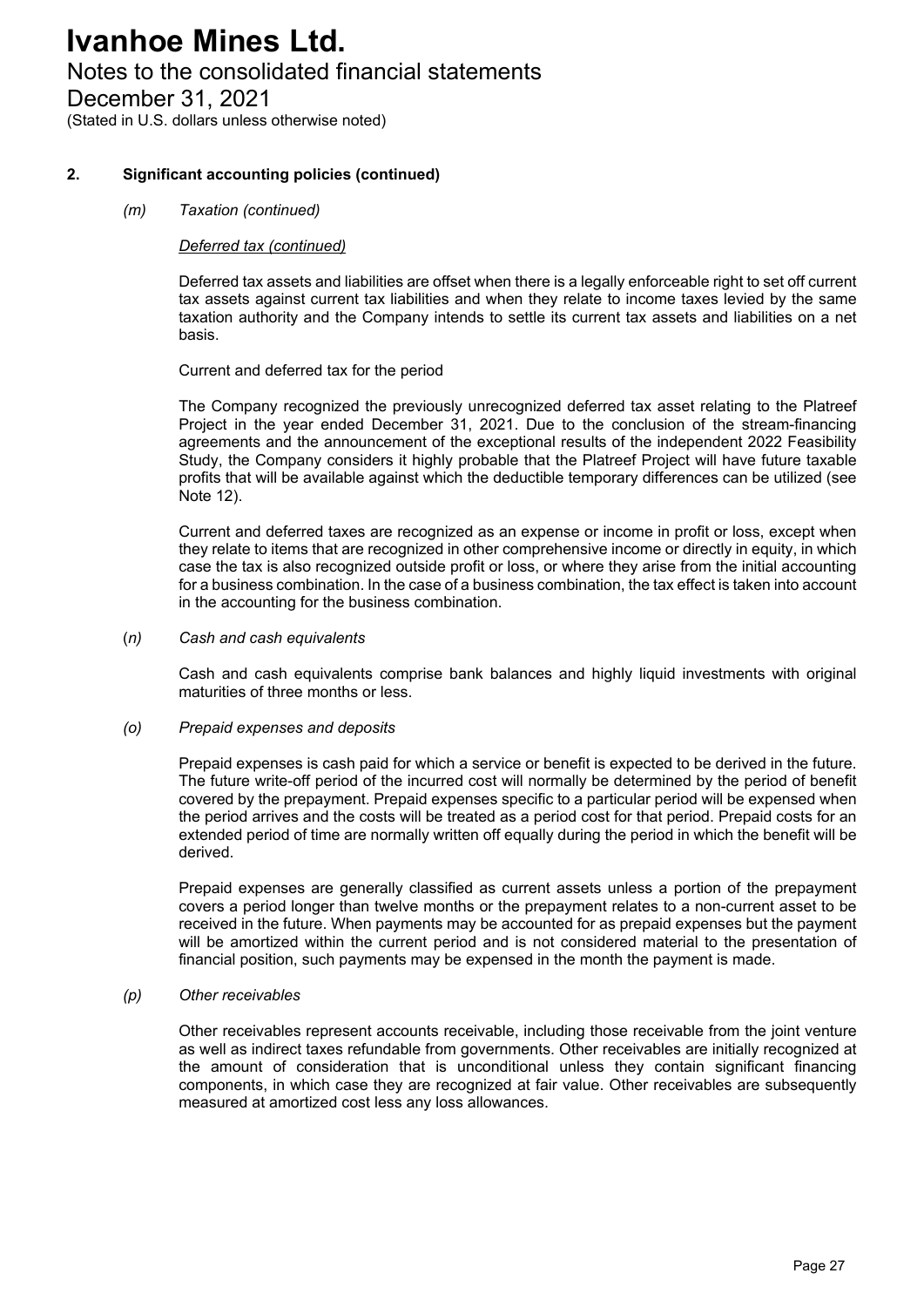### Notes to the consolidated financial statements

December 31, 2021

(Stated in U.S. dollars unless otherwise noted)

#### **2. Significant accounting policies (continued)**

#### *(m) Taxation (continued)*

#### *Deferred tax (continued)*

Deferred tax assets and liabilities are offset when there is a legally enforceable right to set off current tax assets against current tax liabilities and when they relate to income taxes levied by the same taxation authority and the Company intends to settle its current tax assets and liabilities on a net basis.

Current and deferred tax for the period

The Company recognized the previously unrecognized deferred tax asset relating to the Platreef Project in the year ended December 31, 2021. Due to the conclusion of the stream-financing agreements and the announcement of the exceptional results of the independent 2022 Feasibility Study, the Company considers it highly probable that the Platreef Project will have future taxable profits that will be available against which the deductible temporary differences can be utilized (see Note 12).

Current and deferred taxes are recognized as an expense or income in profit or loss, except when they relate to items that are recognized in other comprehensive income or directly in equity, in which case the tax is also recognized outside profit or loss, or where they arise from the initial accounting for a business combination. In the case of a business combination, the tax effect is taken into account in the accounting for the business combination.

(*n) Cash and cash equivalents*

Cash and cash equivalents comprise bank balances and highly liquid investments with original maturities of three months or less.

#### *(o) Prepaid expenses and deposits*

Prepaid expenses is cash paid for which a service or benefit is expected to be derived in the future. The future write-off period of the incurred cost will normally be determined by the period of benefit covered by the prepayment. Prepaid expenses specific to a particular period will be expensed when the period arrives and the costs will be treated as a period cost for that period. Prepaid costs for an extended period of time are normally written off equally during the period in which the benefit will be derived.

Prepaid expenses are generally classified as current assets unless a portion of the prepayment covers a period longer than twelve months or the prepayment relates to a non-current asset to be received in the future. When payments may be accounted for as prepaid expenses but the payment will be amortized within the current period and is not considered material to the presentation of financial position, such payments may be expensed in the month the payment is made.

#### *(p) Other receivables*

Other receivables represent accounts receivable, including those receivable from the joint venture as well as indirect taxes refundable from governments. Other receivables are initially recognized at the amount of consideration that is unconditional unless they contain significant financing components, in which case they are recognized at fair value. Other receivables are subsequently measured at amortized cost less any loss allowances.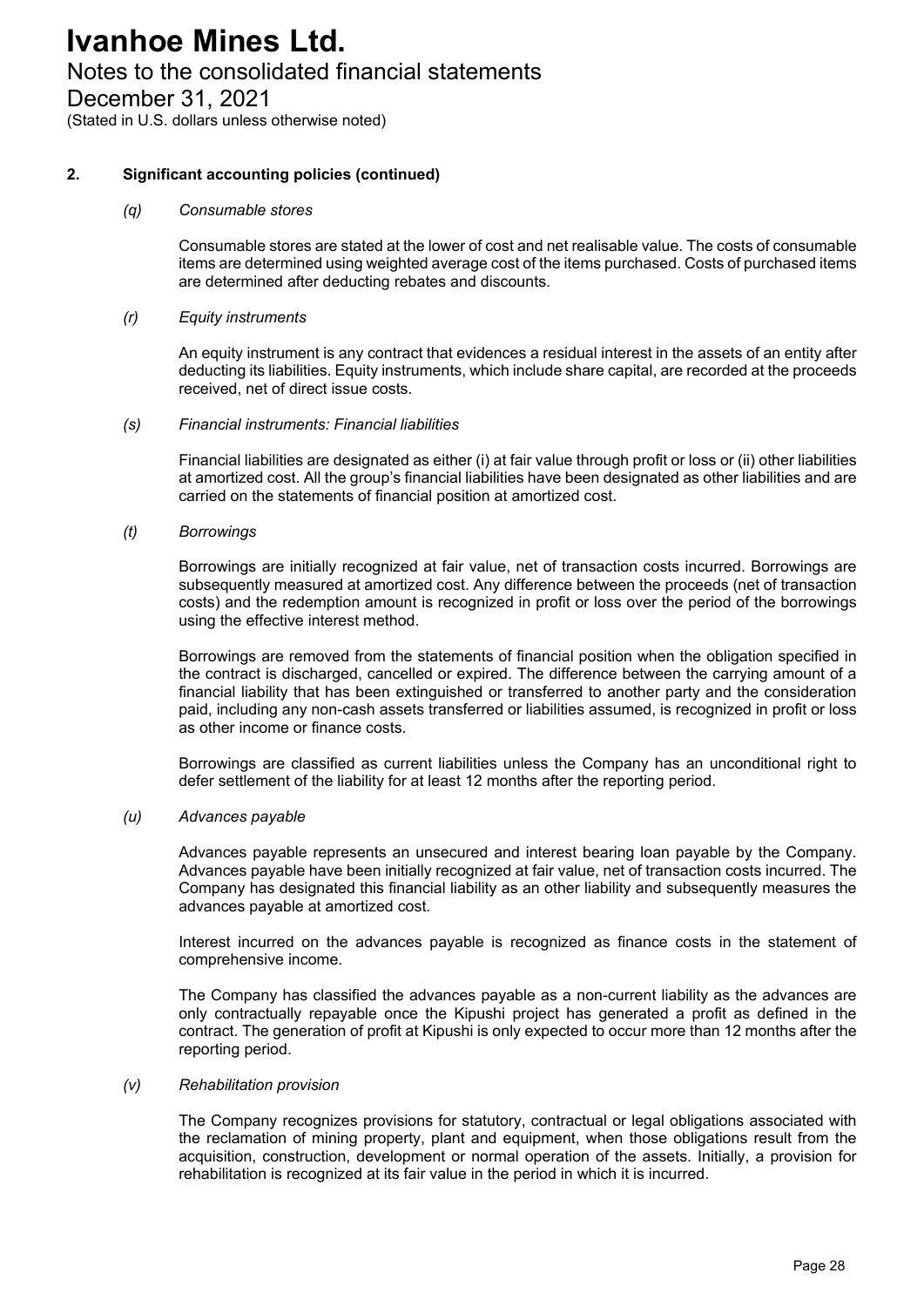### Notes to the consolidated financial statements

December 31, 2021

(Stated in U.S. dollars unless otherwise noted)

#### **2. Significant accounting policies (continued)**

#### *(q) Consumable stores*

Consumable stores are stated at the lower of cost and net realisable value. The costs of consumable items are determined using weighted average cost of the items purchased. Costs of purchased items are determined after deducting rebates and discounts.

#### *(r) Equity instruments*

An equity instrument is any contract that evidences a residual interest in the assets of an entity after deducting its liabilities. Equity instruments, which include share capital, are recorded at the proceeds received, net of direct issue costs.

#### *(s) Financial instruments: Financial liabilities*

Financial liabilities are designated as either (i) at fair value through profit or loss or (ii) other liabilities at amortized cost. All the group's financial liabilities have been designated as other liabilities and are carried on the statements of financial position at amortized cost.

#### *(t) Borrowings*

Borrowings are initially recognized at fair value, net of transaction costs incurred. Borrowings are subsequently measured at amortized cost. Any difference between the proceeds (net of transaction costs) and the redemption amount is recognized in profit or loss over the period of the borrowings using the effective interest method.

Borrowings are removed from the statements of financial position when the obligation specified in the contract is discharged, cancelled or expired. The difference between the carrying amount of a financial liability that has been extinguished or transferred to another party and the consideration paid, including any non-cash assets transferred or liabilities assumed, is recognized in profit or loss as other income or finance costs.

Borrowings are classified as current liabilities unless the Company has an unconditional right to defer settlement of the liability for at least 12 months after the reporting period.

#### *(u) Advances payable*

Advances payable represents an unsecured and interest bearing loan payable by the Company. Advances payable have been initially recognized at fair value, net of transaction costs incurred. The Company has designated this financial liability as an other liability and subsequently measures the advances payable at amortized cost.

Interest incurred on the advances payable is recognized as finance costs in the statement of comprehensive income.

The Company has classified the advances payable as a non-current liability as the advances are only contractually repayable once the Kipushi project has generated a profit as defined in the contract. The generation of profit at Kipushi is only expected to occur more than 12 months after the reporting period.

#### *(v) Rehabilitation provision*

The Company recognizes provisions for statutory, contractual or legal obligations associated with the reclamation of mining property, plant and equipment, when those obligations result from the acquisition, construction, development or normal operation of the assets. Initially, a provision for rehabilitation is recognized at its fair value in the period in which it is incurred.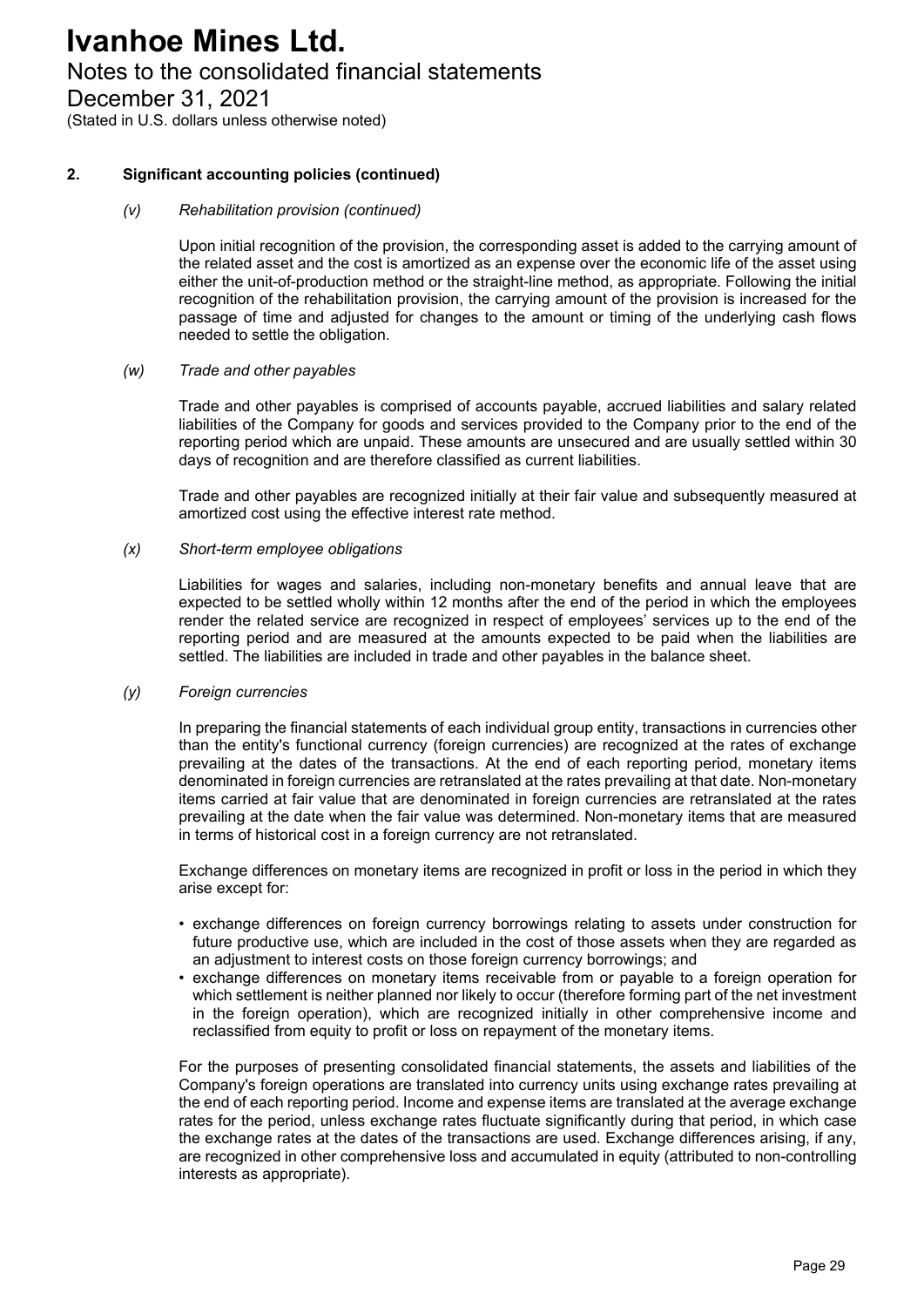### Notes to the consolidated financial statements

December 31, 2021

(Stated in U.S. dollars unless otherwise noted)

#### **2. Significant accounting policies (continued)**

#### *(v) Rehabilitation provision (continued)*

Upon initial recognition of the provision, the corresponding asset is added to the carrying amount of the related asset and the cost is amortized as an expense over the economic life of the asset using either the unit-of-production method or the straight-line method, as appropriate. Following the initial recognition of the rehabilitation provision, the carrying amount of the provision is increased for the passage of time and adjusted for changes to the amount or timing of the underlying cash flows needed to settle the obligation.

#### *(w) Trade and other payables*

Trade and other payables is comprised of accounts payable, accrued liabilities and salary related liabilities of the Company for goods and services provided to the Company prior to the end of the reporting period which are unpaid. These amounts are unsecured and are usually settled within 30 days of recognition and are therefore classified as current liabilities.

Trade and other payables are recognized initially at their fair value and subsequently measured at amortized cost using the effective interest rate method.

#### *(x) Short-term employee obligations*

Liabilities for wages and salaries, including non-monetary benefits and annual leave that are expected to be settled wholly within 12 months after the end of the period in which the employees render the related service are recognized in respect of employees' services up to the end of the reporting period and are measured at the amounts expected to be paid when the liabilities are settled. The liabilities are included in trade and other payables in the balance sheet.

#### *(y) Foreign currencies*

In preparing the financial statements of each individual group entity, transactions in currencies other than the entity's functional currency (foreign currencies) are recognized at the rates of exchange prevailing at the dates of the transactions. At the end of each reporting period, monetary items denominated in foreign currencies are retranslated at the rates prevailing at that date. Non-monetary items carried at fair value that are denominated in foreign currencies are retranslated at the rates prevailing at the date when the fair value was determined. Non-monetary items that are measured in terms of historical cost in a foreign currency are not retranslated.

Exchange differences on monetary items are recognized in profit or loss in the period in which they arise except for:

- exchange differences on foreign currency borrowings relating to assets under construction for future productive use, which are included in the cost of those assets when they are regarded as an adjustment to interest costs on those foreign currency borrowings; and
- exchange differences on monetary items receivable from or payable to a foreign operation for which settlement is neither planned nor likely to occur (therefore forming part of the net investment in the foreign operation), which are recognized initially in other comprehensive income and reclassified from equity to profit or loss on repayment of the monetary items.

For the purposes of presenting consolidated financial statements, the assets and liabilities of the Company's foreign operations are translated into currency units using exchange rates prevailing at the end of each reporting period. Income and expense items are translated at the average exchange rates for the period, unless exchange rates fluctuate significantly during that period, in which case the exchange rates at the dates of the transactions are used. Exchange differences arising, if any, are recognized in other comprehensive loss and accumulated in equity (attributed to non-controlling interests as appropriate).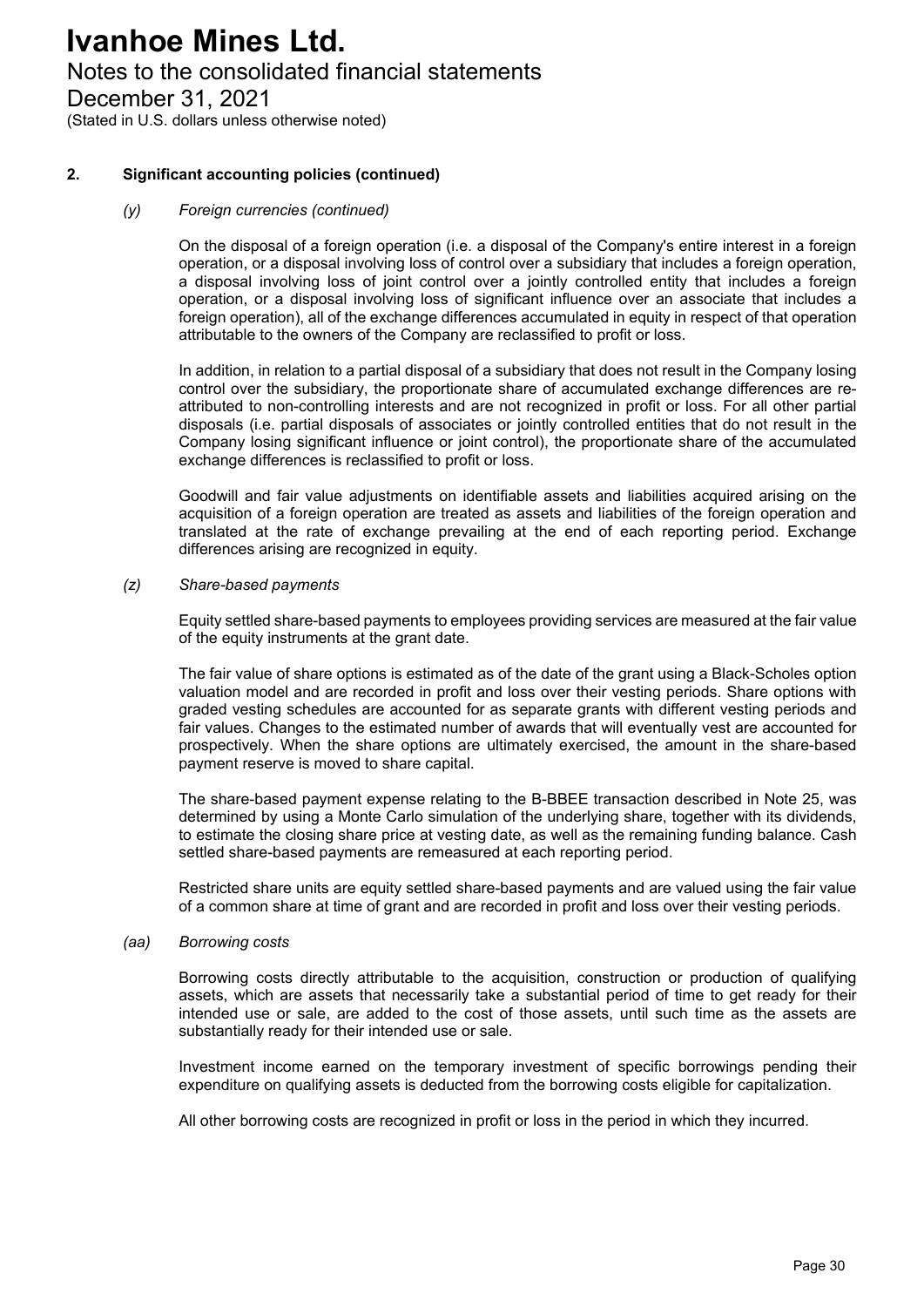### Notes to the consolidated financial statements

December 31, 2021

(Stated in U.S. dollars unless otherwise noted)

#### **2. Significant accounting policies (continued)**

#### *(y) Foreign currencies (continued)*

On the disposal of a foreign operation (i.e. a disposal of the Company's entire interest in a foreign operation, or a disposal involving loss of control over a subsidiary that includes a foreign operation, a disposal involving loss of joint control over a jointly controlled entity that includes a foreign operation, or a disposal involving loss of significant influence over an associate that includes a foreign operation), all of the exchange differences accumulated in equity in respect of that operation attributable to the owners of the Company are reclassified to profit or loss.

In addition, in relation to a partial disposal of a subsidiary that does not result in the Company losing control over the subsidiary, the proportionate share of accumulated exchange differences are reattributed to non-controlling interests and are not recognized in profit or loss. For all other partial disposals (i.e. partial disposals of associates or jointly controlled entities that do not result in the Company losing significant influence or joint control), the proportionate share of the accumulated exchange differences is reclassified to profit or loss.

Goodwill and fair value adjustments on identifiable assets and liabilities acquired arising on the acquisition of a foreign operation are treated as assets and liabilities of the foreign operation and translated at the rate of exchange prevailing at the end of each reporting period. Exchange differences arising are recognized in equity.

#### *(z) Share-based payments*

Equity settled share-based payments to employees providing services are measured at the fair value of the equity instruments at the grant date.

The fair value of share options is estimated as of the date of the grant using a Black-Scholes option valuation model and are recorded in profit and loss over their vesting periods. Share options with graded vesting schedules are accounted for as separate grants with different vesting periods and fair values. Changes to the estimated number of awards that will eventually vest are accounted for prospectively. When the share options are ultimately exercised, the amount in the share-based payment reserve is moved to share capital.

The share-based payment expense relating to the B-BBEE transaction described in Note 25, was determined by using a Monte Carlo simulation of the underlying share, together with its dividends, to estimate the closing share price at vesting date, as well as the remaining funding balance. Cash settled share-based payments are remeasured at each reporting period.

Restricted share units are equity settled share-based payments and are valued using the fair value of a common share at time of grant and are recorded in profit and loss over their vesting periods.

#### *(aa) Borrowing costs*

Borrowing costs directly attributable to the acquisition, construction or production of qualifying assets, which are assets that necessarily take a substantial period of time to get ready for their intended use or sale, are added to the cost of those assets, until such time as the assets are substantially ready for their intended use or sale.

Investment income earned on the temporary investment of specific borrowings pending their expenditure on qualifying assets is deducted from the borrowing costs eligible for capitalization.

All other borrowing costs are recognized in profit or loss in the period in which they incurred.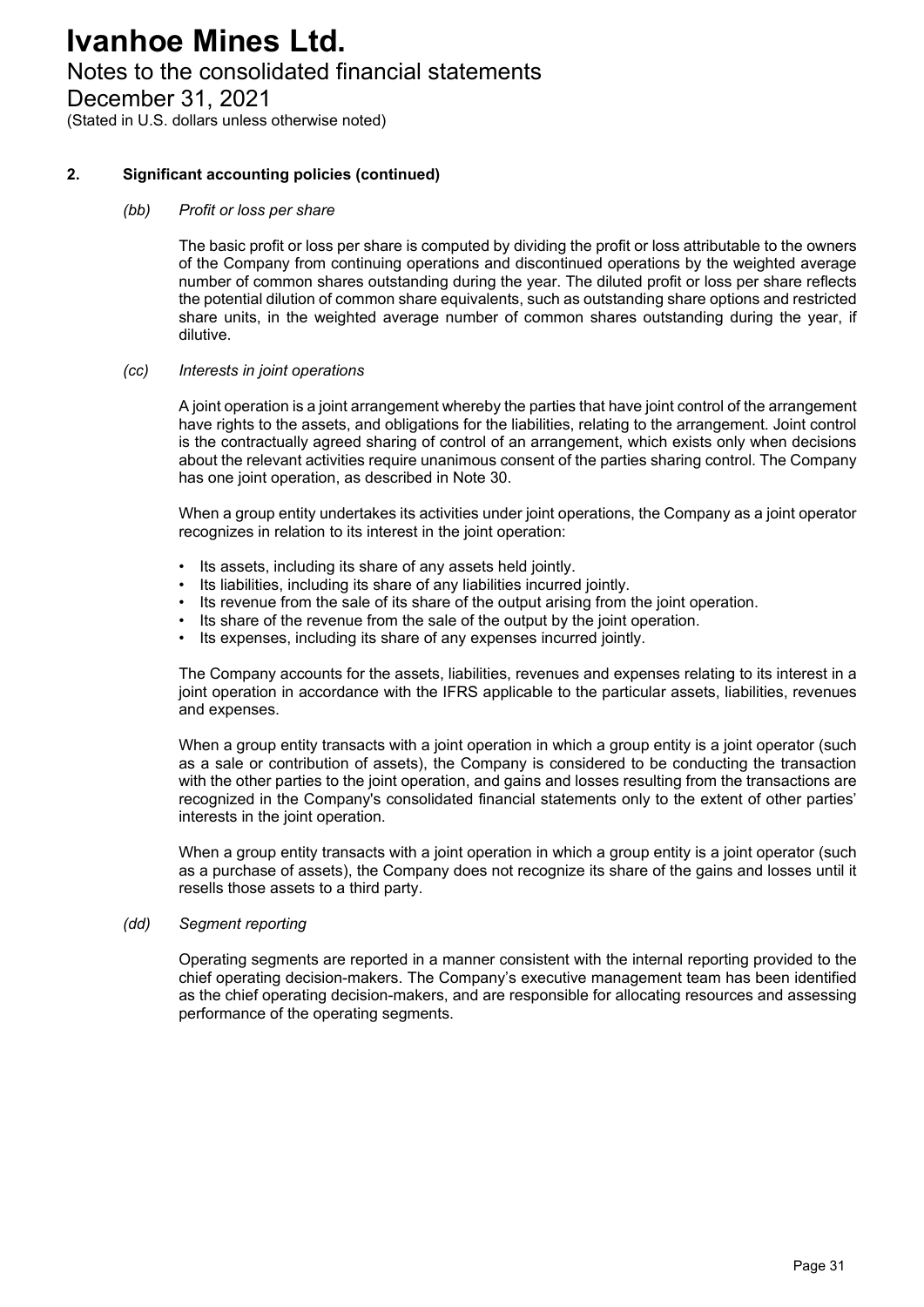### Notes to the consolidated financial statements

December 31, 2021

(Stated in U.S. dollars unless otherwise noted)

#### **2. Significant accounting policies (continued)**

#### *(bb) Profit or loss per share*

The basic profit or loss per share is computed by dividing the profit or loss attributable to the owners of the Company from continuing operations and discontinued operations by the weighted average number of common shares outstanding during the year. The diluted profit or loss per share reflects the potential dilution of common share equivalents, such as outstanding share options and restricted share units, in the weighted average number of common shares outstanding during the year, if dilutive.

#### *(cc) Interests in joint operations*

A joint operation is a joint arrangement whereby the parties that have joint control of the arrangement have rights to the assets, and obligations for the liabilities, relating to the arrangement. Joint control is the contractually agreed sharing of control of an arrangement, which exists only when decisions about the relevant activities require unanimous consent of the parties sharing control. The Company has one joint operation, as described in Note 30.

When a group entity undertakes its activities under joint operations, the Company as a joint operator recognizes in relation to its interest in the joint operation:

- Its assets, including its share of any assets held jointly.
- Its liabilities, including its share of any liabilities incurred jointly.
- Its revenue from the sale of its share of the output arising from the joint operation.
- Its share of the revenue from the sale of the output by the joint operation.
- Its expenses, including its share of any expenses incurred jointly.

The Company accounts for the assets, liabilities, revenues and expenses relating to its interest in a joint operation in accordance with the IFRS applicable to the particular assets, liabilities, revenues and expenses.

When a group entity transacts with a joint operation in which a group entity is a joint operator (such as a sale or contribution of assets), the Company is considered to be conducting the transaction with the other parties to the joint operation, and gains and losses resulting from the transactions are recognized in the Company's consolidated financial statements only to the extent of other parties' interests in the joint operation.

When a group entity transacts with a joint operation in which a group entity is a joint operator (such as a purchase of assets), the Company does not recognize its share of the gains and losses until it resells those assets to a third party.

#### *(dd) Segment reporting*

Operating segments are reported in a manner consistent with the internal reporting provided to the chief operating decision-makers. The Company's executive management team has been identified as the chief operating decision-makers, and are responsible for allocating resources and assessing performance of the operating segments.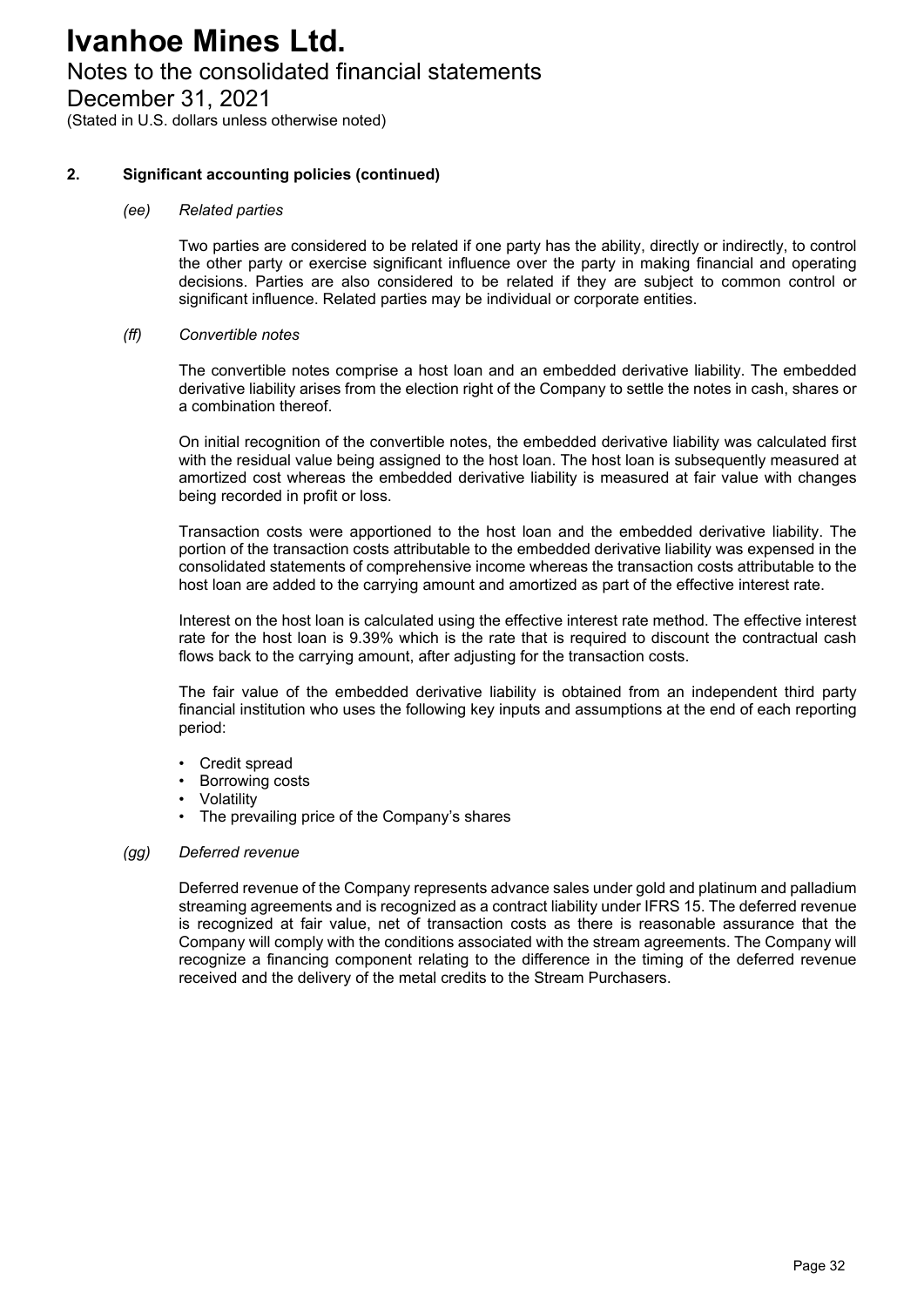### Notes to the consolidated financial statements

December 31, 2021

(Stated in U.S. dollars unless otherwise noted)

#### **2. Significant accounting policies (continued)**

#### *(ee) Related parties*

Two parties are considered to be related if one party has the ability, directly or indirectly, to control the other party or exercise significant influence over the party in making financial and operating decisions. Parties are also considered to be related if they are subject to common control or significant influence. Related parties may be individual or corporate entities.

#### *(ff) Convertible notes*

The convertible notes comprise a host loan and an embedded derivative liability. The embedded derivative liability arises from the election right of the Company to settle the notes in cash, shares or a combination thereof.

On initial recognition of the convertible notes, the embedded derivative liability was calculated first with the residual value being assigned to the host loan. The host loan is subsequently measured at amortized cost whereas the embedded derivative liability is measured at fair value with changes being recorded in profit or loss.

Transaction costs were apportioned to the host loan and the embedded derivative liability. The portion of the transaction costs attributable to the embedded derivative liability was expensed in the consolidated statements of comprehensive income whereas the transaction costs attributable to the host loan are added to the carrying amount and amortized as part of the effective interest rate.

Interest on the host loan is calculated using the effective interest rate method. The effective interest rate for the host loan is 9.39% which is the rate that is required to discount the contractual cash flows back to the carrying amount, after adjusting for the transaction costs.

The fair value of the embedded derivative liability is obtained from an independent third party financial institution who uses the following key inputs and assumptions at the end of each reporting period:

- Credit spread
- **Borrowing costs**
- **Volatility**
- The prevailing price of the Company's shares

#### *(gg) Deferred revenue*

Deferred revenue of the Company represents advance sales under gold and platinum and palladium streaming agreements and is recognized as a contract liability under IFRS 15. The deferred revenue is recognized at fair value, net of transaction costs as there is reasonable assurance that the Company will comply with the conditions associated with the stream agreements. The Company will recognize a financing component relating to the difference in the timing of the deferred revenue received and the delivery of the metal credits to the Stream Purchasers.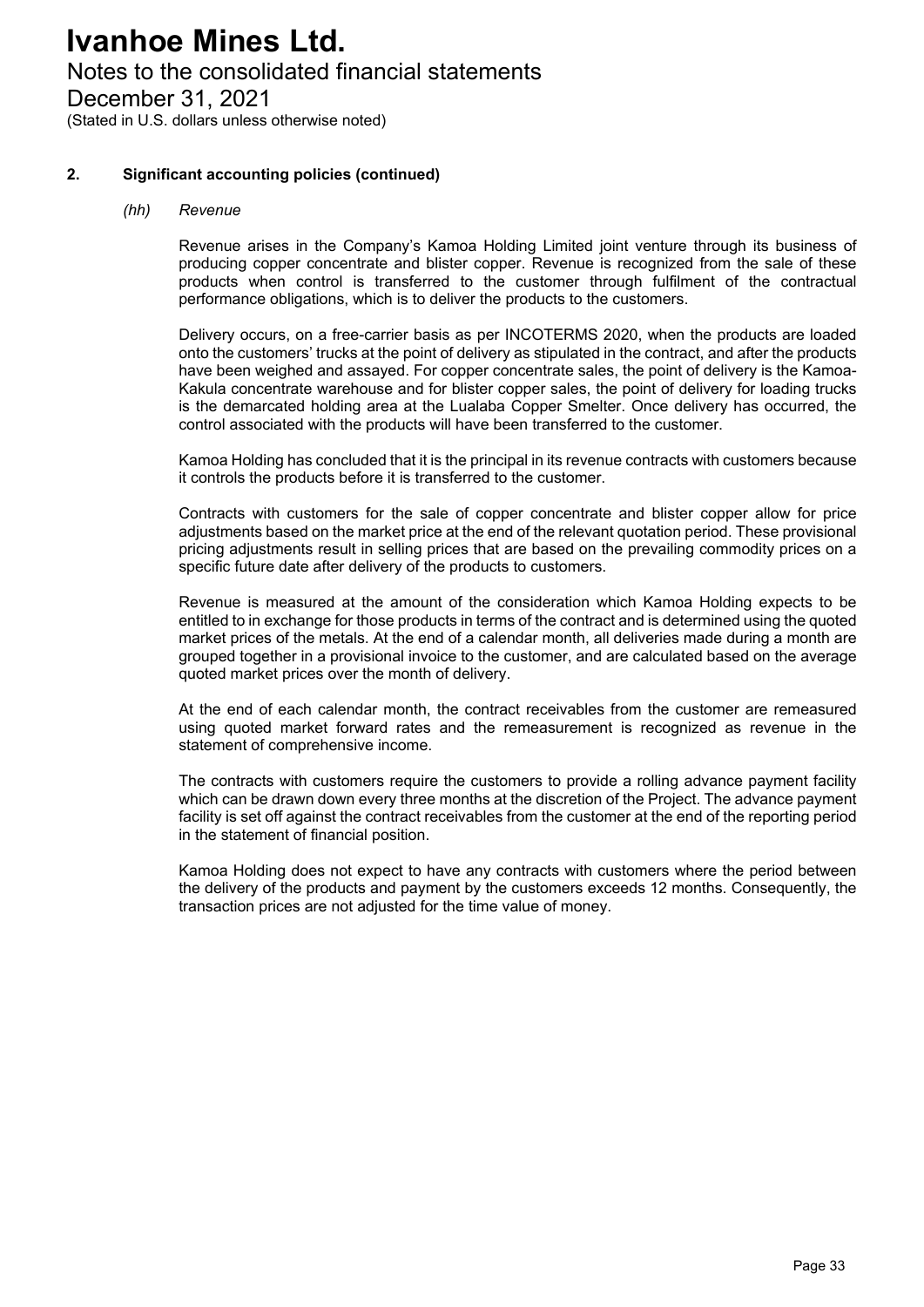### Notes to the consolidated financial statements

December 31, 2021

(Stated in U.S. dollars unless otherwise noted)

#### **2. Significant accounting policies (continued)**

#### *(hh) Revenue*

Revenue arises in the Company's Kamoa Holding Limited joint venture through its business of producing copper concentrate and blister copper. Revenue is recognized from the sale of these products when control is transferred to the customer through fulfilment of the contractual performance obligations, which is to deliver the products to the customers.

Delivery occurs, on a free-carrier basis as per INCOTERMS 2020, when the products are loaded onto the customers' trucks at the point of delivery as stipulated in the contract, and after the products have been weighed and assayed. For copper concentrate sales, the point of delivery is the Kamoa-Kakula concentrate warehouse and for blister copper sales, the point of delivery for loading trucks is the demarcated holding area at the Lualaba Copper Smelter. Once delivery has occurred, the control associated with the products will have been transferred to the customer.

Kamoa Holding has concluded that it is the principal in its revenue contracts with customers because it controls the products before it is transferred to the customer.

Contracts with customers for the sale of copper concentrate and blister copper allow for price adjustments based on the market price at the end of the relevant quotation period. These provisional pricing adjustments result in selling prices that are based on the prevailing commodity prices on a specific future date after delivery of the products to customers.

Revenue is measured at the amount of the consideration which Kamoa Holding expects to be entitled to in exchange for those products in terms of the contract and is determined using the quoted market prices of the metals. At the end of a calendar month, all deliveries made during a month are grouped together in a provisional invoice to the customer, and are calculated based on the average quoted market prices over the month of delivery.

At the end of each calendar month, the contract receivables from the customer are remeasured using quoted market forward rates and the remeasurement is recognized as revenue in the statement of comprehensive income.

The contracts with customers require the customers to provide a rolling advance payment facility which can be drawn down every three months at the discretion of the Project. The advance payment facility is set off against the contract receivables from the customer at the end of the reporting period in the statement of financial position.

Kamoa Holding does not expect to have any contracts with customers where the period between the delivery of the products and payment by the customers exceeds 12 months. Consequently, the transaction prices are not adjusted for the time value of money.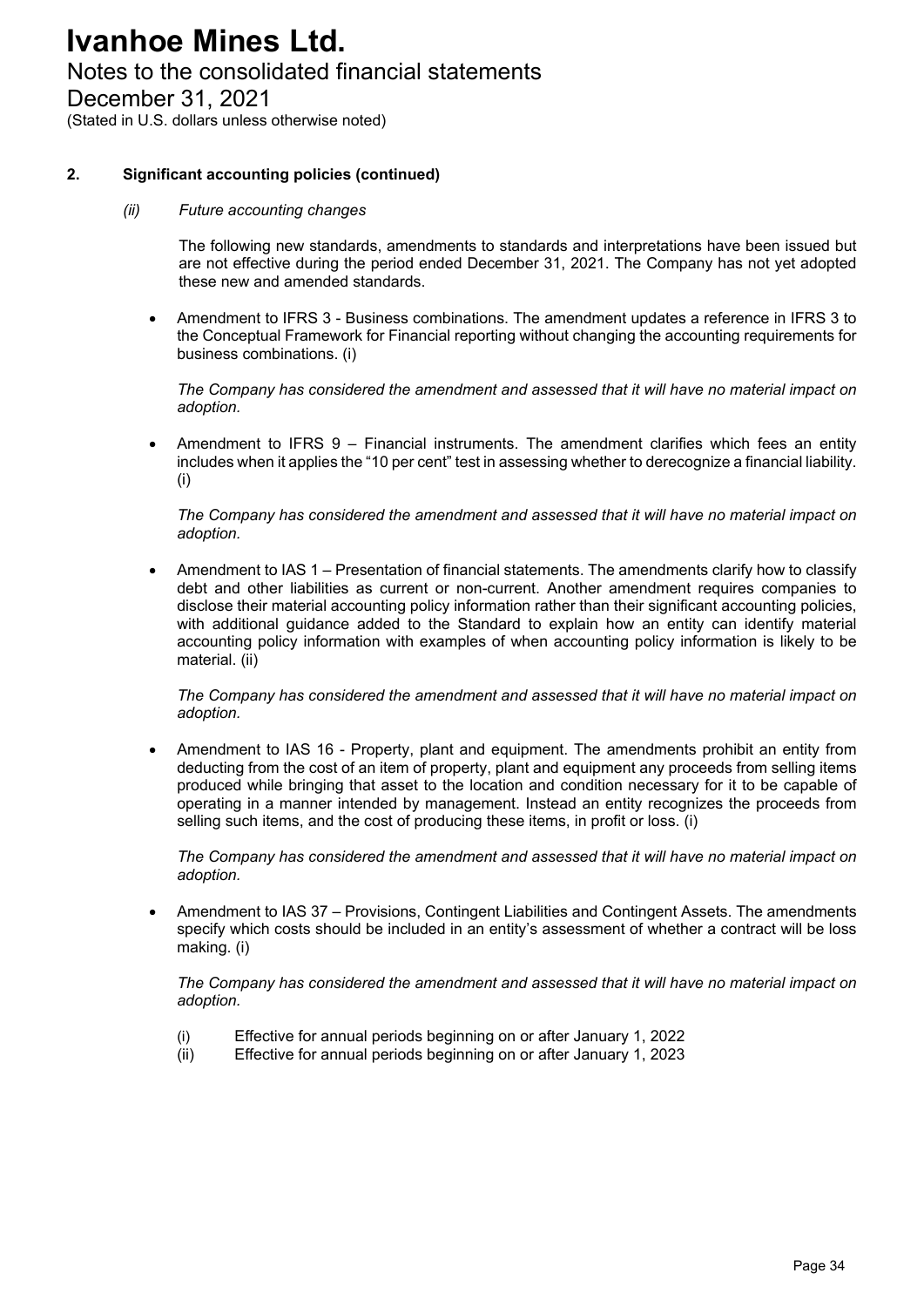### Notes to the consolidated financial statements

December 31, 2021

(Stated in U.S. dollars unless otherwise noted)

#### **2. Significant accounting policies (continued)**

#### *(ii) Future accounting changes*

The following new standards, amendments to standards and interpretations have been issued but are not effective during the period ended December 31, 2021. The Company has not yet adopted these new and amended standards.

 Amendment to IFRS 3 - Business combinations. The amendment updates a reference in IFRS 3 to the Conceptual Framework for Financial reporting without changing the accounting requirements for business combinations. (i)

*The Company has considered the amendment and assessed that it will have no material impact on adoption.*

 Amendment to IFRS 9 – Financial instruments. The amendment clarifies which fees an entity includes when it applies the "10 per cent" test in assessing whether to derecognize a financial liability. (i)

*The Company has considered the amendment and assessed that it will have no material impact on adoption.* 

 Amendment to IAS 1 – Presentation of financial statements. The amendments clarify how to classify debt and other liabilities as current or non-current. Another amendment requires companies to disclose their material accounting policy information rather than their significant accounting policies, with additional guidance added to the Standard to explain how an entity can identify material accounting policy information with examples of when accounting policy information is likely to be material. (ii)

*The Company has considered the amendment and assessed that it will have no material impact on adoption.* 

 Amendment to IAS 16 - Property, plant and equipment. The amendments prohibit an entity from deducting from the cost of an item of property, plant and equipment any proceeds from selling items produced while bringing that asset to the location and condition necessary for it to be capable of operating in a manner intended by management. Instead an entity recognizes the proceeds from selling such items, and the cost of producing these items, in profit or loss. (i)

*The Company has considered the amendment and assessed that it will have no material impact on adoption.* 

 Amendment to IAS 37 – Provisions, Contingent Liabilities and Contingent Assets. The amendments specify which costs should be included in an entity's assessment of whether a contract will be loss making. (i)

*The Company has considered the amendment and assessed that it will have no material impact on adoption.* 

- (i) Effective for annual periods beginning on or after January 1, 2022
- (ii) Effective for annual periods beginning on or after January 1, 2023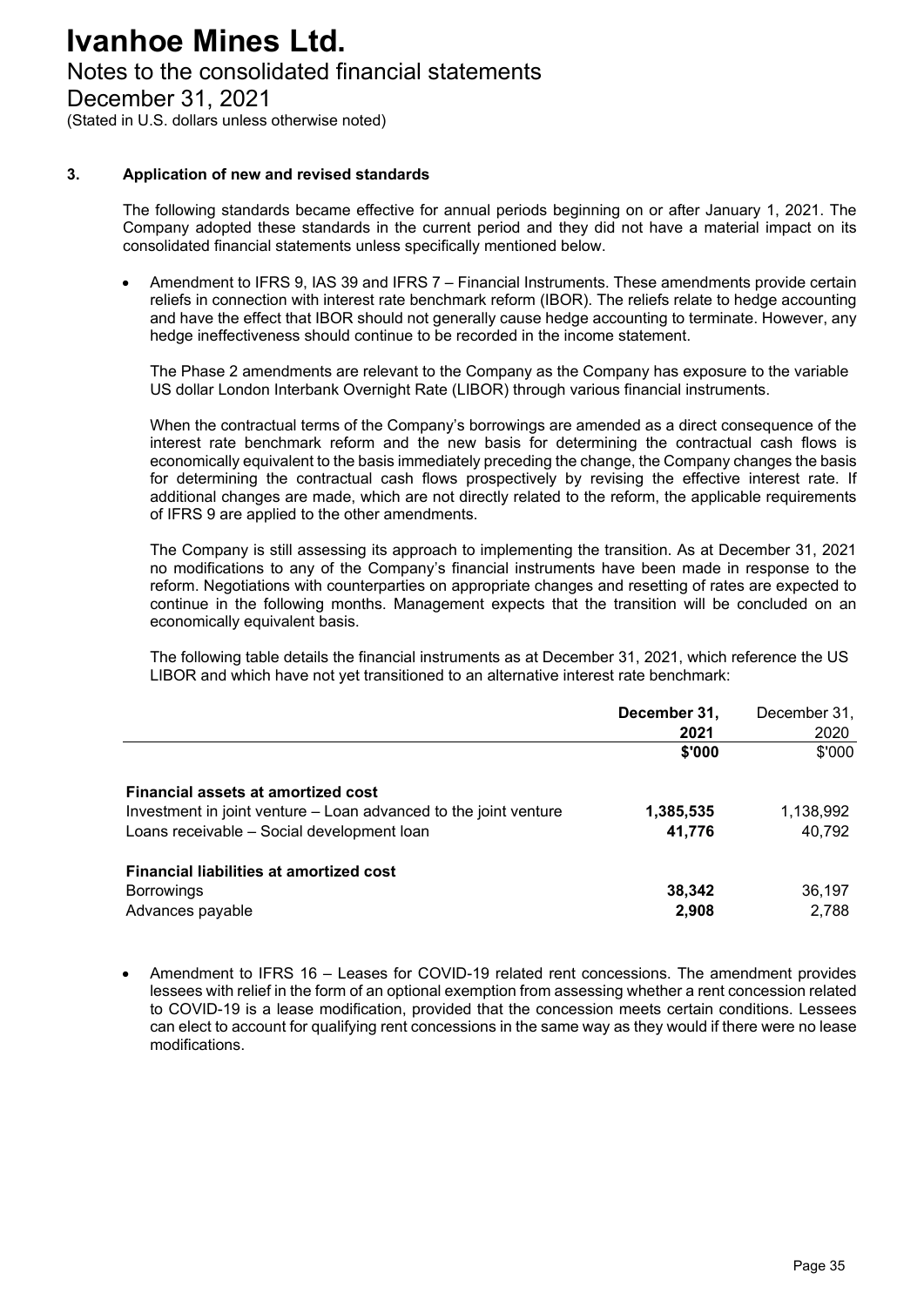### Notes to the consolidated financial statements

December 31, 2021

(Stated in U.S. dollars unless otherwise noted)

#### **3. Application of new and revised standards**

The following standards became effective for annual periods beginning on or after January 1, 2021. The Company adopted these standards in the current period and they did not have a material impact on its consolidated financial statements unless specifically mentioned below.

 Amendment to IFRS 9, IAS 39 and IFRS 7 – Financial Instruments. These amendments provide certain reliefs in connection with interest rate benchmark reform (IBOR). The reliefs relate to hedge accounting and have the effect that IBOR should not generally cause hedge accounting to terminate. However, any hedge ineffectiveness should continue to be recorded in the income statement.

The Phase 2 amendments are relevant to the Company as the Company has exposure to the variable US dollar London Interbank Overnight Rate (LIBOR) through various financial instruments.

When the contractual terms of the Company's borrowings are amended as a direct consequence of the interest rate benchmark reform and the new basis for determining the contractual cash flows is economically equivalent to the basis immediately preceding the change, the Company changes the basis for determining the contractual cash flows prospectively by revising the effective interest rate. If additional changes are made, which are not directly related to the reform, the applicable requirements of IFRS 9 are applied to the other amendments.

The Company is still assessing its approach to implementing the transition. As at December 31, 2021 no modifications to any of the Company's financial instruments have been made in response to the reform. Negotiations with counterparties on appropriate changes and resetting of rates are expected to continue in the following months. Management expects that the transition will be concluded on an economically equivalent basis.

The following table details the financial instruments as at December 31, 2021, which reference the US LIBOR and which have not yet transitioned to an alternative interest rate benchmark:

|                                                                                                                                                      | December 31,<br>2021 | December 31,<br>2020 |
|------------------------------------------------------------------------------------------------------------------------------------------------------|----------------------|----------------------|
|                                                                                                                                                      | \$'000               | \$'000               |
| Financial assets at amortized cost<br>Investment in joint venture – Loan advanced to the joint venture<br>Loans receivable - Social development loan | 1,385,535<br>41,776  | 1,138,992<br>40,792  |
| <b>Financial liabilities at amortized cost</b><br><b>Borrowings</b><br>Advances payable                                                              | 38,342<br>2,908      | 36,197<br>2,788      |

 Amendment to IFRS 16 – Leases for COVID-19 related rent concessions. The amendment provides lessees with relief in the form of an optional exemption from assessing whether a rent concession related to COVID-19 is a lease modification, provided that the concession meets certain conditions. Lessees can elect to account for qualifying rent concessions in the same way as they would if there were no lease modifications.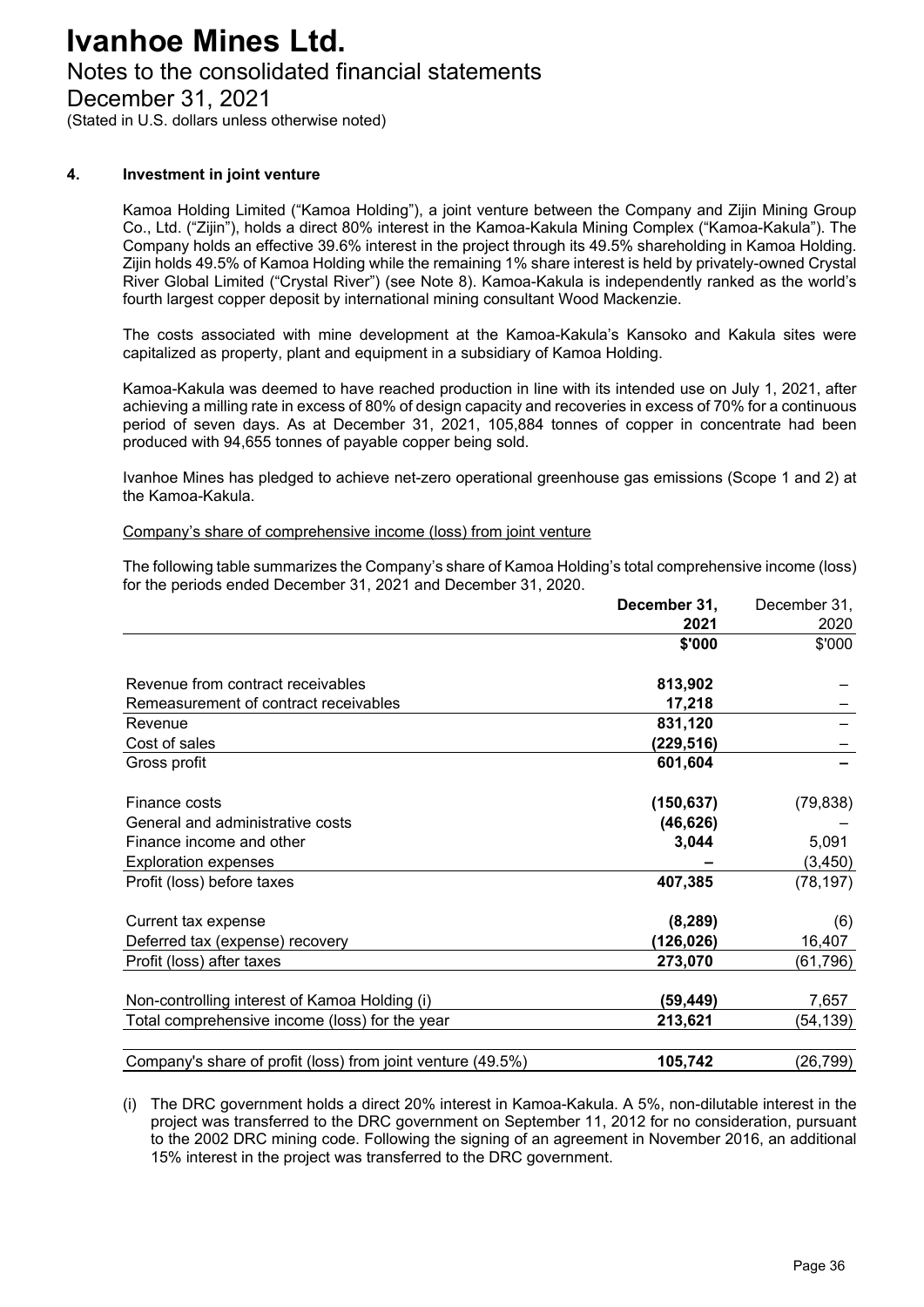### Notes to the consolidated financial statements

December 31, 2021

(Stated in U.S. dollars unless otherwise noted)

#### **4. Investment in joint venture**

Kamoa Holding Limited ("Kamoa Holding"), a joint venture between the Company and Zijin Mining Group Co., Ltd. ("Zijin"), holds a direct 80% interest in the Kamoa-Kakula Mining Complex ("Kamoa-Kakula"). The Company holds an effective 39.6% interest in the project through its 49.5% shareholding in Kamoa Holding. Zijin holds 49.5% of Kamoa Holding while the remaining 1% share interest is held by privately-owned Crystal River Global Limited ("Crystal River") (see Note 8). Kamoa-Kakula is independently ranked as the world's fourth largest copper deposit by international mining consultant Wood Mackenzie.

The costs associated with mine development at the Kamoa-Kakula's Kansoko and Kakula sites were capitalized as property, plant and equipment in a subsidiary of Kamoa Holding.

Kamoa-Kakula was deemed to have reached production in line with its intended use on July 1, 2021, after achieving a milling rate in excess of 80% of design capacity and recoveries in excess of 70% for a continuous period of seven days. As at December 31, 2021, 105,884 tonnes of copper in concentrate had been produced with 94,655 tonnes of payable copper being sold.

Ivanhoe Mines has pledged to achieve net-zero operational greenhouse gas emissions (Scope 1 and 2) at the Kamoa-Kakula.

#### Company's share of comprehensive income (loss) from joint venture

The following table summarizes the Company's share of Kamoa Holding's total comprehensive income (loss) for the periods ended December 31, 2021 and December 31, 2020.

|                                                             | December 31, | December 31, |
|-------------------------------------------------------------|--------------|--------------|
|                                                             | 2021         | 2020         |
|                                                             | \$'000       | \$'000       |
| Revenue from contract receivables                           | 813,902      |              |
| Remeasurement of contract receivables                       | 17,218       |              |
| Revenue                                                     | 831,120      |              |
| Cost of sales                                               | (229,516)    |              |
| Gross profit                                                | 601,604      |              |
| Finance costs                                               | (150, 637)   | (79, 838)    |
| General and administrative costs                            | (46, 626)    |              |
| Finance income and other                                    | 3,044        | 5,091        |
| <b>Exploration expenses</b>                                 |              | (3, 450)     |
| Profit (loss) before taxes                                  | 407,385      | (78, 197)    |
| Current tax expense                                         | (8, 289)     | (6)          |
| Deferred tax (expense) recovery                             | (126, 026)   | 16,407       |
| Profit (loss) after taxes                                   | 273,070      | (61,796)     |
| Non-controlling interest of Kamoa Holding (i)               | (59,449)     | 7,657        |
| Total comprehensive income (loss) for the year              | 213,621      | (54,139)     |
| Company's share of profit (loss) from joint venture (49.5%) | 105,742      | (26,799)     |

(i) The DRC government holds a direct 20% interest in Kamoa-Kakula. A 5%, non-dilutable interest in the project was transferred to the DRC government on September 11, 2012 for no consideration, pursuant to the 2002 DRC mining code. Following the signing of an agreement in November 2016, an additional 15% interest in the project was transferred to the DRC government.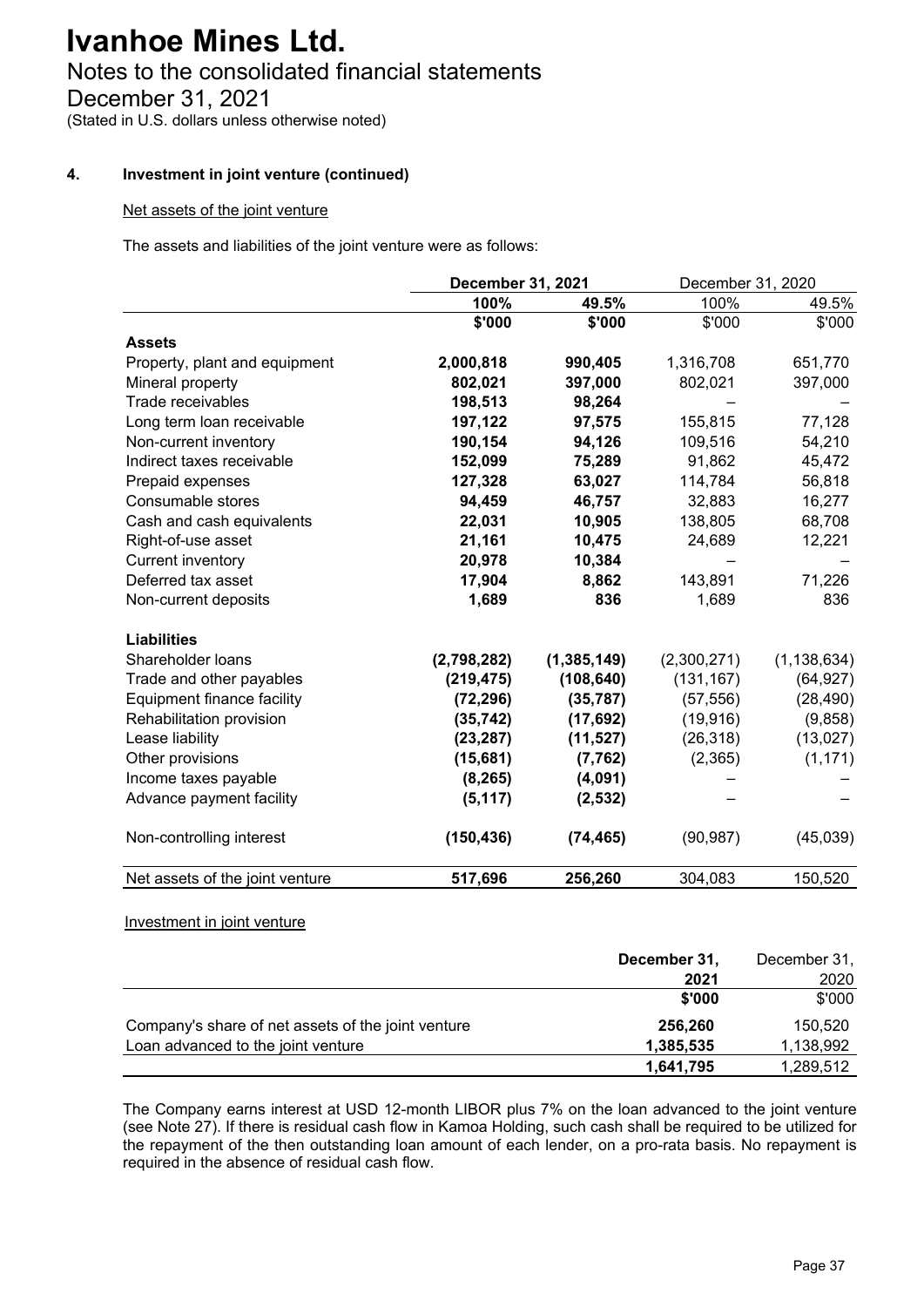# Notes to the consolidated financial statements

December 31, 2021

(Stated in U.S. dollars unless otherwise noted)

## **4. Investment in joint venture (continued)**

### Net assets of the joint venture

The assets and liabilities of the joint venture were as follows:

|                                 | December 31, 2021 |               | December 31, 2020 |               |
|---------------------------------|-------------------|---------------|-------------------|---------------|
|                                 | 100%              | 49.5%         | 100%              | 49.5%         |
|                                 | \$'000            | \$'000        | \$'000            | \$'000        |
| <b>Assets</b>                   |                   |               |                   |               |
| Property, plant and equipment   | 2,000,818         | 990,405       | 1,316,708         | 651,770       |
| Mineral property                | 802,021           | 397,000       | 802,021           | 397,000       |
| Trade receivables               | 198,513           | 98,264        |                   |               |
| Long term loan receivable       | 197,122           | 97,575        | 155,815           | 77,128        |
| Non-current inventory           | 190,154           | 94,126        | 109,516           | 54,210        |
| Indirect taxes receivable       | 152,099           | 75,289        | 91,862            | 45,472        |
| Prepaid expenses                | 127,328           | 63,027        | 114,784           | 56,818        |
| Consumable stores               | 94,459            | 46,757        | 32,883            | 16,277        |
| Cash and cash equivalents       | 22,031            | 10,905        | 138,805           | 68,708        |
| Right-of-use asset              | 21,161            | 10,475        | 24,689            | 12,221        |
| <b>Current inventory</b>        | 20,978            | 10,384        |                   |               |
| Deferred tax asset              | 17,904            | 8,862         | 143,891           | 71,226        |
| Non-current deposits            | 1,689             | 836           | 1,689             | 836           |
| <b>Liabilities</b>              |                   |               |                   |               |
| Shareholder loans               | (2,798,282)       | (1, 385, 149) | (2,300,271)       | (1, 138, 634) |
| Trade and other payables        | (219, 475)        | (108, 640)    | (131, 167)        | (64, 927)     |
| Equipment finance facility      | (72, 296)         | (35, 787)     | (57, 556)         | (28, 490)     |
| Rehabilitation provision        | (35, 742)         | (17, 692)     | (19, 916)         | (9,858)       |
| Lease liability                 | (23, 287)         | (11, 527)     | (26, 318)         | (13,027)      |
| Other provisions                | (15,681)          | (7, 762)      | (2,365)           | (1, 171)      |
| Income taxes payable            | (8, 265)          | (4,091)       |                   |               |
| Advance payment facility        | (5, 117)          | (2,532)       |                   |               |
| Non-controlling interest        | (150, 436)        | (74, 465)     | (90, 987)         | (45,039)      |
| Net assets of the joint venture | 517,696           | 256,260       | 304,083           | 150,520       |

### Investment in joint venture

|                                                    | December 31, | December 31, |
|----------------------------------------------------|--------------|--------------|
|                                                    | 2021         | 2020         |
|                                                    | \$'000       | \$'000       |
| Company's share of net assets of the joint venture | 256,260      | 150.520      |
| Loan advanced to the joint venture                 | 1,385,535    | 1,138,992    |
|                                                    | 1,641,795    | 1,289,512    |

The Company earns interest at USD 12-month LIBOR plus 7% on the loan advanced to the joint venture (see Note 27). If there is residual cash flow in Kamoa Holding, such cash shall be required to be utilized for the repayment of the then outstanding loan amount of each lender, on a pro-rata basis. No repayment is required in the absence of residual cash flow.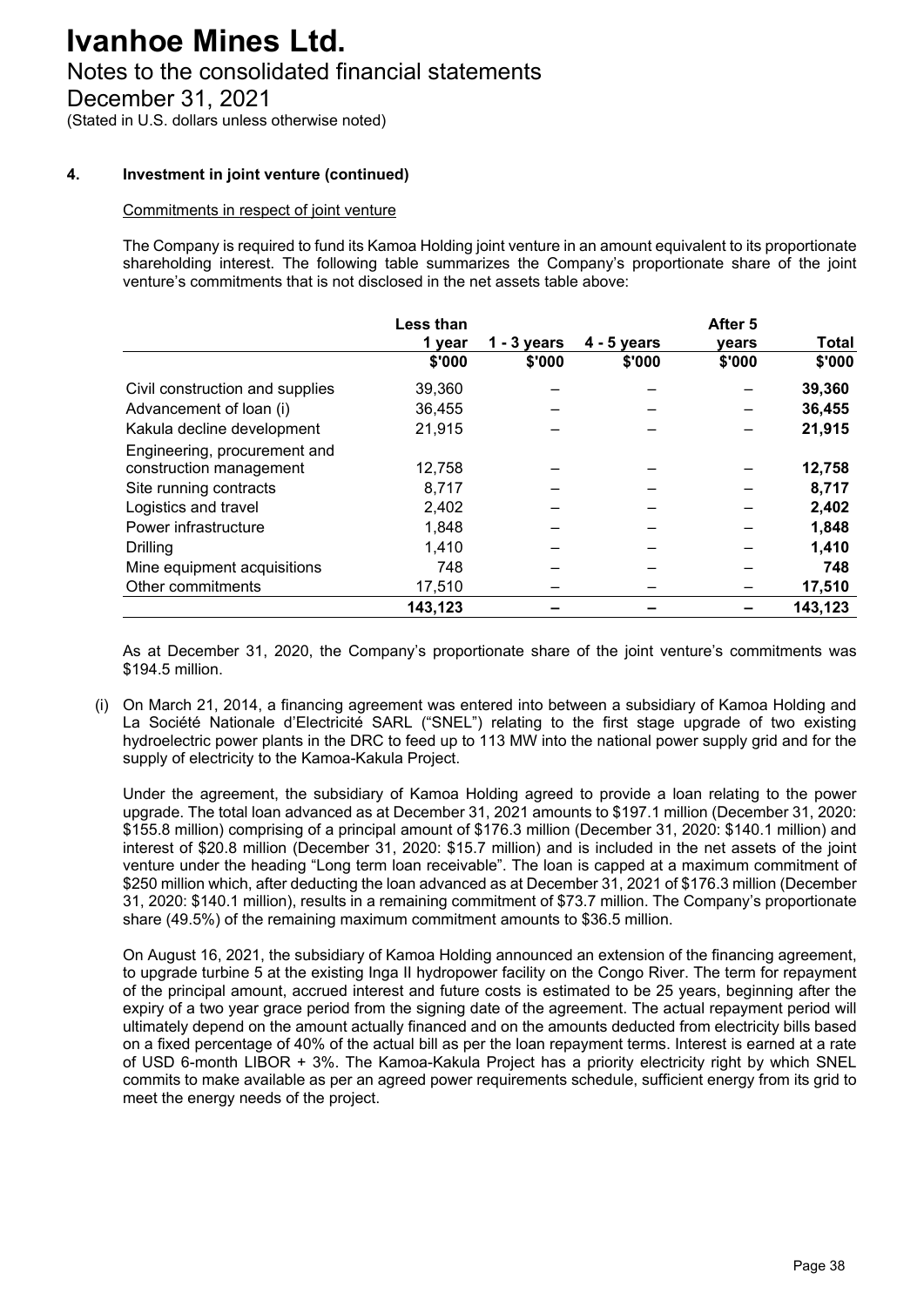# Notes to the consolidated financial statements

December 31, 2021

(Stated in U.S. dollars unless otherwise noted)

#### **4. Investment in joint venture (continued)**

#### Commitments in respect of joint venture

The Company is required to fund its Kamoa Holding joint venture in an amount equivalent to its proportionate shareholding interest. The following table summarizes the Company's proportionate share of the joint venture's commitments that is not disclosed in the net assets table above:

|                                 | Less than |               |               | After 5 |              |
|---------------------------------|-----------|---------------|---------------|---------|--------------|
|                                 | 1 year    | $1 - 3$ years | $4 - 5$ years | vears   | <b>Total</b> |
|                                 | \$'000    | \$'000        | \$'000        | \$'000  | \$'000       |
| Civil construction and supplies | 39,360    |               |               |         | 39,360       |
| Advancement of loan (i)         | 36,455    |               |               |         | 36,455       |
| Kakula decline development      | 21,915    |               |               |         | 21,915       |
| Engineering, procurement and    |           |               |               |         |              |
| construction management         | 12,758    |               |               |         | 12,758       |
| Site running contracts          | 8,717     |               |               |         | 8,717        |
| Logistics and travel            | 2,402     |               |               |         | 2,402        |
| Power infrastructure            | 1,848     |               |               |         | 1,848        |
| <b>Drilling</b>                 | 1,410     |               |               |         | 1,410        |
| Mine equipment acquisitions     | 748       |               |               |         | 748          |
| Other commitments               | 17,510    |               |               |         | 17,510       |
|                                 | 143,123   |               |               |         | 143,123      |

As at December 31, 2020, the Company's proportionate share of the joint venture's commitments was \$194.5 million.

(i) On March 21, 2014, a financing agreement was entered into between a subsidiary of Kamoa Holding and La Société Nationale d'Electricité SARL ("SNEL") relating to the first stage upgrade of two existing hydroelectric power plants in the DRC to feed up to 113 MW into the national power supply grid and for the supply of electricity to the Kamoa-Kakula Project.

Under the agreement, the subsidiary of Kamoa Holding agreed to provide a loan relating to the power upgrade. The total loan advanced as at December 31, 2021 amounts to \$197.1 million (December 31, 2020: \$155.8 million) comprising of a principal amount of \$176.3 million (December 31, 2020: \$140.1 million) and interest of \$20.8 million (December 31, 2020: \$15.7 million) and is included in the net assets of the joint venture under the heading "Long term loan receivable". The loan is capped at a maximum commitment of \$250 million which, after deducting the loan advanced as at December 31, 2021 of \$176.3 million (December 31, 2020: \$140.1 million), results in a remaining commitment of \$73.7 million. The Company's proportionate share (49.5%) of the remaining maximum commitment amounts to \$36.5 million.

On August 16, 2021, the subsidiary of Kamoa Holding announced an extension of the financing agreement, to upgrade turbine 5 at the existing Inga II hydropower facility on the Congo River. The term for repayment of the principal amount, accrued interest and future costs is estimated to be 25 years, beginning after the expiry of a two year grace period from the signing date of the agreement. The actual repayment period will ultimately depend on the amount actually financed and on the amounts deducted from electricity bills based on a fixed percentage of 40% of the actual bill as per the loan repayment terms. Interest is earned at a rate of USD 6-month LIBOR + 3%. The Kamoa-Kakula Project has a priority electricity right by which SNEL commits to make available as per an agreed power requirements schedule, sufficient energy from its grid to meet the energy needs of the project.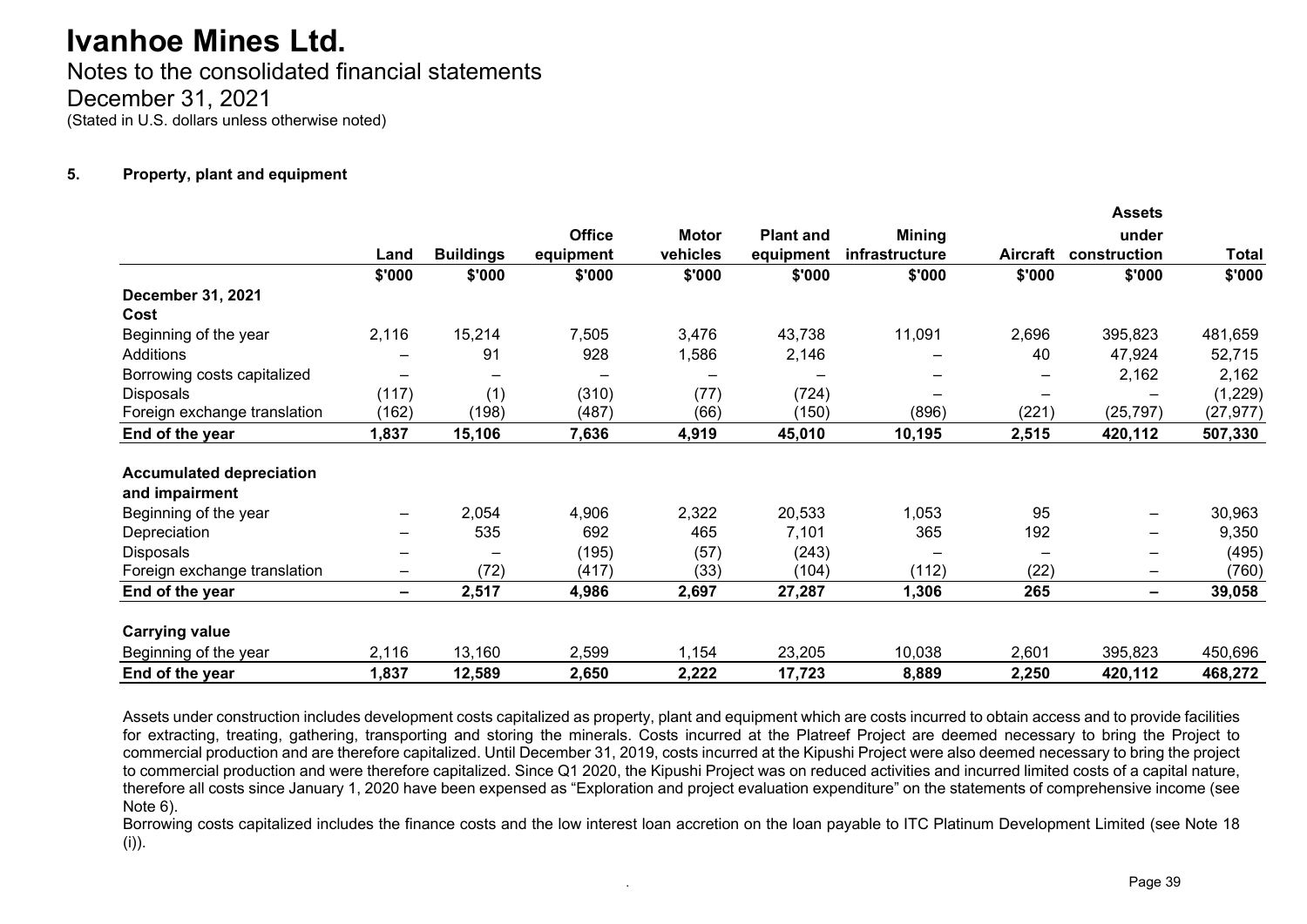Notes to the consolidated financial statements December 31, 2021 (Stated in U.S. dollars unless otherwise noted)

#### **5. Property, plant and equipment**

|                                 |                              |                  |               |              |                  |                |                 | <b>Assets</b>          |              |
|---------------------------------|------------------------------|------------------|---------------|--------------|------------------|----------------|-----------------|------------------------|--------------|
|                                 |                              |                  | <b>Office</b> | <b>Motor</b> | <b>Plant and</b> | <b>Mining</b>  |                 | under                  |              |
|                                 | Land                         | <b>Buildings</b> | equipment     | vehicles     | equipment        | infrastructure | <b>Aircraft</b> | construction           | <b>Total</b> |
|                                 | \$'000                       | \$'000           | \$'000        | \$'000       | \$'000           | \$'000         | \$'000          | \$'000                 | \$'000       |
| <b>December 31, 2021</b>        |                              |                  |               |              |                  |                |                 |                        |              |
| Cost                            |                              |                  |               |              |                  |                |                 |                        |              |
| Beginning of the year           | 2,116                        | 15,214           | 7,505         | 3,476        | 43,738           | 11,091         | 2,696           | 395,823                | 481,659      |
| Additions                       |                              | 91               | 928           | 1,586        | 2,146            |                | 40              | 47,924                 | 52,715       |
| Borrowing costs capitalized     |                              |                  |               |              |                  |                |                 | 2,162                  | 2,162        |
| Disposals                       | (117)                        | (1)              | (310)         | (77)         | (724)            |                | $\qquad \qquad$ |                        | (1,229)      |
| Foreign exchange translation    | (162)                        | (198)            | (487)         | (66)         | (150)            | (896)          | (221)           | (25, 797)              | (27, 977)    |
| End of the year                 | 1,837                        | 15,106           | 7,636         | 4,919        | 45,010           | 10,195         | 2,515           | 420,112                | 507,330      |
| <b>Accumulated depreciation</b> |                              |                  |               |              |                  |                |                 |                        |              |
| and impairment                  |                              |                  |               |              |                  |                |                 |                        |              |
| Beginning of the year           |                              | 2,054            | 4,906         | 2,322        | 20,533           | 1,053          | 95              | —                      | 30,963       |
| Depreciation                    |                              | 535              | 692           | 465          | 7,101            | 365            | 192             | -                      | 9,350        |
| <b>Disposals</b>                |                              |                  | (195)         | (57)         | (243)            |                | $\qquad \qquad$ | —                      | (495)        |
| Foreign exchange translation    | $\qquad \qquad \blacksquare$ | (72)             | (417)         | (33)         | (104)            | (112)          | (22)            | $\qquad \qquad \qquad$ | (760)        |
| End of the year                 | $\overline{\phantom{0}}$     | 2,517            | 4,986         | 2,697        | 27,287           | 1,306          | 265             | -                      | 39,058       |
| <b>Carrying value</b>           |                              |                  |               |              |                  |                |                 |                        |              |
| Beginning of the year           | 2,116                        | 13,160           | 2,599         | 1,154        | 23,205           | 10,038         | 2,601           | 395,823                | 450,696      |
| End of the year                 | 1,837                        | 12,589           | 2,650         | 2,222        | 17,723           | 8,889          | 2,250           | 420,112                | 468,272      |

Assets under construction includes development costs capitalized as property, plant and equipment which are costs incurred to obtain access and to provide facilities for extracting, treating, gathering, transporting and storing the minerals. Costs incurred at the Platreef Project are deemed necessary to bring the Project to commercial production and are therefore capitalized. Until December 31, 2019, costs incurred at the Kipushi Project were also deemed necessary to bring the project to commercial production and were therefore capitalized. Since Q1 2020, the Kipushi Project was on reduced activities and incurred limited costs of a capital nature, therefore all costs since January 1, 2020 have been expensed as "Exploration and project evaluation expenditure" on the statements of comprehensive income (see Note 6).

Borrowing costs capitalized includes the finance costs and the low interest loan accretion on the loan payable to ITC Platinum Development Limited (see Note 18 (i)).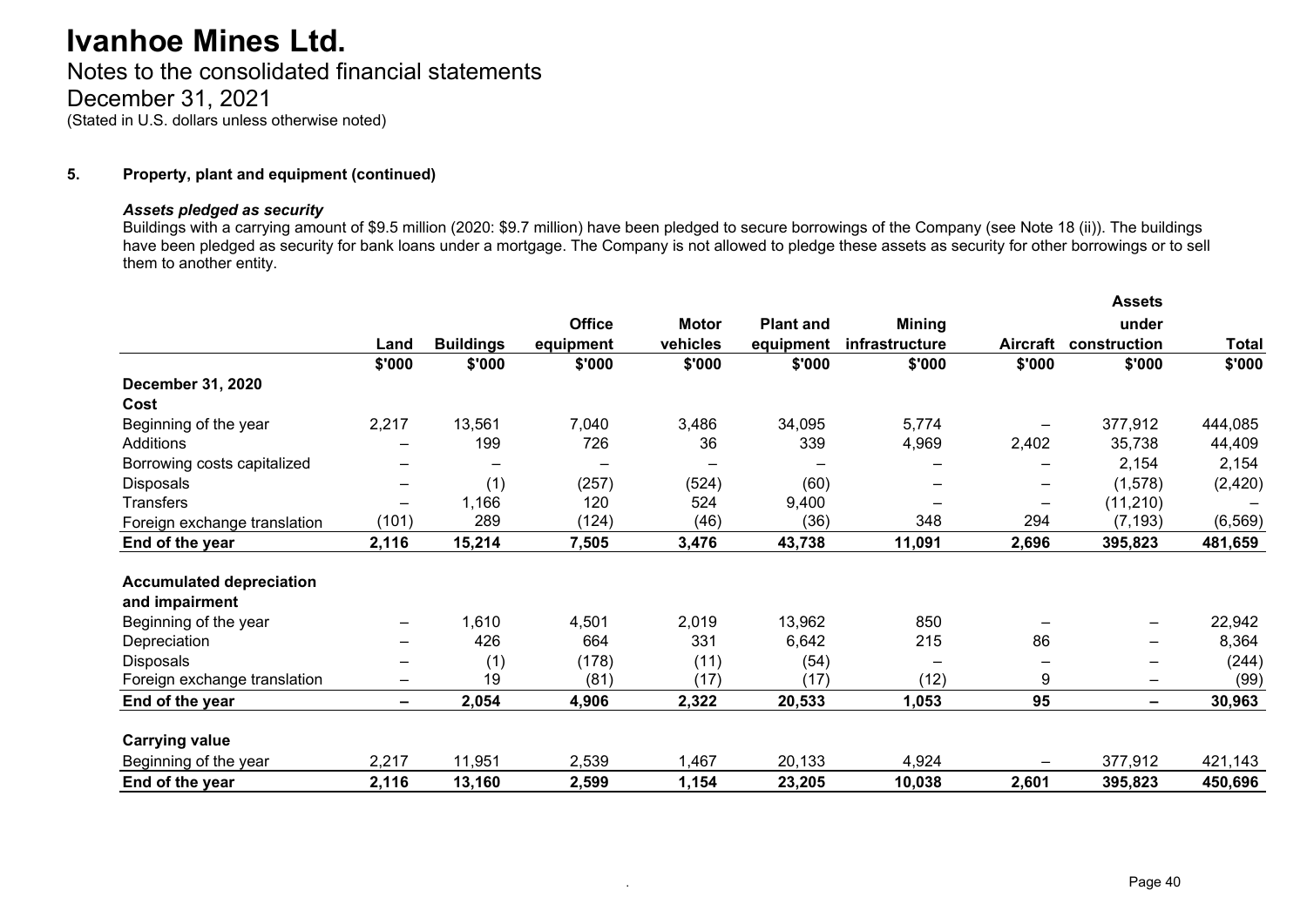# Notes to the consolidated financial statements December 31, 2021 (Stated in U.S. dollars unless otherwise noted)

#### **5. Property, plant and equipment (continued)**

#### *Assets pledged as security*

Buildings with a carrying amount of \$9.5 million (2020: \$9.7 million) have been pledged to secure borrowings of the Company (see Note 18 (ii)). The buildings have been pledged as security for bank loans under a mortgage. The Company is not allowed to pledge these assets as security for other borrowings or to sell them to another entity.

|                                 |                              |                          |               |              |                  |                |                              | <b>Assets</b>                |              |
|---------------------------------|------------------------------|--------------------------|---------------|--------------|------------------|----------------|------------------------------|------------------------------|--------------|
|                                 |                              |                          | <b>Office</b> | <b>Motor</b> | <b>Plant and</b> | <b>Mining</b>  |                              | under                        |              |
|                                 | Land                         | <b>Buildings</b>         | equipment     | vehicles     | equipment        | infrastructure | <b>Aircraft</b>              | construction                 | <b>Total</b> |
|                                 | \$'000                       | \$'000                   | \$'000        | \$'000       | \$'000           | \$'000         | \$'000                       | \$'000                       | \$'000       |
| <b>December 31, 2020</b>        |                              |                          |               |              |                  |                |                              |                              |              |
| Cost                            |                              |                          |               |              |                  |                |                              |                              |              |
| Beginning of the year           | 2,217                        | 13,561                   | 7,040         | 3,486        | 34,095           | 5,774          |                              | 377,912                      | 444,085      |
| Additions                       | $\overline{\phantom{0}}$     | 199                      | 726           | 36           | 339              | 4,969          | 2,402                        | 35,738                       | 44,409       |
| Borrowing costs capitalized     |                              | $\overline{\phantom{0}}$ |               |              |                  |                |                              | 2,154                        | 2,154        |
| <b>Disposals</b>                | $\overline{\phantom{0}}$     | (1)                      | (257)         | (524)        | (60)             |                | $\qquad \qquad \qquad$       | (1,578)                      | (2, 420)     |
| <b>Transfers</b>                | $\qquad \qquad \blacksquare$ | 1,166                    | 120           | 524          | 9,400            |                | $\qquad \qquad \blacksquare$ | (11, 210)                    |              |
| Foreign exchange translation    | (101)                        | 289                      | (124)         | (46)         | (36)             | 348            | 294                          | (7, 193)                     | (6, 569)     |
| End of the year                 | 2,116                        | 15,214                   | 7,505         | 3,476        | 43,738           | 11,091         | 2,696                        | 395,823                      | 481,659      |
| <b>Accumulated depreciation</b> |                              |                          |               |              |                  |                |                              |                              |              |
| and impairment                  |                              |                          |               |              |                  |                |                              |                              |              |
| Beginning of the year           | -                            | 1,610                    | 4,501         | 2,019        | 13,962           | 850            |                              | $\overline{\phantom{m}}$     | 22,942       |
| Depreciation                    |                              | 426                      | 664           | 331          | 6,642            | 215            | 86                           | —                            | 8,364        |
| <b>Disposals</b>                |                              | (1)                      | (178)         | (11)         | (54)             |                |                              | -                            | (244)        |
| Foreign exchange translation    | -                            | 19                       | (81)          | (17)         | (17)             | (12)           | 9                            | $\qquad \qquad \blacksquare$ | (99)         |
| End of the year                 | -                            | 2,054                    | 4,906         | 2,322        | 20,533           | 1,053          | 95                           | $\overline{\phantom{a}}$     | 30,963       |
| <b>Carrying value</b>           |                              |                          |               |              |                  |                |                              |                              |              |
| Beginning of the year           | 2,217                        | 11,951                   | 2,539         | 1,467        | 20,133           | 4,924          |                              | 377,912                      | 421,143      |
| End of the year                 | 2,116                        | 13,160                   | 2,599         | 1,154        | 23,205           | 10,038         | 2,601                        | 395,823                      | 450,696      |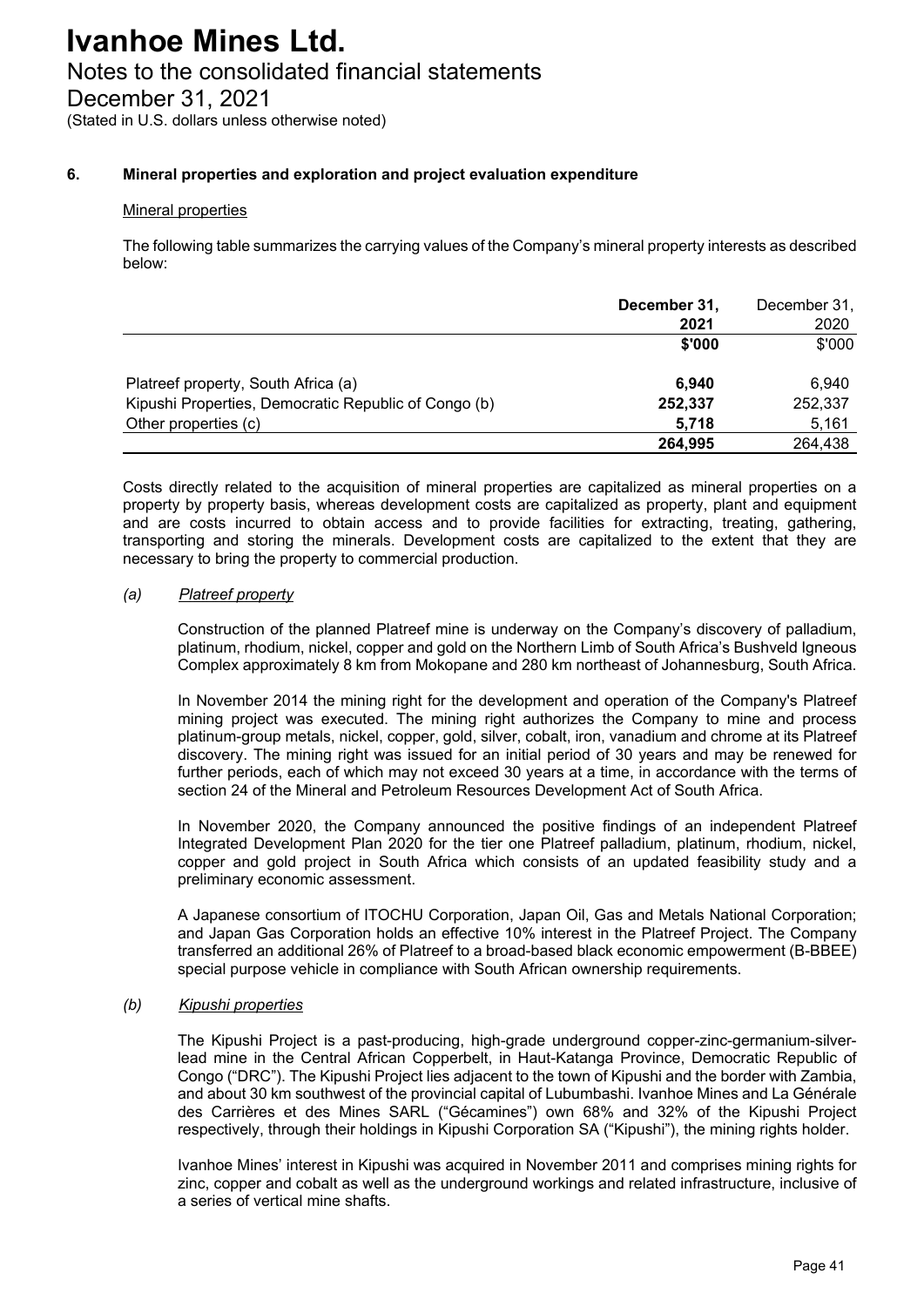# Notes to the consolidated financial statements

December 31, 2021

(Stated in U.S. dollars unless otherwise noted)

## **6. Mineral properties and exploration and project evaluation expenditure**

### Mineral properties

The following table summarizes the carrying values of the Company's mineral property interests as described below:

|                                                      | December 31, | December 31, |
|------------------------------------------------------|--------------|--------------|
|                                                      | 2021         | 2020         |
|                                                      | \$'000       | \$'000       |
| Platreef property, South Africa (a)                  | 6.940        | 6.940        |
| Kipushi Properties, Democratic Republic of Congo (b) | 252,337      | 252,337      |
| Other properties (c)                                 | 5.718        | 5.161        |
|                                                      | 264,995      | 264,438      |

Costs directly related to the acquisition of mineral properties are capitalized as mineral properties on a property by property basis, whereas development costs are capitalized as property, plant and equipment and are costs incurred to obtain access and to provide facilities for extracting, treating, gathering, transporting and storing the minerals. Development costs are capitalized to the extent that they are necessary to bring the property to commercial production.

#### *(a) Platreef property*

Construction of the planned Platreef mine is underway on the Company's discovery of palladium, platinum, rhodium, nickel, copper and gold on the Northern Limb of South Africa's Bushveld Igneous Complex approximately 8 km from Mokopane and 280 km northeast of Johannesburg, South Africa.

In November 2014 the mining right for the development and operation of the Company's Platreef mining project was executed. The mining right authorizes the Company to mine and process platinum-group metals, nickel, copper, gold, silver, cobalt, iron, vanadium and chrome at its Platreef discovery. The mining right was issued for an initial period of 30 years and may be renewed for further periods, each of which may not exceed 30 years at a time, in accordance with the terms of section 24 of the Mineral and Petroleum Resources Development Act of South Africa.

In November 2020, the Company announced the positive findings of an independent Platreef Integrated Development Plan 2020 for the tier one Platreef palladium, platinum, rhodium, nickel, copper and gold project in South Africa which consists of an updated feasibility study and a preliminary economic assessment.

A Japanese consortium of ITOCHU Corporation, Japan Oil, Gas and Metals National Corporation; and Japan Gas Corporation holds an effective 10% interest in the Platreef Project. The Company transferred an additional 26% of Platreef to a broad-based black economic empowerment (B-BBEE) special purpose vehicle in compliance with South African ownership requirements.

#### *(b) Kipushi properties*

The Kipushi Project is a past-producing, high-grade underground copper-zinc-germanium-silverlead mine in the Central African Copperbelt, in Haut-Katanga Province, Democratic Republic of Congo ("DRC"). The Kipushi Project lies adjacent to the town of Kipushi and the border with Zambia, and about 30 km southwest of the provincial capital of Lubumbashi. Ivanhoe Mines and La Générale des Carrières et des Mines SARL ("Gécamines") own 68% and 32% of the Kipushi Project respectively, through their holdings in Kipushi Corporation SA ("Kipushi"), the mining rights holder.

Ivanhoe Mines' interest in Kipushi was acquired in November 2011 and comprises mining rights for zinc, copper and cobalt as well as the underground workings and related infrastructure, inclusive of a series of vertical mine shafts.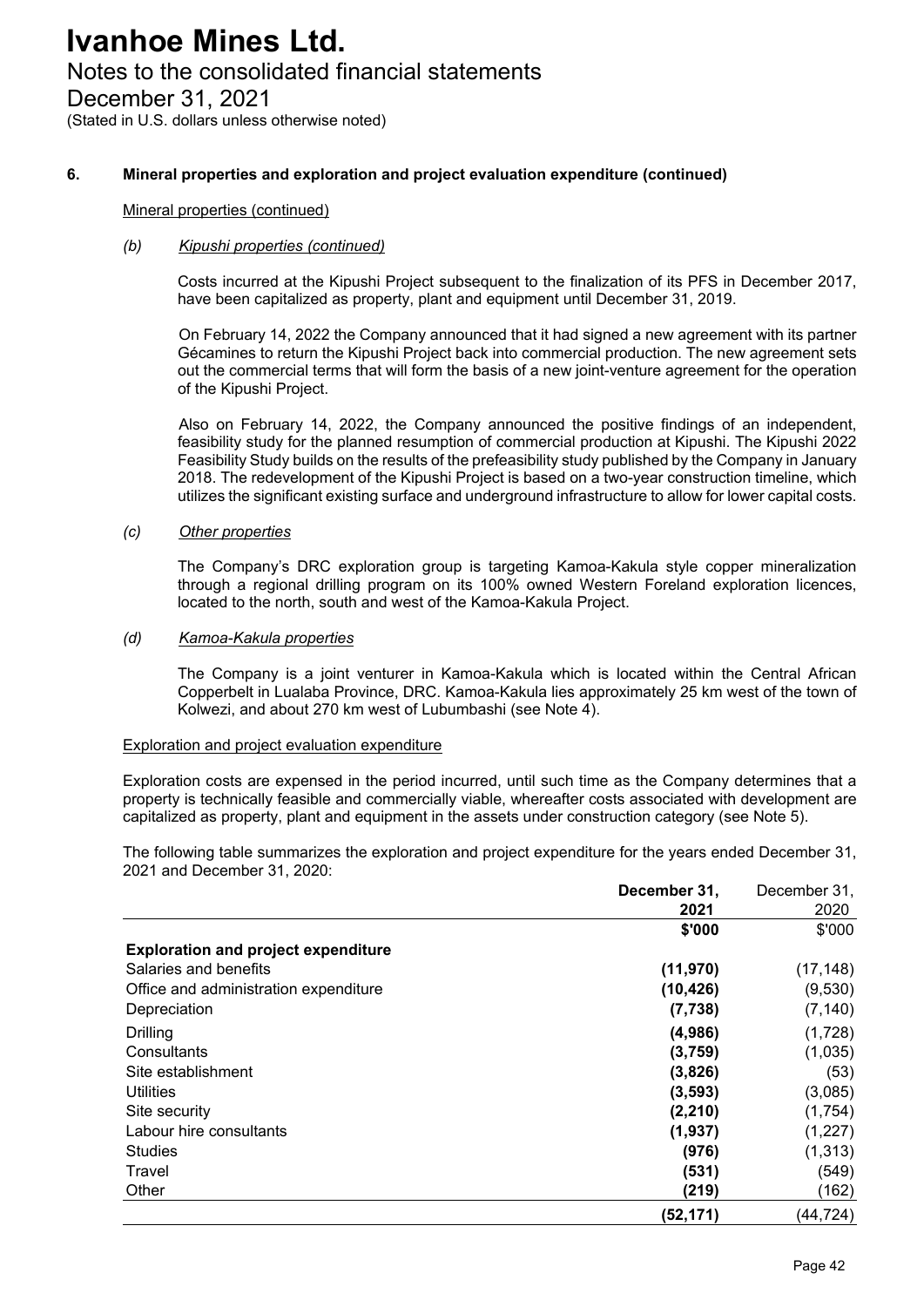# Notes to the consolidated financial statements

December 31, 2021

(Stated in U.S. dollars unless otherwise noted)

#### **6. Mineral properties and exploration and project evaluation expenditure (continued)**

#### Mineral properties (continued)

#### *(b) Kipushi properties (continued)*

Costs incurred at the Kipushi Project subsequent to the finalization of its PFS in December 2017, have been capitalized as property, plant and equipment until December 31, 2019.

On February 14, 2022 the Company announced that it had signed a new agreement with its partner Gécamines to return the Kipushi Project back into commercial production. The new agreement sets out the commercial terms that will form the basis of a new joint-venture agreement for the operation of the Kipushi Project.

Also on February 14, 2022, the Company announced the positive findings of an independent, feasibility study for the planned resumption of commercial production at Kipushi. The Kipushi 2022 Feasibility Study builds on the results of the prefeasibility study published by the Company in January 2018. The redevelopment of the Kipushi Project is based on a two-year construction timeline, which utilizes the significant existing surface and underground infrastructure to allow for lower capital costs.

#### *(c) Other properties*

The Company's DRC exploration group is targeting Kamoa-Kakula style copper mineralization through a regional drilling program on its 100% owned Western Foreland exploration licences, located to the north, south and west of the Kamoa-Kakula Project.

#### *(d) Kamoa-Kakula properties*

The Company is a joint venturer in Kamoa-Kakula which is located within the Central African Copperbelt in Lualaba Province, DRC. Kamoa-Kakula lies approximately 25 km west of the town of Kolwezi, and about 270 km west of Lubumbashi (see Note 4).

#### Exploration and project evaluation expenditure

Exploration costs are expensed in the period incurred, until such time as the Company determines that a property is technically feasible and commercially viable, whereafter costs associated with development are capitalized as property, plant and equipment in the assets under construction category (see Note 5).

The following table summarizes the exploration and project expenditure for the years ended December 31, 2021 and December 31, 2020:

|                                            | December 31, | December 31, |
|--------------------------------------------|--------------|--------------|
|                                            | 2021         | 2020         |
|                                            | \$'000       | \$'000       |
| <b>Exploration and project expenditure</b> |              |              |
| Salaries and benefits                      | (11, 970)    | (17, 148)    |
| Office and administration expenditure      | (10, 426)    | (9,530)      |
| Depreciation                               | (7, 738)     | (7, 140)     |
| Drilling                                   | (4,986)      | (1,728)      |
| Consultants                                | (3,759)      | (1,035)      |
| Site establishment                         | (3,826)      | (53)         |
| <b>Utilities</b>                           | (3, 593)     | (3,085)      |
| Site security                              | (2, 210)     | (1,754)      |
| Labour hire consultants                    | (1,937)      | (1,227)      |
| <b>Studies</b>                             | (976)        | (1, 313)     |
| Travel                                     | (531)        | (549)        |
| Other                                      | (219)        | (162)        |
|                                            | (52, 171)    | (44,724)     |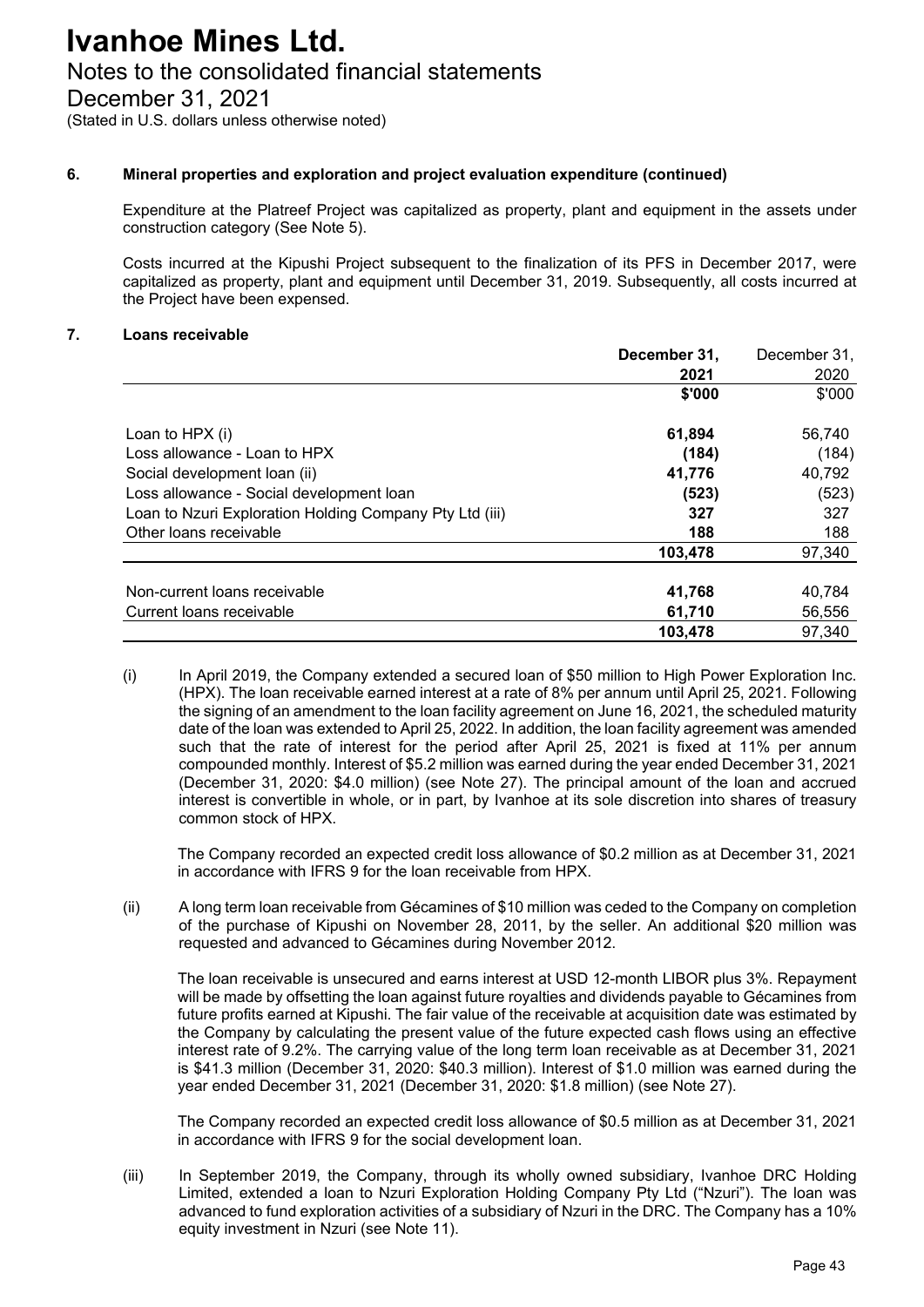# Notes to the consolidated financial statements

December 31, 2021

(Stated in U.S. dollars unless otherwise noted)

## **6. Mineral properties and exploration and project evaluation expenditure (continued)**

Expenditure at the Platreef Project was capitalized as property, plant and equipment in the assets under construction category (See Note 5).

Costs incurred at the Kipushi Project subsequent to the finalization of its PFS in December 2017, were capitalized as property, plant and equipment until December 31, 2019. Subsequently, all costs incurred at the Project have been expensed.

## **7. Loans receivable**

|                                                         | December 31, | December 31, |
|---------------------------------------------------------|--------------|--------------|
|                                                         | 2021         | 2020         |
|                                                         | \$'000       | \$'000       |
| Loan to HPX (i)                                         | 61,894       | 56,740       |
| Loss allowance - Loan to HPX                            | (184)        | (184)        |
| Social development loan (ii)                            | 41,776       | 40,792       |
| Loss allowance - Social development loan                | (523)        | (523)        |
| Loan to Nzuri Exploration Holding Company Pty Ltd (iii) | 327          | 327          |
| Other loans receivable                                  | 188          | 188          |
|                                                         | 103,478      | 97,340       |
| Non-current loans receivable                            |              |              |
|                                                         | 41,768       | 40,784       |
| Current loans receivable                                | 61,710       | 56,556       |
|                                                         | 103,478      | 97,340       |

(i) In April 2019, the Company extended a secured loan of \$50 million to High Power Exploration Inc. (HPX). The loan receivable earned interest at a rate of 8% per annum until April 25, 2021. Following the signing of an amendment to the loan facility agreement on June 16, 2021, the scheduled maturity date of the loan was extended to April 25, 2022. In addition, the loan facility agreement was amended such that the rate of interest for the period after April 25, 2021 is fixed at 11% per annum compounded monthly. Interest of \$5.2 million was earned during the year ended December 31, 2021 (December 31, 2020: \$4.0 million) (see Note 27). The principal amount of the loan and accrued interest is convertible in whole, or in part, by Ivanhoe at its sole discretion into shares of treasury common stock of HPX.

The Company recorded an expected credit loss allowance of \$0.2 million as at December 31, 2021 in accordance with IFRS 9 for the loan receivable from HPX.

(ii) A long term loan receivable from Gécamines of \$10 million was ceded to the Company on completion of the purchase of Kipushi on November 28, 2011, by the seller. An additional \$20 million was requested and advanced to Gécamines during November 2012.

The loan receivable is unsecured and earns interest at USD 12-month LIBOR plus 3%. Repayment will be made by offsetting the loan against future royalties and dividends payable to Gécamines from future profits earned at Kipushi. The fair value of the receivable at acquisition date was estimated by the Company by calculating the present value of the future expected cash flows using an effective interest rate of 9.2%. The carrying value of the long term loan receivable as at December 31, 2021 is \$41.3 million (December 31, 2020: \$40.3 million). Interest of \$1.0 million was earned during the year ended December 31, 2021 (December 31, 2020: \$1.8 million) (see Note 27).

The Company recorded an expected credit loss allowance of \$0.5 million as at December 31, 2021 in accordance with IFRS 9 for the social development loan.

(iii) In September 2019, the Company, through its wholly owned subsidiary, Ivanhoe DRC Holding Limited, extended a loan to Nzuri Exploration Holding Company Pty Ltd ("Nzuri"). The loan was advanced to fund exploration activities of a subsidiary of Nzuri in the DRC. The Company has a 10% equity investment in Nzuri (see Note 11).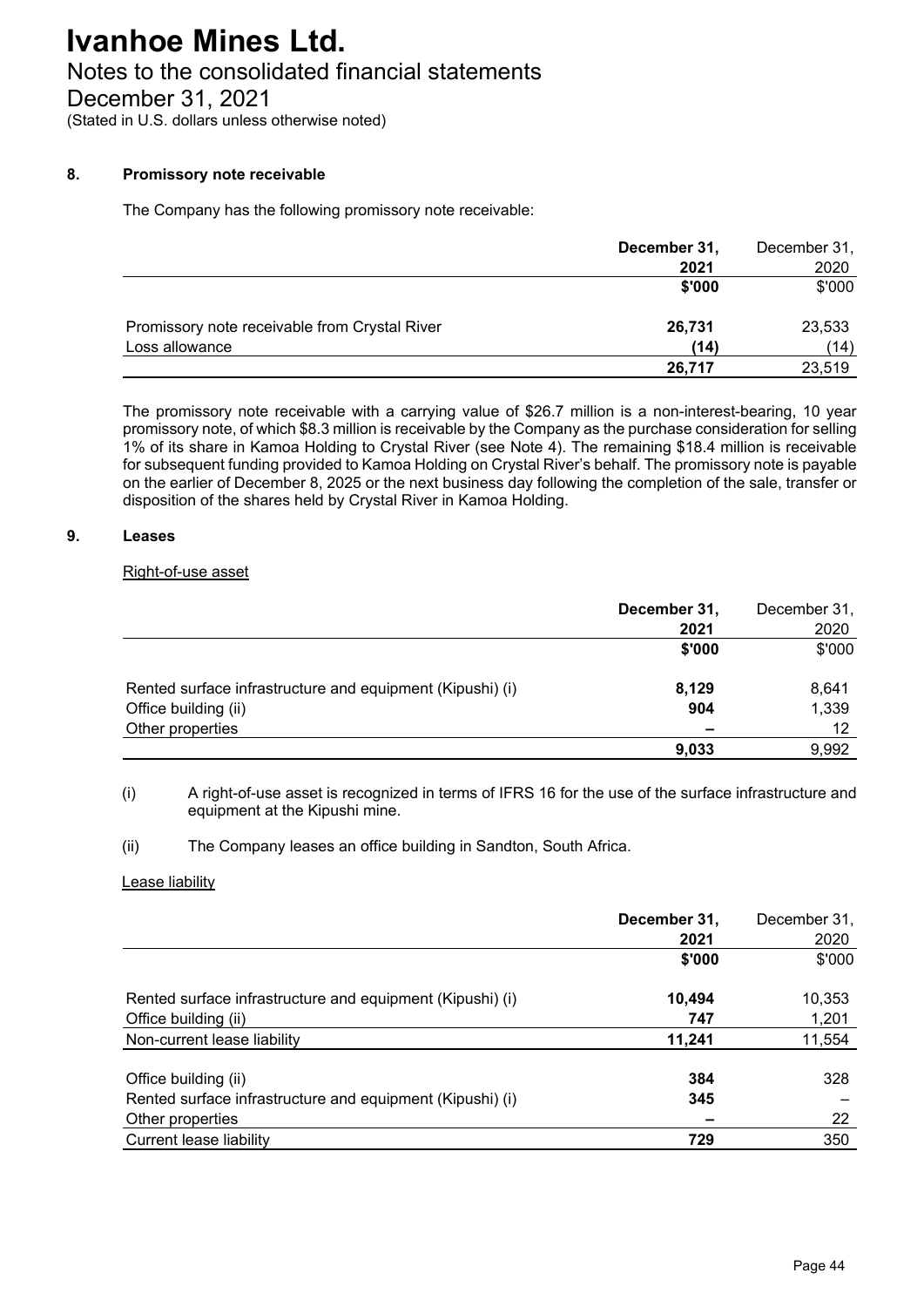# Notes to the consolidated financial statements

December 31, 2021

(Stated in U.S. dollars unless otherwise noted)

## **8. Promissory note receivable**

The Company has the following promissory note receivable:

|                                               | December 31, | December 31, |
|-----------------------------------------------|--------------|--------------|
|                                               | 2021         | 2020         |
|                                               | \$'000       | \$'000       |
| Promissory note receivable from Crystal River | 26,731       | 23,533       |
| Loss allowance                                | (14)         | (14)         |
|                                               | 26,717       | 23,519       |

The promissory note receivable with a carrying value of \$26.7 million is a non-interest-bearing, 10 year promissory note, of which \$8.3 million is receivable by the Company as the purchase consideration for selling 1% of its share in Kamoa Holding to Crystal River (see Note 4). The remaining \$18.4 million is receivable for subsequent funding provided to Kamoa Holding on Crystal River's behalf. The promissory note is payable on the earlier of December 8, 2025 or the next business day following the completion of the sale, transfer or disposition of the shares held by Crystal River in Kamoa Holding.

#### **9. Leases**

### Right-of-use asset

|                                                           | December 31, | December 31, |
|-----------------------------------------------------------|--------------|--------------|
|                                                           | 2021         | 2020         |
|                                                           | \$'000       | \$'000       |
| Rented surface infrastructure and equipment (Kipushi) (i) | 8,129        | 8,641        |
| Office building (ii)                                      | 904          | 1,339        |
| Other properties                                          |              | 12           |
|                                                           | 9,033        | 9,992        |

(i) A right-of-use asset is recognized in terms of IFRS 16 for the use of the surface infrastructure and equipment at the Kipushi mine.

(ii) The Company leases an office building in Sandton, South Africa.

#### Lease liability

|                                                           | December 31,<br>2021 | December 31,<br>2020 |
|-----------------------------------------------------------|----------------------|----------------------|
|                                                           | \$'000               | \$'000               |
| Rented surface infrastructure and equipment (Kipushi) (i) | 10,494               | 10,353               |
| Office building (ii)                                      | 747                  | 1,201                |
| Non-current lease liability                               | 11,241               | 11,554               |
| Office building (ii)                                      | 384                  | 328                  |
| Rented surface infrastructure and equipment (Kipushi) (i) | 345                  |                      |
| Other properties                                          |                      | 22                   |
| Current lease liability                                   | 729                  | 350                  |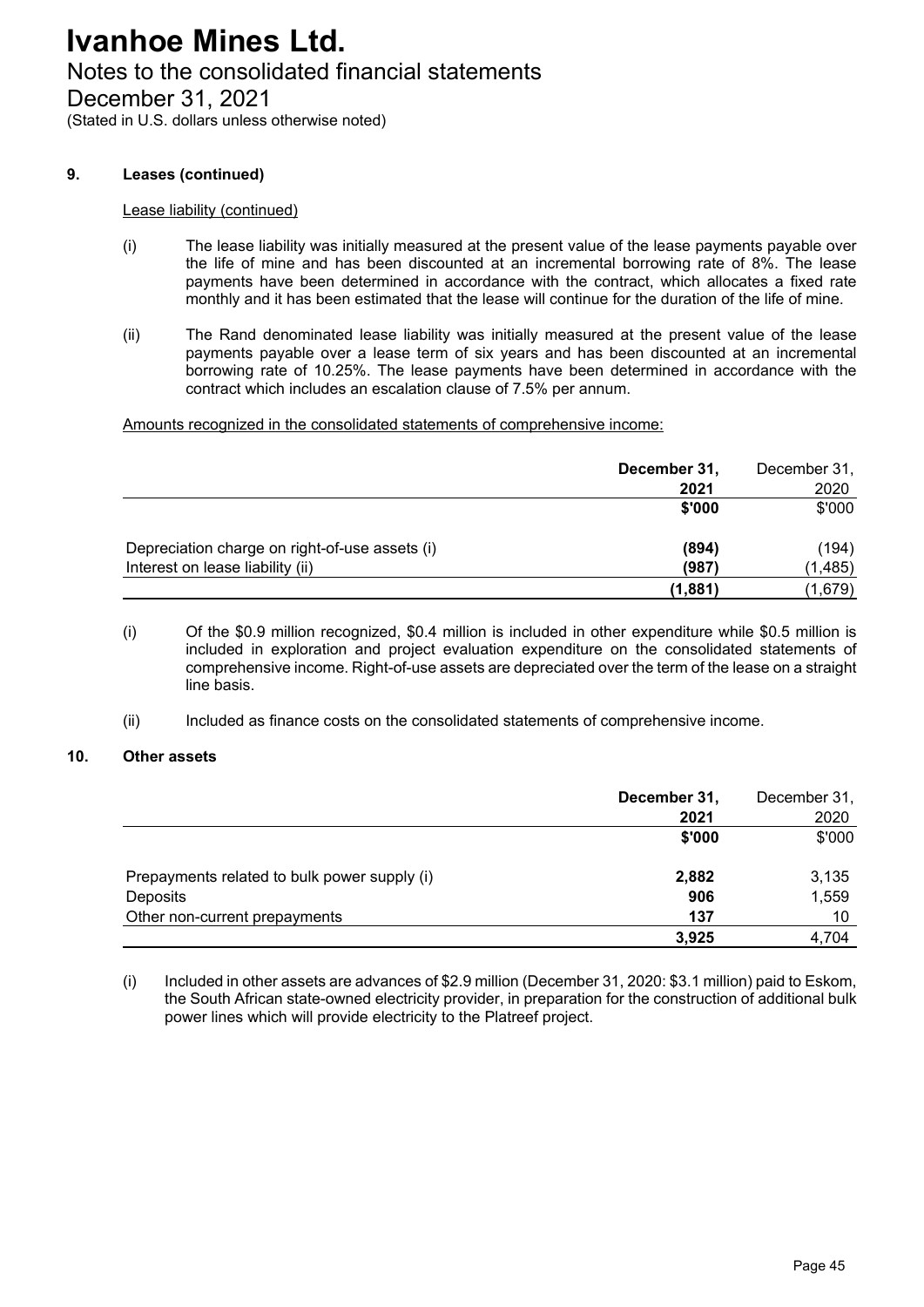# Notes to the consolidated financial statements

December 31, 2021

(Stated in U.S. dollars unless otherwise noted)

#### **9. Leases (continued)**

#### Lease liability (continued)

- (i) The lease liability was initially measured at the present value of the lease payments payable over the life of mine and has been discounted at an incremental borrowing rate of 8%. The lease payments have been determined in accordance with the contract, which allocates a fixed rate monthly and it has been estimated that the lease will continue for the duration of the life of mine.
- (ii) The Rand denominated lease liability was initially measured at the present value of the lease payments payable over a lease term of six years and has been discounted at an incremental borrowing rate of 10.25%. The lease payments have been determined in accordance with the contract which includes an escalation clause of 7.5% per annum.

Amounts recognized in the consolidated statements of comprehensive income:

|                                                | December 31, | December 31, |
|------------------------------------------------|--------------|--------------|
|                                                | 2021         | 2020         |
|                                                | \$'000       | \$'000       |
|                                                |              |              |
| Depreciation charge on right-of-use assets (i) | (894)        | (194)        |
| Interest on lease liability (ii)               | (987)        | (1, 485)     |
|                                                | (1,881)      | (1,679)      |

- (i) Of the \$0.9 million recognized, \$0.4 million is included in other expenditure while \$0.5 million is included in exploration and project evaluation expenditure on the consolidated statements of comprehensive income. Right-of-use assets are depreciated over the term of the lease on a straight line basis.
- (ii) Included as finance costs on the consolidated statements of comprehensive income.

#### **10. Other assets**

|                                              | December 31, | December 31, |
|----------------------------------------------|--------------|--------------|
|                                              | 2021         | 2020         |
|                                              | \$'000       | \$'000       |
| Prepayments related to bulk power supply (i) | 2,882        | 3,135        |
| <b>Deposits</b>                              | 906          | 1,559        |
| Other non-current prepayments                | 137          | 10           |
|                                              | 3,925        | 4,704        |

(i) Included in other assets are advances of \$2.9 million (December 31, 2020: \$3.1 million) paid to Eskom, the South African state-owned electricity provider, in preparation for the construction of additional bulk power lines which will provide electricity to the Platreef project.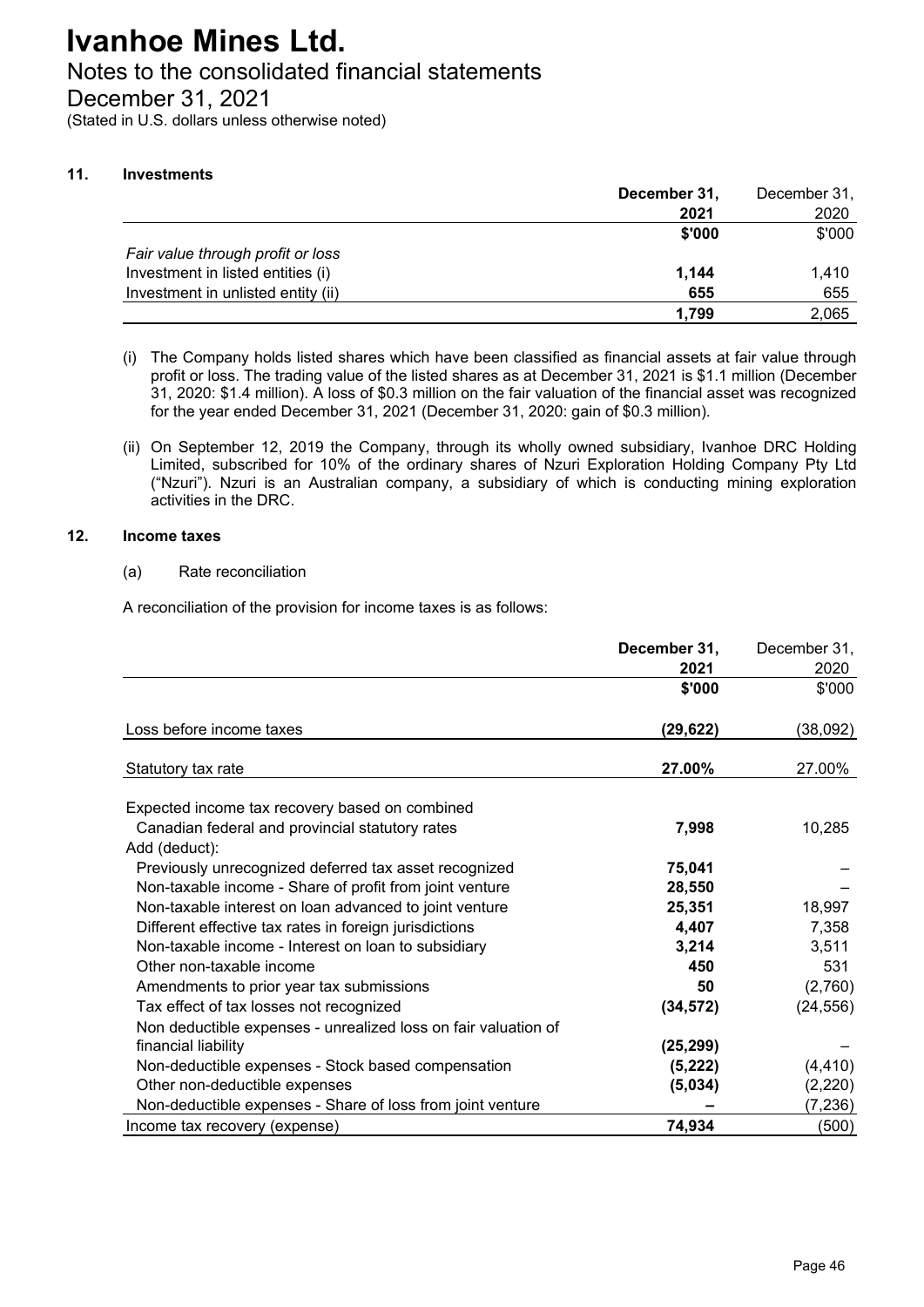## Notes to the consolidated financial statements

December 31, 2021

(Stated in U.S. dollars unless otherwise noted)

#### **11. Investments**

| December 31, | December 31, |
|--------------|--------------|
| 2021         | 2020         |
| \$'000       | \$'000       |
|              |              |
| 1.144        | 1,410        |
| 655          | 655          |
| 1.799        | 2,065        |
|              |              |

- (i) The Company holds listed shares which have been classified as financial assets at fair value through profit or loss. The trading value of the listed shares as at December 31, 2021 is \$1.1 million (December 31, 2020: \$1.4 million). A loss of \$0.3 million on the fair valuation of the financial asset was recognized for the year ended December 31, 2021 (December 31, 2020: gain of \$0.3 million).
- (ii) On September 12, 2019 the Company, through its wholly owned subsidiary, Ivanhoe DRC Holding Limited, subscribed for 10% of the ordinary shares of Nzuri Exploration Holding Company Pty Ltd ("Nzuri"). Nzuri is an Australian company, a subsidiary of which is conducting mining exploration activities in the DRC.

#### **12. Income taxes**

(a) Rate reconciliation

A reconciliation of the provision for income taxes is as follows:

|                                                                | December 31, | December 31, |
|----------------------------------------------------------------|--------------|--------------|
|                                                                | 2021         | 2020         |
|                                                                | \$'000       | \$'000       |
| Loss before income taxes                                       | (29, 622)    | (38,092)     |
| Statutory tax rate                                             | 27.00%       | 27.00%       |
| Expected income tax recovery based on combined                 |              |              |
| Canadian federal and provincial statutory rates                | 7,998        | 10,285       |
| Add (deduct):                                                  |              |              |
| Previously unrecognized deferred tax asset recognized          | 75,041       |              |
| Non-taxable income - Share of profit from joint venture        | 28,550       |              |
| Non-taxable interest on loan advanced to joint venture         | 25,351       | 18,997       |
| Different effective tax rates in foreign jurisdictions         | 4,407        | 7,358        |
| Non-taxable income - Interest on loan to subsidiary            | 3,214        | 3,511        |
| Other non-taxable income                                       | 450          | 531          |
| Amendments to prior year tax submissions                       | 50           | (2,760)      |
| Tax effect of tax losses not recognized                        | (34, 572)    | (24, 556)    |
| Non deductible expenses - unrealized loss on fair valuation of |              |              |
| financial liability                                            | (25, 299)    |              |
| Non-deductible expenses - Stock based compensation             | (5, 222)     | (4, 410)     |
| Other non-deductible expenses                                  | (5,034)      | (2, 220)     |
| Non-deductible expenses - Share of loss from joint venture     |              | (7,236)      |
| Income tax recovery (expense)                                  | 74,934       | (500)        |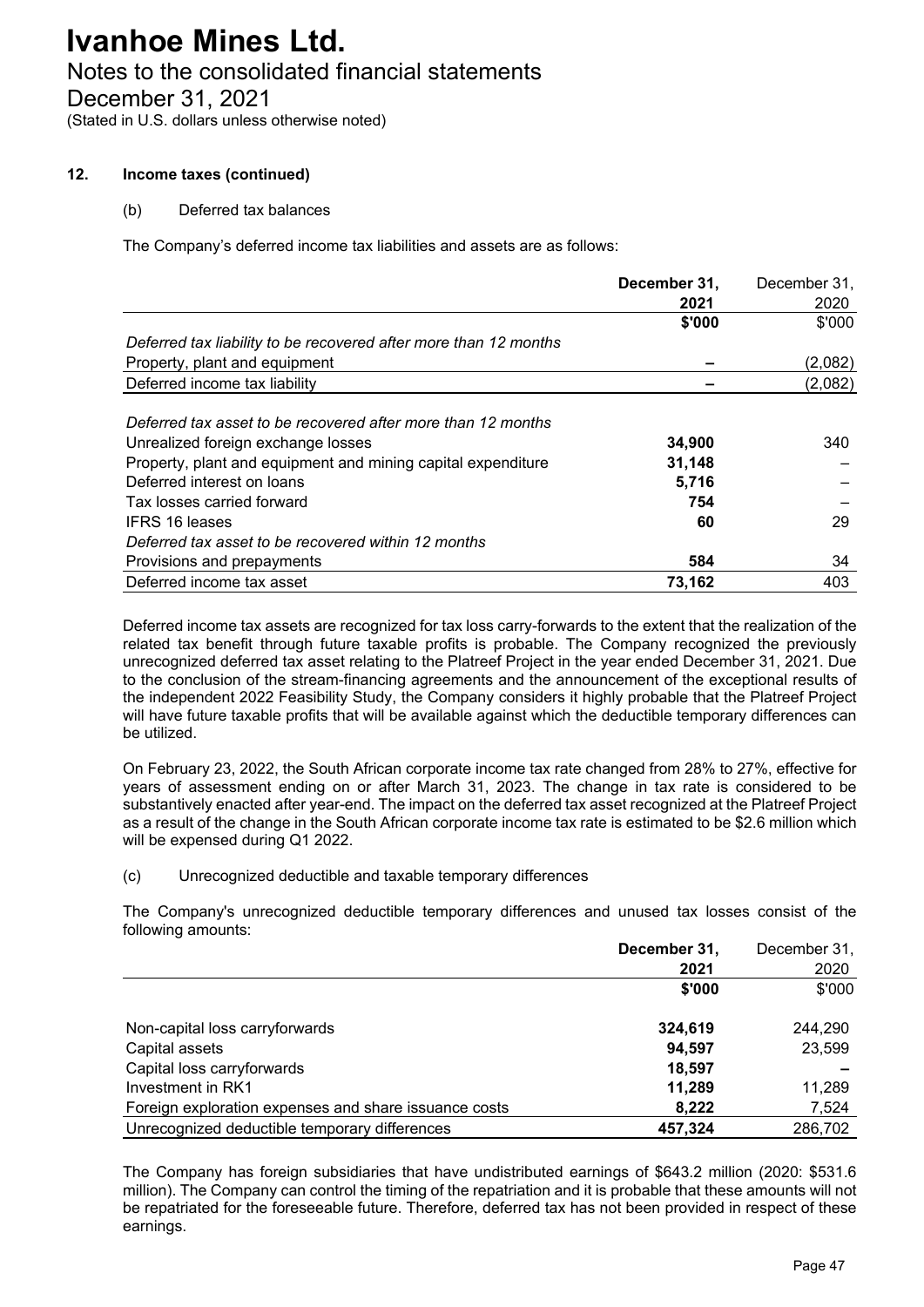## Notes to the consolidated financial statements

December 31, 2021

(Stated in U.S. dollars unless otherwise noted)

#### **12. Income taxes (continued)**

#### (b) Deferred tax balances

The Company's deferred income tax liabilities and assets are as follows:

|                                                                  | December 31, | December 31, |
|------------------------------------------------------------------|--------------|--------------|
|                                                                  | 2021         | 2020         |
|                                                                  | \$'000       | \$'000       |
| Deferred tax liability to be recovered after more than 12 months |              |              |
| Property, plant and equipment                                    |              | (2,082)      |
| Deferred income tax liability                                    |              | (2,082)      |
|                                                                  |              |              |
| Deferred tax asset to be recovered after more than 12 months     |              |              |
| Unrealized foreign exchange losses                               | 34,900       | 340          |
| Property, plant and equipment and mining capital expenditure     | 31,148       |              |
| Deferred interest on loans                                       | 5,716        |              |
| Tax losses carried forward                                       | 754          |              |
| <b>IFRS 16 leases</b>                                            | 60           | 29           |
| Deferred tax asset to be recovered within 12 months              |              |              |
| Provisions and prepayments                                       | 584          | 34           |
| Deferred income tax asset                                        | 73,162       | 403          |

Deferred income tax assets are recognized for tax loss carry-forwards to the extent that the realization of the related tax benefit through future taxable profits is probable. The Company recognized the previously unrecognized deferred tax asset relating to the Platreef Project in the year ended December 31, 2021. Due to the conclusion of the stream-financing agreements and the announcement of the exceptional results of the independent 2022 Feasibility Study, the Company considers it highly probable that the Platreef Project will have future taxable profits that will be available against which the deductible temporary differences can be utilized.

On February 23, 2022, the South African corporate income tax rate changed from 28% to 27%, effective for years of assessment ending on or after March 31, 2023. The change in tax rate is considered to be substantively enacted after year-end. The impact on the deferred tax asset recognized at the Platreef Project as a result of the change in the South African corporate income tax rate is estimated to be \$2.6 million which will be expensed during Q1 2022.

#### (c) Unrecognized deductible and taxable temporary differences

The Company's unrecognized deductible temporary differences and unused tax losses consist of the following amounts:

|                                                       | December 31, | December 31, |
|-------------------------------------------------------|--------------|--------------|
|                                                       | 2021         | 2020         |
|                                                       | \$'000       | \$'000       |
| Non-capital loss carryforwards                        | 324,619      | 244.290      |
| Capital assets                                        | 94.597       | 23,599       |
| Capital loss carryforwards                            | 18,597       |              |
| Investment in RK1                                     | 11,289       | 11,289       |
| Foreign exploration expenses and share issuance costs | 8,222        | 7,524        |
| Unrecognized deductible temporary differences         | 457,324      | 286,702      |

The Company has foreign subsidiaries that have undistributed earnings of \$643.2 million (2020: \$531.6 million). The Company can control the timing of the repatriation and it is probable that these amounts will not be repatriated for the foreseeable future. Therefore, deferred tax has not been provided in respect of these earnings.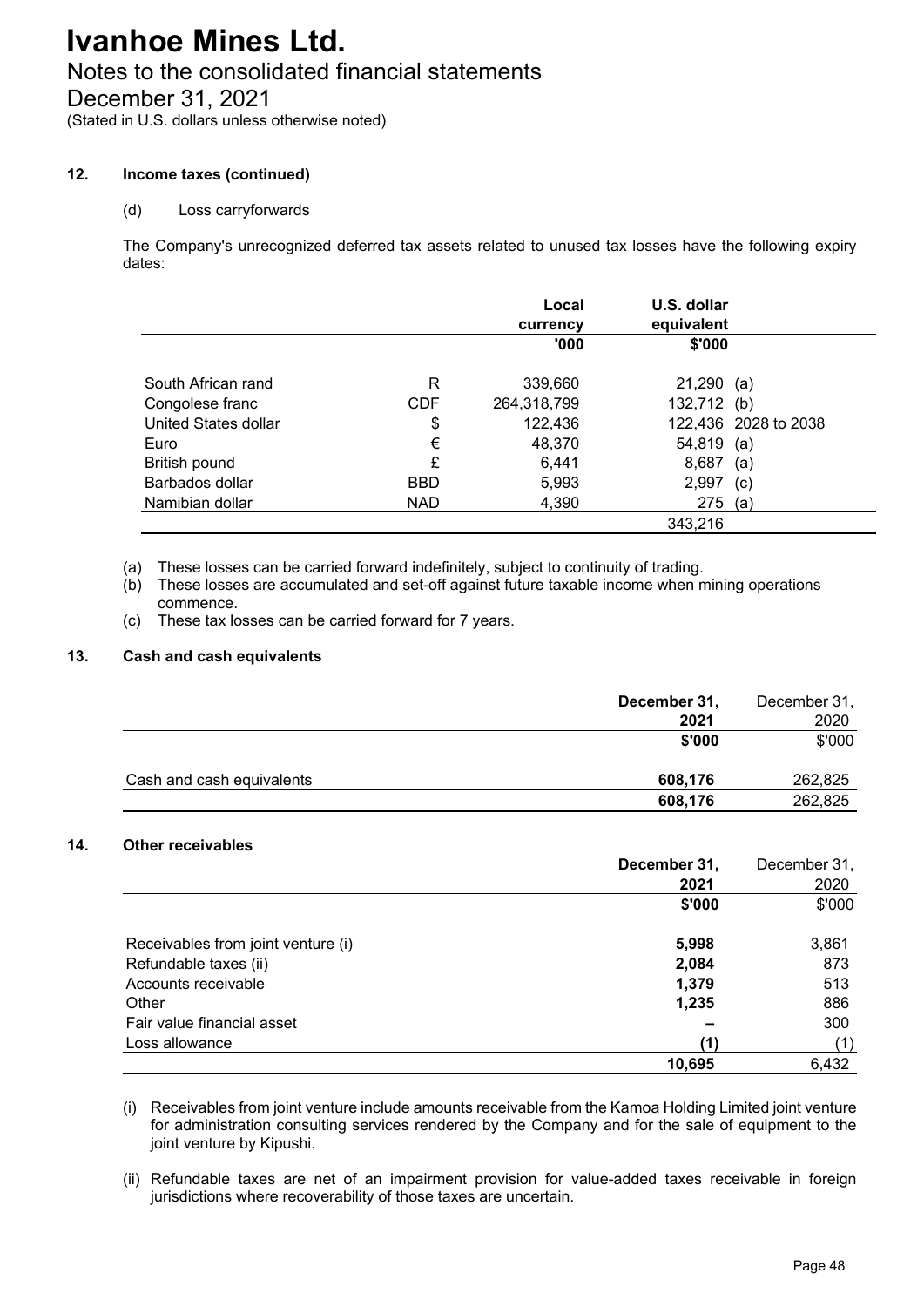# Notes to the consolidated financial statements

December 31, 2021

(Stated in U.S. dollars unless otherwise noted)

### **12. Income taxes (continued)**

### (d) Loss carryforwards

The Company's unrecognized deferred tax assets related to unused tax losses have the following expiry dates:

|                      |            | Local<br>currency | U.S. dollar<br>equivalent |                      |
|----------------------|------------|-------------------|---------------------------|----------------------|
|                      |            | '000'             | \$'000                    |                      |
| South African rand   | R          | 339,660           | $21,290$ (a)              |                      |
| Congolese franc      | <b>CDF</b> | 264,318,799       | 132,712 (b)               |                      |
| United States dollar | \$         | 122,436           |                           | 122,436 2028 to 2038 |
| Euro                 | €          | 48,370            | $54,819$ (a)              |                      |
| British pound        | £          | 6,441             | 8,687                     | (a)                  |
| Barbados dollar      | <b>BBD</b> | 5,993             | 2,997                     | (c)                  |
| Namibian dollar      | NAD.       | 4,390             | 275                       | (a)                  |
|                      |            |                   | 343,216                   |                      |

(a) These losses can be carried forward indefinitely, subject to continuity of trading.

(b) These losses are accumulated and set-off against future taxable income when mining operations commence.

(c) These tax losses can be carried forward for 7 years.

### **13. Cash and cash equivalents**

|                           | December 31, | December 31, |
|---------------------------|--------------|--------------|
|                           | 2021         | 2020         |
|                           | \$'000       | \$'000       |
| Cash and cash equivalents | 608,176      | 262,825      |
|                           | 608,176      | 262,825      |

### **14. Other receivables**

|                                    | December 31, | December 31, |
|------------------------------------|--------------|--------------|
|                                    | 2021         | 2020         |
|                                    | \$'000       | \$'000       |
| Receivables from joint venture (i) | 5,998        | 3,861        |
| Refundable taxes (ii)              | 2,084        | 873          |
| Accounts receivable                | 1,379        | 513          |
| Other                              | 1,235        | 886          |
| Fair value financial asset         |              | 300          |
| Loss allowance                     | (1)          | (1)          |
|                                    | 10,695       | 6,432        |

(i) Receivables from joint venture include amounts receivable from the Kamoa Holding Limited joint venture for administration consulting services rendered by the Company and for the sale of equipment to the joint venture by Kipushi.

(ii) Refundable taxes are net of an impairment provision for value-added taxes receivable in foreign jurisdictions where recoverability of those taxes are uncertain.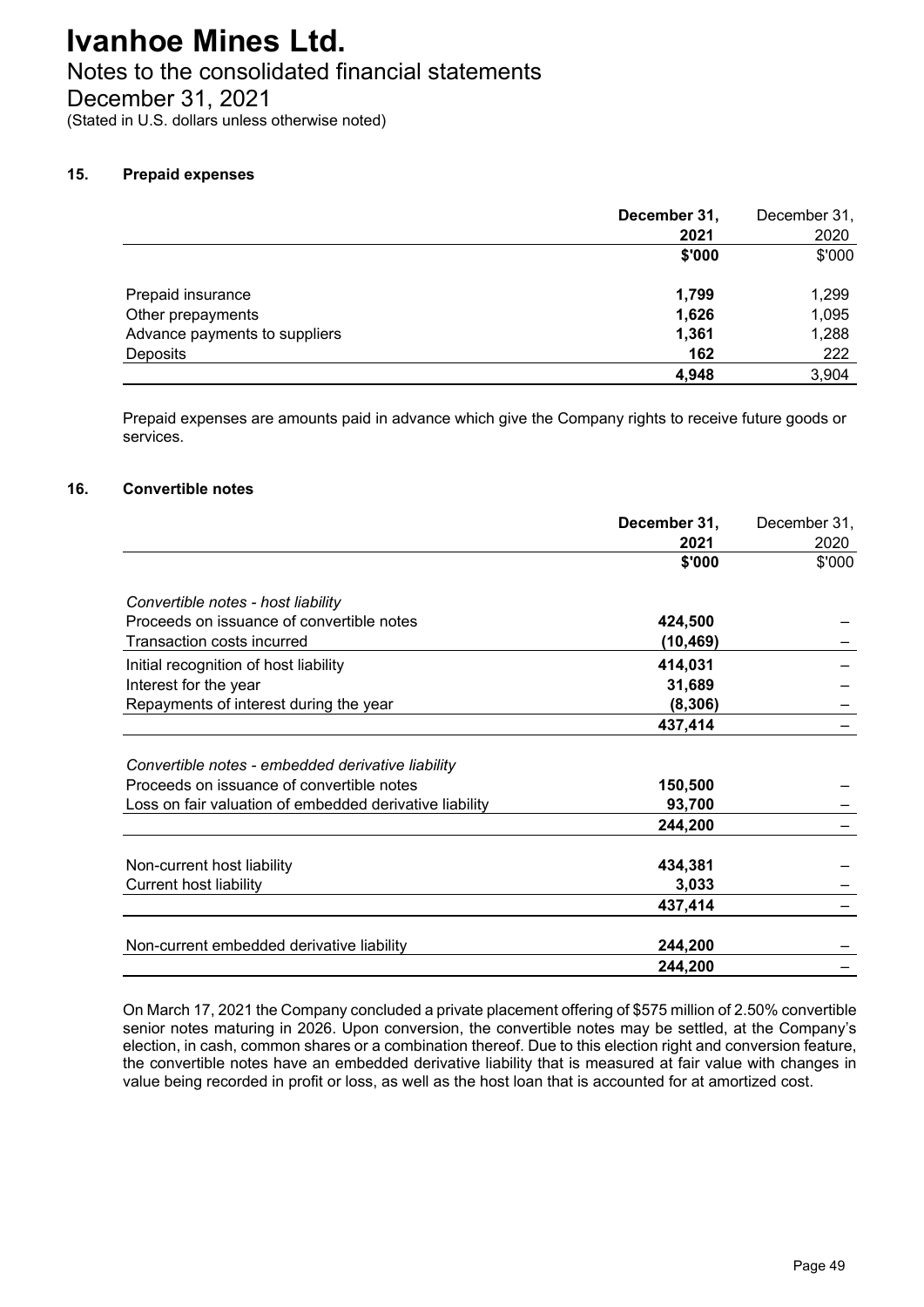# Notes to the consolidated financial statements

December 31, 2021

(Stated in U.S. dollars unless otherwise noted)

## **15. Prepaid expenses**

|                               | December 31, | December 31, |
|-------------------------------|--------------|--------------|
|                               | 2021         | 2020         |
|                               | \$'000       | \$'000       |
| Prepaid insurance             | 1,799        | 1,299        |
| Other prepayments             | 1,626        | 1,095        |
| Advance payments to suppliers | 1,361        | 1,288        |
| Deposits                      | 162          | 222          |
|                               | 4,948        | 3,904        |

Prepaid expenses are amounts paid in advance which give the Company rights to receive future goods or services.

#### **16. Convertible notes**

|                                                         | December 31, | December 31, |
|---------------------------------------------------------|--------------|--------------|
|                                                         | 2021         | 2020         |
|                                                         | \$'000       | \$'000       |
| Convertible notes - host liability                      |              |              |
| Proceeds on issuance of convertible notes               | 424,500      |              |
| Transaction costs incurred                              | (10, 469)    |              |
| Initial recognition of host liability                   | 414,031      |              |
| Interest for the year                                   | 31,689       |              |
| Repayments of interest during the year                  | (8, 306)     |              |
|                                                         | 437,414      |              |
| Convertible notes - embedded derivative liability       |              |              |
| Proceeds on issuance of convertible notes               | 150,500      |              |
| Loss on fair valuation of embedded derivative liability | 93,700       |              |
|                                                         | 244,200      |              |
| Non-current host liability                              | 434,381      |              |
| <b>Current host liability</b>                           | 3,033        |              |
|                                                         | 437,414      |              |
| Non-current embedded derivative liability               | 244,200      |              |
|                                                         | 244,200      |              |

On March 17, 2021 the Company concluded a private placement offering of \$575 million of 2.50% convertible senior notes maturing in 2026. Upon conversion, the convertible notes may be settled, at the Company's election, in cash, common shares or a combination thereof. Due to this election right and conversion feature, the convertible notes have an embedded derivative liability that is measured at fair value with changes in value being recorded in profit or loss, as well as the host loan that is accounted for at amortized cost.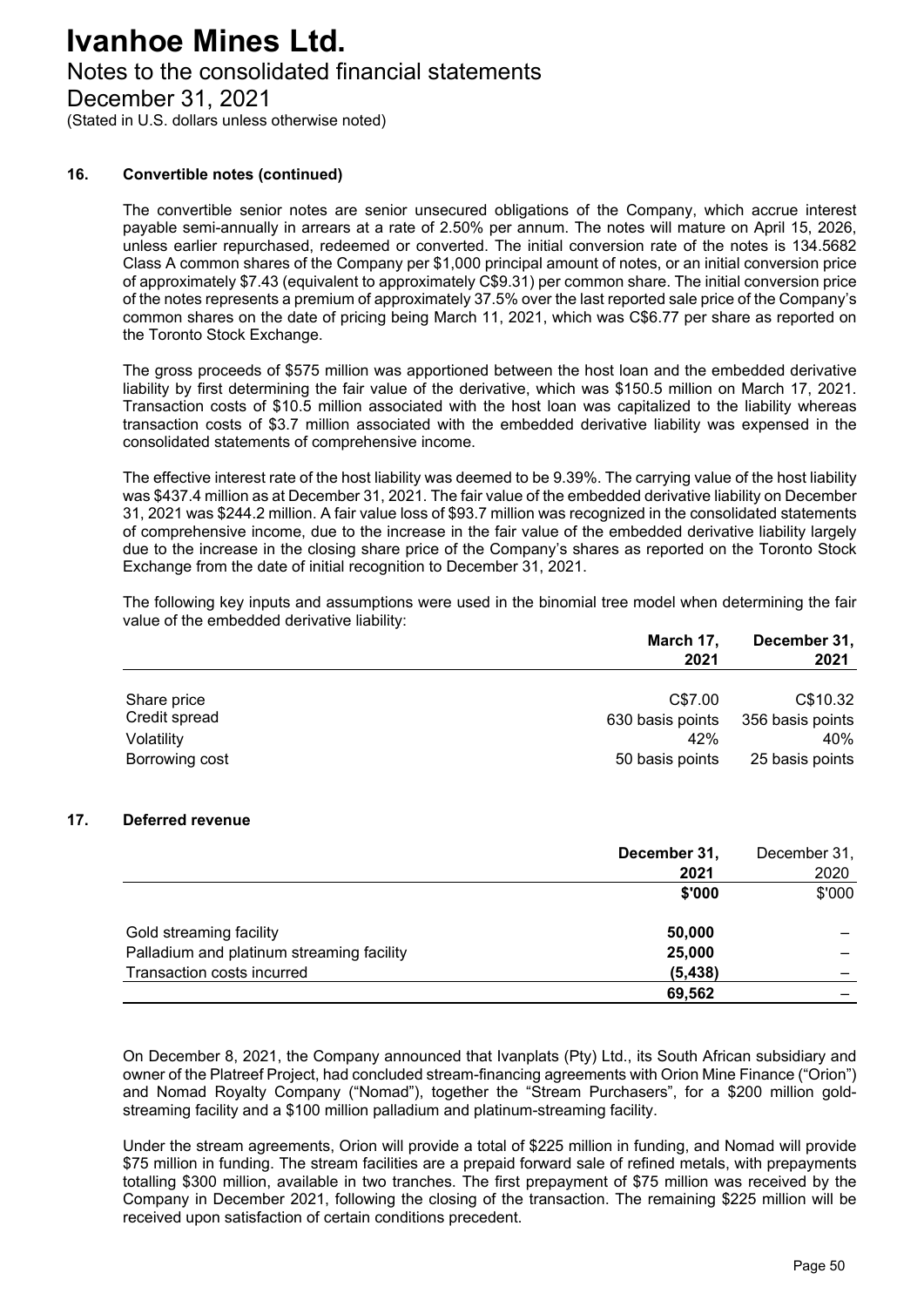## Notes to the consolidated financial statements

December 31, 2021

(Stated in U.S. dollars unless otherwise noted)

#### **16. Convertible notes (continued)**

The convertible senior notes are senior unsecured obligations of the Company, which accrue interest payable semi-annually in arrears at a rate of 2.50% per annum. The notes will mature on April 15, 2026, unless earlier repurchased, redeemed or converted. The initial conversion rate of the notes is 134.5682 Class A common shares of the Company per \$1,000 principal amount of notes, or an initial conversion price of approximately \$7.43 (equivalent to approximately C\$9.31) per common share. The initial conversion price of the notes represents a premium of approximately 37.5% over the last reported sale price of the Company's common shares on the date of pricing being March 11, 2021, which was C\$6.77 per share as reported on the Toronto Stock Exchange.

The gross proceeds of \$575 million was apportioned between the host loan and the embedded derivative liability by first determining the fair value of the derivative, which was \$150.5 million on March 17, 2021. Transaction costs of \$10.5 million associated with the host loan was capitalized to the liability whereas transaction costs of \$3.7 million associated with the embedded derivative liability was expensed in the consolidated statements of comprehensive income.

The effective interest rate of the host liability was deemed to be 9.39%. The carrying value of the host liability was \$437.4 million as at December 31, 2021. The fair value of the embedded derivative liability on December 31, 2021 was \$244.2 million. A fair value loss of \$93.7 million was recognized in the consolidated statements of comprehensive income, due to the increase in the fair value of the embedded derivative liability largely due to the increase in the closing share price of the Company's shares as reported on the Toronto Stock Exchange from the date of initial recognition to December 31, 2021.

The following key inputs and assumptions were used in the binomial tree model when determining the fair value of the embedded derivative liability:

|                | March 17,<br>2021 | December 31,     |  |
|----------------|-------------------|------------------|--|
|                |                   | 2021             |  |
| Share price    | C\$7.00           | C\$10.32         |  |
| Credit spread  | 630 basis points  | 356 basis points |  |
| Volatility     | 42%               | 40%              |  |
| Borrowing cost | 50 basis points   | 25 basis points  |  |

#### **17. Deferred revenue**

|                                           | December 31, | December 31, |
|-------------------------------------------|--------------|--------------|
|                                           | 2021         | 2020         |
|                                           | \$'000       | \$'000       |
| Gold streaming facility                   | 50,000       |              |
| Palladium and platinum streaming facility | 25,000       |              |
| Transaction costs incurred                | (5, 438)     |              |
|                                           | 69,562       |              |

On December 8, 2021, the Company announced that Ivanplats (Pty) Ltd., its South African subsidiary and owner of the Platreef Project, had concluded stream-financing agreements with Orion Mine Finance ("Orion") and Nomad Royalty Company ("Nomad"), together the "Stream Purchasers", for a \$200 million goldstreaming facility and a \$100 million palladium and platinum-streaming facility.

Under the stream agreements, Orion will provide a total of \$225 million in funding, and Nomad will provide \$75 million in funding. The stream facilities are a prepaid forward sale of refined metals, with prepayments totalling \$300 million, available in two tranches. The first prepayment of \$75 million was received by the Company in December 2021, following the closing of the transaction. The remaining \$225 million will be received upon satisfaction of certain conditions precedent.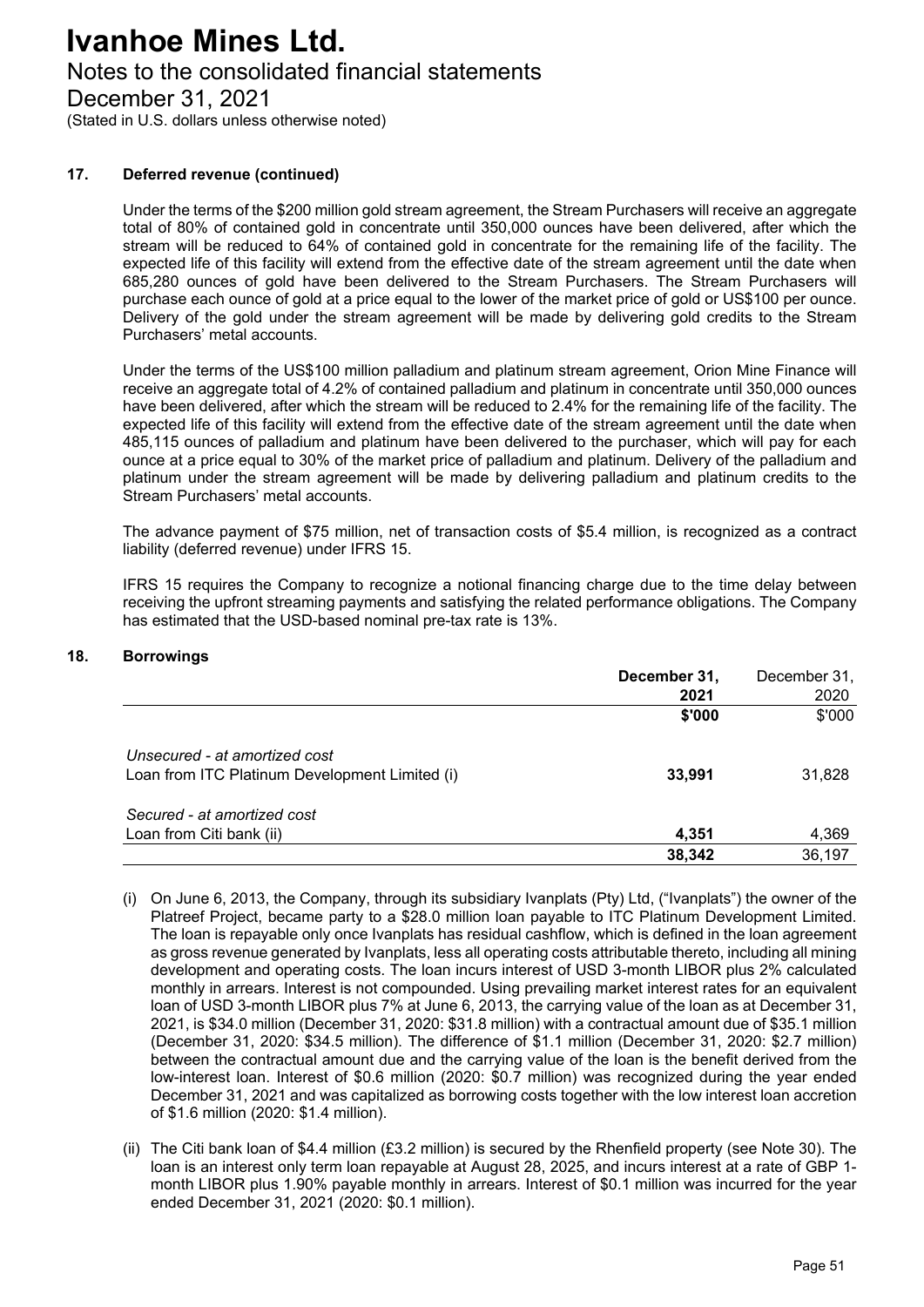## Notes to the consolidated financial statements

December 31, 2021

(Stated in U.S. dollars unless otherwise noted)

#### **17. Deferred revenue (continued)**

Under the terms of the \$200 million gold stream agreement, the Stream Purchasers will receive an aggregate total of 80% of contained gold in concentrate until 350,000 ounces have been delivered, after which the stream will be reduced to 64% of contained gold in concentrate for the remaining life of the facility. The expected life of this facility will extend from the effective date of the stream agreement until the date when 685,280 ounces of gold have been delivered to the Stream Purchasers. The Stream Purchasers will purchase each ounce of gold at a price equal to the lower of the market price of gold or US\$100 per ounce. Delivery of the gold under the stream agreement will be made by delivering gold credits to the Stream Purchasers' metal accounts.

Under the terms of the US\$100 million palladium and platinum stream agreement, Orion Mine Finance will receive an aggregate total of 4.2% of contained palladium and platinum in concentrate until 350,000 ounces have been delivered, after which the stream will be reduced to 2.4% for the remaining life of the facility. The expected life of this facility will extend from the effective date of the stream agreement until the date when 485,115 ounces of palladium and platinum have been delivered to the purchaser, which will pay for each ounce at a price equal to 30% of the market price of palladium and platinum. Delivery of the palladium and platinum under the stream agreement will be made by delivering palladium and platinum credits to the Stream Purchasers' metal accounts.

The advance payment of \$75 million, net of transaction costs of \$5.4 million, is recognized as a contract liability (deferred revenue) under IFRS 15.

IFRS 15 requires the Company to recognize a notional financing charge due to the time delay between receiving the upfront streaming payments and satisfying the related performance obligations. The Company has estimated that the USD-based nominal pre-tax rate is 13%.

#### **18. Borrowings**

|                                                | December 31, | December 31, |
|------------------------------------------------|--------------|--------------|
|                                                | 2021         | 2020         |
|                                                | \$'000       | \$'000       |
| Unsecured - at amortized cost                  |              |              |
| Loan from ITC Platinum Development Limited (i) | 33,991       | 31,828       |
| Secured - at amortized cost                    |              |              |
| Loan from Citi bank (ii)                       | 4,351        | 4,369        |
|                                                | 38,342       | 36,197       |

- (i) On June 6, 2013, the Company, through its subsidiary Ivanplats (Pty) Ltd, ("Ivanplats") the owner of the Platreef Project, became party to a \$28.0 million loan payable to ITC Platinum Development Limited. The loan is repayable only once Ivanplats has residual cashflow, which is defined in the loan agreement as gross revenue generated by Ivanplats, less all operating costs attributable thereto, including all mining development and operating costs. The loan incurs interest of USD 3-month LIBOR plus 2% calculated monthly in arrears. Interest is not compounded. Using prevailing market interest rates for an equivalent loan of USD 3-month LIBOR plus 7% at June 6, 2013, the carrying value of the loan as at December 31, 2021, is \$34.0 million (December 31, 2020: \$31.8 million) with a contractual amount due of \$35.1 million (December 31, 2020: \$34.5 million). The difference of \$1.1 million (December 31, 2020: \$2.7 million) between the contractual amount due and the carrying value of the loan is the benefit derived from the low-interest loan. Interest of \$0.6 million (2020: \$0.7 million) was recognized during the year ended December 31, 2021 and was capitalized as borrowing costs together with the low interest loan accretion of \$1.6 million (2020: \$1.4 million).
- (ii) The Citi bank loan of \$4.4 million (£3.2 million) is secured by the Rhenfield property (see Note 30). The loan is an interest only term loan repayable at August 28, 2025, and incurs interest at a rate of GBP 1 month LIBOR plus 1.90% payable monthly in arrears. Interest of \$0.1 million was incurred for the year ended December 31, 2021 (2020: \$0.1 million).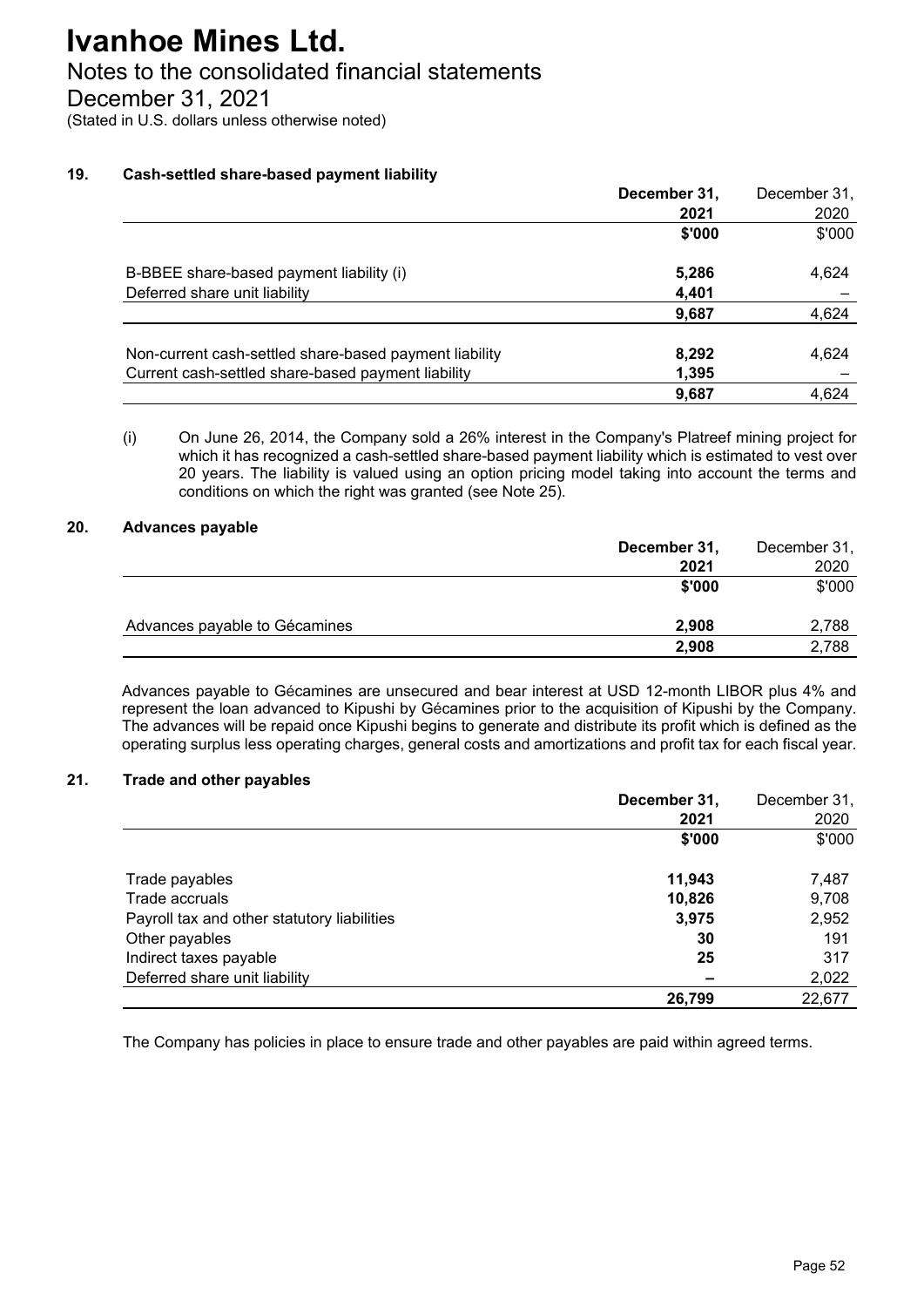# Notes to the consolidated financial statements

December 31, 2021

(Stated in U.S. dollars unless otherwise noted)

## **19. Cash-settled share-based payment liability**

|                                                        | December 31, | December 31, |
|--------------------------------------------------------|--------------|--------------|
|                                                        | 2021         | 2020         |
|                                                        | \$'000       | \$'000       |
| B-BBEE share-based payment liability (i)               | 5,286        | 4,624        |
| Deferred share unit liability                          | 4,401        |              |
|                                                        | 9,687        | 4,624        |
| Non-current cash-settled share-based payment liability | 8,292        | 4,624        |
| Current cash-settled share-based payment liability     | 1,395        |              |
|                                                        | 9,687        | 4,624        |

(i) On June 26, 2014, the Company sold a 26% interest in the Company's Platreef mining project for which it has recognized a cash-settled share-based payment liability which is estimated to vest over 20 years. The liability is valued using an option pricing model taking into account the terms and conditions on which the right was granted (see Note 25).

## **20. Advances payable**

|                               | December 31, | December 31, |
|-------------------------------|--------------|--------------|
|                               | 2021         | 2020         |
|                               | \$'000       | \$'000       |
| Advances payable to Gécamines | 2.908        | 2,788        |
|                               | 2,908        | 2,788        |
|                               |              |              |

Advances payable to Gécamines are unsecured and bear interest at USD 12-month LIBOR plus 4% and represent the loan advanced to Kipushi by Gécamines prior to the acquisition of Kipushi by the Company. The advances will be repaid once Kipushi begins to generate and distribute its profit which is defined as the operating surplus less operating charges, general costs and amortizations and profit tax for each fiscal year.

## **21. Trade and other payables**

|                                             | December 31, | December 31, |
|---------------------------------------------|--------------|--------------|
|                                             | 2021         | 2020         |
|                                             | \$'000       | \$'000       |
| Trade payables                              | 11,943       | 7,487        |
| Trade accruals                              | 10,826       | 9,708        |
| Payroll tax and other statutory liabilities | 3,975        | 2,952        |
| Other payables                              | 30           | 191          |
| Indirect taxes payable                      | 25           | 317          |
| Deferred share unit liability               |              | 2,022        |
|                                             | 26,799       | 22,677       |

The Company has policies in place to ensure trade and other payables are paid within agreed terms.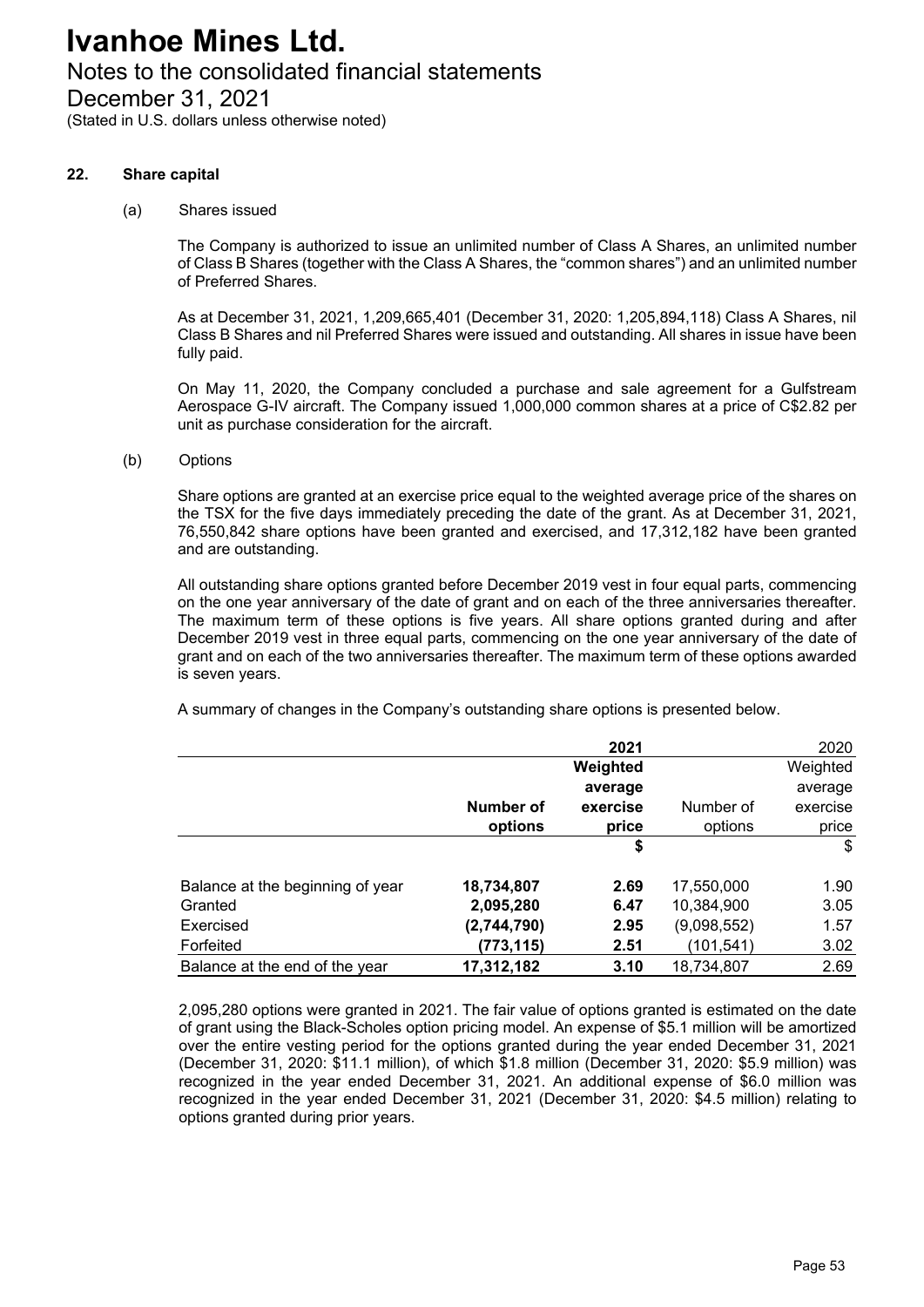# Notes to the consolidated financial statements

December 31, 2021

(Stated in U.S. dollars unless otherwise noted)

#### **22. Share capital**

(a) Shares issued

The Company is authorized to issue an unlimited number of Class A Shares, an unlimited number of Class B Shares (together with the Class A Shares, the "common shares") and an unlimited number of Preferred Shares.

As at December 31, 2021, 1,209,665,401 (December 31, 2020: 1,205,894,118) Class A Shares, nil Class B Shares and nil Preferred Shares were issued and outstanding. All shares in issue have been fully paid.

On May 11, 2020, the Company concluded a purchase and sale agreement for a Gulfstream Aerospace G-IV aircraft. The Company issued 1,000,000 common shares at a price of C\$2.82 per unit as purchase consideration for the aircraft.

(b) Options

Share options are granted at an exercise price equal to the weighted average price of the shares on the TSX for the five days immediately preceding the date of the grant. As at December 31, 2021, 76,550,842 share options have been granted and exercised, and 17,312,182 have been granted and are outstanding.

All outstanding share options granted before December 2019 vest in four equal parts, commencing on the one year anniversary of the date of grant and on each of the three anniversaries thereafter. The maximum term of these options is five years. All share options granted during and after December 2019 vest in three equal parts, commencing on the one year anniversary of the date of grant and on each of the two anniversaries thereafter. The maximum term of these options awarded is seven years.

A summary of changes in the Company's outstanding share options is presented below.

|                                  |             | 2021     |             | 2020     |
|----------------------------------|-------------|----------|-------------|----------|
|                                  |             | Weighted |             | Weighted |
|                                  |             | average  |             | average  |
|                                  | Number of   | exercise | Number of   | exercise |
|                                  | options     | price    | options     | price    |
|                                  |             | \$       |             | \$       |
| Balance at the beginning of year | 18,734,807  | 2.69     | 17,550,000  | 1.90     |
| Granted                          | 2,095,280   | 6.47     | 10,384,900  | 3.05     |
| Exercised                        | (2,744,790) | 2.95     | (9,098,552) | 1.57     |
| Forfeited                        | (773,115)   | 2.51     | (101,541)   | 3.02     |
| Balance at the end of the year   | 17,312,182  | 3.10     | 18,734,807  | 2.69     |

2,095,280 options were granted in 2021. The fair value of options granted is estimated on the date of grant using the Black-Scholes option pricing model. An expense of \$5.1 million will be amortized over the entire vesting period for the options granted during the year ended December 31, 2021 (December 31, 2020: \$11.1 million), of which \$1.8 million (December 31, 2020: \$5.9 million) was recognized in the year ended December 31, 2021. An additional expense of \$6.0 million was recognized in the year ended December 31, 2021 (December 31, 2020: \$4.5 million) relating to options granted during prior years.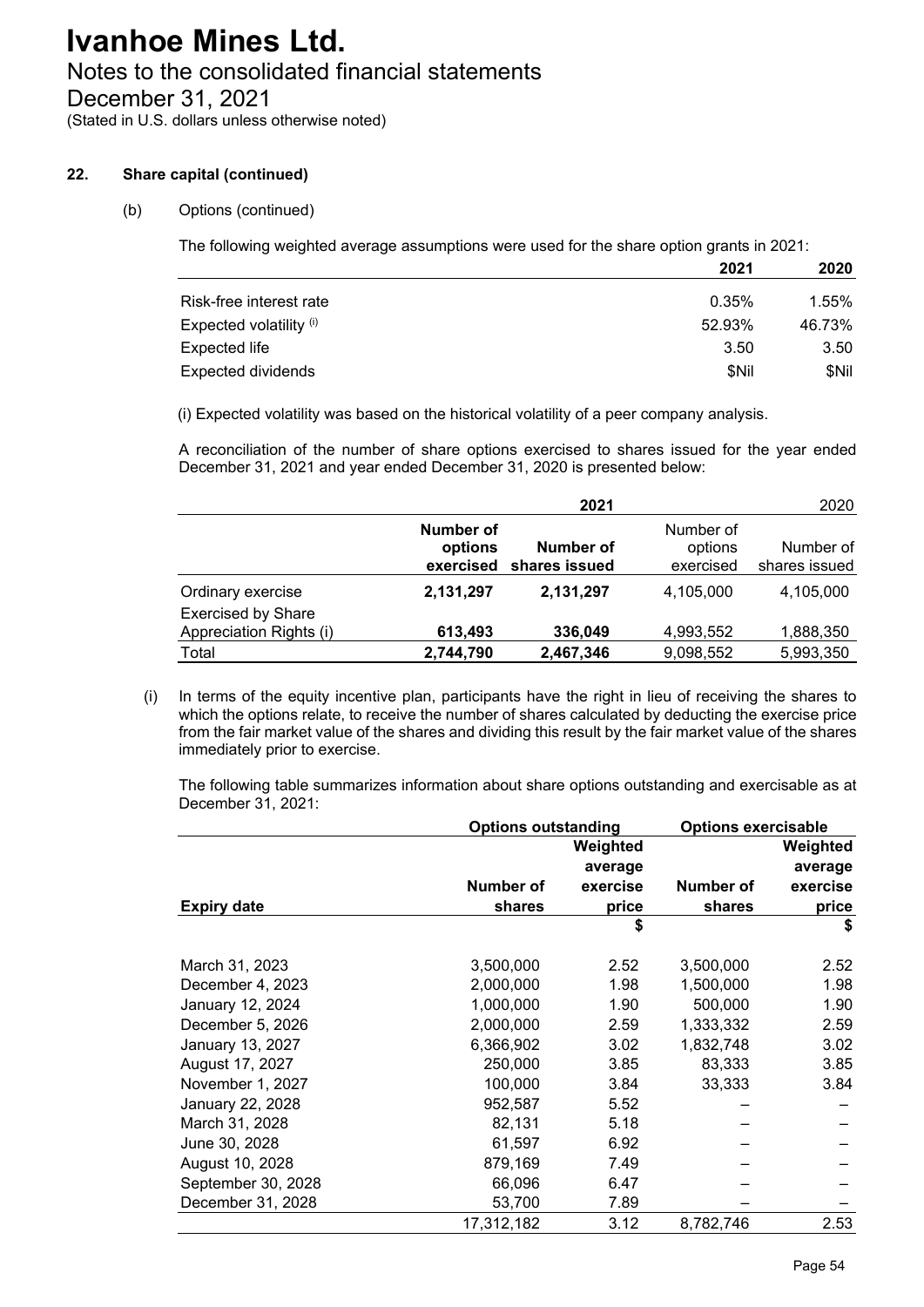# Notes to the consolidated financial statements

December 31, 2021

(Stated in U.S. dollars unless otherwise noted)

## **22. Share capital (continued)**

## (b) Options (continued)

The following weighted average assumptions were used for the share option grants in 2021:

|                           | 2021   | 2020   |
|---------------------------|--------|--------|
| Risk-free interest rate   | 0.35%  | 1.55%  |
| Expected volatility (i)   | 52.93% | 46.73% |
| <b>Expected life</b>      | 3.50   | 3.50   |
| <b>Expected dividends</b> | \$Nil  | \$Nil  |

(i) Expected volatility was based on the historical volatility of a peer company analysis.

A reconciliation of the number of share options exercised to shares issued for the year ended December 31, 2021 and year ended December 31, 2020 is presented below:

|                                                      |                                   | 2021                       |                                   | 2020                       |
|------------------------------------------------------|-----------------------------------|----------------------------|-----------------------------------|----------------------------|
|                                                      | Number of<br>options<br>exercised | Number of<br>shares issued | Number of<br>options<br>exercised | Number of<br>shares issued |
| Ordinary exercise                                    | 2,131,297                         | 2,131,297                  | 4,105,000                         | 4,105,000                  |
| <b>Exercised by Share</b><br>Appreciation Rights (i) | 613,493                           | 336,049                    | 4,993,552                         | 1,888,350                  |
| Total                                                | 2,744,790                         | 2,467,346                  | 9,098,552                         | 5,993,350                  |

(i) In terms of the equity incentive plan, participants have the right in lieu of receiving the shares to which the options relate, to receive the number of shares calculated by deducting the exercise price from the fair market value of the shares and dividing this result by the fair market value of the shares immediately prior to exercise.

The following table summarizes information about share options outstanding and exercisable as at December 31, 2021:

|                    | <b>Options outstanding</b> |          | <b>Options exercisable</b> |          |
|--------------------|----------------------------|----------|----------------------------|----------|
|                    |                            | Weighted |                            | Weighted |
|                    |                            | average  |                            | average  |
|                    | Number of                  | exercise | Number of                  | exercise |
| <b>Expiry date</b> | shares                     | price    | shares                     | price    |
|                    |                            | \$       |                            | \$       |
| March 31, 2023     | 3,500,000                  | 2.52     | 3,500,000                  | 2.52     |
| December 4, 2023   | 2,000,000                  | 1.98     | 1,500,000                  | 1.98     |
| January 12, 2024   | 1,000,000                  | 1.90     | 500,000                    | 1.90     |
| December 5, 2026   | 2,000,000                  | 2.59     | 1,333,332                  | 2.59     |
| January 13, 2027   | 6,366,902                  | 3.02     | 1,832,748                  | 3.02     |
| August 17, 2027    | 250,000                    | 3.85     | 83,333                     | 3.85     |
| November 1, 2027   | 100,000                    | 3.84     | 33,333                     | 3.84     |
| January 22, 2028   | 952,587                    | 5.52     |                            |          |
| March 31, 2028     | 82,131                     | 5.18     |                            |          |
| June 30, 2028      | 61,597                     | 6.92     |                            |          |
| August 10, 2028    | 879,169                    | 7.49     |                            |          |
| September 30, 2028 | 66,096                     | 6.47     |                            |          |
| December 31, 2028  | 53,700                     | 7.89     |                            |          |
|                    | 17,312,182                 | 3.12     | 8,782,746                  | 2.53     |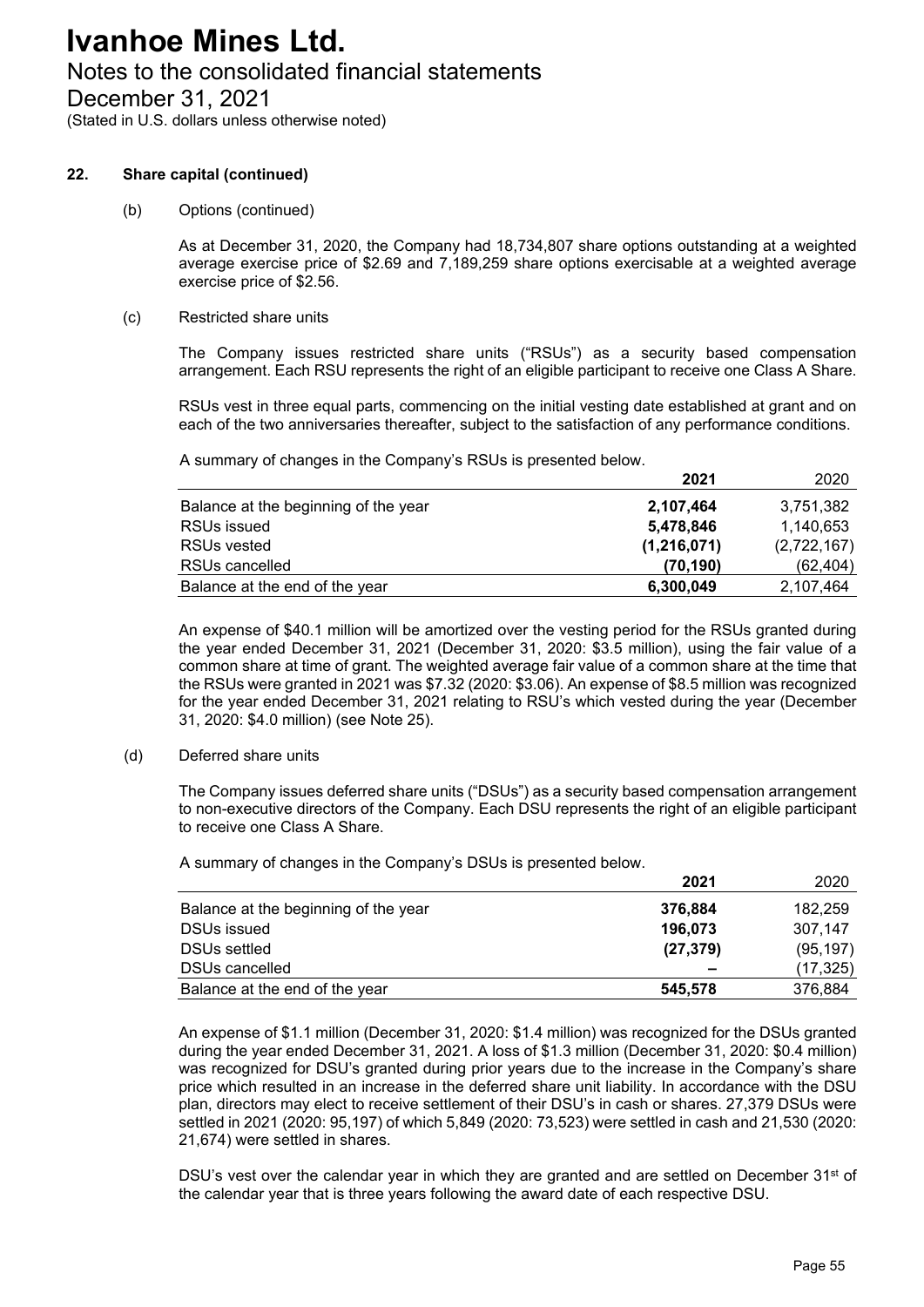# Notes to the consolidated financial statements

December 31, 2021

(Stated in U.S. dollars unless otherwise noted)

### **22. Share capital (continued)**

(b) Options (continued)

As at December 31, 2020, the Company had 18,734,807 share options outstanding at a weighted average exercise price of \$2.69 and 7,189,259 share options exercisable at a weighted average exercise price of \$2.56.

#### (c) Restricted share units

The Company issues restricted share units ("RSUs") as a security based compensation arrangement. Each RSU represents the right of an eligible participant to receive one Class A Share.

RSUs vest in three equal parts, commencing on the initial vesting date established at grant and on each of the two anniversaries thereafter, subject to the satisfaction of any performance conditions.

A summary of changes in the Company's RSUs is presented below.

|                                      | 2021        | 2020        |
|--------------------------------------|-------------|-------------|
| Balance at the beginning of the year | 2,107,464   | 3,751,382   |
| RSUs issued                          | 5,478,846   | 1,140,653   |
| RSUs vested                          | (1,216,071) | (2,722,167) |
| RSUs cancelled                       | (70, 190)   | (62, 404)   |
| Balance at the end of the year       | 6,300,049   | 2,107,464   |

An expense of \$40.1 million will be amortized over the vesting period for the RSUs granted during the year ended December 31, 2021 (December 31, 2020: \$3.5 million), using the fair value of a common share at time of grant. The weighted average fair value of a common share at the time that the RSUs were granted in 2021 was \$7.32 (2020: \$3.06). An expense of \$8.5 million was recognized for the year ended December 31, 2021 relating to RSU's which vested during the year (December 31, 2020: \$4.0 million) (see Note 25).

(d) Deferred share units

The Company issues deferred share units ("DSUs") as a security based compensation arrangement to non-executive directors of the Company. Each DSU represents the right of an eligible participant to receive one Class A Share.

A summary of changes in the Company's DSUs is presented below.

|                                      | 2021                     | 2020      |
|--------------------------------------|--------------------------|-----------|
| Balance at the beginning of the year | 376,884                  | 182,259   |
| <b>DSUs issued</b>                   | 196,073                  | 307.147   |
| DSUs settled                         | (27, 379)                | (95, 197) |
| <b>DSUs cancelled</b>                | $\overline{\phantom{0}}$ | (17, 325) |
| Balance at the end of the year       | 545,578                  | 376,884   |

An expense of \$1.1 million (December 31, 2020: \$1.4 million) was recognized for the DSUs granted during the year ended December 31, 2021. A loss of \$1.3 million (December 31, 2020: \$0.4 million) was recognized for DSU's granted during prior years due to the increase in the Company's share price which resulted in an increase in the deferred share unit liability. In accordance with the DSU plan, directors may elect to receive settlement of their DSU's in cash or shares. 27,379 DSUs were settled in 2021 (2020: 95,197) of which 5,849 (2020: 73,523) were settled in cash and 21,530 (2020: 21,674) were settled in shares.

DSU's vest over the calendar year in which they are granted and are settled on December  $31<sup>st</sup>$  of the calendar year that is three years following the award date of each respective DSU.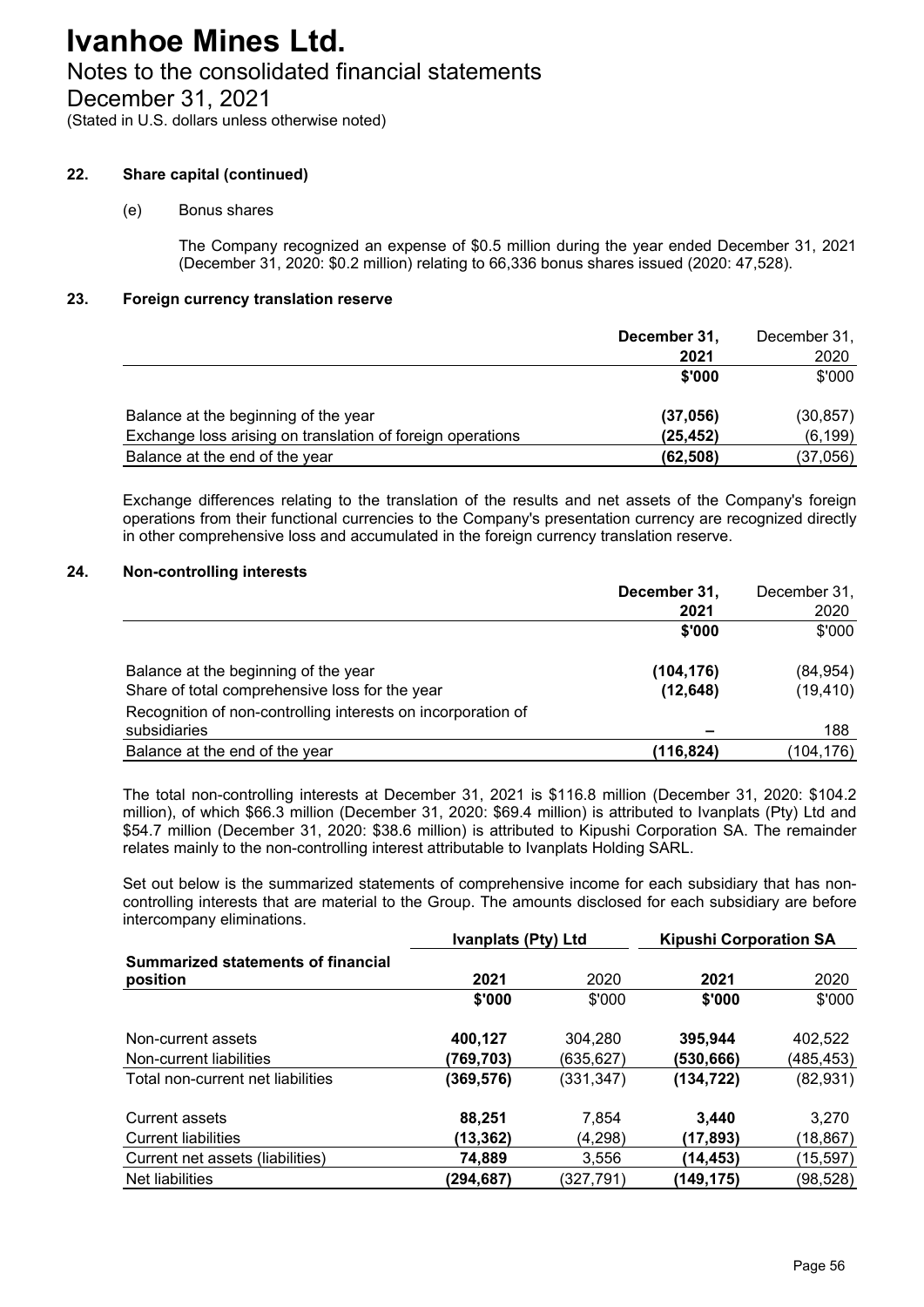# Notes to the consolidated financial statements

December 31, 2021

(Stated in U.S. dollars unless otherwise noted)

## **22. Share capital (continued)**

## (e) Bonus shares

The Company recognized an expense of \$0.5 million during the year ended December 31, 2021 (December 31, 2020: \$0.2 million) relating to 66,336 bonus shares issued (2020: 47,528).

### **23. Foreign currency translation reserve**

|                                                            | December 31, | December 31, |
|------------------------------------------------------------|--------------|--------------|
|                                                            | 2021         | 2020         |
|                                                            | \$'000       | \$'000       |
| Balance at the beginning of the year                       | (37, 056)    | (30, 857)    |
| Exchange loss arising on translation of foreign operations | (25, 452)    | (6, 199)     |
| Balance at the end of the year                             | (62, 508)    | (37,056)     |

Exchange differences relating to the translation of the results and net assets of the Company's foreign operations from their functional currencies to the Company's presentation currency are recognized directly in other comprehensive loss and accumulated in the foreign currency translation reserve.

## **24. Non-controlling interests**

|                                                              | December 31, | December 31, |
|--------------------------------------------------------------|--------------|--------------|
|                                                              | 2021         | 2020         |
|                                                              | \$'000       | \$'000       |
| Balance at the beginning of the year                         | (104, 176)   | (84, 954)    |
| Share of total comprehensive loss for the year               | (12, 648)    | (19, 410)    |
| Recognition of non-controlling interests on incorporation of |              |              |
| subsidiaries                                                 |              | 188          |
| Balance at the end of the year                               | (116,824)    | (104, 176)   |

The total non-controlling interests at December 31, 2021 is \$116.8 million (December 31, 2020: \$104.2 million), of which \$66.3 million (December 31, 2020: \$69.4 million) is attributed to Ivanplats (Pty) Ltd and \$54.7 million (December 31, 2020: \$38.6 million) is attributed to Kipushi Corporation SA. The remainder relates mainly to the non-controlling interest attributable to Ivanplats Holding SARL.

Set out below is the summarized statements of comprehensive income for each subsidiary that has noncontrolling interests that are material to the Group. The amounts disclosed for each subsidiary are before intercompany eliminations.

|                                                | <b>Ivanplats (Pty) Ltd</b> |            | <b>Kipushi Corporation SA</b> |            |
|------------------------------------------------|----------------------------|------------|-------------------------------|------------|
| Summarized statements of financial<br>position | 2021                       | 2020       | 2021                          | 2020       |
|                                                | \$'000                     | \$'000     | \$'000                        | \$'000     |
| Non-current assets                             | 400,127                    | 304,280    | 395,944                       | 402,522    |
| Non-current liabilities                        | (769,703)                  | (635,627)  | (530,666)                     | (485, 453) |
| Total non-current net liabilities              | (369,576)                  | (331, 347) | (134, 722)                    | (82, 931)  |
| Current assets                                 | 88,251                     | 7.854      | 3.440                         | 3.270      |
| <b>Current liabilities</b>                     | (13, 362)                  | (4,298)    | (17, 893)                     | (18, 867)  |
| Current net assets (liabilities)               | 74,889                     | 3,556      | (14,453)                      | (15,597)   |
| Net liabilities                                | (294,687)                  | (327,791)  | (149,175)                     | (98,528)   |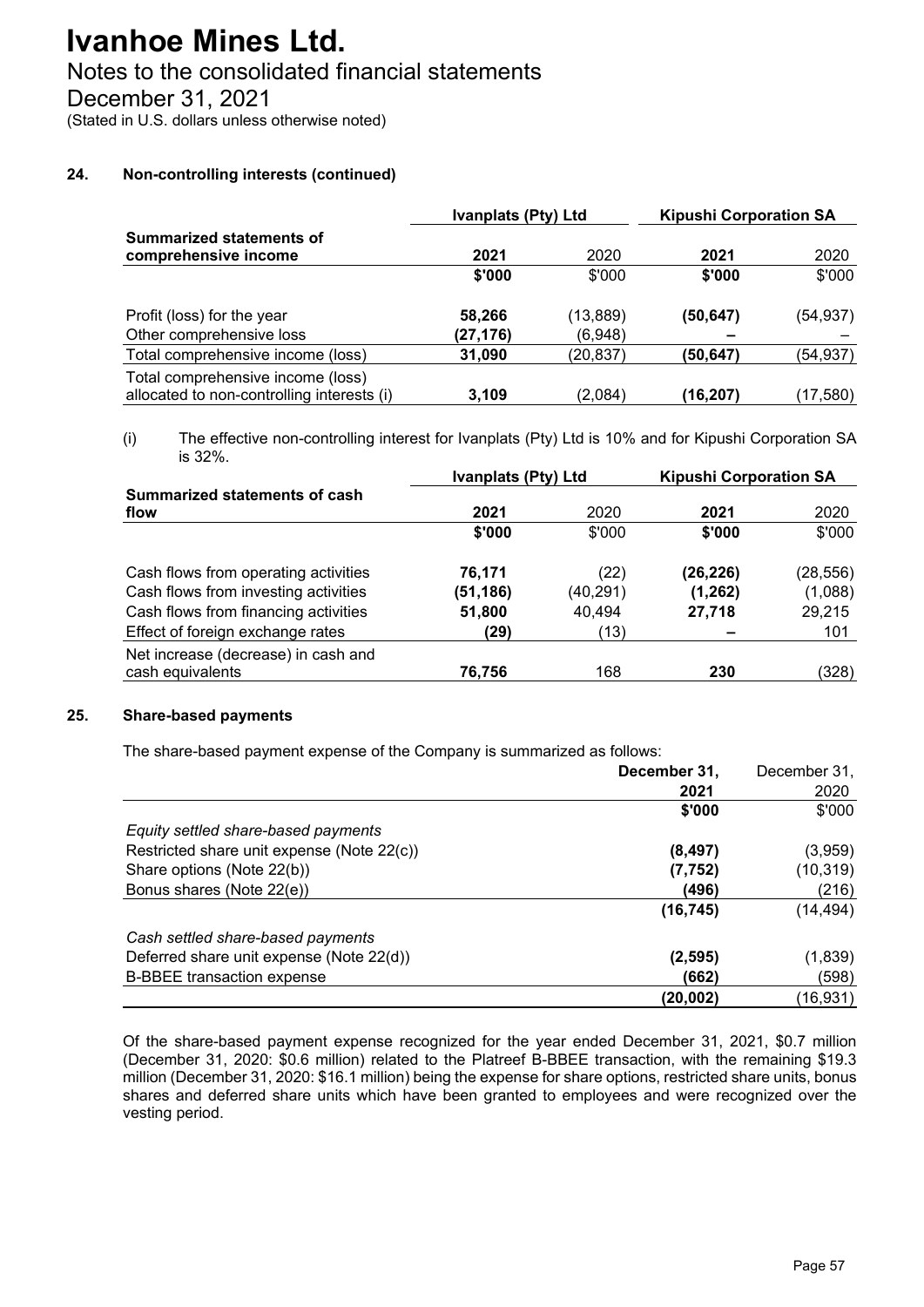# Notes to the consolidated financial statements

December 31, 2021

(Stated in U.S. dollars unless otherwise noted)

## **24. Non-controlling interests (continued)**

|                                                                                 | Ivanplats (Pty) Ltd |           | <b>Kipushi Corporation SA</b> |           |
|---------------------------------------------------------------------------------|---------------------|-----------|-------------------------------|-----------|
| <b>Summarized statements of</b>                                                 |                     |           |                               |           |
| comprehensive income                                                            | 2021                | 2020      | 2021                          | 2020      |
|                                                                                 | \$'000              | \$'000    | \$'000                        | \$'000    |
| Profit (loss) for the year                                                      | 58,266              | (13, 889) | (50, 647)                     | (54, 937) |
| Other comprehensive loss                                                        | (27,176)            | (6,948)   |                               |           |
| Total comprehensive income (loss)                                               | 31,090              | (20, 837) | (50, 647)                     | (54, 937) |
| Total comprehensive income (loss)<br>allocated to non-controlling interests (i) | 3.109               | (2,084)   | (16,207)                      | (17,580)  |

(i) The effective non-controlling interest for Ivanplats (Pty) Ltd is 10% and for Kipushi Corporation SA is 32%.

|           |          | <b>Kipushi Corporation SA</b> |          |
|-----------|----------|-------------------------------|----------|
| 2021      | 2020     | 2021                          | 2020     |
| \$'000    | \$'000   | \$'000                        | \$'000   |
| 76,171    | (22)     | (26, 226)                     | (28,556) |
| (51, 186) | (40,291) | (1, 262)                      | (1,088)  |
| 51,800    | 40,494   | 27,718                        | 29,215   |
| (29)      | (13)     |                               | 101      |
| 76,756    | 168      | 230                           | (328)    |
|           |          | Ivanplats (Pty) Ltd           |          |

#### **25. Share-based payments**

The share-based payment expense of the Company is summarized as follows:

|                                            | December 31, | December 31, |
|--------------------------------------------|--------------|--------------|
|                                            | 2021         | 2020         |
|                                            | \$'000       | \$'000       |
| Equity settled share-based payments        |              |              |
| Restricted share unit expense (Note 22(c)) | (8, 497)     | (3,959)      |
| Share options (Note 22(b))                 | (7, 752)     | (10, 319)    |
| Bonus shares (Note 22(e))                  | (496)        | (216)        |
|                                            | (16, 745)    | (14,494)     |
| Cash settled share-based payments          |              |              |
| Deferred share unit expense (Note 22(d))   | (2, 595)     | (1,839)      |
| <b>B-BBEE</b> transaction expense          | (662)        | (598)        |
|                                            | (20,002)     | (16,931)     |

Of the share-based payment expense recognized for the year ended December 31, 2021, \$0.7 million (December 31, 2020: \$0.6 million) related to the Platreef B-BBEE transaction, with the remaining \$19.3 million (December 31, 2020: \$16.1 million) being the expense for share options, restricted share units, bonus shares and deferred share units which have been granted to employees and were recognized over the vesting period.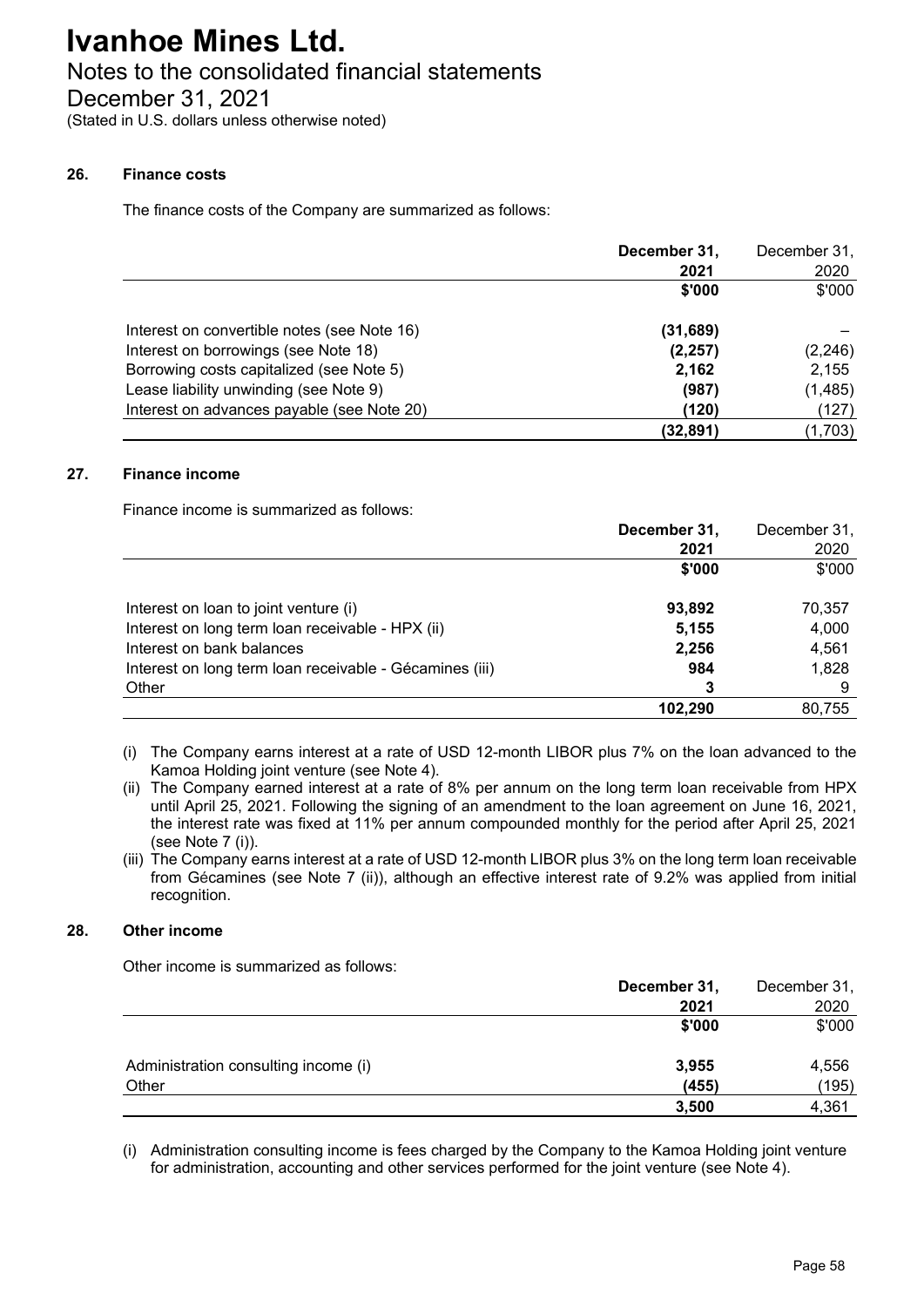## Notes to the consolidated financial statements

December 31, 2021

(Stated in U.S. dollars unless otherwise noted)

#### **26. Finance costs**

The finance costs of the Company are summarized as follows:

|                                             | December 31, | December 31, |
|---------------------------------------------|--------------|--------------|
|                                             | 2021         | 2020         |
|                                             | \$'000       | \$'000       |
| Interest on convertible notes (see Note 16) | (31, 689)    |              |
| Interest on borrowings (see Note 18)        | (2, 257)     | (2, 246)     |
| Borrowing costs capitalized (see Note 5)    | 2,162        | 2,155        |
| Lease liability unwinding (see Note 9)      | (987)        | (1, 485)     |
| Interest on advances payable (see Note 20)  | (120)        | (127)        |
|                                             | (32, 891)    | (1,703)      |

#### **27. Finance income**

Finance income is summarized as follows:

|                                                         | December 31, | December 31, |
|---------------------------------------------------------|--------------|--------------|
|                                                         | 2021         | 2020         |
|                                                         | \$'000       | \$'000       |
| Interest on loan to joint venture (i)                   | 93,892       | 70,357       |
| Interest on long term loan receivable - HPX (ii)        | 5,155        | 4,000        |
| Interest on bank balances                               | 2,256        | 4,561        |
| Interest on long term loan receivable - Gécamines (iii) | 984          | 1,828        |
| Other                                                   | 3            | 9            |
|                                                         | 102,290      | 80,755       |

- (i) The Company earns interest at a rate of USD 12-month LIBOR plus 7% on the loan advanced to the Kamoa Holding joint venture (see Note 4).
- (ii) The Company earned interest at a rate of 8% per annum on the long term loan receivable from HPX until April 25, 2021. Following the signing of an amendment to the loan agreement on June 16, 2021, the interest rate was fixed at 11% per annum compounded monthly for the period after April 25, 2021 (see Note 7 (i)).
- (iii) The Company earns interest at a rate of USD 12-month LIBOR plus 3% on the long term loan receivable from Gécamines (see Note 7 (ii)), although an effective interest rate of 9.2% was applied from initial recognition.

### **28. Other income**

Other income is summarized as follows:

|                                      | December 31, | December 31, |
|--------------------------------------|--------------|--------------|
|                                      | 2021         | 2020         |
|                                      | \$'000       | \$'000       |
| Administration consulting income (i) | 3,955        | 4,556        |
| Other                                | (455)        | (195)        |
|                                      | 3,500        | 4,361        |

(i) Administration consulting income is fees charged by the Company to the Kamoa Holding joint venture for administration, accounting and other services performed for the joint venture (see Note 4).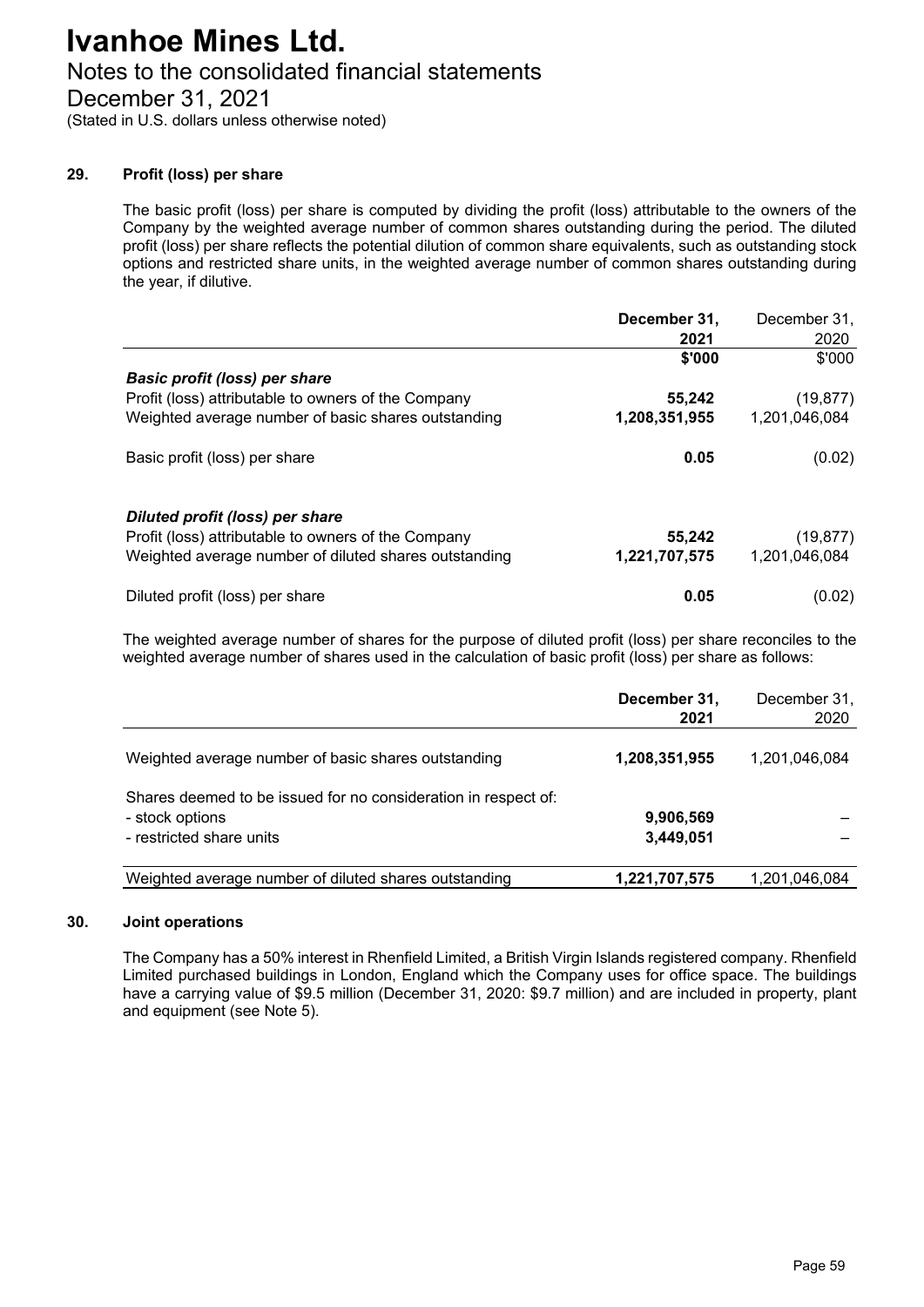# Notes to the consolidated financial statements

December 31, 2021

(Stated in U.S. dollars unless otherwise noted)

### **29. Profit (loss) per share**

The basic profit (loss) per share is computed by dividing the profit (loss) attributable to the owners of the Company by the weighted average number of common shares outstanding during the period. The diluted profit (loss) per share reflects the potential dilution of common share equivalents, such as outstanding stock options and restricted share units, in the weighted average number of common shares outstanding during the year, if dilutive.

|                                                       | December 31,  | December 31,  |
|-------------------------------------------------------|---------------|---------------|
|                                                       | 2021          | 2020          |
|                                                       | \$'000        | \$'000        |
| <b>Basic profit (loss) per share</b>                  |               |               |
| Profit (loss) attributable to owners of the Company   | 55,242        | (19, 877)     |
| Weighted average number of basic shares outstanding   | 1,208,351,955 | 1,201,046,084 |
| Basic profit (loss) per share                         | 0.05          | (0.02)        |
| Diluted profit (loss) per share                       |               |               |
| Profit (loss) attributable to owners of the Company   | 55,242        | (19, 877)     |
| Weighted average number of diluted shares outstanding | 1,221,707,575 | 1,201,046,084 |
| Diluted profit (loss) per share                       | 0.05          | (0.02)        |

The weighted average number of shares for the purpose of diluted profit (loss) per share reconciles to the weighted average number of shares used in the calculation of basic profit (loss) per share as follows:

|                                                                                                               | December 31,<br>2021   | December 31,<br>2020 |
|---------------------------------------------------------------------------------------------------------------|------------------------|----------------------|
| Weighted average number of basic shares outstanding                                                           | 1,208,351,955          | 1,201,046,084        |
| Shares deemed to be issued for no consideration in respect of:<br>- stock options<br>- restricted share units | 9,906,569<br>3,449,051 |                      |
| Weighted average number of diluted shares outstanding                                                         | 1,221,707,575          | 1,201,046,084        |

#### **30. Joint operations**

The Company has a 50% interest in Rhenfield Limited, a British Virgin Islands registered company. Rhenfield Limited purchased buildings in London, England which the Company uses for office space. The buildings have a carrying value of \$9.5 million (December 31, 2020: \$9.7 million) and are included in property, plant and equipment (see Note 5).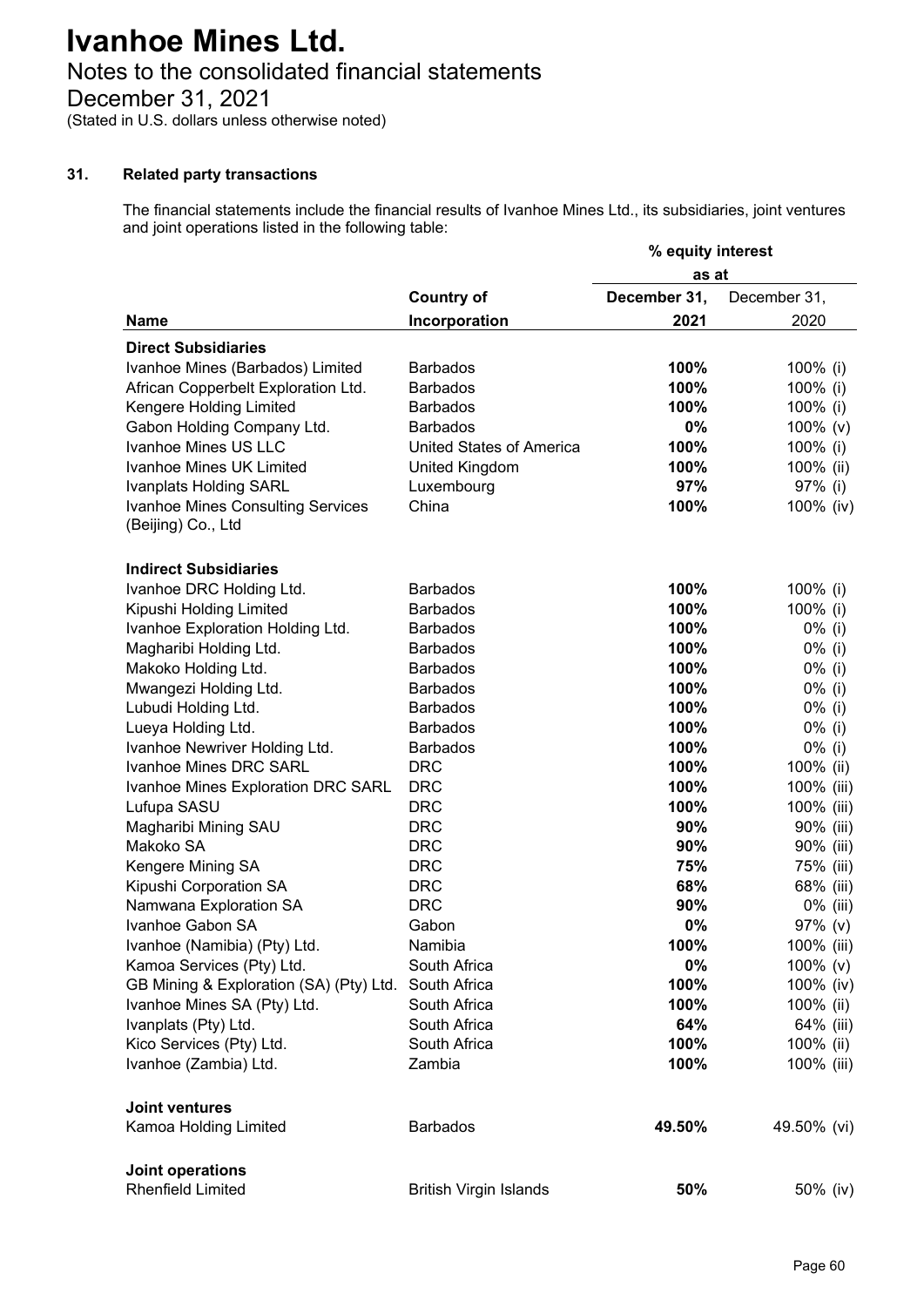# Notes to the consolidated financial statements

December 31, 2021

(Stated in U.S. dollars unless otherwise noted)

### **31. Related party transactions**

The financial statements include the financial results of Ivanhoe Mines Ltd., its subsidiaries, joint ventures and joint operations listed in the following table:

|                                          |                                 | % equity interest |              |
|------------------------------------------|---------------------------------|-------------------|--------------|
|                                          |                                 | as at             |              |
|                                          | <b>Country of</b>               | December 31,      | December 31, |
| <b>Name</b>                              | Incorporation                   | 2021              | 2020         |
| <b>Direct Subsidiaries</b>               |                                 |                   |              |
| Ivanhoe Mines (Barbados) Limited         | <b>Barbados</b>                 | 100%              | 100% (i)     |
| African Copperbelt Exploration Ltd.      | <b>Barbados</b>                 | 100%              | 100% (i)     |
| Kengere Holding Limited                  | <b>Barbados</b>                 | 100%              | 100% (i)     |
| Gabon Holding Company Ltd.               | <b>Barbados</b>                 | 0%                | 100% (v)     |
| Ivanhoe Mines US LLC                     | <b>United States of America</b> | 100%              | 100% (i)     |
| Ivanhoe Mines UK Limited                 | United Kingdom                  | 100%              | 100% (ii)    |
| <b>Ivanplats Holding SARL</b>            | Luxembourg                      | 97%               | 97% (i)      |
| <b>Ivanhoe Mines Consulting Services</b> | China                           | 100%              | 100% (iv)    |
| (Beijing) Co., Ltd                       |                                 |                   |              |
| <b>Indirect Subsidiaries</b>             |                                 |                   |              |
| Ivanhoe DRC Holding Ltd.                 | <b>Barbados</b>                 | 100%              | 100% (i)     |
| Kipushi Holding Limited                  | <b>Barbados</b>                 | 100%              | 100% (i)     |
| Ivanhoe Exploration Holding Ltd.         | <b>Barbados</b>                 | 100%              | $0\%$ (i)    |
| Magharibi Holding Ltd.                   | <b>Barbados</b>                 | 100%              | 0% (i)       |
| Makoko Holding Ltd.                      | <b>Barbados</b>                 | 100%              | 0% (i)       |
| Mwangezi Holding Ltd.                    | <b>Barbados</b>                 | 100%              | 0% (i)       |
| Lubudi Holding Ltd.                      | <b>Barbados</b>                 | 100%              | 0% (i)       |
| Lueya Holding Ltd.                       | <b>Barbados</b>                 | 100%              | 0% (i)       |
| Ivanhoe Newriver Holding Ltd.            | <b>Barbados</b>                 | 100%              | 0% (i)       |
| Ivanhoe Mines DRC SARL                   | <b>DRC</b>                      | 100%              | 100% (ii)    |
| Ivanhoe Mines Exploration DRC SARL       | <b>DRC</b>                      | 100%              | 100% (iii)   |
| Lufupa SASU                              | <b>DRC</b>                      | 100%              | 100% (iii)   |
| Magharibi Mining SAU                     | <b>DRC</b>                      | 90%               | 90% (iii)    |
| Makoko SA                                | <b>DRC</b>                      | 90%               | 90% (iii)    |
| Kengere Mining SA                        | <b>DRC</b>                      | 75%               | 75% (iii)    |
| Kipushi Corporation SA                   | <b>DRC</b>                      | 68%               | 68% (iii)    |
| Namwana Exploration SA                   | <b>DRC</b>                      | 90%               | 0% (iii)     |
| Ivanhoe Gabon SA                         | Gabon                           | 0%                | 97% (v)      |
| Ivanhoe (Namibia) (Pty) Ltd.             | Namibia                         | 100%              | 100% (iii)   |
| Kamoa Services (Pty) Ltd.                | South Africa                    | $0\%$             | 100% (v)     |
| GB Mining & Exploration (SA) (Pty) Ltd.  | South Africa                    | 100%              | 100% (iv)    |
| Ivanhoe Mines SA (Pty) Ltd.              | South Africa                    | 100%              | 100% (ii)    |
| Ivanplats (Pty) Ltd.                     | South Africa                    | 64%               | 64% (iii)    |
| Kico Services (Pty) Ltd.                 | South Africa                    | 100%              | 100% (ii)    |
| Ivanhoe (Zambia) Ltd.                    | Zambia                          | 100%              | 100% (iii)   |
| <b>Joint ventures</b>                    |                                 |                   |              |
| Kamoa Holding Limited                    | <b>Barbados</b>                 | 49.50%            | 49.50% (vi)  |
| Joint operations                         |                                 |                   |              |
| <b>Rhenfield Limited</b>                 | <b>British Virgin Islands</b>   | 50%               | 50% (iv)     |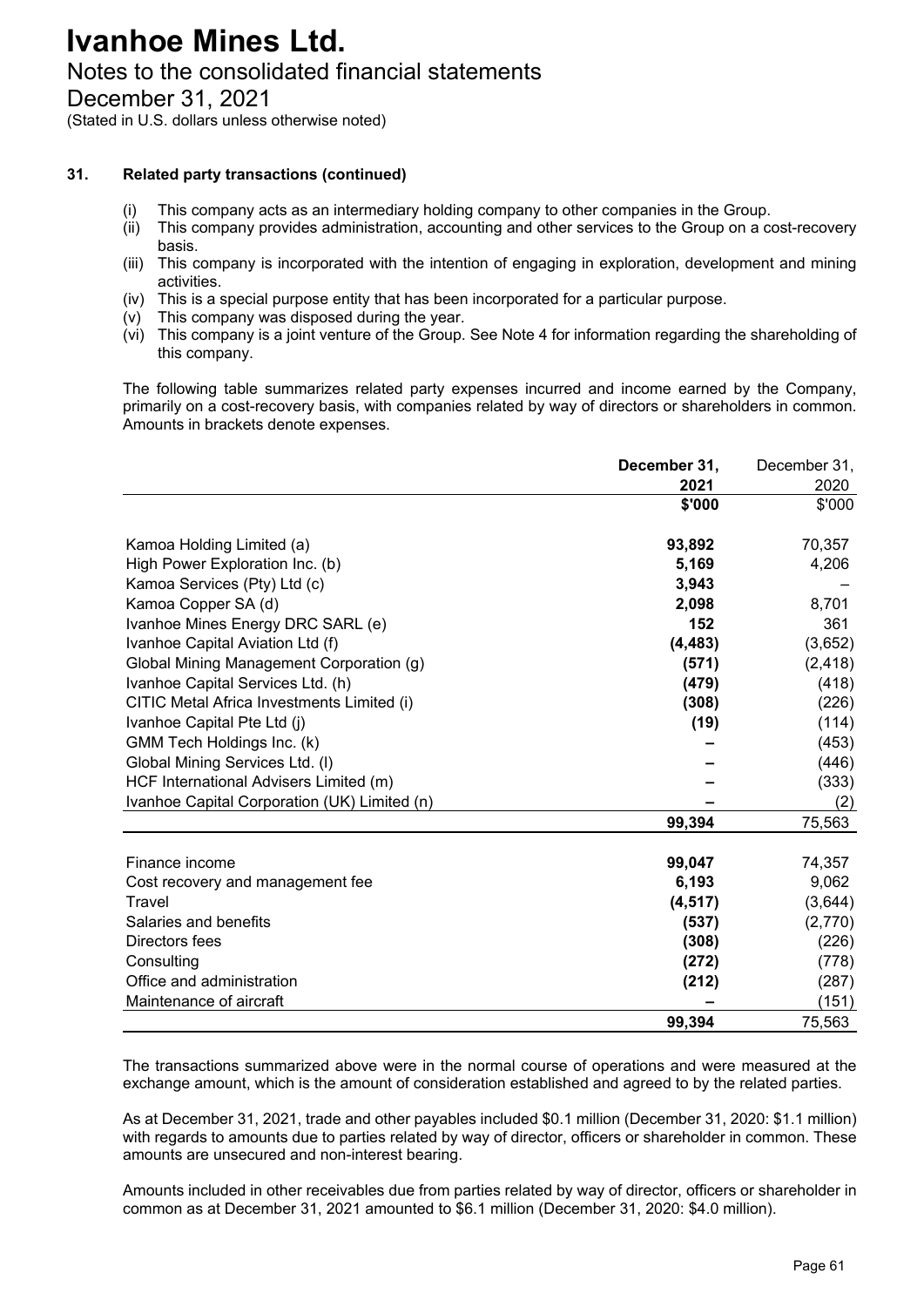# Notes to the consolidated financial statements

December 31, 2021

(Stated in U.S. dollars unless otherwise noted)

## **31. Related party transactions (continued)**

- (i) This company acts as an intermediary holding company to other companies in the Group.
- (ii) This company provides administration, accounting and other services to the Group on a cost-recovery basis.
- (iii) This company is incorporated with the intention of engaging in exploration, development and mining activities.
- (iv) This is a special purpose entity that has been incorporated for a particular purpose.
- (v) This company was disposed during the year.
- (vi) This company is a joint venture of the Group. See Note 4 for information regarding the shareholding of this company.

The following table summarizes related party expenses incurred and income earned by the Company, primarily on a cost-recovery basis, with companies related by way of directors or shareholders in common. Amounts in brackets denote expenses.

|                                              | December 31, | December 31, |
|----------------------------------------------|--------------|--------------|
|                                              | 2021         | 2020         |
|                                              | \$'000       | \$'000       |
| Kamoa Holding Limited (a)                    | 93,892       | 70,357       |
| High Power Exploration Inc. (b)              | 5,169        | 4,206        |
| Kamoa Services (Pty) Ltd (c)                 | 3,943        |              |
| Kamoa Copper SA (d)                          | 2,098        | 8,701        |
| Ivanhoe Mines Energy DRC SARL (e)            | 152          | 361          |
| Ivanhoe Capital Aviation Ltd (f)             | (4, 483)     | (3,652)      |
| Global Mining Management Corporation (g)     | (571)        | (2, 418)     |
| Ivanhoe Capital Services Ltd. (h)            | (479)        | (418)        |
| CITIC Metal Africa Investments Limited (i)   | (308)        | (226)        |
| Ivanhoe Capital Pte Ltd (j)                  | (19)         | (114)        |
| GMM Tech Holdings Inc. (k)                   |              | (453)        |
| Global Mining Services Ltd. (I)              |              | (446)        |
| HCF International Advisers Limited (m)       |              | (333)        |
| Ivanhoe Capital Corporation (UK) Limited (n) |              | (2)          |
|                                              | 99,394       | 75,563       |
| Finance income                               | 99,047       | 74,357       |
| Cost recovery and management fee             | 6,193        | 9,062        |
| Travel                                       | (4, 517)     | (3,644)      |
| Salaries and benefits                        | (537)        | (2,770)      |
| Directors fees                               | (308)        | (226)        |
| Consulting                                   | (272)        | (778)        |
| Office and administration                    | (212)        | (287)        |
| Maintenance of aircraft                      |              | (151)        |
|                                              | 99,394       | 75,563       |

The transactions summarized above were in the normal course of operations and were measured at the exchange amount, which is the amount of consideration established and agreed to by the related parties.

As at December 31, 2021, trade and other payables included \$0.1 million (December 31, 2020: \$1.1 million) with regards to amounts due to parties related by way of director, officers or shareholder in common. These amounts are unsecured and non-interest bearing.

Amounts included in other receivables due from parties related by way of director, officers or shareholder in common as at December 31, 2021 amounted to \$6.1 million (December 31, 2020: \$4.0 million).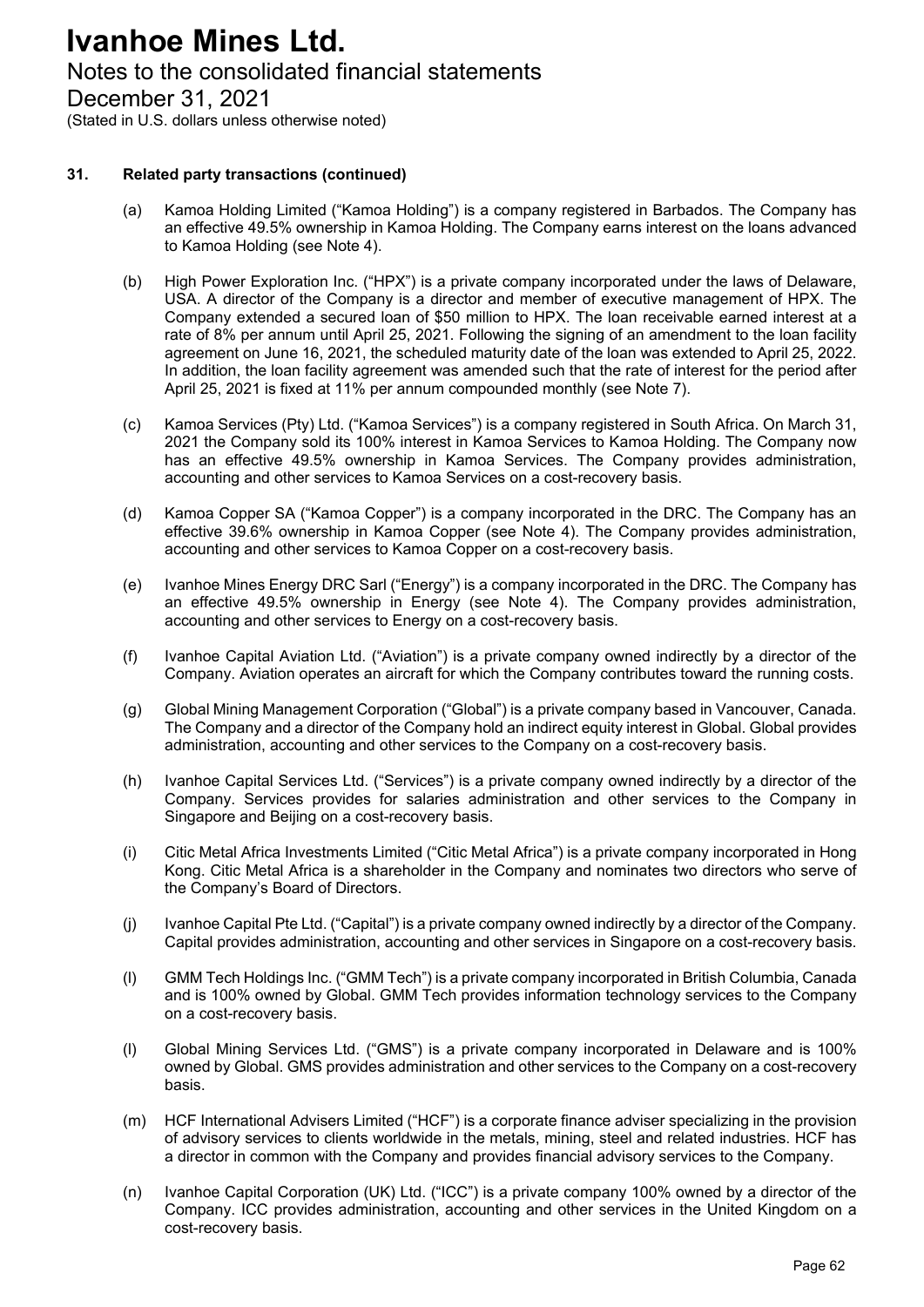# Notes to the consolidated financial statements

December 31, 2021

(Stated in U.S. dollars unless otherwise noted)

### **31. Related party transactions (continued)**

- (a) Kamoa Holding Limited ("Kamoa Holding") is a company registered in Barbados. The Company has an effective 49.5% ownership in Kamoa Holding. The Company earns interest on the loans advanced to Kamoa Holding (see Note 4).
- (b) High Power Exploration Inc. ("HPX") is a private company incorporated under the laws of Delaware, USA. A director of the Company is a director and member of executive management of HPX. The Company extended a secured loan of \$50 million to HPX. The loan receivable earned interest at a rate of 8% per annum until April 25, 2021. Following the signing of an amendment to the loan facility agreement on June 16, 2021, the scheduled maturity date of the loan was extended to April 25, 2022. In addition, the loan facility agreement was amended such that the rate of interest for the period after April 25, 2021 is fixed at 11% per annum compounded monthly (see Note 7).
- (c) Kamoa Services (Pty) Ltd. ("Kamoa Services") is a company registered in South Africa. On March 31, 2021 the Company sold its 100% interest in Kamoa Services to Kamoa Holding. The Company now has an effective 49.5% ownership in Kamoa Services. The Company provides administration, accounting and other services to Kamoa Services on a cost-recovery basis.
- (d) Kamoa Copper SA ("Kamoa Copper") is a company incorporated in the DRC. The Company has an effective 39.6% ownership in Kamoa Copper (see Note 4). The Company provides administration, accounting and other services to Kamoa Copper on a cost-recovery basis.
- (e) Ivanhoe Mines Energy DRC Sarl ("Energy") is a company incorporated in the DRC. The Company has an effective 49.5% ownership in Energy (see Note 4). The Company provides administration, accounting and other services to Energy on a cost-recovery basis.
- (f) Ivanhoe Capital Aviation Ltd. ("Aviation") is a private company owned indirectly by a director of the Company. Aviation operates an aircraft for which the Company contributes toward the running costs.
- (g) Global Mining Management Corporation ("Global") is a private company based in Vancouver, Canada. The Company and a director of the Company hold an indirect equity interest in Global. Global provides administration, accounting and other services to the Company on a cost-recovery basis.
- (h) Ivanhoe Capital Services Ltd. ("Services") is a private company owned indirectly by a director of the Company. Services provides for salaries administration and other services to the Company in Singapore and Beijing on a cost-recovery basis.
- (i) Citic Metal Africa Investments Limited ("Citic Metal Africa") is a private company incorporated in Hong Kong. Citic Metal Africa is a shareholder in the Company and nominates two directors who serve of the Company's Board of Directors.
- (j) Ivanhoe Capital Pte Ltd. ("Capital") is a private company owned indirectly by a director of the Company. Capital provides administration, accounting and other services in Singapore on a cost-recovery basis.
- (l) GMM Tech Holdings Inc. ("GMM Tech") is a private company incorporated in British Columbia, Canada and is 100% owned by Global. GMM Tech provides information technology services to the Company on a cost-recovery basis.
- (l) Global Mining Services Ltd. ("GMS") is a private company incorporated in Delaware and is 100% owned by Global. GMS provides administration and other services to the Company on a cost-recovery basis.
- (m) HCF International Advisers Limited ("HCF") is a corporate finance adviser specializing in the provision of advisory services to clients worldwide in the metals, mining, steel and related industries. HCF has a director in common with the Company and provides financial advisory services to the Company.
- (n) Ivanhoe Capital Corporation (UK) Ltd. ("ICC") is a private company 100% owned by a director of the Company. ICC provides administration, accounting and other services in the United Kingdom on a cost-recovery basis.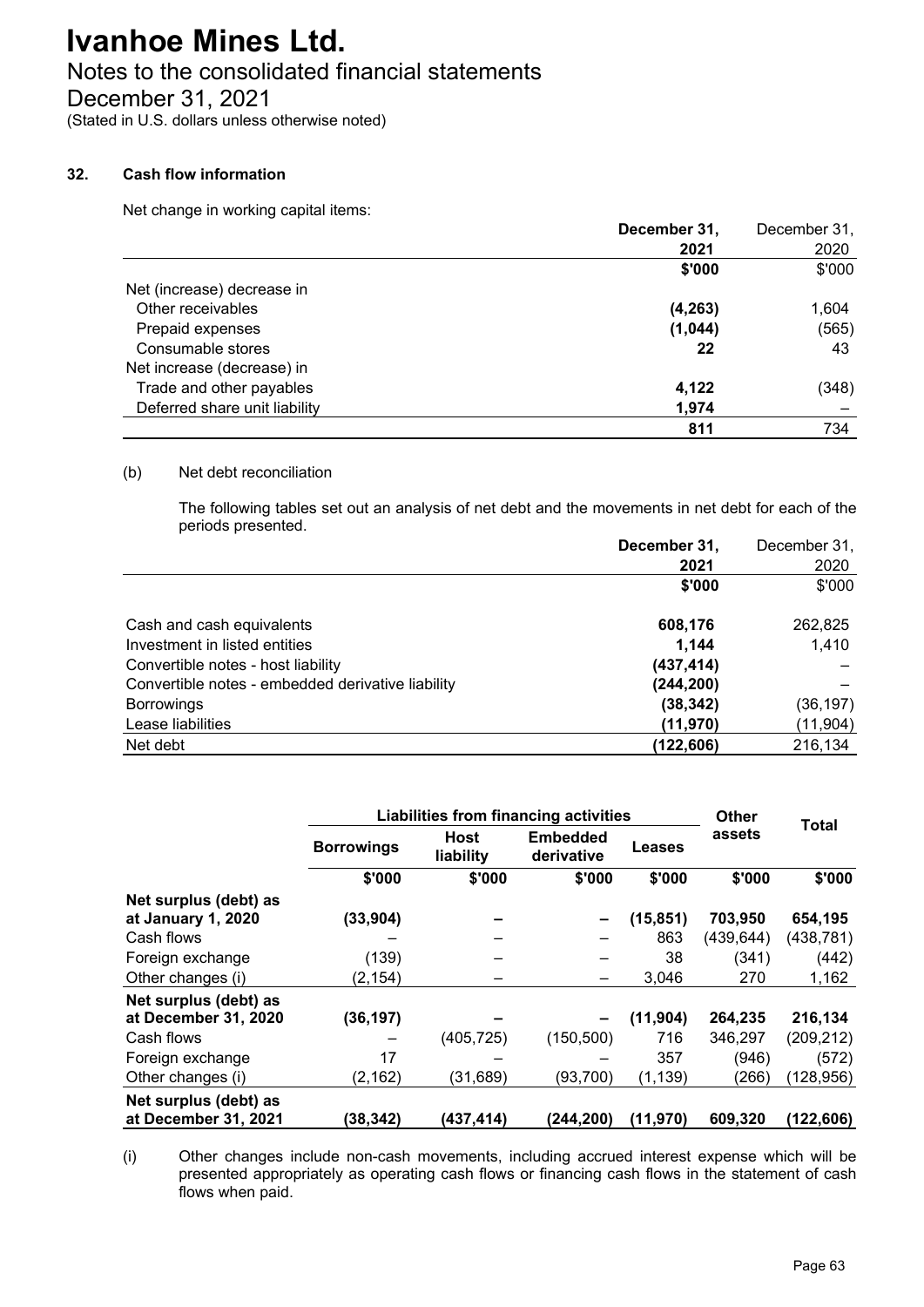# Notes to the consolidated financial statements

December 31, 2021

(Stated in U.S. dollars unless otherwise noted)

### **32. Cash flow information**

Net change in working capital items:

|                               | December 31, | December 31, |
|-------------------------------|--------------|--------------|
|                               | 2021         | 2020         |
|                               | \$'000       | \$'000       |
| Net (increase) decrease in    |              |              |
| Other receivables             | (4, 263)     | 1,604        |
| Prepaid expenses              | (1,044)      | (565)        |
| Consumable stores             | 22           | 43           |
| Net increase (decrease) in    |              |              |
| Trade and other payables      | 4,122        | (348)        |
| Deferred share unit liability | 1,974        |              |
|                               | 811          | 734          |

#### (b) Net debt reconciliation

The following tables set out an analysis of net debt and the movements in net debt for each of the periods presented.

|                                                   | December 31, | December 31, |
|---------------------------------------------------|--------------|--------------|
|                                                   | 2021         | 2020         |
|                                                   | \$'000       | \$'000       |
| Cash and cash equivalents                         | 608,176      | 262,825      |
| Investment in listed entities                     | 1,144        | 1,410        |
| Convertible notes - host liability                | (437, 414)   |              |
| Convertible notes - embedded derivative liability | (244, 200)   |              |
| <b>Borrowings</b>                                 | (38, 342)    | (36, 197)    |
| Lease liabilities                                 | (11, 970)    | (11, 904)    |
| Net debt                                          | (122,606)    | 216,134      |

|                                               | <b>Liabilities from financing activities</b> |                          |                               |           | <b>Other</b> | <b>Total</b> |
|-----------------------------------------------|----------------------------------------------|--------------------------|-------------------------------|-----------|--------------|--------------|
|                                               | <b>Borrowings</b>                            | <b>Host</b><br>liability | <b>Embedded</b><br>derivative | Leases    | assets       |              |
|                                               | \$'000                                       | \$'000                   | \$'000                        | \$'000    | \$'000       | \$'000       |
| Net surplus (debt) as<br>at January 1, 2020   | (33, 904)                                    |                          |                               | (15, 851) | 703,950      | 654,195      |
| Cash flows                                    |                                              |                          |                               | 863       | (439, 644)   | (438,781)    |
| Foreign exchange                              | (139)                                        |                          |                               | 38        | (341)        | (442)        |
| Other changes (i)                             | (2, 154)                                     |                          |                               | 3,046     | 270          | 1,162        |
| Net surplus (debt) as                         |                                              |                          |                               |           |              |              |
| at December 31, 2020                          | (36, 197)                                    |                          |                               | (11,904)  | 264,235      | 216,134      |
| Cash flows                                    |                                              | (405, 725)               | (150, 500)                    | 716       | 346,297      | (209, 212)   |
| Foreign exchange                              | 17                                           |                          |                               | 357       | (946)        | (572)        |
| Other changes (i)                             | (2, 162)                                     | (31, 689)                | (93, 700)                     | (1, 139)  | (266)        | (128, 956)   |
| Net surplus (debt) as<br>at December 31, 2021 | (38,342)                                     | (437,414)                | (244,200)                     | (11,970)  | 609,320      | (122,606)    |

(i) Other changes include non-cash movements, including accrued interest expense which will be presented appropriately as operating cash flows or financing cash flows in the statement of cash flows when paid.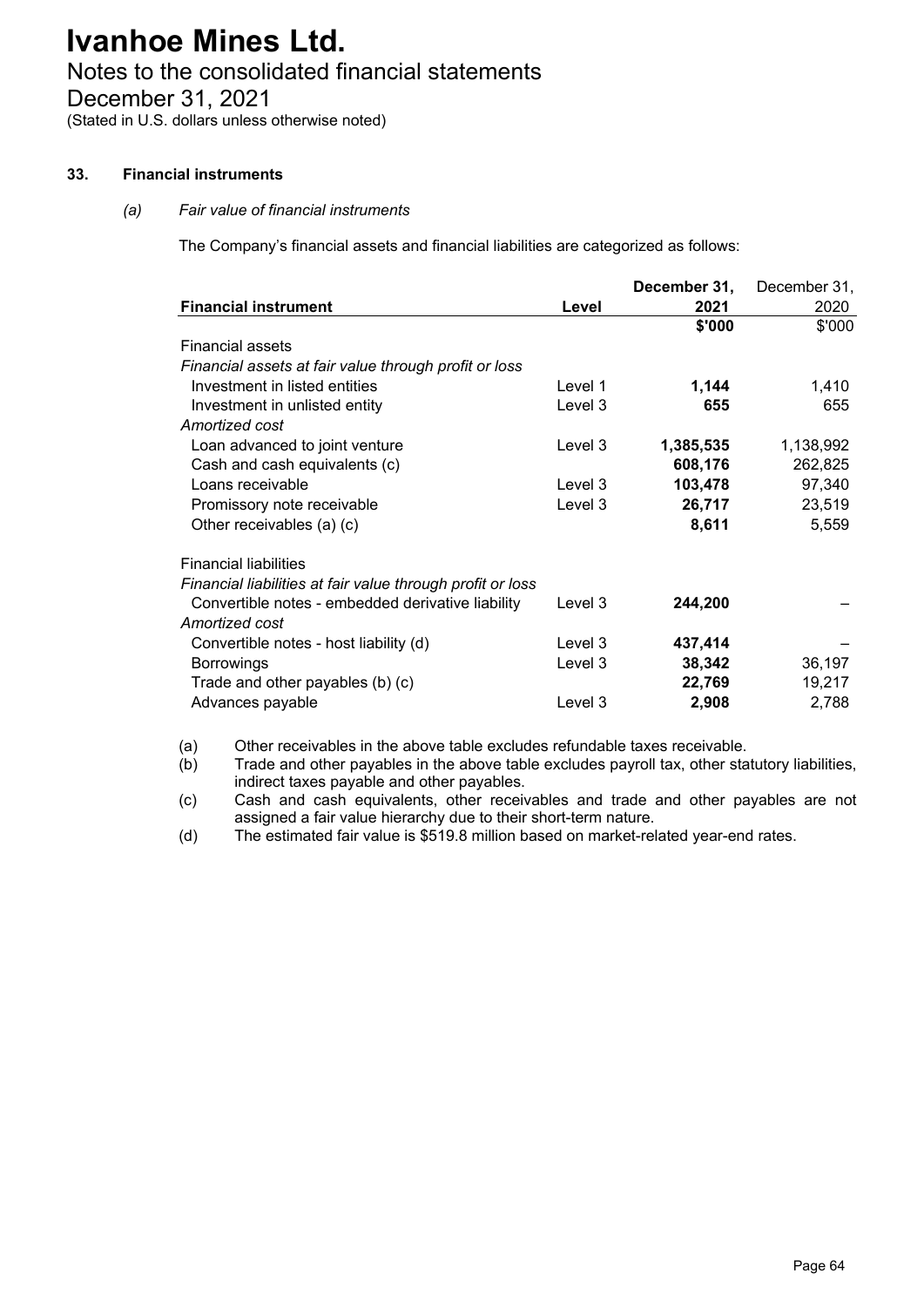# Notes to the consolidated financial statements

December 31, 2021

(Stated in U.S. dollars unless otherwise noted)

## **33. Financial instruments**

## *(a) Fair value of financial instruments*

The Company's financial assets and financial liabilities are categorized as follows:

|                                                            |         | December 31, | December 31, |
|------------------------------------------------------------|---------|--------------|--------------|
| <b>Financial instrument</b>                                | Level   | 2021         | 2020         |
|                                                            |         | \$'000       | \$'000       |
| <b>Financial assets</b>                                    |         |              |              |
| Financial assets at fair value through profit or loss      |         |              |              |
| Investment in listed entities                              | Level 1 | 1,144        | 1,410        |
| Investment in unlisted entity                              | Level 3 | 655          | 655          |
| Amortized cost                                             |         |              |              |
| Loan advanced to joint venture                             | Level 3 | 1,385,535    | 1,138,992    |
| Cash and cash equivalents (c)                              |         | 608,176      | 262,825      |
| Loans receivable                                           | Level 3 | 103,478      | 97,340       |
| Promissory note receivable                                 | Level 3 | 26,717       | 23,519       |
| Other receivables (a) (c)                                  |         | 8,611        | 5,559        |
|                                                            |         |              |              |
| <b>Financial liabilities</b>                               |         |              |              |
| Financial liabilities at fair value through profit or loss |         |              |              |
| Convertible notes - embedded derivative liability          | Level 3 | 244,200      |              |
| Amortized cost                                             |         |              |              |
| Convertible notes - host liability (d)                     | Level 3 | 437,414      |              |
| <b>Borrowings</b>                                          | Level 3 | 38,342       | 36,197       |
| Trade and other payables (b) (c)                           |         | 22,769       | 19,217       |
| Advances payable                                           | Level 3 | 2,908        | 2,788        |
|                                                            |         |              |              |

(a) Other receivables in the above table excludes refundable taxes receivable.<br>(b) Trade and other payables in the above table excludes payroll tax, other sta

Trade and other payables in the above table excludes payroll tax, other statutory liabilities, indirect taxes payable and other payables.

(c) Cash and cash equivalents, other receivables and trade and other payables are not assigned a fair value hierarchy due to their short-term nature.

(d) The estimated fair value is \$519.8 million based on market-related year-end rates.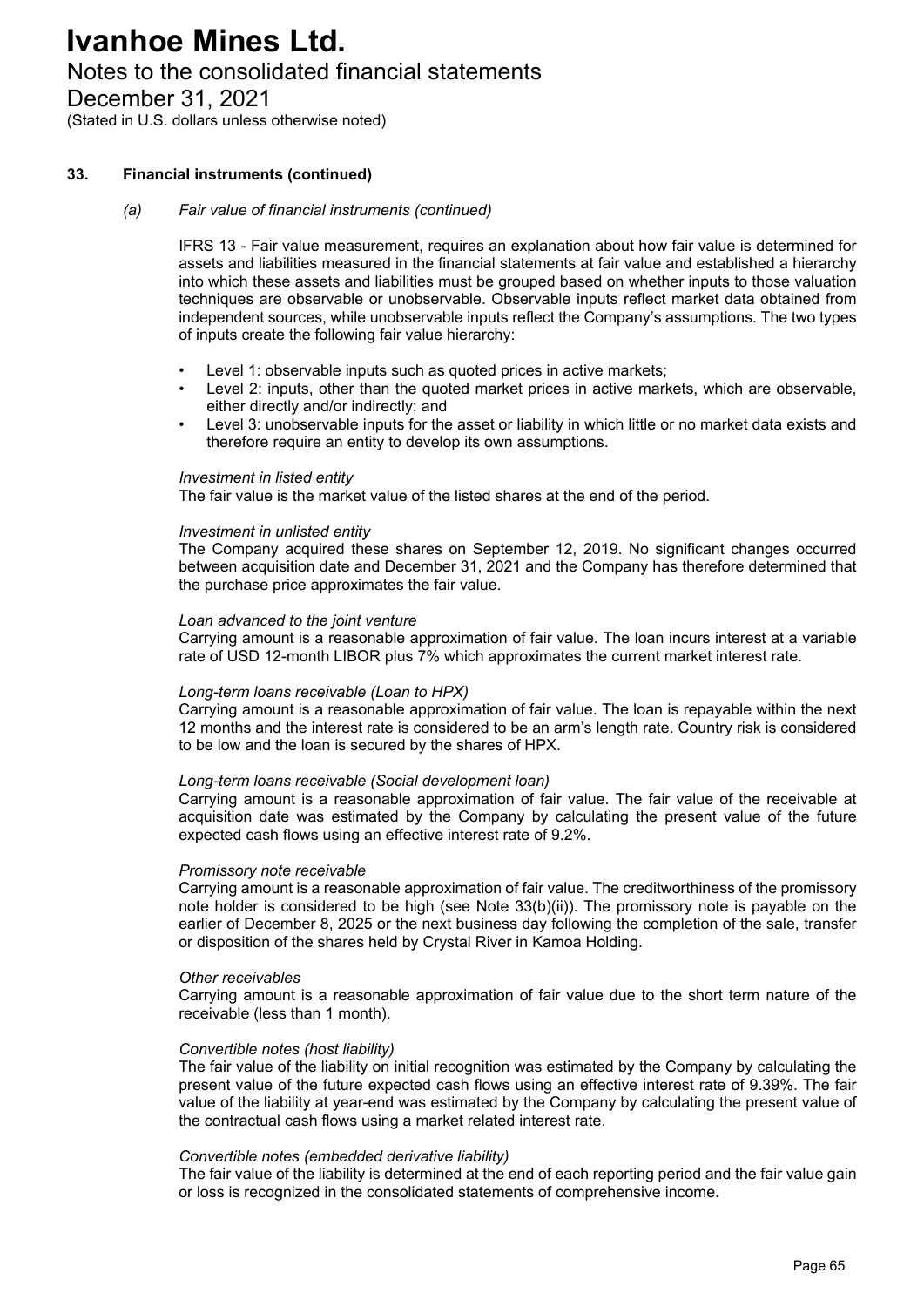# Notes to the consolidated financial statements

December 31, 2021

(Stated in U.S. dollars unless otherwise noted)

### **33. Financial instruments (continued)**

### *(a) Fair value of financial instruments (continued)*

IFRS 13 - Fair value measurement, requires an explanation about how fair value is determined for assets and liabilities measured in the financial statements at fair value and established a hierarchy into which these assets and liabilities must be grouped based on whether inputs to those valuation techniques are observable or unobservable. Observable inputs reflect market data obtained from independent sources, while unobservable inputs reflect the Company's assumptions. The two types of inputs create the following fair value hierarchy:

- Level 1: observable inputs such as quoted prices in active markets:
- Level 2: inputs, other than the quoted market prices in active markets, which are observable, either directly and/or indirectly; and
- Level 3: unobservable inputs for the asset or liability in which little or no market data exists and therefore require an entity to develop its own assumptions.

### *Investment in listed entity*

The fair value is the market value of the listed shares at the end of the period.

### *Investment in unlisted entity*

The Company acquired these shares on September 12, 2019. No significant changes occurred between acquisition date and December 31, 2021 and the Company has therefore determined that the purchase price approximates the fair value.

### *Loan advanced to the joint venture*

Carrying amount is a reasonable approximation of fair value. The loan incurs interest at a variable rate of USD 12-month LIBOR plus 7% which approximates the current market interest rate.

### *Long-term loans receivable (Loan to HPX)*

Carrying amount is a reasonable approximation of fair value. The loan is repayable within the next 12 months and the interest rate is considered to be an arm's length rate. Country risk is considered to be low and the loan is secured by the shares of HPX.

### *Long-term loans receivable (Social development loan)*

Carrying amount is a reasonable approximation of fair value. The fair value of the receivable at acquisition date was estimated by the Company by calculating the present value of the future expected cash flows using an effective interest rate of 9.2%.

### *Promissory note receivable*

Carrying amount is a reasonable approximation of fair value. The creditworthiness of the promissory note holder is considered to be high (see Note 33(b)(ii)). The promissory note is payable on the earlier of December 8, 2025 or the next business day following the completion of the sale, transfer or disposition of the shares held by Crystal River in Kamoa Holding.

### *Other receivables*

Carrying amount is a reasonable approximation of fair value due to the short term nature of the receivable (less than 1 month).

### *Convertible notes (host liability)*

The fair value of the liability on initial recognition was estimated by the Company by calculating the present value of the future expected cash flows using an effective interest rate of 9.39%. The fair value of the liability at year-end was estimated by the Company by calculating the present value of the contractual cash flows using a market related interest rate.

### *Convertible notes (embedded derivative liability)*

The fair value of the liability is determined at the end of each reporting period and the fair value gain or loss is recognized in the consolidated statements of comprehensive income.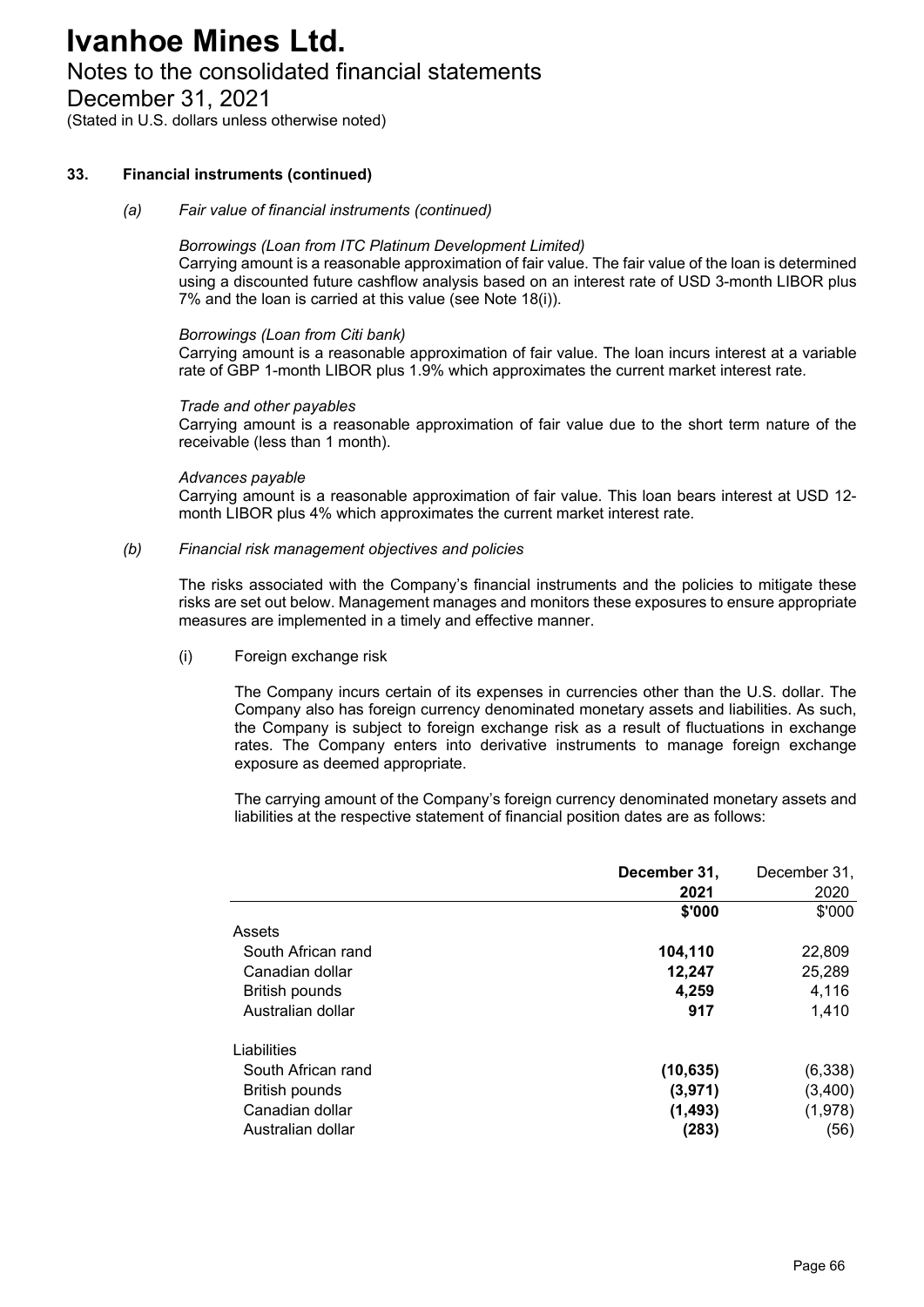# Notes to the consolidated financial statements

December 31, 2021

(Stated in U.S. dollars unless otherwise noted)

## **33. Financial instruments (continued)**

### *(a) Fair value of financial instruments (continued)*

### *Borrowings (Loan from ITC Platinum Development Limited)*

Carrying amount is a reasonable approximation of fair value. The fair value of the loan is determined using a discounted future cashflow analysis based on an interest rate of USD 3-month LIBOR plus 7% and the loan is carried at this value (see Note 18(i)).

### *Borrowings (Loan from Citi bank)*

Carrying amount is a reasonable approximation of fair value. The loan incurs interest at a variable rate of GBP 1-month LIBOR plus 1.9% which approximates the current market interest rate.

## *Trade and other payables*

Carrying amount is a reasonable approximation of fair value due to the short term nature of the receivable (less than 1 month).

## *Advances payable*

Carrying amount is a reasonable approximation of fair value. This loan bears interest at USD 12 month LIBOR plus 4% which approximates the current market interest rate.

## *(b) Financial risk management objectives and policies*

The risks associated with the Company's financial instruments and the policies to mitigate these risks are set out below. Management manages and monitors these exposures to ensure appropriate measures are implemented in a timely and effective manner.

(i) Foreign exchange risk

The Company incurs certain of its expenses in currencies other than the U.S. dollar. The Company also has foreign currency denominated monetary assets and liabilities. As such, the Company is subject to foreign exchange risk as a result of fluctuations in exchange rates. The Company enters into derivative instruments to manage foreign exchange exposure as deemed appropriate.

The carrying amount of the Company's foreign currency denominated monetary assets and liabilities at the respective statement of financial position dates are as follows:

|                       | December 31, | December 31, |
|-----------------------|--------------|--------------|
|                       | 2021         | 2020         |
|                       | \$'000       | \$'000       |
| Assets                |              |              |
| South African rand    | 104,110      | 22,809       |
| Canadian dollar       | 12,247       | 25,289       |
| <b>British pounds</b> | 4,259        | 4,116        |
| Australian dollar     | 917          | 1.410        |
| Liabilities           |              |              |
| South African rand    | (10, 635)    | (6,338)      |
| <b>British pounds</b> | (3,971)      | (3,400)      |
| Canadian dollar       | (1, 493)     | (1,978)      |
| Australian dollar     | (283)        | (56)         |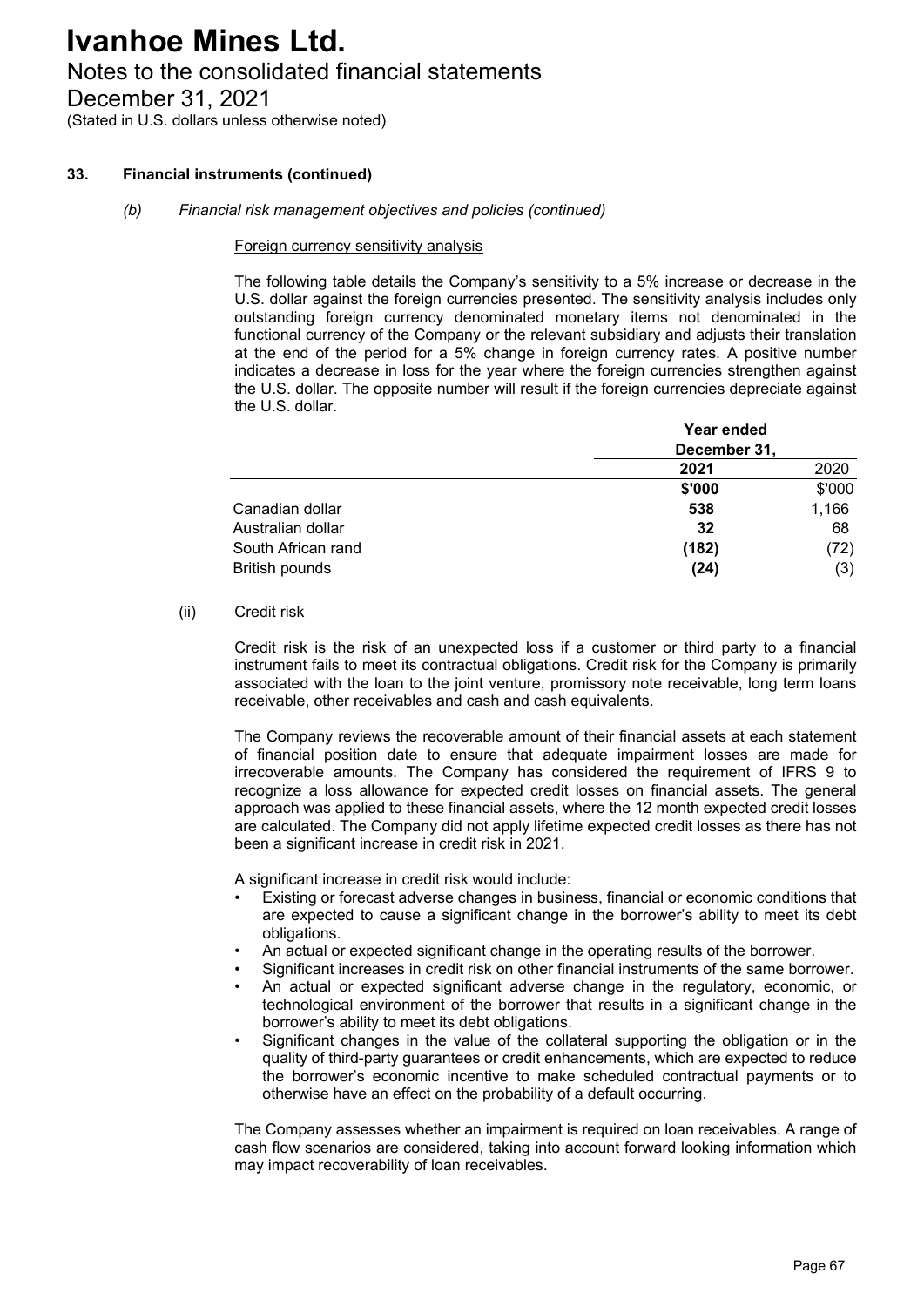# Notes to the consolidated financial statements

December 31, 2021

(Stated in U.S. dollars unless otherwise noted)

## **33. Financial instruments (continued)**

### *(b) Financial risk management objectives and policies (continued)*

### Foreign currency sensitivity analysis

The following table details the Company's sensitivity to a 5% increase or decrease in the U.S. dollar against the foreign currencies presented. The sensitivity analysis includes only outstanding foreign currency denominated monetary items not denominated in the functional currency of the Company or the relevant subsidiary and adjusts their translation at the end of the period for a 5% change in foreign currency rates. A positive number indicates a decrease in loss for the year where the foreign currencies strengthen against the U.S. dollar. The opposite number will result if the foreign currencies depreciate against the U.S. dollar.

|                       | Year ended<br>December 31, |        |  |
|-----------------------|----------------------------|--------|--|
|                       | 2021                       | 2020   |  |
|                       | \$'000                     | \$'000 |  |
| Canadian dollar       | 538                        | 1,166  |  |
| Australian dollar     | 32                         | 68     |  |
| South African rand    | (182)                      | (72)   |  |
| <b>British pounds</b> | (24)                       | (3)    |  |

### (ii) Credit risk

Credit risk is the risk of an unexpected loss if a customer or third party to a financial instrument fails to meet its contractual obligations. Credit risk for the Company is primarily associated with the loan to the joint venture, promissory note receivable, long term loans receivable, other receivables and cash and cash equivalents.

The Company reviews the recoverable amount of their financial assets at each statement of financial position date to ensure that adequate impairment losses are made for irrecoverable amounts. The Company has considered the requirement of IFRS 9 to recognize a loss allowance for expected credit losses on financial assets. The general approach was applied to these financial assets, where the 12 month expected credit losses are calculated. The Company did not apply lifetime expected credit losses as there has not been a significant increase in credit risk in 2021.

A significant increase in credit risk would include:

- Existing or forecast adverse changes in business, financial or economic conditions that are expected to cause a significant change in the borrower's ability to meet its debt obligations.
- An actual or expected significant change in the operating results of the borrower.
- Significant increases in credit risk on other financial instruments of the same borrower.
- An actual or expected significant adverse change in the regulatory, economic, or technological environment of the borrower that results in a significant change in the borrower's ability to meet its debt obligations.
- Significant changes in the value of the collateral supporting the obligation or in the quality of third-party guarantees or credit enhancements, which are expected to reduce the borrower's economic incentive to make scheduled contractual payments or to otherwise have an effect on the probability of a default occurring.

The Company assesses whether an impairment is required on loan receivables. A range of cash flow scenarios are considered, taking into account forward looking information which may impact recoverability of loan receivables.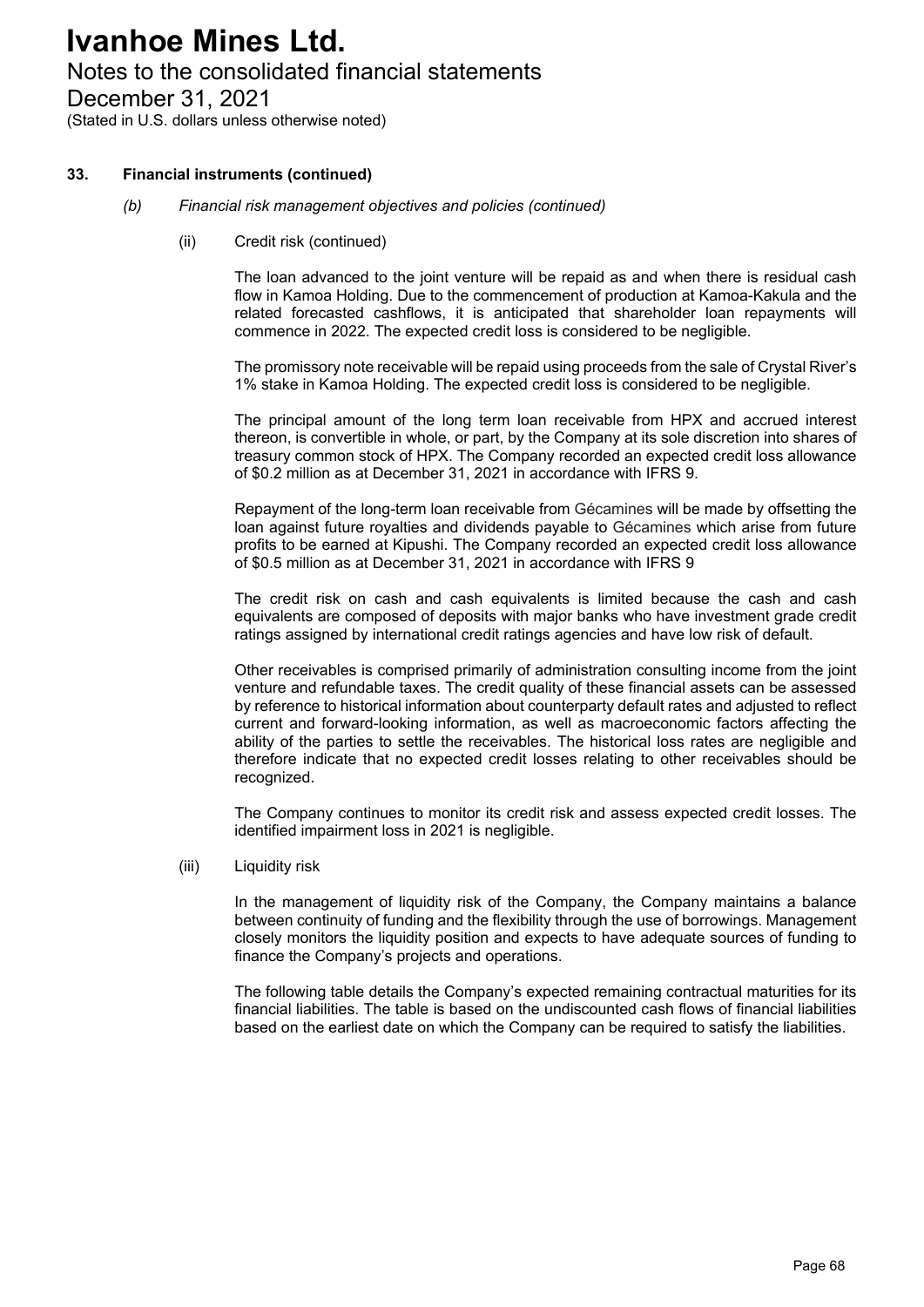# Notes to the consolidated financial statements

December 31, 2021

(Stated in U.S. dollars unless otherwise noted)

## **33. Financial instruments (continued)**

### *(b) Financial risk management objectives and policies (continued)*

(ii) Credit risk (continued)

The loan advanced to the joint venture will be repaid as and when there is residual cash flow in Kamoa Holding. Due to the commencement of production at Kamoa-Kakula and the related forecasted cashflows, it is anticipated that shareholder loan repayments will commence in 2022. The expected credit loss is considered to be negligible.

The promissory note receivable will be repaid using proceeds from the sale of Crystal River's 1% stake in Kamoa Holding. The expected credit loss is considered to be negligible.

The principal amount of the long term loan receivable from HPX and accrued interest thereon, is convertible in whole, or part, by the Company at its sole discretion into shares of treasury common stock of HPX. The Company recorded an expected credit loss allowance of \$0.2 million as at December 31, 2021 in accordance with IFRS 9.

Repayment of the long-term loan receivable from Gécamines will be made by offsetting the loan against future royalties and dividends payable to Gécamines which arise from future profits to be earned at Kipushi. The Company recorded an expected credit loss allowance of \$0.5 million as at December 31, 2021 in accordance with IFRS 9

The credit risk on cash and cash equivalents is limited because the cash and cash equivalents are composed of deposits with major banks who have investment grade credit ratings assigned by international credit ratings agencies and have low risk of default.

Other receivables is comprised primarily of administration consulting income from the joint venture and refundable taxes. The credit quality of these financial assets can be assessed by reference to historical information about counterparty default rates and adjusted to reflect current and forward-looking information, as well as macroeconomic factors affecting the ability of the parties to settle the receivables. The historical loss rates are negligible and therefore indicate that no expected credit losses relating to other receivables should be recognized.

The Company continues to monitor its credit risk and assess expected credit losses. The identified impairment loss in 2021 is negligible.

### (iii) Liquidity risk

In the management of liquidity risk of the Company, the Company maintains a balance between continuity of funding and the flexibility through the use of borrowings. Management closely monitors the liquidity position and expects to have adequate sources of funding to finance the Company's projects and operations.

The following table details the Company's expected remaining contractual maturities for its financial liabilities. The table is based on the undiscounted cash flows of financial liabilities based on the earliest date on which the Company can be required to satisfy the liabilities.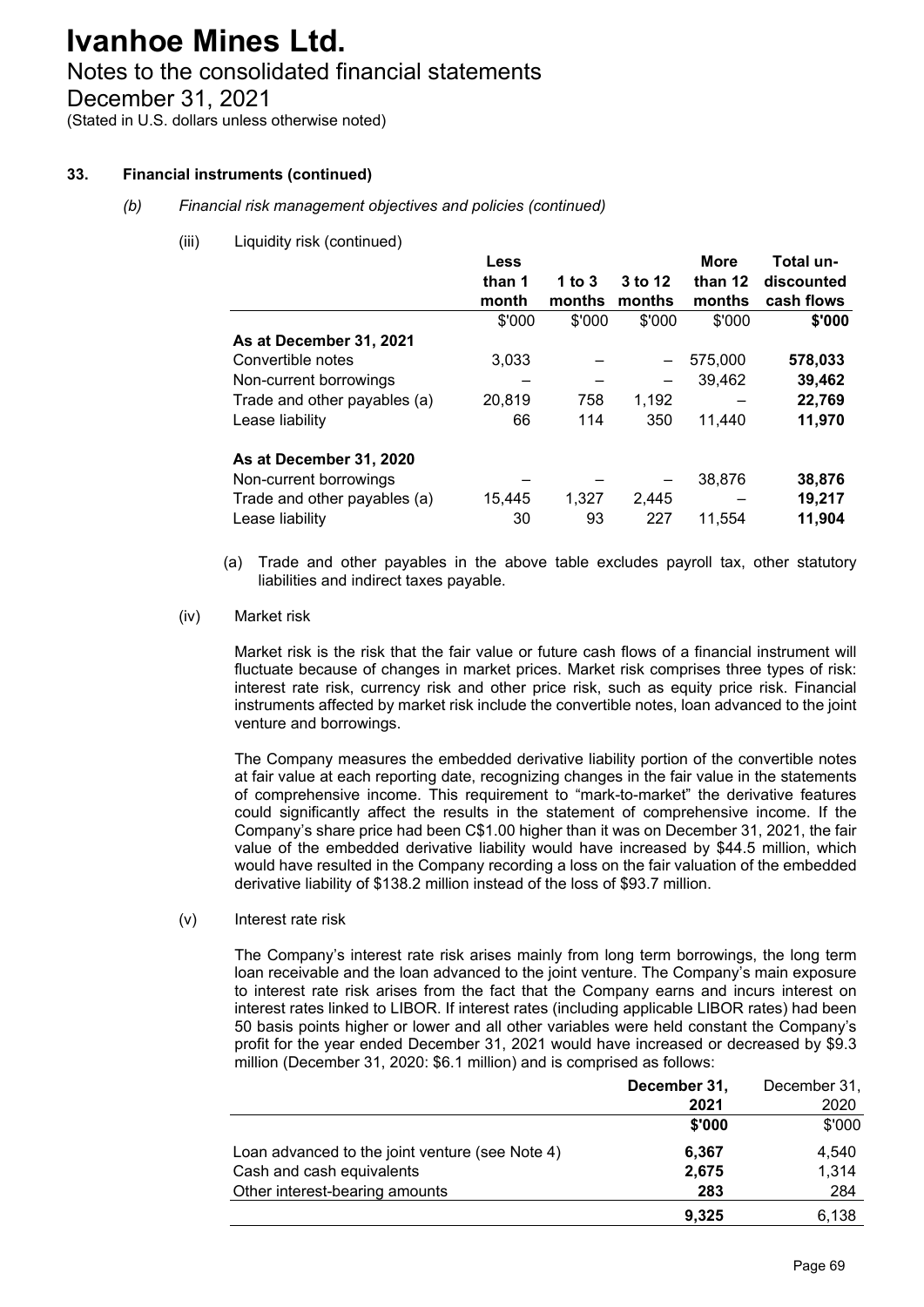# Notes to the consolidated financial statements

December 31, 2021

(Stated in U.S. dollars unless otherwise noted)

## **33. Financial instruments (continued)**

- *(b) Financial risk management objectives and policies (continued)*
	- (iii) Liquidity risk (continued)

|                              | Less   |          |                              | <b>More</b> | Total un-  |
|------------------------------|--------|----------|------------------------------|-------------|------------|
|                              | than 1 | 1 to $3$ | 3 to 12                      | than 12     | discounted |
|                              | month  | months   | months                       | months      | cash flows |
|                              | \$'000 | \$'000   | \$'000                       | \$'000      | \$'000     |
| As at December 31, 2021      |        |          |                              |             |            |
| Convertible notes            | 3,033  |          |                              | 575,000     | 578,033    |
| Non-current borrowings       |        |          | $\qquad \qquad \blacksquare$ | 39,462      | 39,462     |
| Trade and other payables (a) | 20,819 | 758      | 1,192                        |             | 22,769     |
| Lease liability              | 66     | 114      | 350                          | 11.440      | 11,970     |
| As at December 31, 2020      |        |          |                              |             |            |
| Non-current borrowings       |        |          |                              | 38,876      | 38,876     |
| Trade and other payables (a) | 15,445 | 1,327    | 2,445                        |             | 19,217     |
| Lease liability              | 30     | 93       | 227                          | 11,554      | 11,904     |

- (a) Trade and other payables in the above table excludes payroll tax, other statutory liabilities and indirect taxes payable.
- (iv) Market risk

Market risk is the risk that the fair value or future cash flows of a financial instrument will fluctuate because of changes in market prices. Market risk comprises three types of risk: interest rate risk, currency risk and other price risk, such as equity price risk. Financial instruments affected by market risk include the convertible notes, loan advanced to the joint venture and borrowings.

The Company measures the embedded derivative liability portion of the convertible notes at fair value at each reporting date, recognizing changes in the fair value in the statements of comprehensive income. This requirement to "mark-to-market" the derivative features could significantly affect the results in the statement of comprehensive income. If the Company's share price had been C\$1.00 higher than it was on December 31, 2021, the fair value of the embedded derivative liability would have increased by \$44.5 million, which would have resulted in the Company recording a loss on the fair valuation of the embedded derivative liability of \$138.2 million instead of the loss of \$93.7 million.

(v) Interest rate risk

The Company's interest rate risk arises mainly from long term borrowings, the long term loan receivable and the loan advanced to the joint venture. The Company's main exposure to interest rate risk arises from the fact that the Company earns and incurs interest on interest rates linked to LIBOR. If interest rates (including applicable LIBOR rates) had been 50 basis points higher or lower and all other variables were held constant the Company's profit for the year ended December 31, 2021 would have increased or decreased by \$9.3 million (December 31, 2020: \$6.1 million) and is comprised as follows:

|                                                 | December 31, | December 31, |
|-------------------------------------------------|--------------|--------------|
|                                                 | 2021         | 2020         |
|                                                 | \$'000       | \$'000       |
| Loan advanced to the joint venture (see Note 4) | 6,367        | 4,540        |
| Cash and cash equivalents                       | 2,675        | 1,314        |
| Other interest-bearing amounts                  | 283          | 284          |
|                                                 | 9,325        | 6,138        |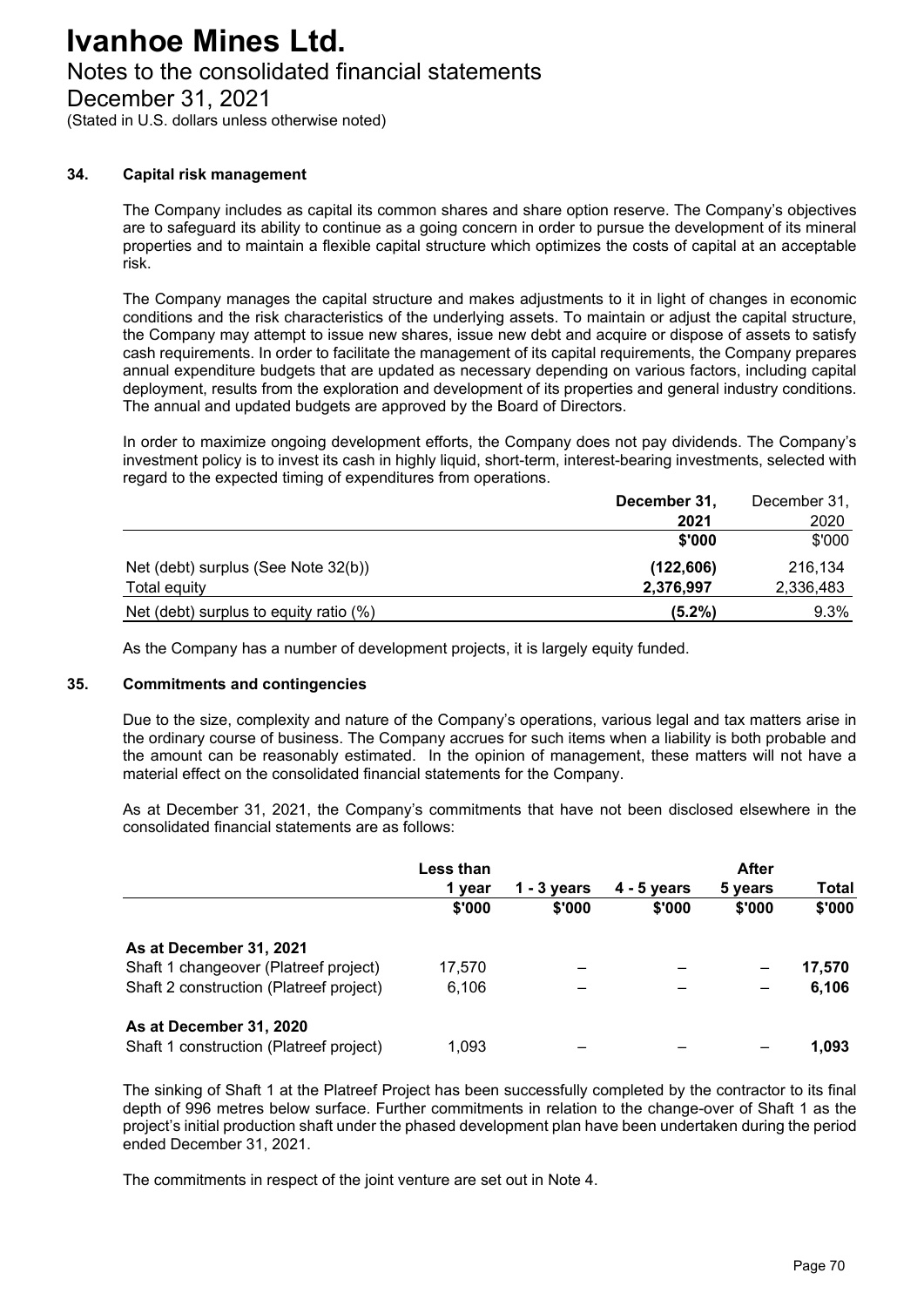# Notes to the consolidated financial statements

December 31, 2021

(Stated in U.S. dollars unless otherwise noted)

### **34. Capital risk management**

The Company includes as capital its common shares and share option reserve. The Company's objectives are to safeguard its ability to continue as a going concern in order to pursue the development of its mineral properties and to maintain a flexible capital structure which optimizes the costs of capital at an acceptable risk.

The Company manages the capital structure and makes adjustments to it in light of changes in economic conditions and the risk characteristics of the underlying assets. To maintain or adjust the capital structure, the Company may attempt to issue new shares, issue new debt and acquire or dispose of assets to satisfy cash requirements. In order to facilitate the management of its capital requirements, the Company prepares annual expenditure budgets that are updated as necessary depending on various factors, including capital deployment, results from the exploration and development of its properties and general industry conditions. The annual and updated budgets are approved by the Board of Directors.

In order to maximize ongoing development efforts, the Company does not pay dividends. The Company's investment policy is to invest its cash in highly liquid, short-term, interest-bearing investments, selected with regard to the expected timing of expenditures from operations.

|                                        | December 31, | December 31, |
|----------------------------------------|--------------|--------------|
|                                        | 2021         | 2020         |
|                                        | \$'000       | \$'000       |
| Net (debt) surplus (See Note 32(b))    | (122, 606)   | 216.134      |
| Total equity                           | 2,376,997    | 2,336,483    |
| Net (debt) surplus to equity ratio (%) | $(5.2\%)$    | 9.3%         |

As the Company has a number of development projects, it is largely equity funded.

#### **35. Commitments and contingencies**

Due to the size, complexity and nature of the Company's operations, various legal and tax matters arise in the ordinary course of business. The Company accrues for such items when a liability is both probable and the amount can be reasonably estimated. In the opinion of management, these matters will not have a material effect on the consolidated financial statements for the Company.

As at December 31, 2021, the Company's commitments that have not been disclosed elsewhere in the consolidated financial statements are as follows:

|                                         | <b>Less than</b> |             |               | <b>After</b> |        |
|-----------------------------------------|------------------|-------------|---------------|--------------|--------|
|                                         | 1 vear           | 1 - 3 vears | $4 - 5$ vears | 5 years      | Total  |
|                                         | \$'000           | \$'000      | \$'000        | \$'000       | \$'000 |
| As at December 31, 2021                 |                  |             |               |              |        |
| Shaft 1 changeover (Platreef project)   | 17.570           |             |               |              | 17,570 |
| Shaft 2 construction (Platreef project) | 6,106            |             |               | —            | 6,106  |
| As at December 31, 2020                 |                  |             |               |              |        |
| Shaft 1 construction (Platreef project) | 1.093            |             |               |              | 1.093  |

The sinking of Shaft 1 at the Platreef Project has been successfully completed by the contractor to its final depth of 996 metres below surface. Further commitments in relation to the change-over of Shaft 1 as the project's initial production shaft under the phased development plan have been undertaken during the period ended December 31, 2021.

The commitments in respect of the joint venture are set out in Note 4.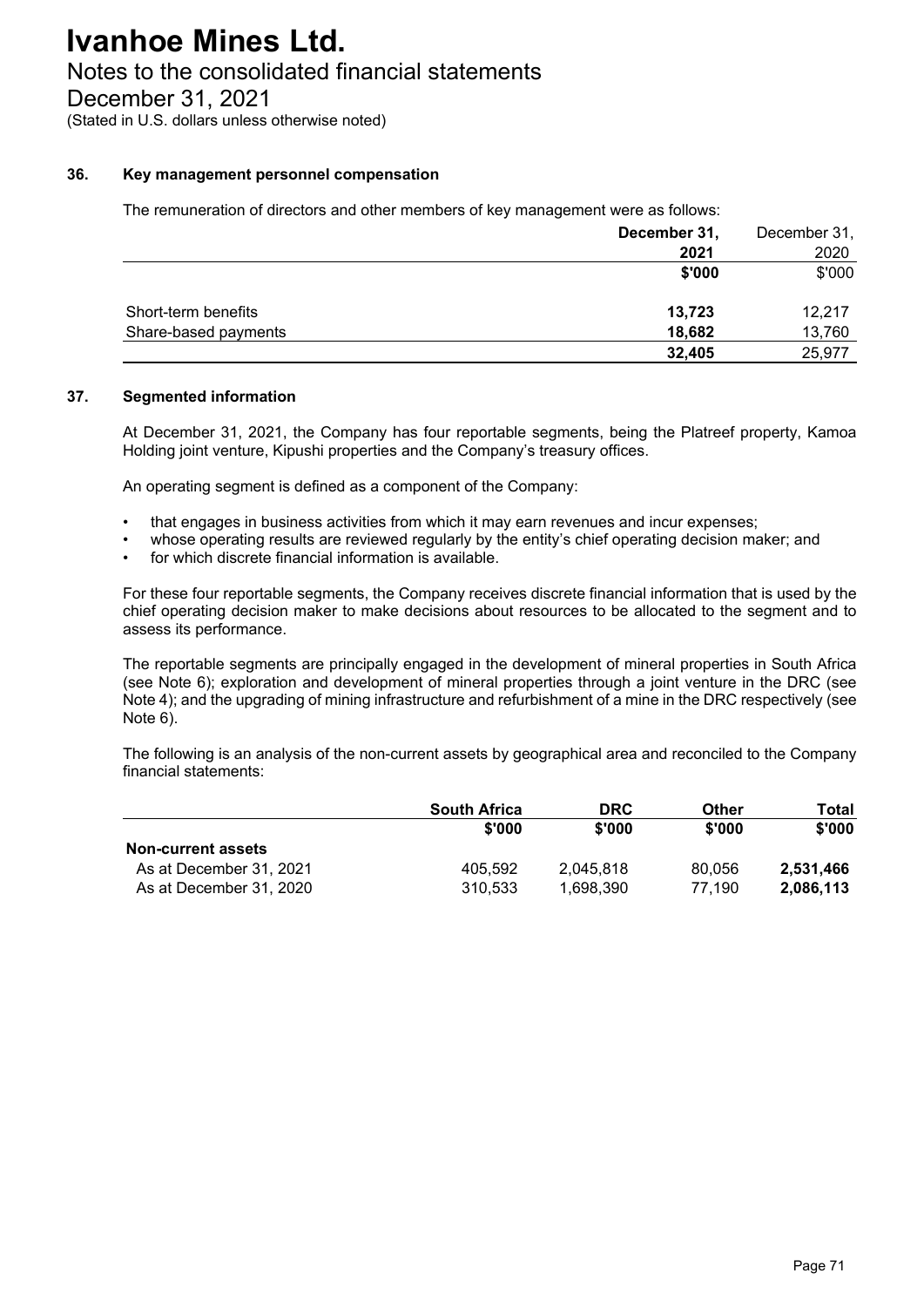# Notes to the consolidated financial statements

December 31, 2021

(Stated in U.S. dollars unless otherwise noted)

### **36. Key management personnel compensation**

The remuneration of directors and other members of key management were as follows:

|                      | December 31, | December 31, |
|----------------------|--------------|--------------|
|                      | 2021         | 2020         |
|                      | \$'000       | \$'000       |
| Short-term benefits  | 13,723       | 12.217       |
| Share-based payments | 18,682       | 13,760       |
|                      | 32,405       | 25,977       |

## **37. Segmented information**

At December 31, 2021, the Company has four reportable segments, being the Platreef property, Kamoa Holding joint venture, Kipushi properties and the Company's treasury offices.

An operating segment is defined as a component of the Company:

- that engages in business activities from which it may earn revenues and incur expenses;
- whose operating results are reviewed regularly by the entity's chief operating decision maker; and
- for which discrete financial information is available.

For these four reportable segments, the Company receives discrete financial information that is used by the chief operating decision maker to make decisions about resources to be allocated to the segment and to assess its performance.

The reportable segments are principally engaged in the development of mineral properties in South Africa (see Note 6); exploration and development of mineral properties through a joint venture in the DRC (see Note 4); and the upgrading of mining infrastructure and refurbishment of a mine in the DRC respectively (see Note 6).

The following is an analysis of the non-current assets by geographical area and reconciled to the Company financial statements:

|                           | <b>South Africa</b> | <b>DRC</b> | Other  | Total     |
|---------------------------|---------------------|------------|--------|-----------|
|                           | \$'000              | \$'000     | \$'000 | \$'000    |
| <b>Non-current assets</b> |                     |            |        |           |
| As at December 31, 2021   | 405.592             | 2.045.818  | 80.056 | 2,531,466 |
| As at December 31, 2020   | 310.533             | 1.698.390  | 77.190 | 2,086,113 |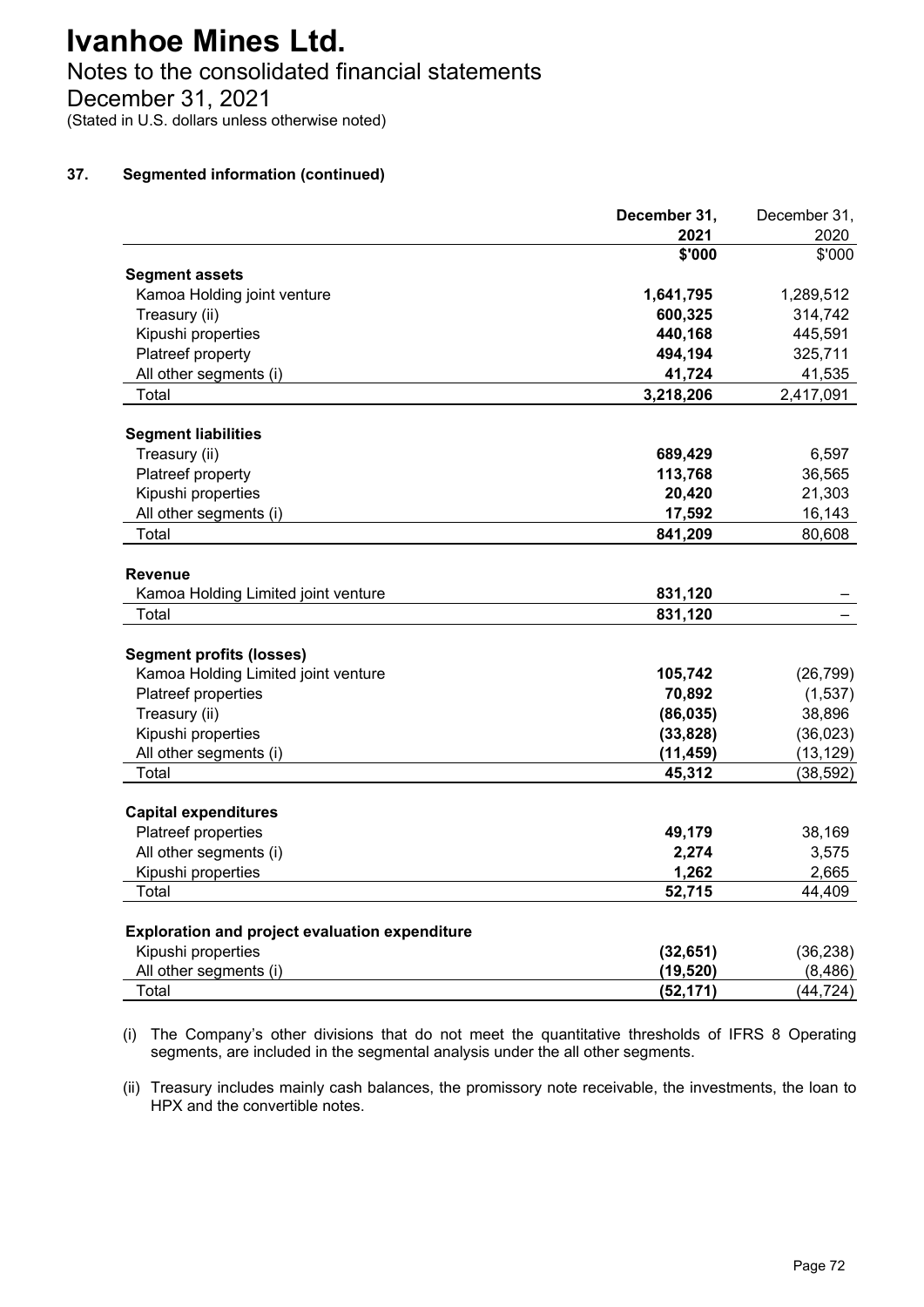# Notes to the consolidated financial statements

December 31, 2021

(Stated in U.S. dollars unless otherwise noted)

## **37. Segmented information (continued)**

|                                                                             | December 31, | December 31, |
|-----------------------------------------------------------------------------|--------------|--------------|
|                                                                             | 2021         | 2020         |
|                                                                             | \$'000       | \$'000       |
| <b>Segment assets</b>                                                       |              |              |
| Kamoa Holding joint venture                                                 | 1,641,795    | 1,289,512    |
| Treasury (ii)                                                               | 600,325      | 314,742      |
| Kipushi properties                                                          | 440,168      | 445,591      |
| Platreef property                                                           | 494,194      | 325,711      |
| All other segments (i)                                                      | 41,724       | 41,535       |
| Total                                                                       | 3,218,206    | 2,417,091    |
| <b>Segment liabilities</b>                                                  |              |              |
| Treasury (ii)                                                               | 689,429      | 6,597        |
| Platreef property                                                           | 113,768      | 36,565       |
| Kipushi properties                                                          | 20,420       | 21,303       |
| All other segments (i)                                                      | 17,592       | 16,143       |
| Total                                                                       | 841,209      | 80,608       |
|                                                                             |              |              |
| <b>Revenue</b>                                                              |              |              |
| Kamoa Holding Limited joint venture                                         | 831,120      |              |
| Total                                                                       | 831,120      |              |
| <b>Segment profits (losses)</b>                                             |              |              |
| Kamoa Holding Limited joint venture                                         | 105,742      | (26, 799)    |
| Platreef properties                                                         | 70,892       | (1,537)      |
| Treasury (ii)                                                               | (86, 035)    | 38,896       |
| Kipushi properties                                                          | (33, 828)    | (36, 023)    |
| All other segments (i)                                                      | (11, 459)    | (13, 129)    |
| Total                                                                       | 45,312       | (38, 592)    |
| <b>Capital expenditures</b>                                                 |              |              |
| Platreef properties                                                         | 49,179       | 38,169       |
| All other segments (i)                                                      | 2,274        | 3,575        |
| Kipushi properties                                                          | 1,262        | 2,665        |
| Total                                                                       | 52,715       | 44,409       |
|                                                                             |              |              |
| <b>Exploration and project evaluation expenditure</b><br>Kipushi properties | (32, 651)    | (36, 238)    |
| All other segments (i)                                                      | (19, 520)    | (8, 486)     |
| Total                                                                       | (52, 171)    | (44, 724)    |
|                                                                             |              |              |

(i) The Company's other divisions that do not meet the quantitative thresholds of IFRS 8 Operating segments, are included in the segmental analysis under the all other segments.

(ii) Treasury includes mainly cash balances, the promissory note receivable, the investments, the loan to HPX and the convertible notes.